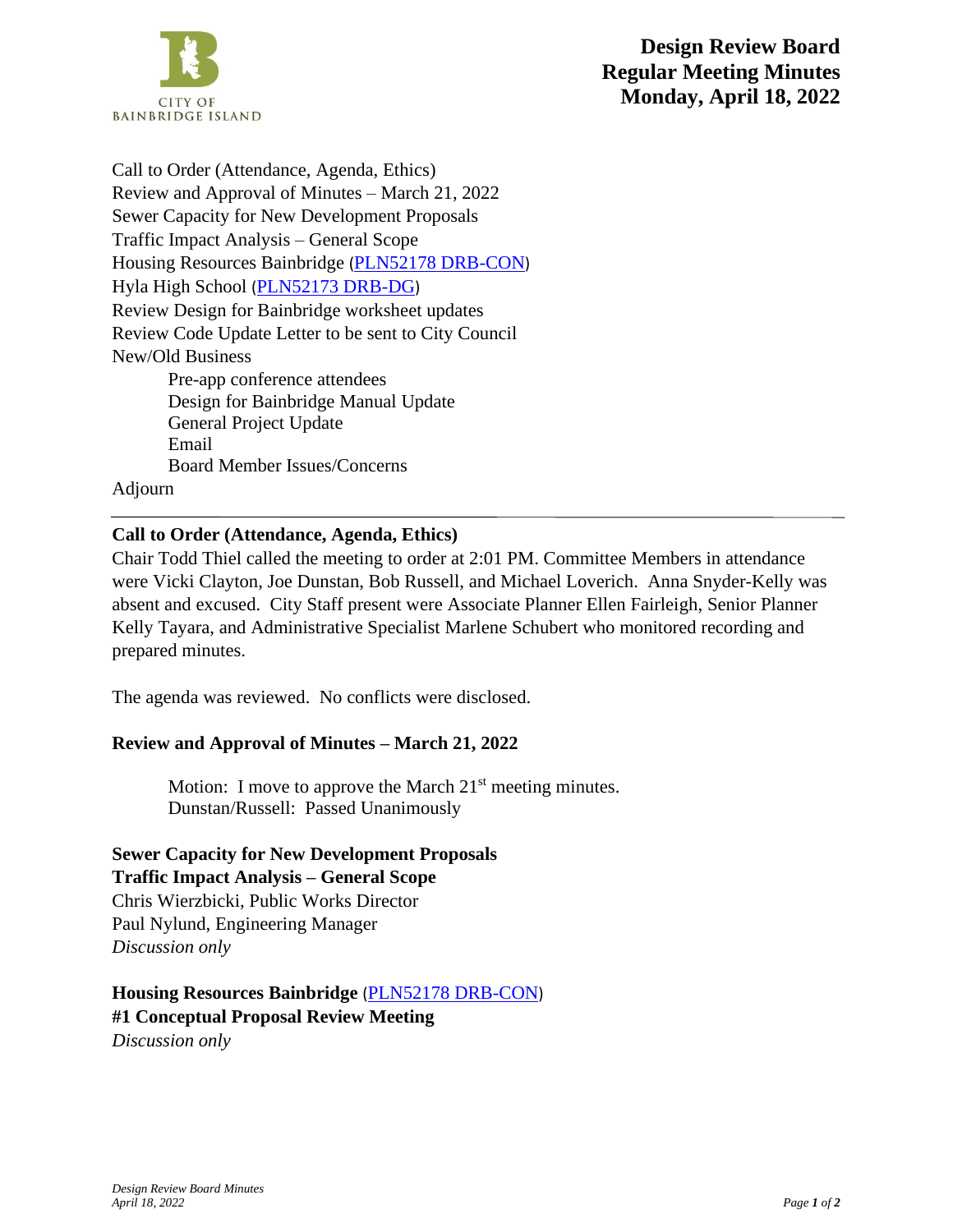

Call to Order (Attendance, Agenda, Ethics) Review and Approval of Minutes – March 21, 2022 Sewer Capacity for New Development Proposals Traffic Impact Analysis – General Scope Housing Resources Bainbridge ([PLN52178 DRB-CON](https://ci-bainbridgeisland-wa.smartgovcommunity.com/PermittingPublic/PermitLandingPagePublic/Index/b1cde572-5a4a-4018-900b-ae610103b529?_conv=1)) Hyla High School ([PLN52173 DRB-DG](https://ci-bainbridgeisland-wa.smartgovcommunity.com/PermittingPublic/PermitLandingPagePublic/Index/45641329-64b8-4756-b71d-ae7600e9518f?_conv=1)) Review Design for Bainbridge worksheet updates Review Code Update Letter to be sent to City Council New/Old Business Pre-app conference attendees Design for Bainbridge Manual Update General Project Update Email Board Member Issues/Concerns

Adjourn

### **Call to Order (Attendance, Agenda, Ethics)**

Chair Todd Thiel called the meeting to order at 2:01 PM. Committee Members in attendance were Vicki Clayton, Joe Dunstan, Bob Russell, and Michael Loverich. Anna Snyder-Kelly was absent and excused. City Staff present were Associate Planner Ellen Fairleigh, Senior Planner Kelly Tayara, and Administrative Specialist Marlene Schubert who monitored recording and prepared minutes.

The agenda was reviewed. No conflicts were disclosed.

#### **Review and Approval of Minutes – March 21, 2022**

Motion: I move to approve the March  $21<sup>st</sup>$  meeting minutes. Dunstan/Russell: Passed Unanimously

**Sewer Capacity for New Development Proposals**

**Traffic Impact Analysis – General Scope** Chris Wierzbicki, Public Works Director Paul Nylund, Engineering Manager *Discussion only*

**Housing Resources Bainbridge** ([PLN52178 DRB-CON](https://ci-bainbridgeisland-wa.smartgovcommunity.com/PermittingPublic/PermitLandingPagePublic/Index/b1cde572-5a4a-4018-900b-ae610103b529?_conv=1)) **#1 Conceptual Proposal Review Meeting** *Discussion only*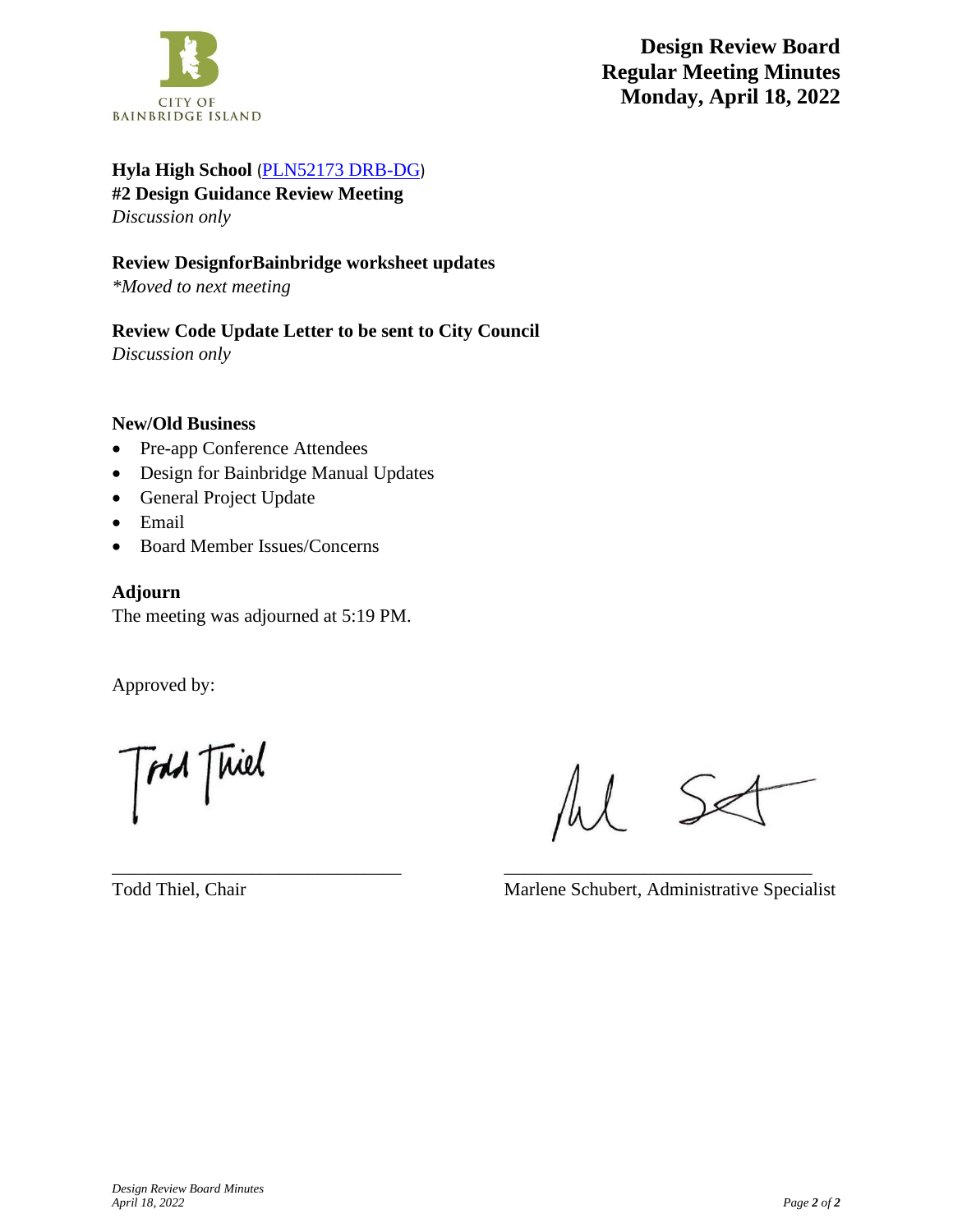

## **Hyla High School** ([PLN52173 DRB-DG](https://ci-bainbridgeisland-wa.smartgovcommunity.com/PermittingPublic/PermitLandingPagePublic/Index/45641329-64b8-4756-b71d-ae7600e9518f?_conv=1))

**#2 Design Guidance Review Meeting** *Discussion only*

### **Review DesignforBainbridge worksheet updates**

*\*Moved to next meeting*

# **Review Code Update Letter to be sent to City Council**

*Discussion only*

### **New/Old Business**

- Pre-app Conference Attendees
- Design for Bainbridge Manual Updates
- General Project Update
- Email
- Board Member Issues/Concerns

### **Adjourn**

The meeting was adjourned at 5:19 PM.

Approved by:

TAM Thiel

 $S_{\mathscr{L}}$ 

Todd Thiel, Chair Marlene Schubert, Administrative Specialist

\_\_\_\_\_\_\_\_\_\_\_\_\_\_\_\_\_\_\_\_\_\_\_\_\_\_\_\_\_\_\_ \_\_\_\_\_\_\_\_\_\_\_\_\_\_\_\_\_\_\_\_\_\_\_\_\_\_\_\_\_\_\_\_\_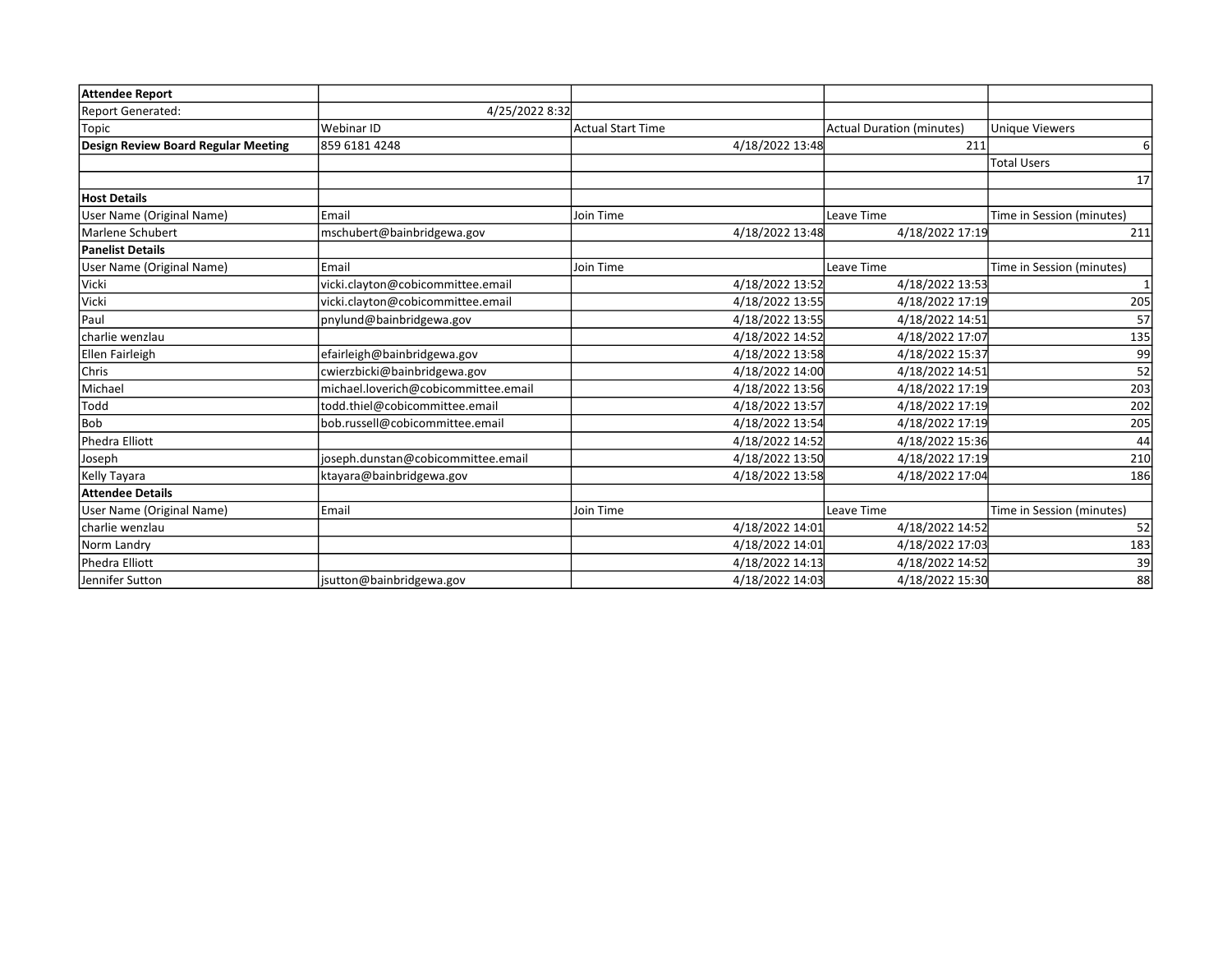| Attendee Report                     |                                      |                          |                                  |                           |
|-------------------------------------|--------------------------------------|--------------------------|----------------------------------|---------------------------|
| Report Generated:                   | 4/25/2022 8:32                       |                          |                                  |                           |
| Topic                               | Webinar ID                           | <b>Actual Start Time</b> | <b>Actual Duration (minutes)</b> | <b>Unique Viewers</b>     |
| Design Review Board Regular Meeting | 859 6181 4248                        | 4/18/2022 13:48          | 211                              |                           |
|                                     |                                      |                          |                                  | <b>Total Users</b>        |
|                                     |                                      |                          |                                  | 17                        |
| <b>Host Details</b>                 |                                      |                          |                                  |                           |
| User Name (Original Name)           | Email                                | Join Time                | Leave Time                       | Time in Session (minutes) |
| Marlene Schubert                    | mschubert@bainbridgewa.gov           | 4/18/2022 13:48          | 4/18/2022 17:19                  | 211                       |
| Panelist Details                    |                                      |                          |                                  |                           |
| User Name (Original Name)           | Email                                | Join Time                | Leave Time                       | Time in Session (minutes) |
| Vicki                               | vicki.clayton@cobicommittee.email    | 4/18/2022 13:52          | 4/18/2022 13:53                  |                           |
| Vicki                               | vicki.clayton@cobicommittee.email    | 4/18/2022 13:55          | 4/18/2022 17:19                  | 205                       |
| Paul                                | pnylund@bainbridgewa.gov             | 4/18/2022 13:55          | 4/18/2022 14:51                  | 57                        |
| charlie wenzlau                     |                                      | 4/18/2022 14:52          | 4/18/2022 17:07                  | 135                       |
| Ellen Fairleigh                     | efairleigh@bainbridgewa.gov          | 4/18/2022 13:58          | 4/18/2022 15:37                  | 99                        |
| <b>Chris</b>                        | cwierzbicki@bainbridgewa.gov         | 4/18/2022 14:00          | 4/18/2022 14:51                  | 52                        |
| Michael                             | michael.loverich@cobicommittee.email | 4/18/2022 13:56          | 4/18/2022 17:19                  | 203                       |
| Todd                                | todd.thiel@cobicommittee.email       | 4/18/2022 13:57          | 4/18/2022 17:19                  | 202                       |
| l Bob                               | bob.russell@cobicommittee.email      | 4/18/2022 13:54          | 4/18/2022 17:19                  | 205                       |
| Phedra Elliott                      |                                      | 4/18/2022 14:52          | 4/18/2022 15:36                  | 44                        |
| Joseph                              | joseph.dunstan@cobicommittee.email   | 4/18/2022 13:50          | 4/18/2022 17:19                  | 210                       |
| Kelly Tayara                        | ktayara@bainbridgewa.gov             | 4/18/2022 13:58          | 4/18/2022 17:04                  | 186                       |
| Attendee Details                    |                                      |                          |                                  |                           |
| User Name (Original Name)           | Email                                | Join Time                | Leave Time                       | Time in Session (minutes) |
| charlie wenzlau                     |                                      | 4/18/2022 14:01          | 4/18/2022 14:52                  | 52                        |
| Norm Landry                         |                                      | 4/18/2022 14:01          | 4/18/2022 17:03                  | 183                       |
| Phedra Elliott                      |                                      | 4/18/2022 14:13          | 4/18/2022 14:52                  | 39                        |
| Jennifer Sutton                     | jsutton@bainbridgewa.gov             | 4/18/2022 14:03          | 4/18/2022 15:30                  | 88                        |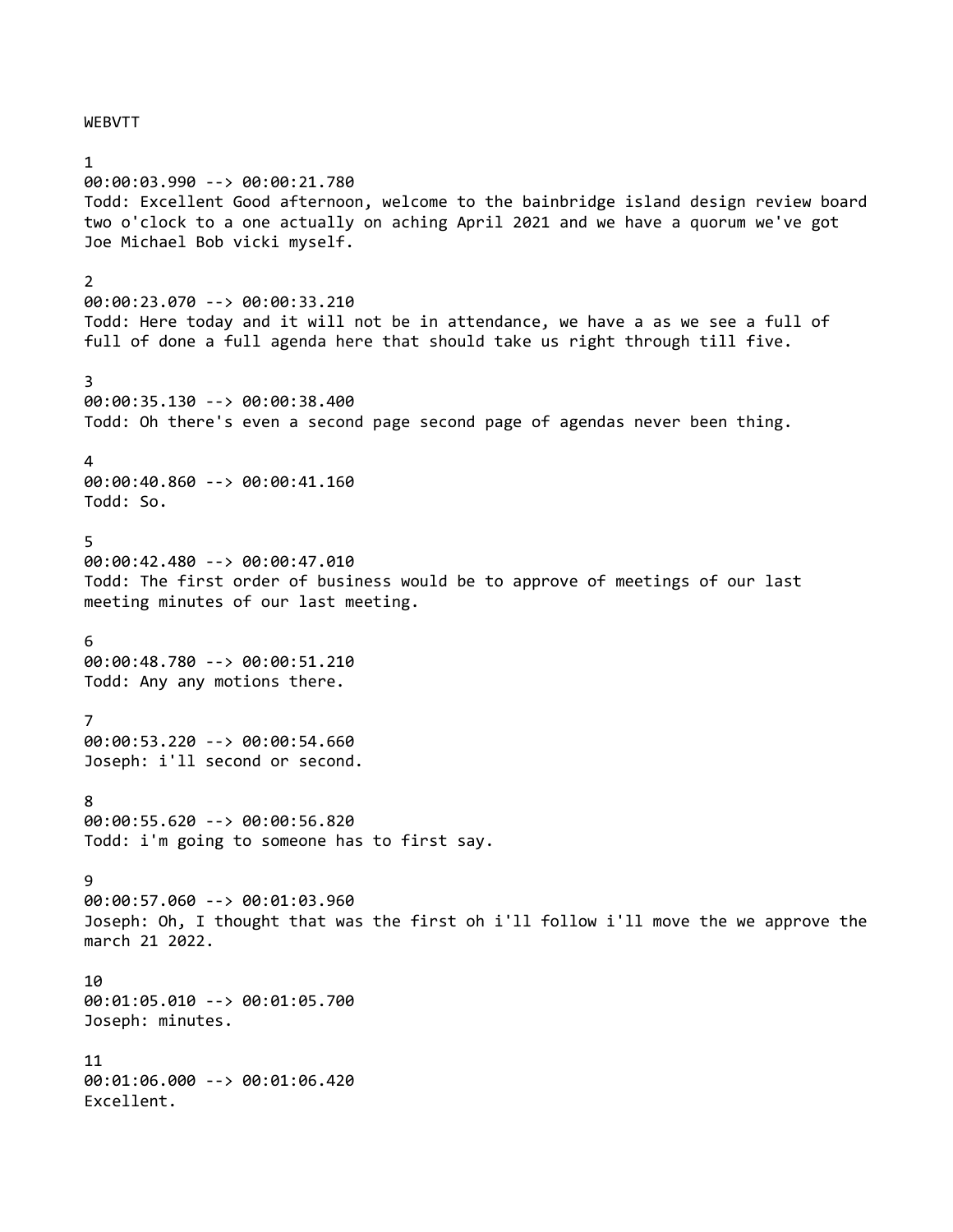WEBVTT

00:00:03.990 --> 00:00:21.780 Todd: Excellent Good afternoon, welcome to the bainbridge island design review board two o'clock to a one actually on aching April 2021 and we have a quorum we've got Joe Michael Bob vicki myself.  $\mathfrak{D}$ 00:00:23.070 --> 00:00:33.210 Todd: Here today and it will not be in attendance, we have a as we see a full of full of done a full agenda here that should take us right through till five. 3 00:00:35.130 --> 00:00:38.400 Todd: Oh there's even a second page second page of agendas never been thing.  $\lambda$ 00:00:40.860 --> 00:00:41.160 Todd: So. 5 00:00:42.480 --> 00:00:47.010 Todd: The first order of business would be to approve of meetings of our last meeting minutes of our last meeting. 6 00:00:48.780 --> 00:00:51.210 Todd: Any any motions there. 7 00:00:53.220 --> 00:00:54.660 Joseph: i'll second or second. 8 00:00:55.620 --> 00:00:56.820 Todd: i'm going to someone has to first say.  $\mathsf{Q}$ 00:00:57.060 --> 00:01:03.960 Joseph: Oh, I thought that was the first oh i'll follow i'll move the we approve the march 21 2022. 10 00:01:05.010 --> 00:01:05.700 Joseph: minutes. 11 00:01:06.000 --> 00:01:06.420 Excellent.

1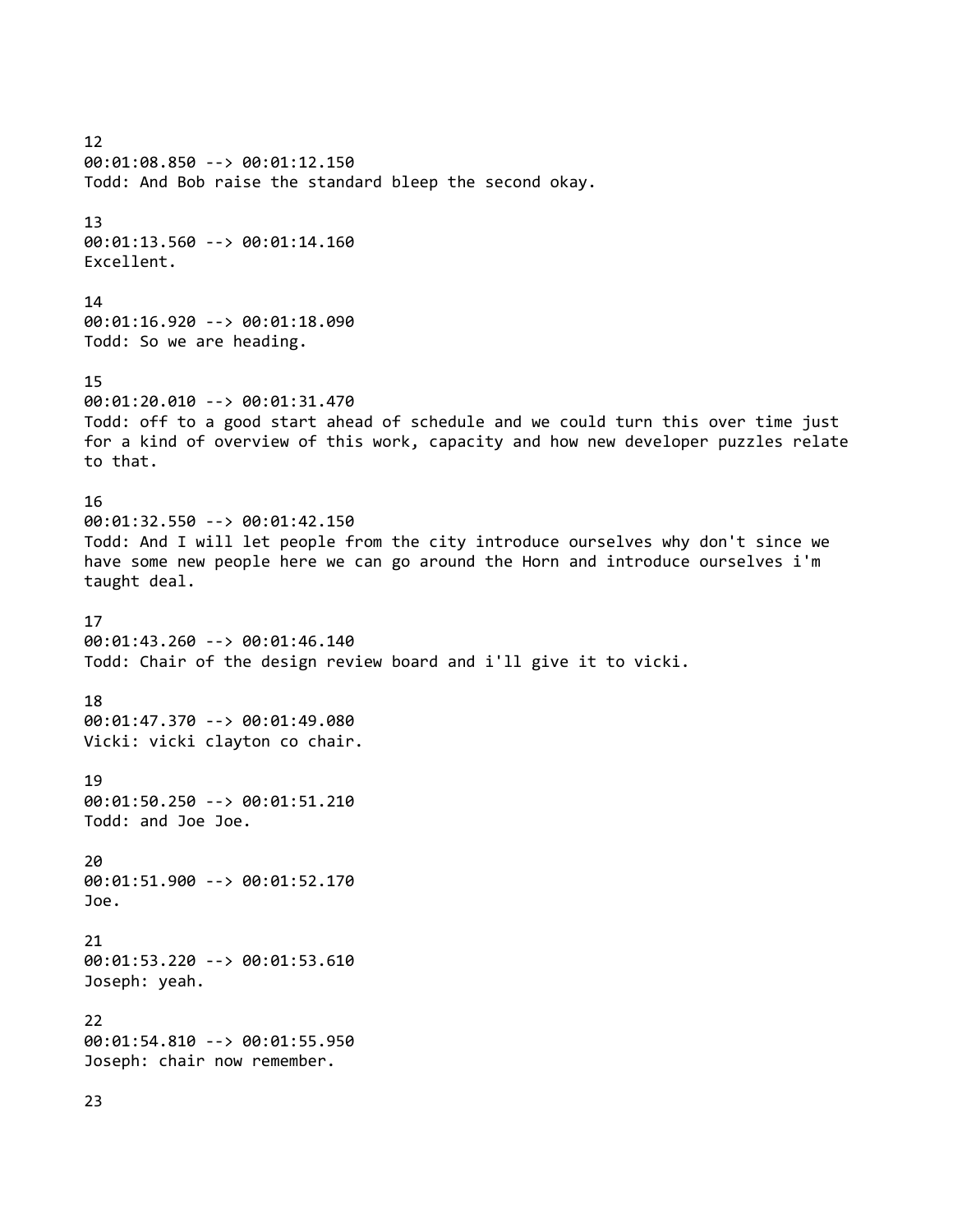12 00:01:08.850 --> 00:01:12.150 Todd: And Bob raise the standard bleep the second okay. 13 00:01:13.560 --> 00:01:14.160 Excellent. 14 00:01:16.920 --> 00:01:18.090 Todd: So we are heading. 15 00:01:20.010 --> 00:01:31.470 Todd: off to a good start ahead of schedule and we could turn this over time just for a kind of overview of this work, capacity and how new developer puzzles relate to that. 16 00:01:32.550 --> 00:01:42.150 Todd: And I will let people from the city introduce ourselves why don't since we have some new people here we can go around the Horn and introduce ourselves i'm taught deal. 17 00:01:43.260 --> 00:01:46.140 Todd: Chair of the design review board and i'll give it to vicki. 18 00:01:47.370 --> 00:01:49.080 Vicki: vicki clayton co chair. 19 00:01:50.250 --> 00:01:51.210 Todd: and Joe Joe. 20 00:01:51.900 --> 00:01:52.170 Joe. 21 00:01:53.220 --> 00:01:53.610 Joseph: yeah. 22 00:01:54.810 --> 00:01:55.950 Joseph: chair now remember. 23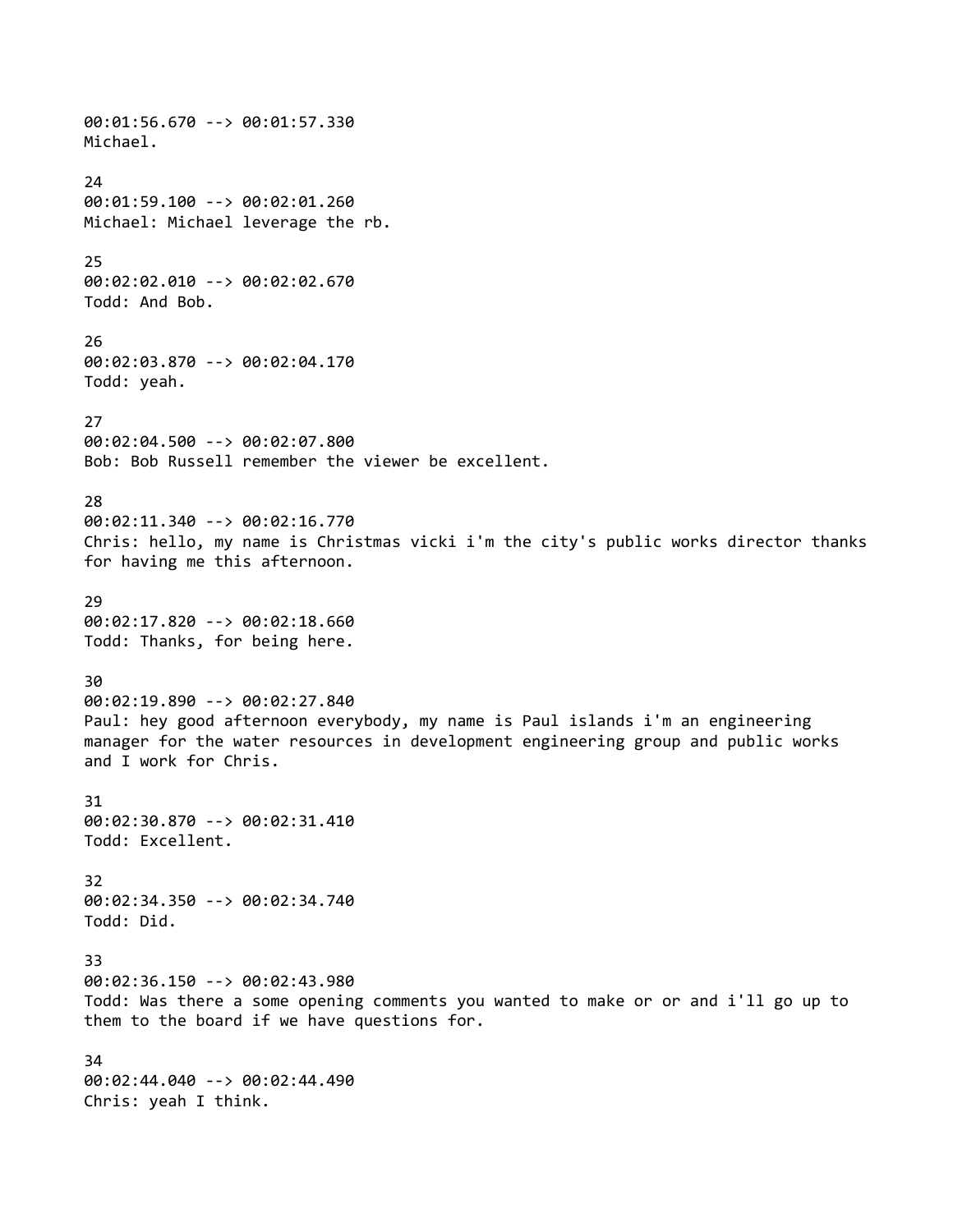00:01:56.670 --> 00:01:57.330 Michael. 24 00:01:59.100 --> 00:02:01.260 Michael: Michael leverage the rb. 25 00:02:02.010 --> 00:02:02.670 Todd: And Bob. 26 00:02:03.870 --> 00:02:04.170 Todd: yeah. 27 00:02:04.500 --> 00:02:07.800 Bob: Bob Russell remember the viewer be excellent. 28 00:02:11.340 --> 00:02:16.770 Chris: hello, my name is Christmas vicki i'm the city's public works director thanks for having me this afternoon. 29 00:02:17.820 --> 00:02:18.660 Todd: Thanks, for being here. 30 00:02:19.890 --> 00:02:27.840 Paul: hey good afternoon everybody, my name is Paul islands i'm an engineering manager for the water resources in development engineering group and public works and I work for Chris. 31 00:02:30.870 --> 00:02:31.410 Todd: Excellent. 32 00:02:34.350 --> 00:02:34.740 Todd: Did. 33 00:02:36.150 --> 00:02:43.980 Todd: Was there a some opening comments you wanted to make or or and i'll go up to them to the board if we have questions for. 34 00:02:44.040 --> 00:02:44.490 Chris: yeah I think.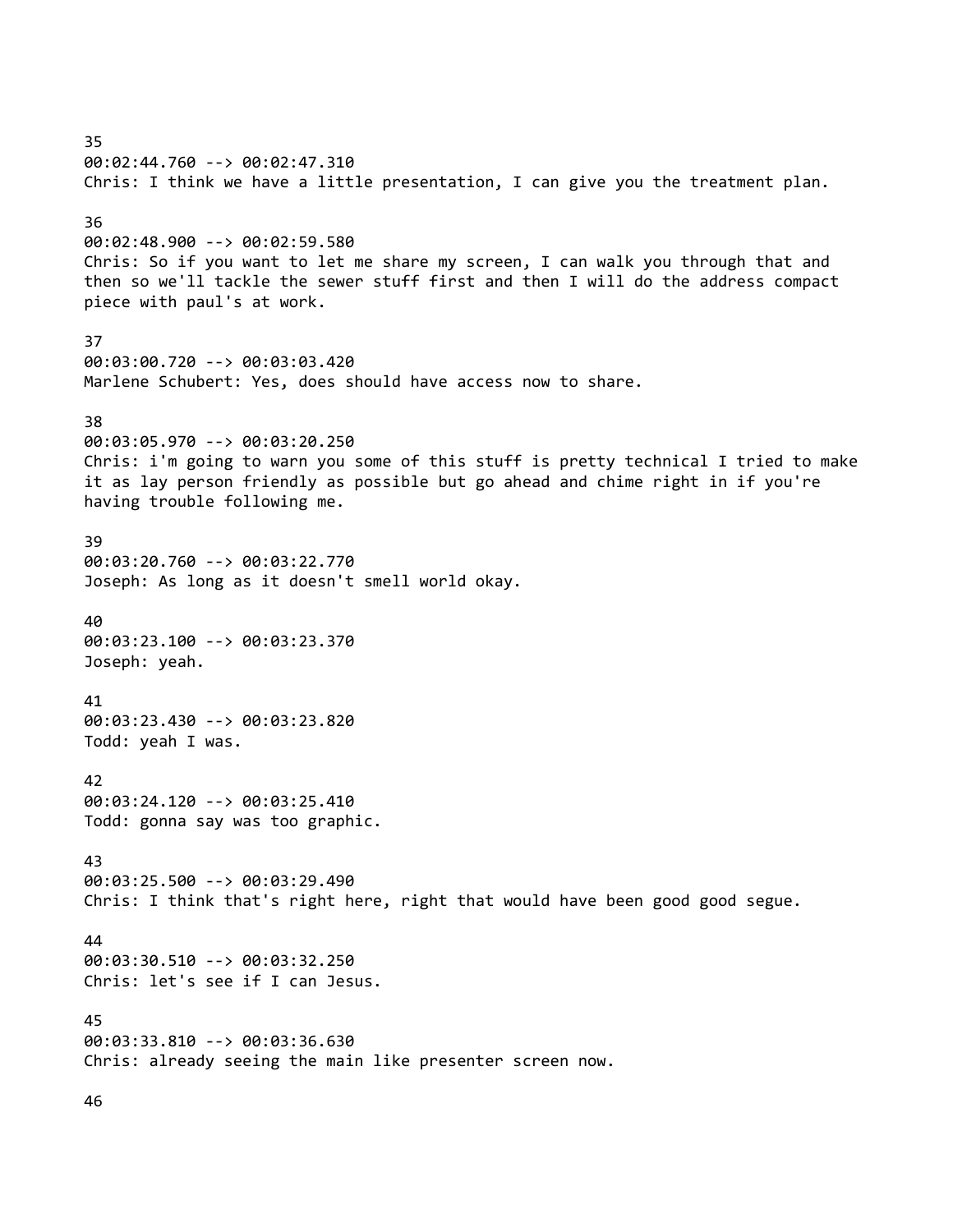35 00:02:44.760 --> 00:02:47.310 Chris: I think we have a little presentation, I can give you the treatment plan. 36 00:02:48.900 --> 00:02:59.580 Chris: So if you want to let me share my screen, I can walk you through that and then so we'll tackle the sewer stuff first and then I will do the address compact piece with paul's at work. 37 00:03:00.720 --> 00:03:03.420 Marlene Schubert: Yes, does should have access now to share. 38 00:03:05.970 --> 00:03:20.250 Chris: i'm going to warn you some of this stuff is pretty technical I tried to make it as lay person friendly as possible but go ahead and chime right in if you're having trouble following me. 39 00:03:20.760 --> 00:03:22.770 Joseph: As long as it doesn't smell world okay. 40 00:03:23.100 --> 00:03:23.370 Joseph: yeah. 41 00:03:23.430 --> 00:03:23.820 Todd: yeah I was. 42 00:03:24.120 --> 00:03:25.410 Todd: gonna say was too graphic. 43 00:03:25.500 --> 00:03:29.490 Chris: I think that's right here, right that would have been good good segue. 44 00:03:30.510 --> 00:03:32.250 Chris: let's see if I can Jesus. 45 00:03:33.810 --> 00:03:36.630 Chris: already seeing the main like presenter screen now. 46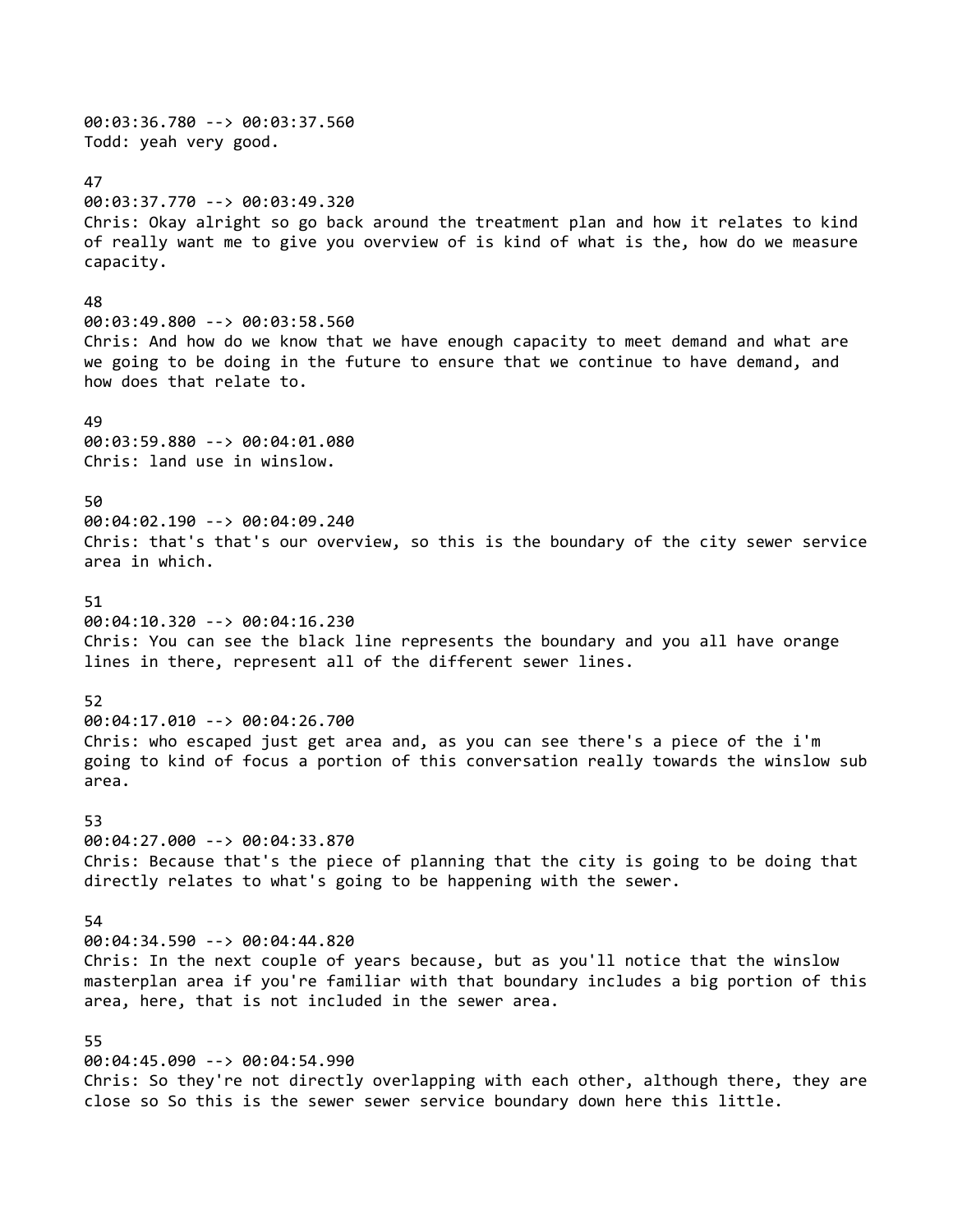00:03:36.780 --> 00:03:37.560 Todd: yeah very good. 47 00:03:37.770 --> 00:03:49.320 Chris: Okay alright so go back around the treatment plan and how it relates to kind of really want me to give you overview of is kind of what is the, how do we measure capacity. 48 00:03:49.800 --> 00:03:58.560 Chris: And how do we know that we have enough capacity to meet demand and what are we going to be doing in the future to ensure that we continue to have demand, and how does that relate to. 49 00:03:59.880 --> 00:04:01.080 Chris: land use in winslow. 50 00:04:02.190 --> 00:04:09.240 Chris: that's that's our overview, so this is the boundary of the city sewer service area in which. 51 00:04:10.320 --> 00:04:16.230 Chris: You can see the black line represents the boundary and you all have orange lines in there, represent all of the different sewer lines. 52 00:04:17.010 --> 00:04:26.700 Chris: who escaped just get area and, as you can see there's a piece of the i'm going to kind of focus a portion of this conversation really towards the winslow sub area. 53 00:04:27.000 --> 00:04:33.870 Chris: Because that's the piece of planning that the city is going to be doing that directly relates to what's going to be happening with the sewer. 54 00:04:34.590 --> 00:04:44.820 Chris: In the next couple of years because, but as you'll notice that the winslow masterplan area if you're familiar with that boundary includes a big portion of this area, here, that is not included in the sewer area. 55 00:04:45.090 --> 00:04:54.990 Chris: So they're not directly overlapping with each other, although there, they are close so So this is the sewer sewer service boundary down here this little.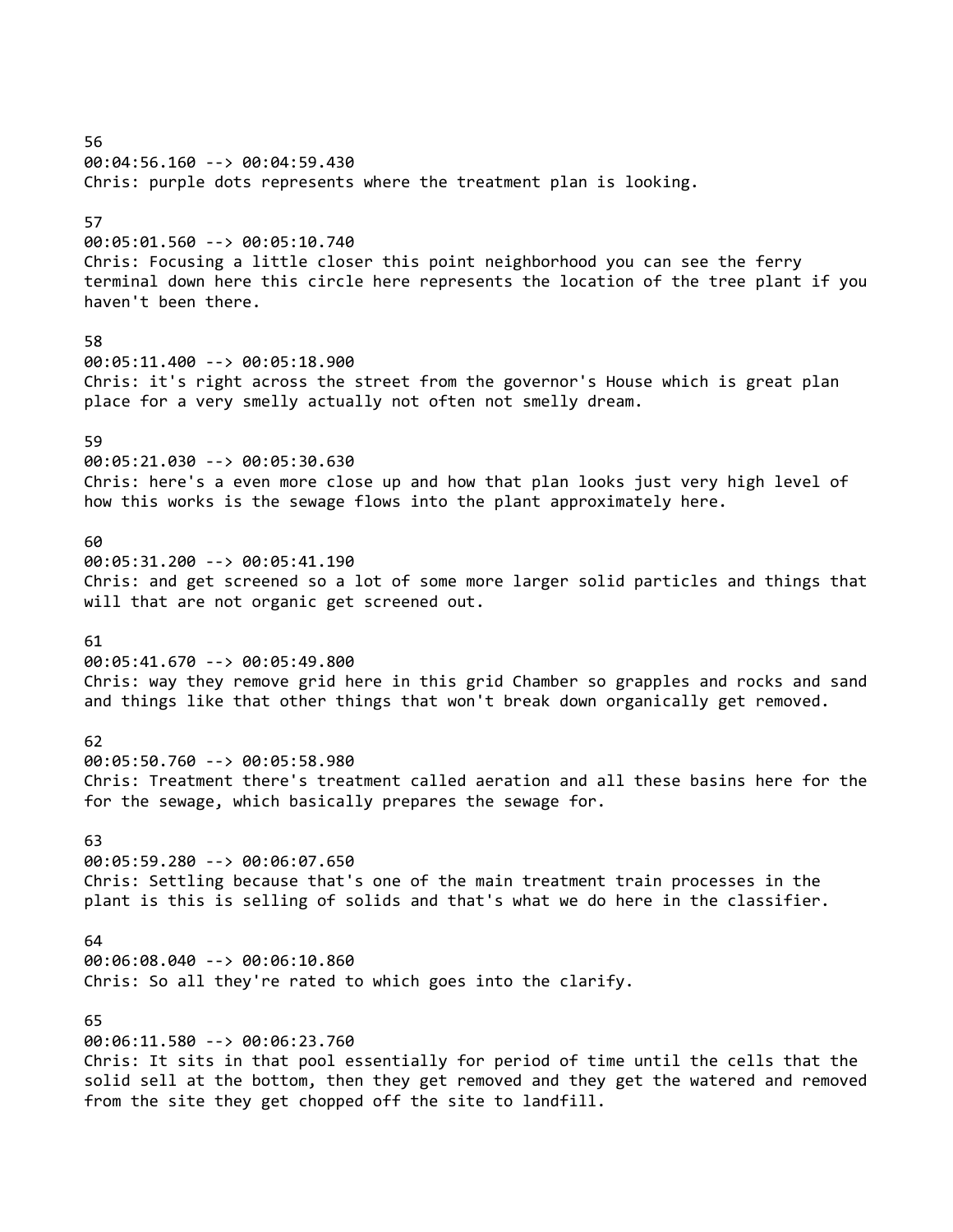56 00:04:56.160 --> 00:04:59.430 Chris: purple dots represents where the treatment plan is looking. 57 00:05:01.560 --> 00:05:10.740 Chris: Focusing a little closer this point neighborhood you can see the ferry terminal down here this circle here represents the location of the tree plant if you haven't been there. 58 00:05:11.400 --> 00:05:18.900 Chris: it's right across the street from the governor's House which is great plan place for a very smelly actually not often not smelly dream. 59 00:05:21.030 --> 00:05:30.630 Chris: here's a even more close up and how that plan looks just very high level of how this works is the sewage flows into the plant approximately here. 60 00:05:31.200 --> 00:05:41.190 Chris: and get screened so a lot of some more larger solid particles and things that will that are not organic get screened out. 61 00:05:41.670 --> 00:05:49.800 Chris: way they remove grid here in this grid Chamber so grapples and rocks and sand and things like that other things that won't break down organically get removed. 62 00:05:50.760 --> 00:05:58.980 Chris: Treatment there's treatment called aeration and all these basins here for the for the sewage, which basically prepares the sewage for. 63 00:05:59.280 --> 00:06:07.650 Chris: Settling because that's one of the main treatment train processes in the plant is this is selling of solids and that's what we do here in the classifier. 64 00:06:08.040 --> 00:06:10.860 Chris: So all they're rated to which goes into the clarify. 65 00:06:11.580 --> 00:06:23.760 Chris: It sits in that pool essentially for period of time until the cells that the solid sell at the bottom, then they get removed and they get the watered and removed from the site they get chopped off the site to landfill.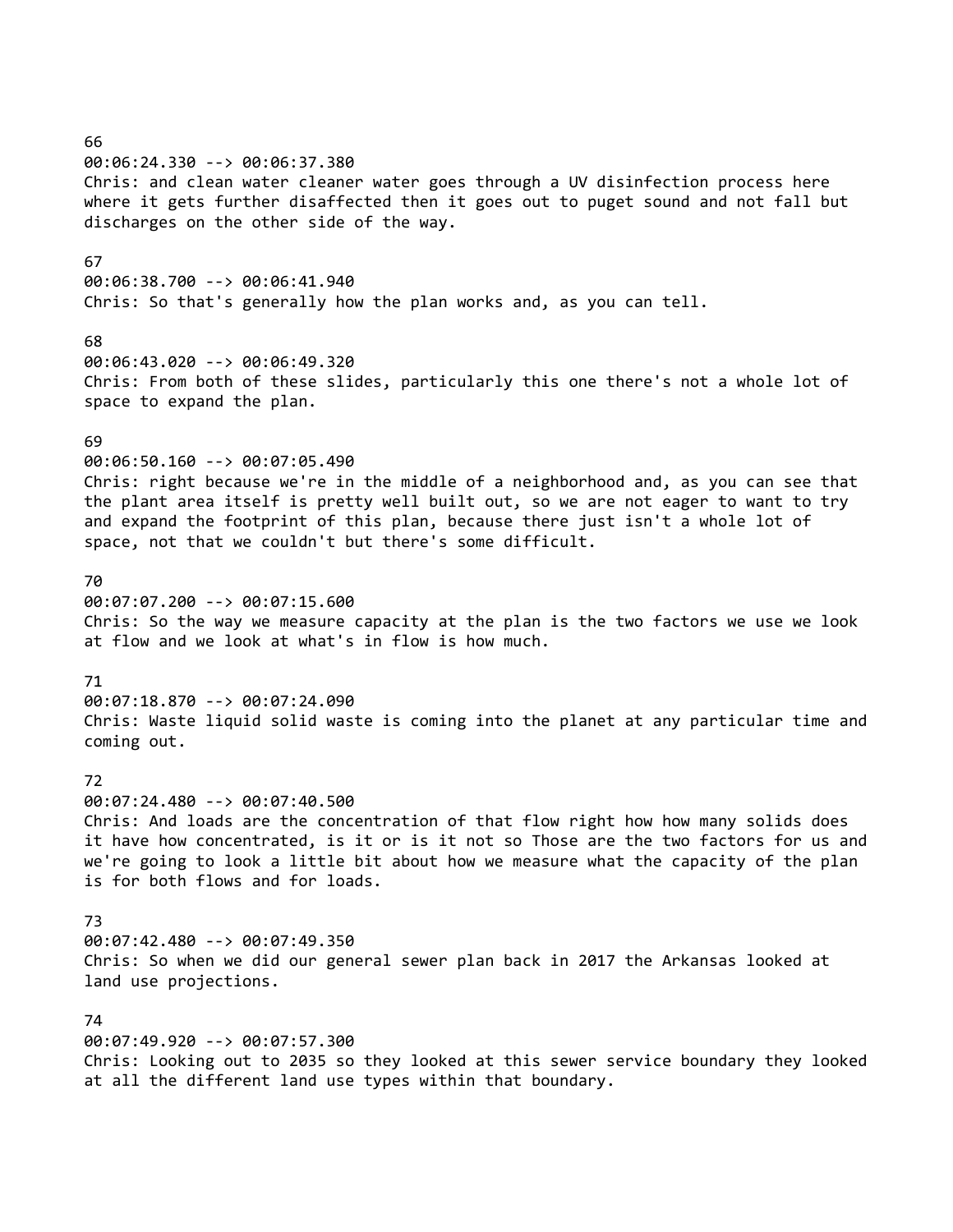66 00:06:24.330 --> 00:06:37.380 Chris: and clean water cleaner water goes through a UV disinfection process here where it gets further disaffected then it goes out to puget sound and not fall but discharges on the other side of the way. 67 00:06:38.700 --> 00:06:41.940 Chris: So that's generally how the plan works and, as you can tell. 68 00:06:43.020 --> 00:06:49.320 Chris: From both of these slides, particularly this one there's not a whole lot of space to expand the plan. 69 00:06:50.160 --> 00:07:05.490 Chris: right because we're in the middle of a neighborhood and, as you can see that the plant area itself is pretty well built out, so we are not eager to want to try and expand the footprint of this plan, because there just isn't a whole lot of space, not that we couldn't but there's some difficult. 70 00:07:07.200 --> 00:07:15.600 Chris: So the way we measure capacity at the plan is the two factors we use we look at flow and we look at what's in flow is how much. 71 00:07:18.870 --> 00:07:24.090 Chris: Waste liquid solid waste is coming into the planet at any particular time and coming out. 72 00:07:24.480 --> 00:07:40.500 Chris: And loads are the concentration of that flow right how how many solids does it have how concentrated, is it or is it not so Those are the two factors for us and we're going to look a little bit about how we measure what the capacity of the plan is for both flows and for loads. 73 00:07:42.480 --> 00:07:49.350 Chris: So when we did our general sewer plan back in 2017 the Arkansas looked at land use projections. 74 00:07:49.920 --> 00:07:57.300 Chris: Looking out to 2035 so they looked at this sewer service boundary they looked

at all the different land use types within that boundary.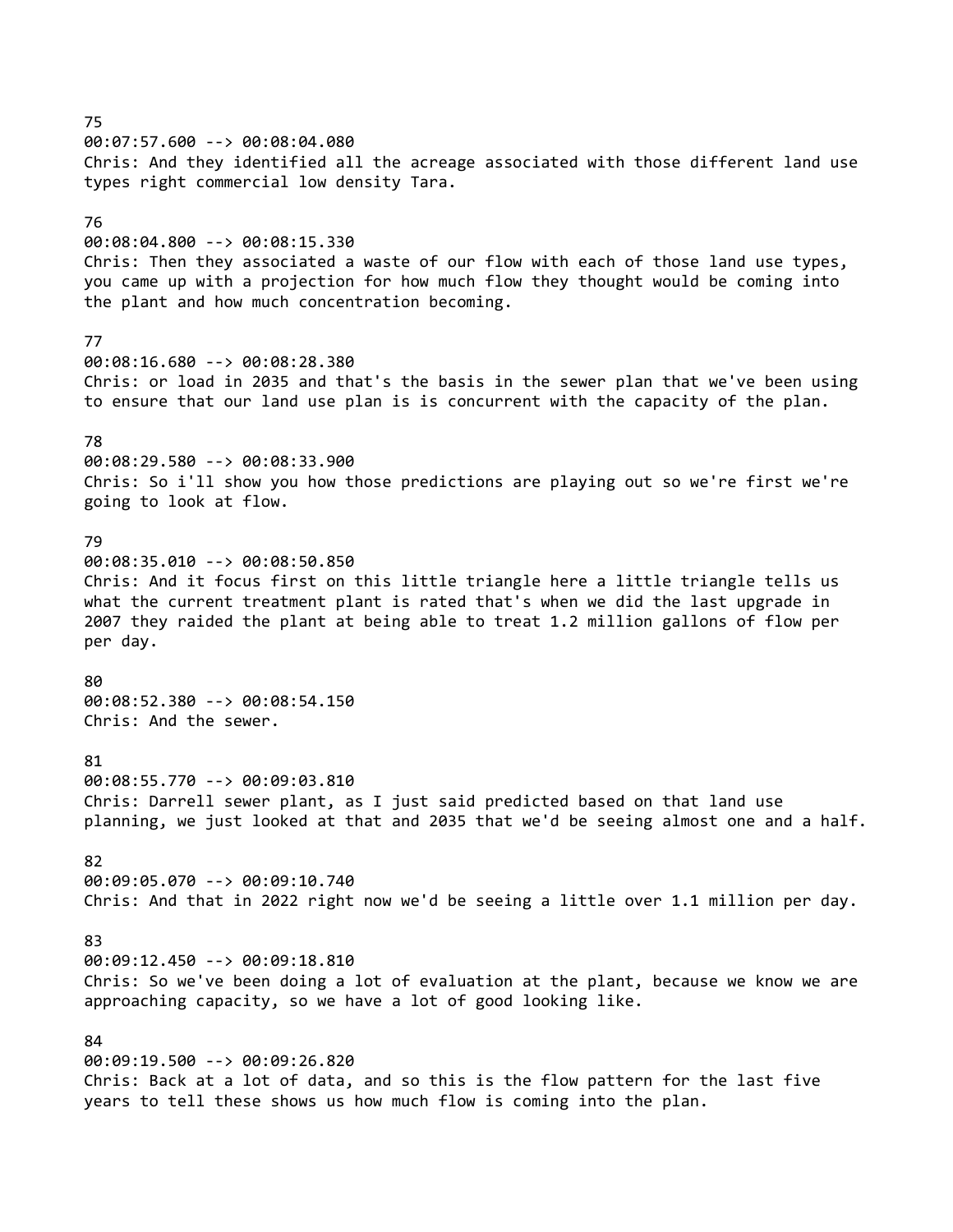75 00:07:57.600 --> 00:08:04.080 Chris: And they identified all the acreage associated with those different land use types right commercial low density Tara. 76 00:08:04.800 --> 00:08:15.330 Chris: Then they associated a waste of our flow with each of those land use types, you came up with a projection for how much flow they thought would be coming into the plant and how much concentration becoming. 77 00:08:16.680 --> 00:08:28.380 Chris: or load in 2035 and that's the basis in the sewer plan that we've been using to ensure that our land use plan is is concurrent with the capacity of the plan. 78 00:08:29.580 --> 00:08:33.900 Chris: So i'll show you how those predictions are playing out so we're first we're going to look at flow. 79 00:08:35.010 --> 00:08:50.850 Chris: And it focus first on this little triangle here a little triangle tells us what the current treatment plant is rated that's when we did the last upgrade in 2007 they raided the plant at being able to treat 1.2 million gallons of flow per per day. 80 00:08:52.380 --> 00:08:54.150 Chris: And the sewer. 81 00:08:55.770 --> 00:09:03.810 Chris: Darrell sewer plant, as I just said predicted based on that land use planning, we just looked at that and 2035 that we'd be seeing almost one and a half. 82 00:09:05.070 --> 00:09:10.740 Chris: And that in 2022 right now we'd be seeing a little over 1.1 million per day. 83 00:09:12.450 --> 00:09:18.810 Chris: So we've been doing a lot of evaluation at the plant, because we know we are approaching capacity, so we have a lot of good looking like. 84 00:09:19.500 --> 00:09:26.820 Chris: Back at a lot of data, and so this is the flow pattern for the last five

years to tell these shows us how much flow is coming into the plan.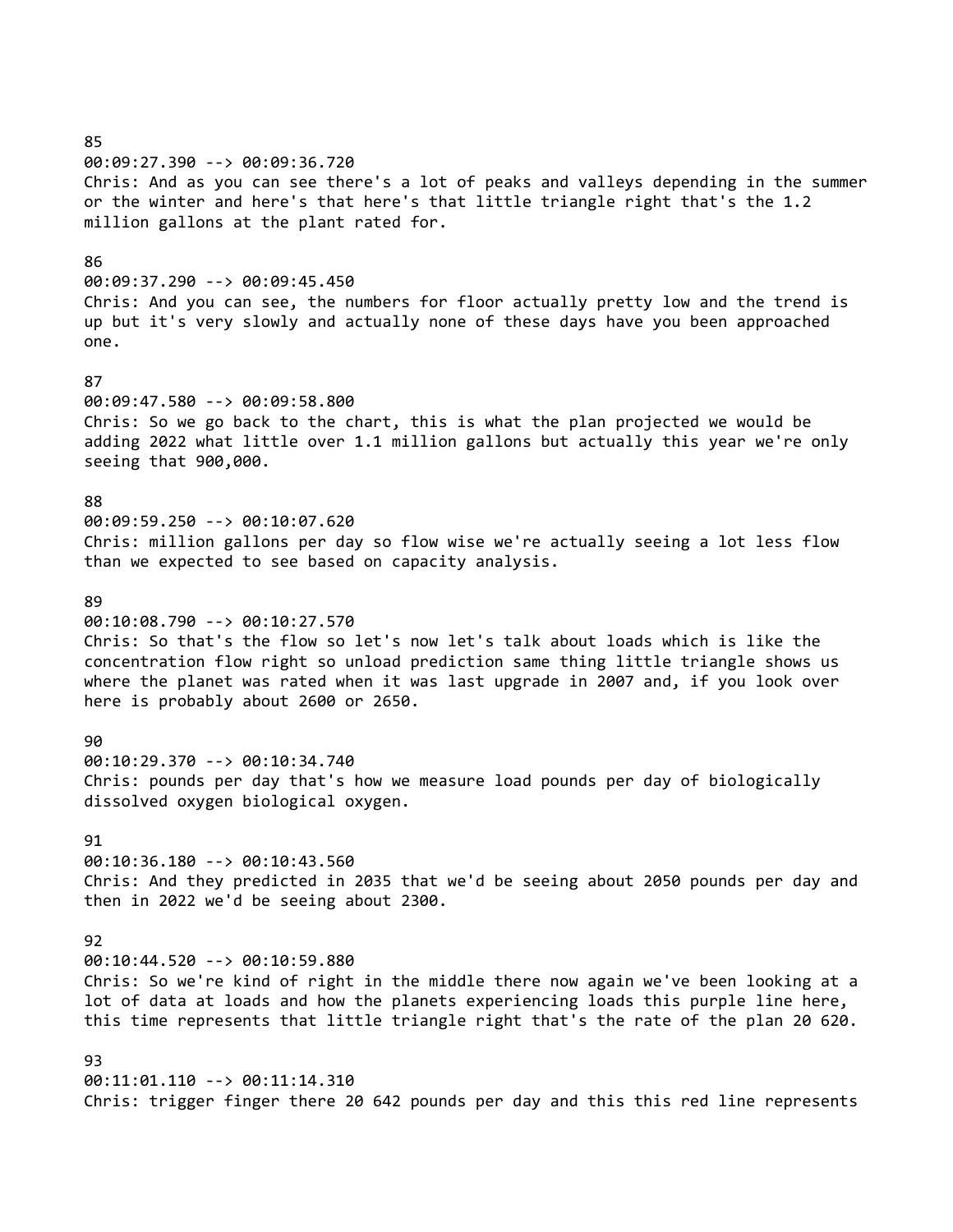00:09:27.390 --> 00:09:36.720 Chris: And as you can see there's a lot of peaks and valleys depending in the summer or the winter and here's that here's that little triangle right that's the 1.2 million gallons at the plant rated for. 86 00:09:37.290 --> 00:09:45.450 Chris: And you can see, the numbers for floor actually pretty low and the trend is up but it's very slowly and actually none of these days have you been approached one. 87 00:09:47.580 --> 00:09:58.800 Chris: So we go back to the chart, this is what the plan projected we would be adding 2022 what little over 1.1 million gallons but actually this year we're only seeing that 900,000. 88 00:09:59.250 --> 00:10:07.620 Chris: million gallons per day so flow wise we're actually seeing a lot less flow than we expected to see based on capacity analysis. 89 00:10:08.790 --> 00:10:27.570 Chris: So that's the flow so let's now let's talk about loads which is like the concentration flow right so unload prediction same thing little triangle shows us where the planet was rated when it was last upgrade in 2007 and, if you look over here is probably about 2600 or 2650. 90 00:10:29.370 --> 00:10:34.740 Chris: pounds per day that's how we measure load pounds per day of biologically dissolved oxygen biological oxygen. 91 00:10:36.180 --> 00:10:43.560 Chris: And they predicted in 2035 that we'd be seeing about 2050 pounds per day and then in 2022 we'd be seeing about 2300. 92 00:10:44.520 --> 00:10:59.880 Chris: So we're kind of right in the middle there now again we've been looking at a lot of data at loads and how the planets experiencing loads this purple line here, this time represents that little triangle right that's the rate of the plan 20 620. 93 00:11:01.110 --> 00:11:14.310

Chris: trigger finger there 20 642 pounds per day and this this red line represents

85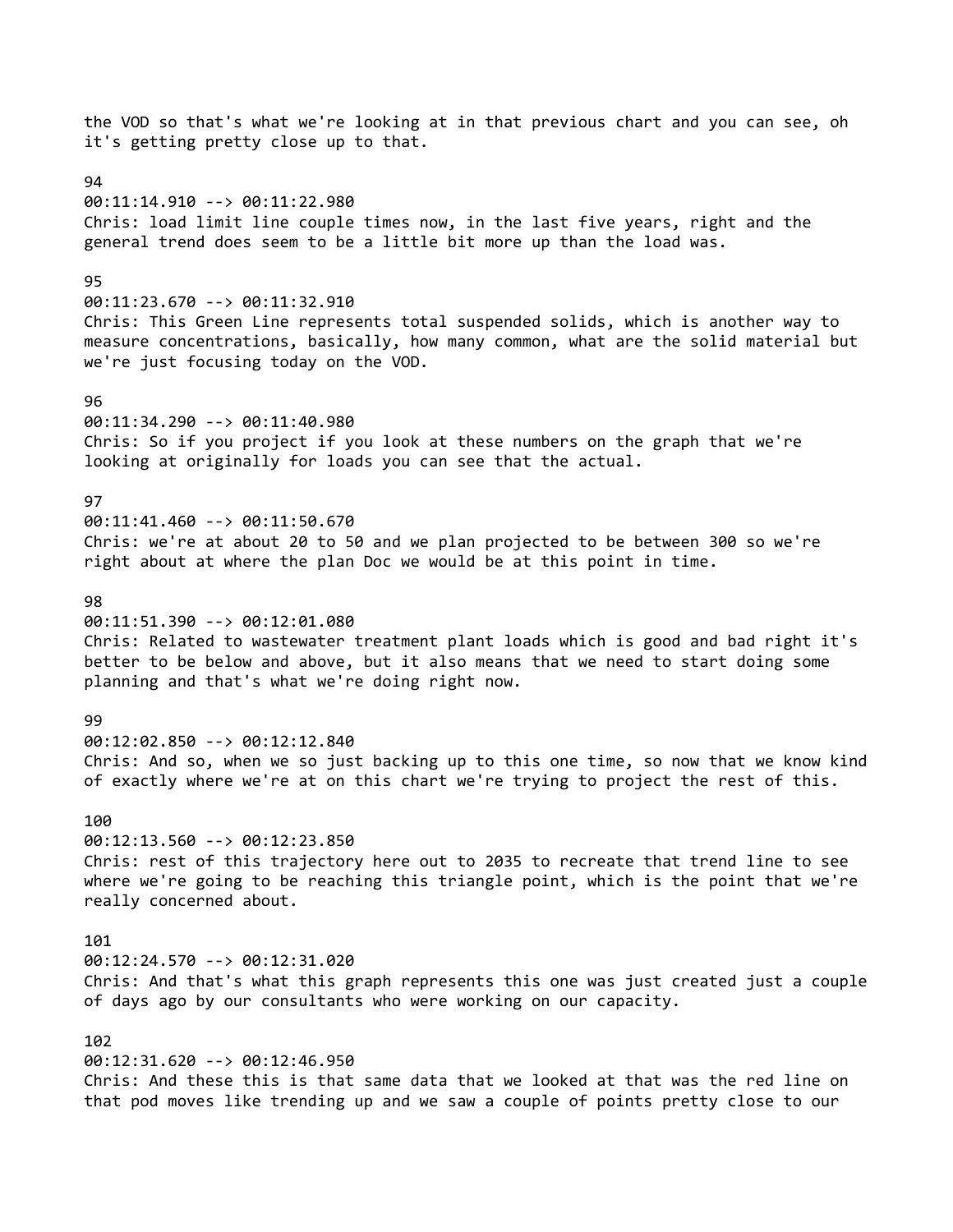the VOD so that's what we're looking at in that previous chart and you can see, oh it's getting pretty close up to that. 94 00:11:14.910 --> 00:11:22.980 Chris: load limit line couple times now, in the last five years, right and the general trend does seem to be a little bit more up than the load was. 95 00:11:23.670 --> 00:11:32.910 Chris: This Green Line represents total suspended solids, which is another way to measure concentrations, basically, how many common, what are the solid material but we're just focusing today on the VOD. 96 00:11:34.290 --> 00:11:40.980 Chris: So if you project if you look at these numbers on the graph that we're looking at originally for loads you can see that the actual. 97 00:11:41.460 --> 00:11:50.670 Chris: we're at about 20 to 50 and we plan projected to be between 300 so we're right about at where the plan Doc we would be at this point in time. 98 00:11:51.390 --> 00:12:01.080 Chris: Related to wastewater treatment plant loads which is good and bad right it's better to be below and above, but it also means that we need to start doing some planning and that's what we're doing right now. **99** 00:12:02.850 --> 00:12:12.840 Chris: And so, when we so just backing up to this one time, so now that we know kind of exactly where we're at on this chart we're trying to project the rest of this. 100 00:12:13.560 --> 00:12:23.850 Chris: rest of this trajectory here out to 2035 to recreate that trend line to see where we're going to be reaching this triangle point, which is the point that we're really concerned about. 101 00:12:24.570 --> 00:12:31.020 Chris: And that's what this graph represents this one was just created just a couple of days ago by our consultants who were working on our capacity. 102 00:12:31.620 --> 00:12:46.950 Chris: And these this is that same data that we looked at that was the red line on that pod moves like trending up and we saw a couple of points pretty close to our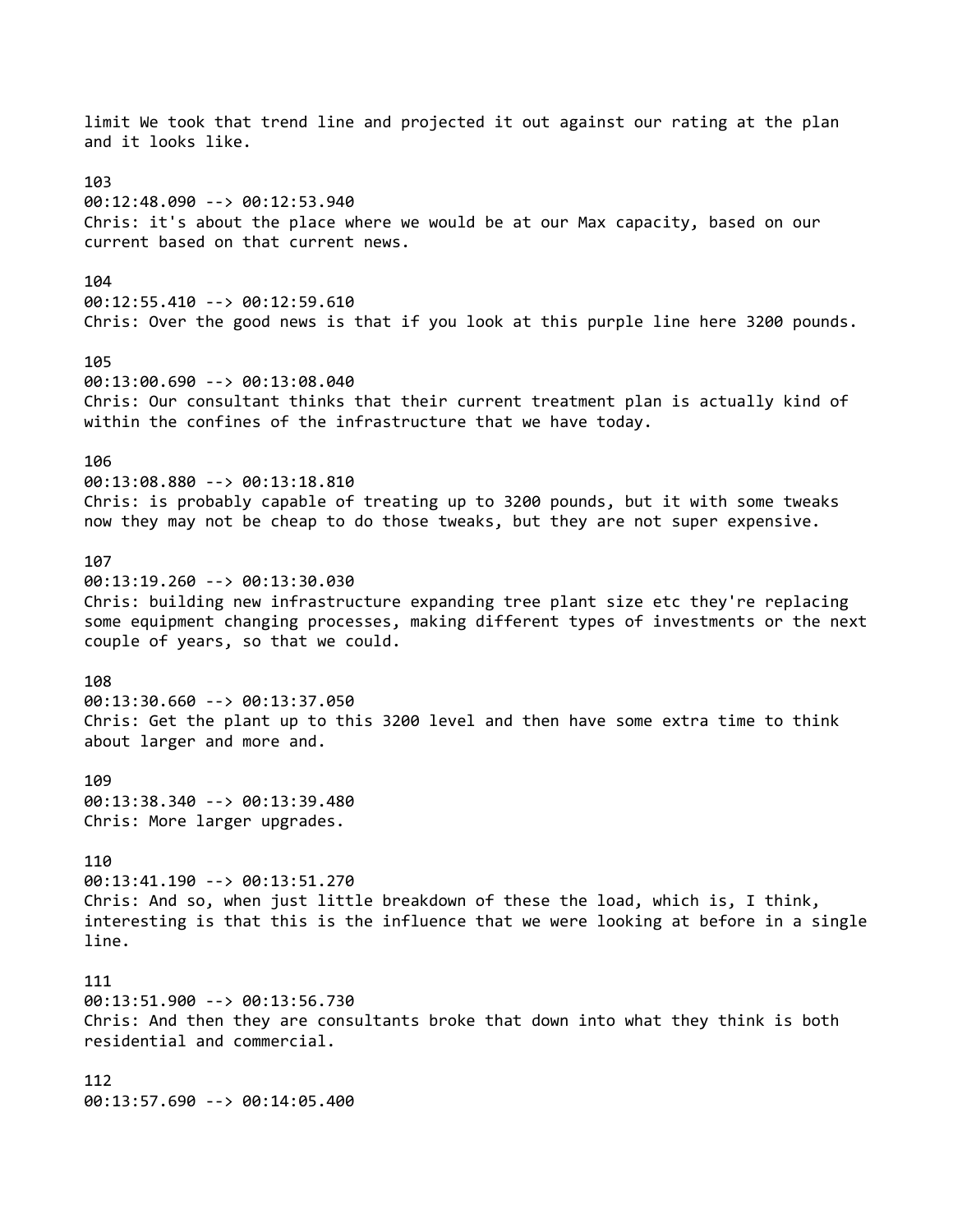limit We took that trend line and projected it out against our rating at the plan and it looks like. 103 00:12:48.090 --> 00:12:53.940 Chris: it's about the place where we would be at our Max capacity, based on our current based on that current news. 104 00:12:55.410 --> 00:12:59.610 Chris: Over the good news is that if you look at this purple line here 3200 pounds. 105 00:13:00.690 --> 00:13:08.040 Chris: Our consultant thinks that their current treatment plan is actually kind of within the confines of the infrastructure that we have today. 106 00:13:08.880 --> 00:13:18.810 Chris: is probably capable of treating up to 3200 pounds, but it with some tweaks now they may not be cheap to do those tweaks, but they are not super expensive. 107 00:13:19.260 --> 00:13:30.030 Chris: building new infrastructure expanding tree plant size etc they're replacing some equipment changing processes, making different types of investments or the next couple of years, so that we could. 108 00:13:30.660 --> 00:13:37.050 Chris: Get the plant up to this 3200 level and then have some extra time to think about larger and more and. 109 00:13:38.340 --> 00:13:39.480 Chris: More larger upgrades. 110 00:13:41.190 --> 00:13:51.270 Chris: And so, when just little breakdown of these the load, which is, I think, interesting is that this is the influence that we were looking at before in a single line. 111 00:13:51.900 --> 00:13:56.730 Chris: And then they are consultants broke that down into what they think is both residential and commercial. 112 00:13:57.690 --> 00:14:05.400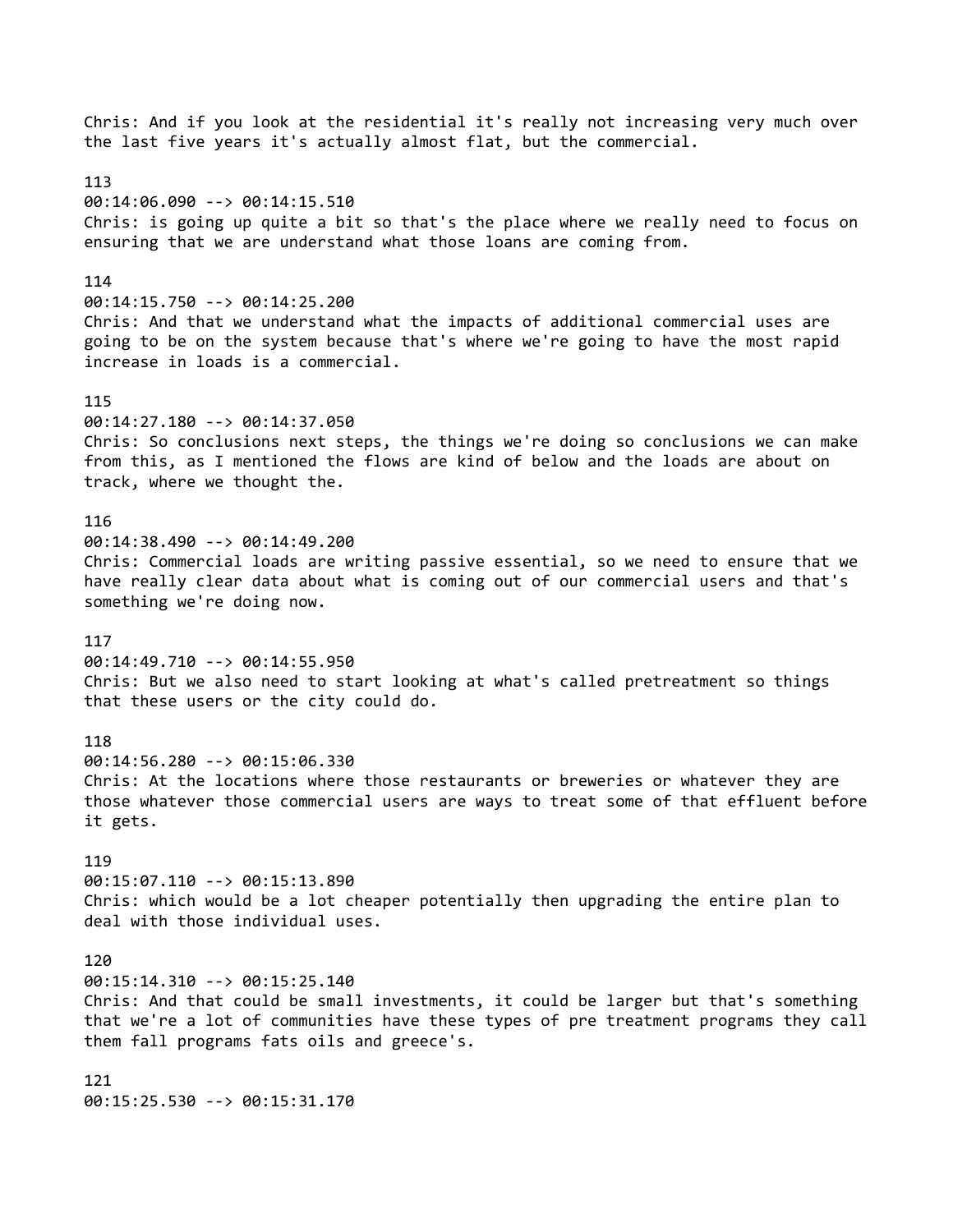Chris: And if you look at the residential it's really not increasing very much over the last five years it's actually almost flat, but the commercial. 113 00:14:06.090 --> 00:14:15.510 Chris: is going up quite a bit so that's the place where we really need to focus on ensuring that we are understand what those loans are coming from. 114 00:14:15.750 --> 00:14:25.200 Chris: And that we understand what the impacts of additional commercial uses are going to be on the system because that's where we're going to have the most rapid increase in loads is a commercial. 115 00:14:27.180 --> 00:14:37.050 Chris: So conclusions next steps, the things we're doing so conclusions we can make from this, as I mentioned the flows are kind of below and the loads are about on track, where we thought the. 116 00:14:38.490 --> 00:14:49.200 Chris: Commercial loads are writing passive essential, so we need to ensure that we have really clear data about what is coming out of our commercial users and that's something we're doing now. 117 00:14:49.710 --> 00:14:55.950 Chris: But we also need to start looking at what's called pretreatment so things that these users or the city could do. 118 00:14:56.280 --> 00:15:06.330 Chris: At the locations where those restaurants or breweries or whatever they are those whatever those commercial users are ways to treat some of that effluent before it gets. 119 00:15:07.110 --> 00:15:13.890 Chris: which would be a lot cheaper potentially then upgrading the entire plan to deal with those individual uses. 120 00:15:14.310 --> 00:15:25.140 Chris: And that could be small investments, it could be larger but that's something that we're a lot of communities have these types of pre treatment programs they call them fall programs fats oils and greece's. 121 00:15:25.530 --> 00:15:31.170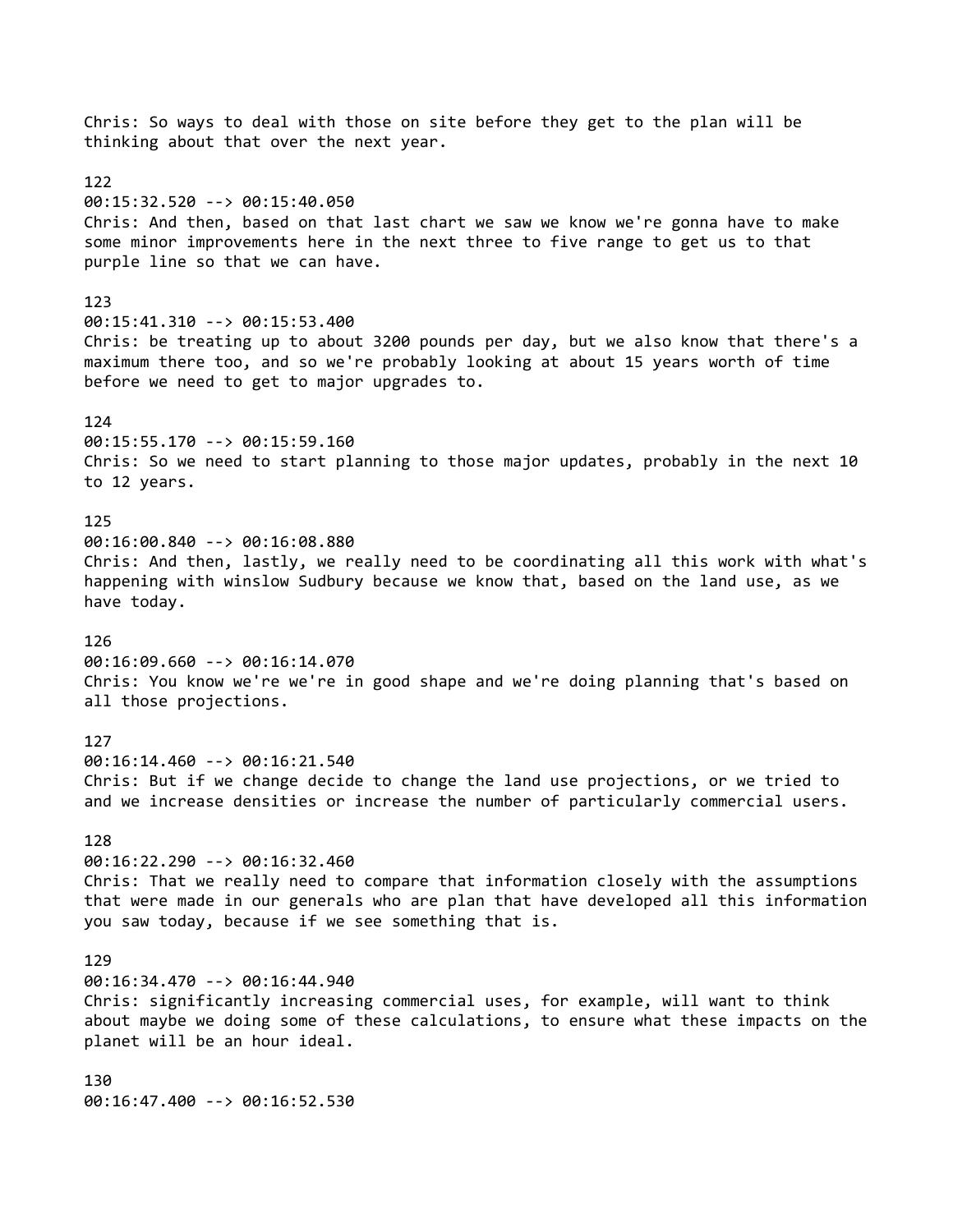Chris: So ways to deal with those on site before they get to the plan will be thinking about that over the next year. 122 00:15:32.520 --> 00:15:40.050 Chris: And then, based on that last chart we saw we know we're gonna have to make some minor improvements here in the next three to five range to get us to that purple line so that we can have. 123 00:15:41.310 --> 00:15:53.400 Chris: be treating up to about 3200 pounds per day, but we also know that there's a maximum there too, and so we're probably looking at about 15 years worth of time before we need to get to major upgrades to. 124 00:15:55.170 --> 00:15:59.160 Chris: So we need to start planning to those major updates, probably in the next 10 to 12 years. 125 00:16:00.840 --> 00:16:08.880 Chris: And then, lastly, we really need to be coordinating all this work with what's happening with winslow Sudbury because we know that, based on the land use, as we have today. 126 00:16:09.660 --> 00:16:14.070 Chris: You know we're we're in good shape and we're doing planning that's based on all those projections. 127 00:16:14.460 --> 00:16:21.540 Chris: But if we change decide to change the land use projections, or we tried to and we increase densities or increase the number of particularly commercial users. 128 00:16:22.290 --> 00:16:32.460 Chris: That we really need to compare that information closely with the assumptions that were made in our generals who are plan that have developed all this information you saw today, because if we see something that is. 129 00:16:34.470 --> 00:16:44.940 Chris: significantly increasing commercial uses, for example, will want to think about maybe we doing some of these calculations, to ensure what these impacts on the planet will be an hour ideal. 130 00:16:47.400 --> 00:16:52.530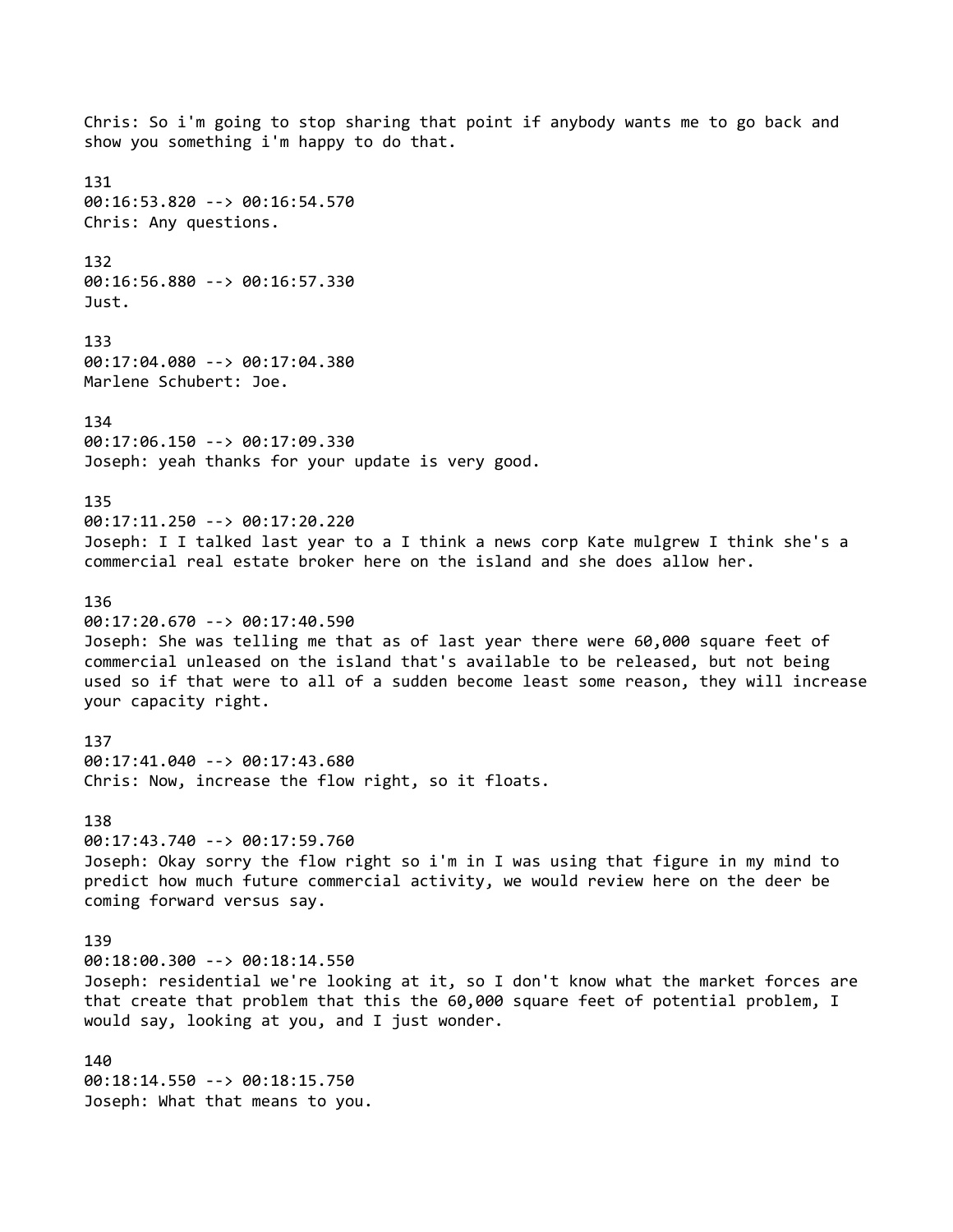Chris: So i'm going to stop sharing that point if anybody wants me to go back and show you something i'm happy to do that. 131 00:16:53.820 --> 00:16:54.570 Chris: Any questions. 132 00:16:56.880 --> 00:16:57.330 Just. 133 00:17:04.080 --> 00:17:04.380 Marlene Schubert: Joe. 134 00:17:06.150 --> 00:17:09.330 Joseph: yeah thanks for your update is very good. 135 00:17:11.250 --> 00:17:20.220 Joseph: I I talked last year to a I think a news corp Kate mulgrew I think she's a commercial real estate broker here on the island and she does allow her. 136 00:17:20.670 --> 00:17:40.590 Joseph: She was telling me that as of last year there were 60,000 square feet of commercial unleased on the island that's available to be released, but not being used so if that were to all of a sudden become least some reason, they will increase your capacity right. 137 00:17:41.040 --> 00:17:43.680 Chris: Now, increase the flow right, so it floats. 138 00:17:43.740 --> 00:17:59.760 Joseph: Okay sorry the flow right so i'm in I was using that figure in my mind to predict how much future commercial activity, we would review here on the deer be coming forward versus say. 139 00:18:00.300 --> 00:18:14.550 Joseph: residential we're looking at it, so I don't know what the market forces are that create that problem that this the 60,000 square feet of potential problem, I would say, looking at you, and I just wonder. 140 00:18:14.550 --> 00:18:15.750 Joseph: What that means to you.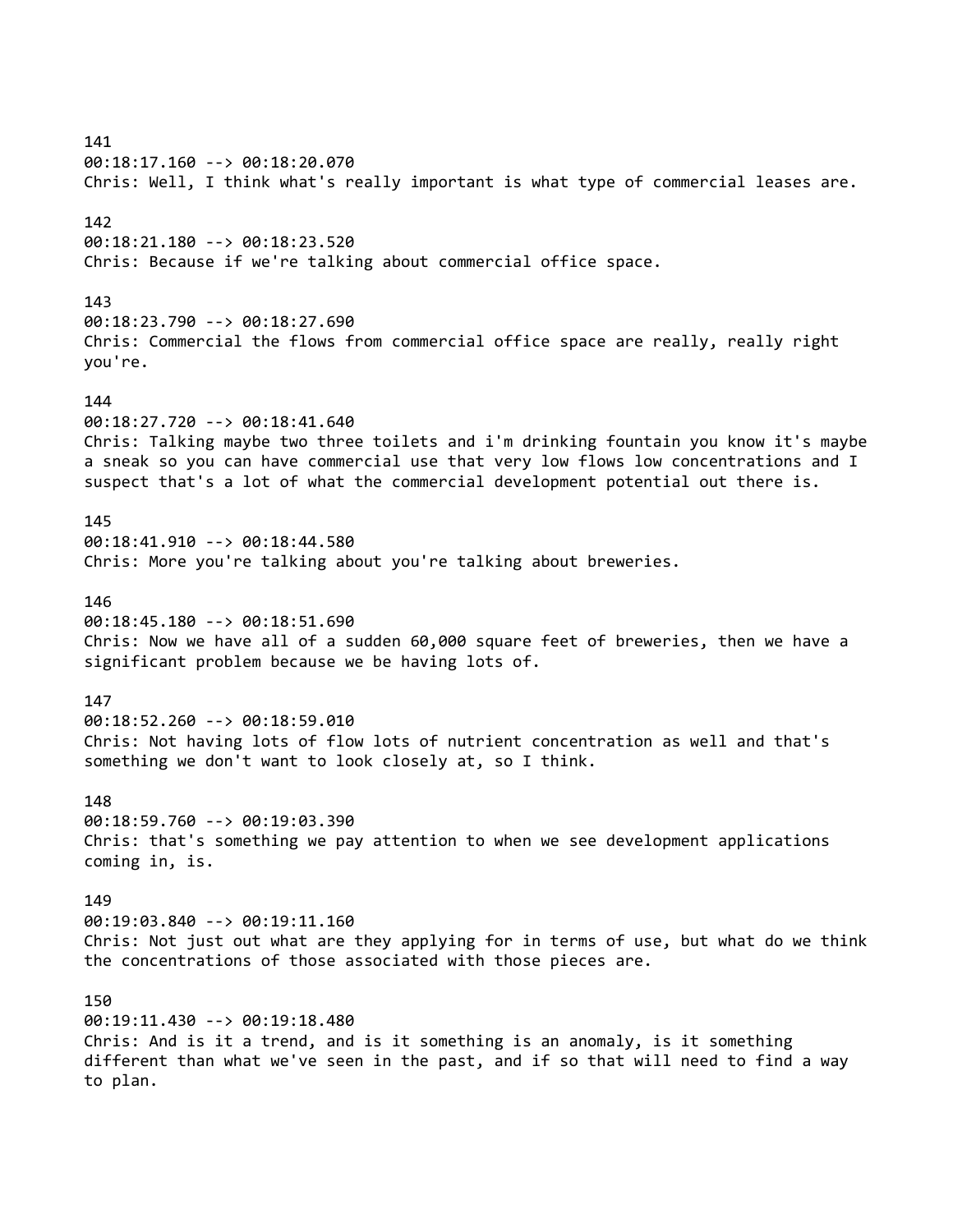141 00:18:17.160 --> 00:18:20.070 Chris: Well, I think what's really important is what type of commercial leases are. 142 00:18:21.180 --> 00:18:23.520 Chris: Because if we're talking about commercial office space. 143 00:18:23.790 --> 00:18:27.690 Chris: Commercial the flows from commercial office space are really, really right you're. 144 00:18:27.720 --> 00:18:41.640 Chris: Talking maybe two three toilets and i'm drinking fountain you know it's maybe a sneak so you can have commercial use that very low flows low concentrations and I suspect that's a lot of what the commercial development potential out there is. 145 00:18:41.910 --> 00:18:44.580 Chris: More you're talking about you're talking about breweries. 146 00:18:45.180 --> 00:18:51.690 Chris: Now we have all of a sudden 60,000 square feet of breweries, then we have a significant problem because we be having lots of. 147 00:18:52.260 --> 00:18:59.010 Chris: Not having lots of flow lots of nutrient concentration as well and that's something we don't want to look closely at, so I think. 148 00:18:59.760 --> 00:19:03.390 Chris: that's something we pay attention to when we see development applications coming in, is. 149 00:19:03.840 --> 00:19:11.160 Chris: Not just out what are they applying for in terms of use, but what do we think the concentrations of those associated with those pieces are. 150 00:19:11.430 --> 00:19:18.480 Chris: And is it a trend, and is it something is an anomaly, is it something different than what we've seen in the past, and if so that will need to find a way to plan.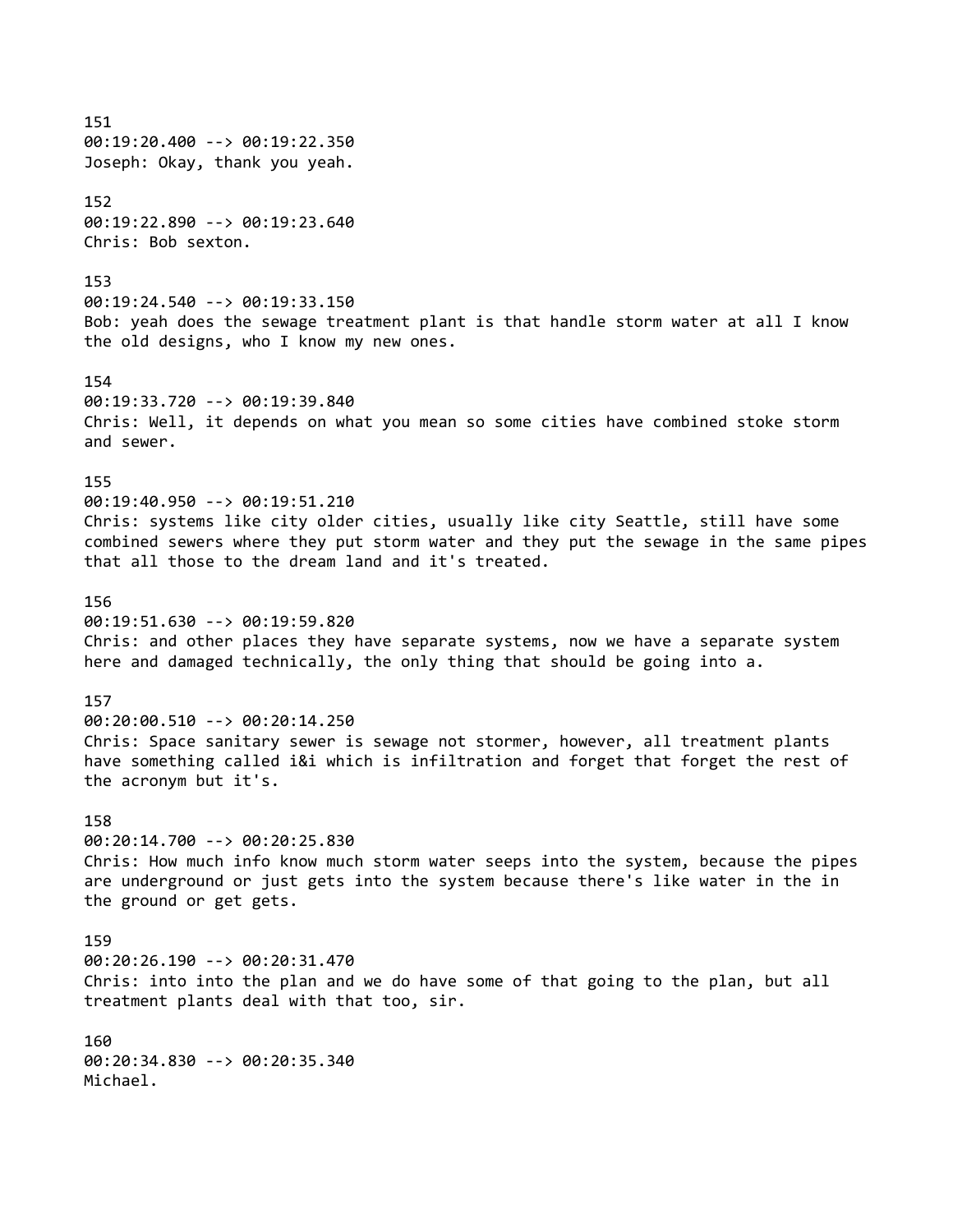151 00:19:20.400 --> 00:19:22.350 Joseph: Okay, thank you yeah. 152 00:19:22.890 --> 00:19:23.640 Chris: Bob sexton. 153 00:19:24.540 --> 00:19:33.150 Bob: yeah does the sewage treatment plant is that handle storm water at all I know the old designs, who I know my new ones. 154 00:19:33.720 --> 00:19:39.840 Chris: Well, it depends on what you mean so some cities have combined stoke storm and sewer. 155 00:19:40.950 --> 00:19:51.210 Chris: systems like city older cities, usually like city Seattle, still have some combined sewers where they put storm water and they put the sewage in the same pipes that all those to the dream land and it's treated. 156 00:19:51.630 --> 00:19:59.820 Chris: and other places they have separate systems, now we have a separate system here and damaged technically, the only thing that should be going into a. 157 00:20:00.510 --> 00:20:14.250 Chris: Space sanitary sewer is sewage not stormer, however, all treatment plants have something called i&i which is infiltration and forget that forget the rest of the acronym but it's. 158 00:20:14.700 --> 00:20:25.830 Chris: How much info know much storm water seeps into the system, because the pipes are underground or just gets into the system because there's like water in the in the ground or get gets. 159 00:20:26.190 --> 00:20:31.470 Chris: into into the plan and we do have some of that going to the plan, but all treatment plants deal with that too, sir. 160 00:20:34.830 --> 00:20:35.340 Michael.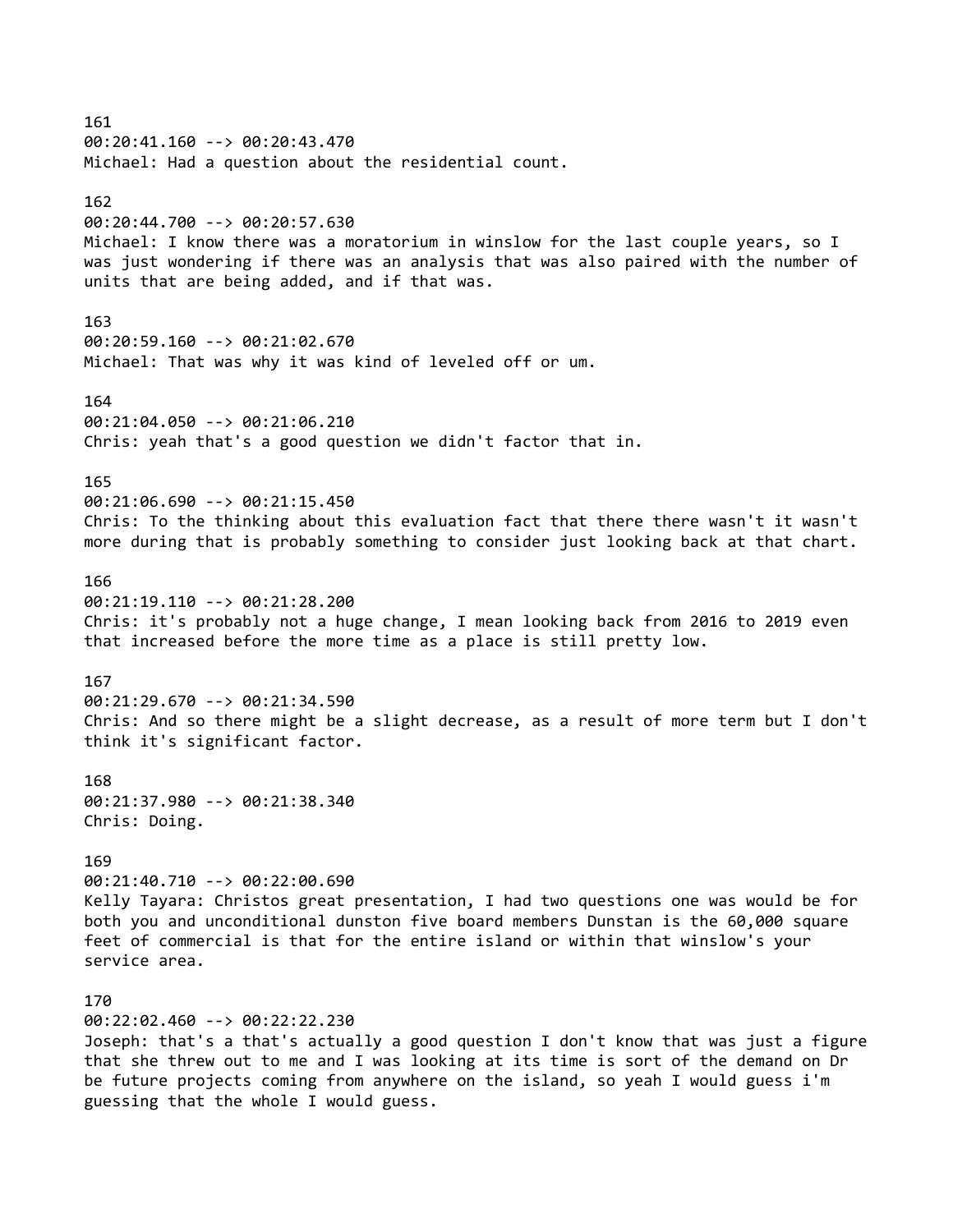161 00:20:41.160 --> 00:20:43.470 Michael: Had a question about the residential count. 162 00:20:44.700 --> 00:20:57.630 Michael: I know there was a moratorium in winslow for the last couple years, so I was just wondering if there was an analysis that was also paired with the number of units that are being added, and if that was. 163 00:20:59.160 --> 00:21:02.670 Michael: That was why it was kind of leveled off or um. 164 00:21:04.050 --> 00:21:06.210 Chris: yeah that's a good question we didn't factor that in. 165 00:21:06.690 --> 00:21:15.450 Chris: To the thinking about this evaluation fact that there there wasn't it wasn't more during that is probably something to consider just looking back at that chart. 166 00:21:19.110 --> 00:21:28.200 Chris: it's probably not a huge change, I mean looking back from 2016 to 2019 even that increased before the more time as a place is still pretty low. 167 00:21:29.670 --> 00:21:34.590 Chris: And so there might be a slight decrease, as a result of more term but I don't think it's significant factor. 168 00:21:37.980 --> 00:21:38.340 Chris: Doing. 169 00:21:40.710 --> 00:22:00.690 Kelly Tayara: Christos great presentation, I had two questions one was would be for both you and unconditional dunston five board members Dunstan is the 60,000 square feet of commercial is that for the entire island or within that winslow's your service area. 170 00:22:02.460 --> 00:22:22.230 Joseph: that's a that's actually a good question I don't know that was just a figure that she threw out to me and I was looking at its time is sort of the demand on Dr be future projects coming from anywhere on the island, so yeah I would guess i'm

guessing that the whole I would guess.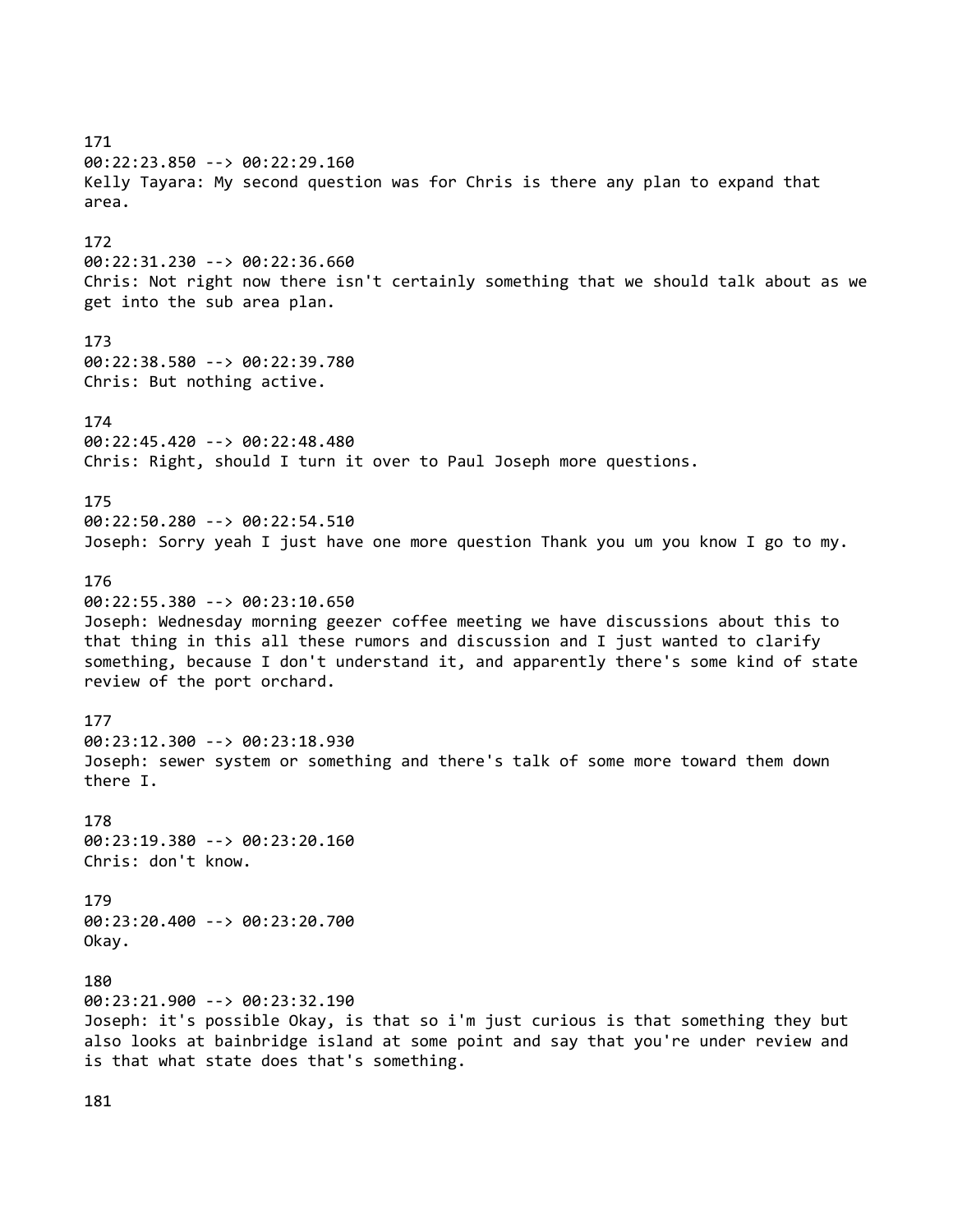171 00:22:23.850 --> 00:22:29.160 Kelly Tayara: My second question was for Chris is there any plan to expand that area. 172 00:22:31.230 --> 00:22:36.660 Chris: Not right now there isn't certainly something that we should talk about as we get into the sub area plan. 173 00:22:38.580 --> 00:22:39.780 Chris: But nothing active. 174 00:22:45.420 --> 00:22:48.480 Chris: Right, should I turn it over to Paul Joseph more questions. 175 00:22:50.280 --> 00:22:54.510 Joseph: Sorry yeah I just have one more question Thank you um you know I go to my. 176 00:22:55.380 --> 00:23:10.650 Joseph: Wednesday morning geezer coffee meeting we have discussions about this to that thing in this all these rumors and discussion and I just wanted to clarify something, because I don't understand it, and apparently there's some kind of state review of the port orchard. 177 00:23:12.300 --> 00:23:18.930 Joseph: sewer system or something and there's talk of some more toward them down there I. 178 00:23:19.380 --> 00:23:20.160 Chris: don't know. 179 00:23:20.400 --> 00:23:20.700 Okay. 180 00:23:21.900 --> 00:23:32.190 Joseph: it's possible Okay, is that so i'm just curious is that something they but also looks at bainbridge island at some point and say that you're under review and is that what state does that's something.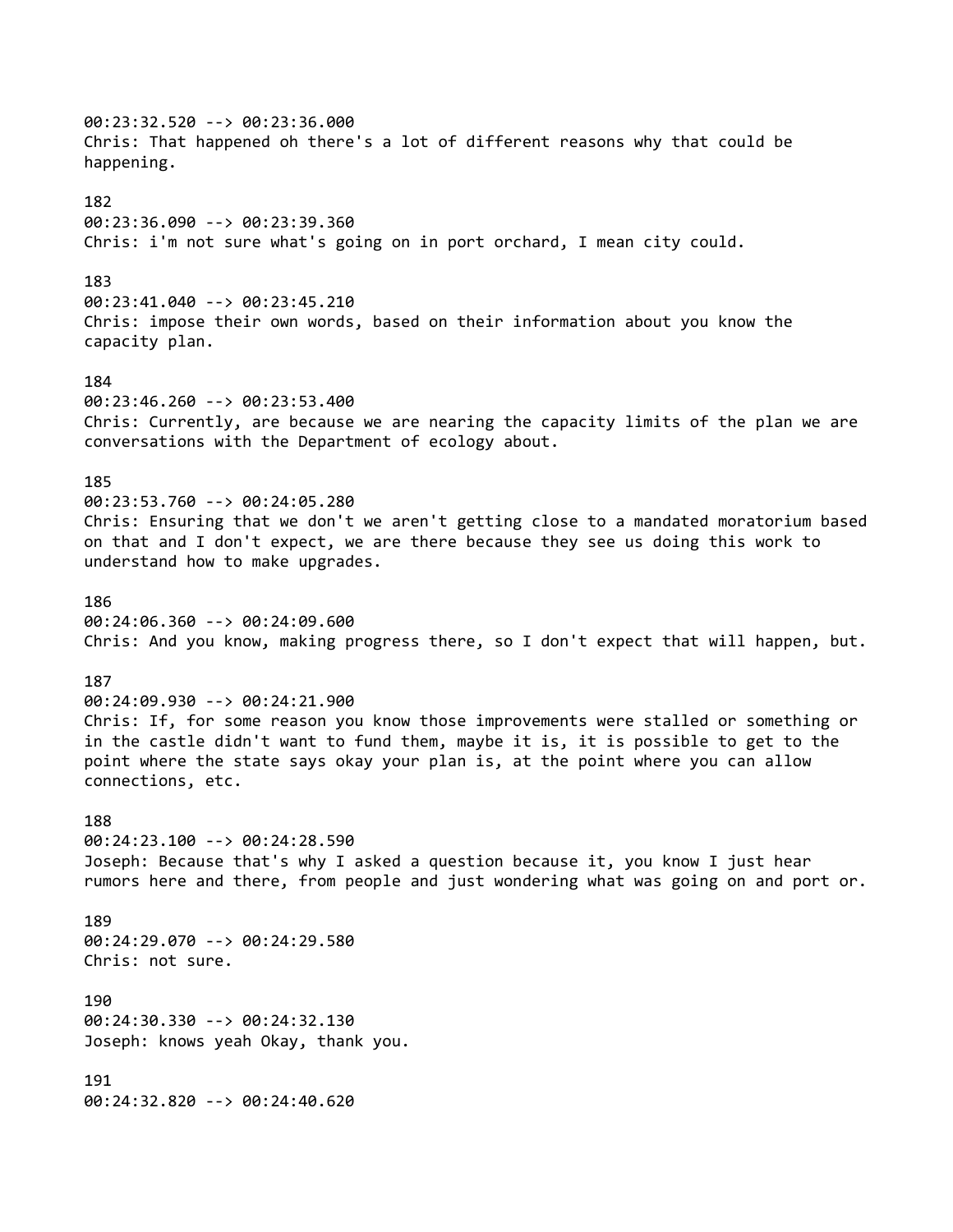00:23:32.520 --> 00:23:36.000 Chris: That happened oh there's a lot of different reasons why that could be happening. 182 00:23:36.090 --> 00:23:39.360 Chris: i'm not sure what's going on in port orchard, I mean city could. 183 00:23:41.040 --> 00:23:45.210 Chris: impose their own words, based on their information about you know the capacity plan. 184 00:23:46.260 --> 00:23:53.400 Chris: Currently, are because we are nearing the capacity limits of the plan we are conversations with the Department of ecology about. 185 00:23:53.760 --> 00:24:05.280 Chris: Ensuring that we don't we aren't getting close to a mandated moratorium based on that and I don't expect, we are there because they see us doing this work to understand how to make upgrades. 186 00:24:06.360 --> 00:24:09.600 Chris: And you know, making progress there, so I don't expect that will happen, but. 187 00:24:09.930 --> 00:24:21.900 Chris: If, for some reason you know those improvements were stalled or something or in the castle didn't want to fund them, maybe it is, it is possible to get to the point where the state says okay your plan is, at the point where you can allow connections, etc. 188 00:24:23.100 --> 00:24:28.590 Joseph: Because that's why I asked a question because it, you know I just hear rumors here and there, from people and just wondering what was going on and port or. 189 00:24:29.070 --> 00:24:29.580 Chris: not sure. 190 00:24:30.330 --> 00:24:32.130 Joseph: knows yeah Okay, thank you. 191 00:24:32.820 --> 00:24:40.620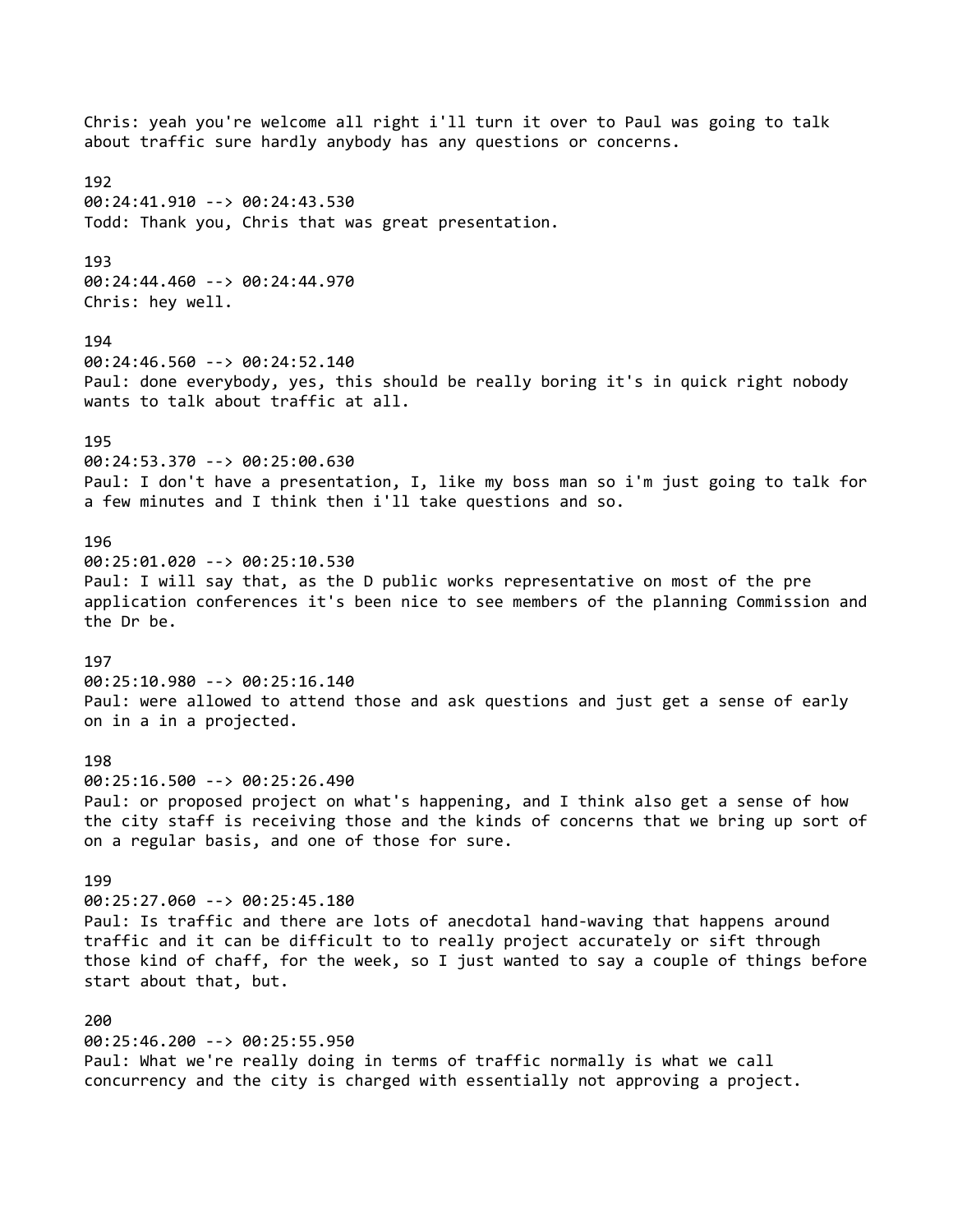Chris: yeah you're welcome all right i'll turn it over to Paul was going to talk about traffic sure hardly anybody has any questions or concerns. 192 00:24:41.910 --> 00:24:43.530 Todd: Thank you, Chris that was great presentation. 193 00:24:44.460 --> 00:24:44.970 Chris: hey well. 194 00:24:46.560 --> 00:24:52.140 Paul: done everybody, yes, this should be really boring it's in quick right nobody wants to talk about traffic at all. 195 00:24:53.370 --> 00:25:00.630 Paul: I don't have a presentation, I, like my boss man so i'm just going to talk for a few minutes and I think then i'll take questions and so. 196 00:25:01.020 --> 00:25:10.530 Paul: I will say that, as the D public works representative on most of the pre application conferences it's been nice to see members of the planning Commission and the Dr be. 197 00:25:10.980 --> 00:25:16.140 Paul: were allowed to attend those and ask questions and just get a sense of early on in a in a projected. 198 00:25:16.500 --> 00:25:26.490 Paul: or proposed project on what's happening, and I think also get a sense of how the city staff is receiving those and the kinds of concerns that we bring up sort of on a regular basis, and one of those for sure. 199 00:25:27.060 --> 00:25:45.180 Paul: Is traffic and there are lots of anecdotal hand-waving that happens around traffic and it can be difficult to to really project accurately or sift through those kind of chaff, for the week, so I just wanted to say a couple of things before start about that, but. 200 00:25:46.200 --> 00:25:55.950 Paul: What we're really doing in terms of traffic normally is what we call concurrency and the city is charged with essentially not approving a project.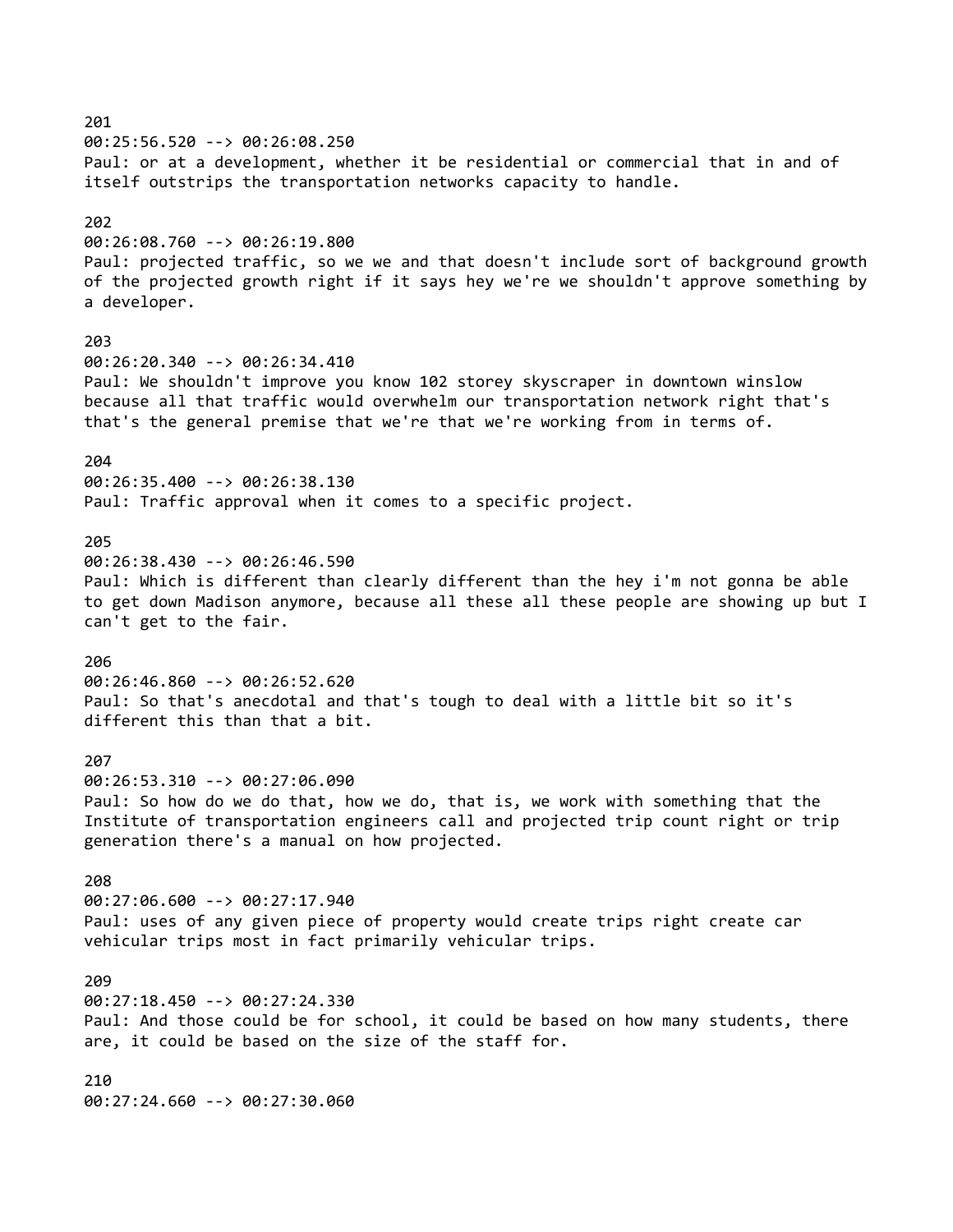201 00:25:56.520 --> 00:26:08.250 Paul: or at a development, whether it be residential or commercial that in and of itself outstrips the transportation networks capacity to handle. 202 00:26:08.760 --> 00:26:19.800 Paul: projected traffic, so we we and that doesn't include sort of background growth of the projected growth right if it says hey we're we shouldn't approve something by a developer. 203 00:26:20.340 --> 00:26:34.410 Paul: We shouldn't improve you know 102 storey skyscraper in downtown winslow because all that traffic would overwhelm our transportation network right that's that's the general premise that we're that we're working from in terms of. 204 00:26:35.400 --> 00:26:38.130 Paul: Traffic approval when it comes to a specific project. 205 00:26:38.430 --> 00:26:46.590 Paul: Which is different than clearly different than the hey i'm not gonna be able to get down Madison anymore, because all these all these people are showing up but I can't get to the fair. 206 00:26:46.860 --> 00:26:52.620 Paul: So that's anecdotal and that's tough to deal with a little bit so it's different this than that a bit. 207 00:26:53.310 --> 00:27:06.090 Paul: So how do we do that, how we do, that is, we work with something that the Institute of transportation engineers call and projected trip count right or trip generation there's a manual on how projected. 208 00:27:06.600 --> 00:27:17.940 Paul: uses of any given piece of property would create trips right create car vehicular trips most in fact primarily vehicular trips. 209 00:27:18.450 --> 00:27:24.330 Paul: And those could be for school, it could be based on how many students, there are, it could be based on the size of the staff for. 210 00:27:24.660 --> 00:27:30.060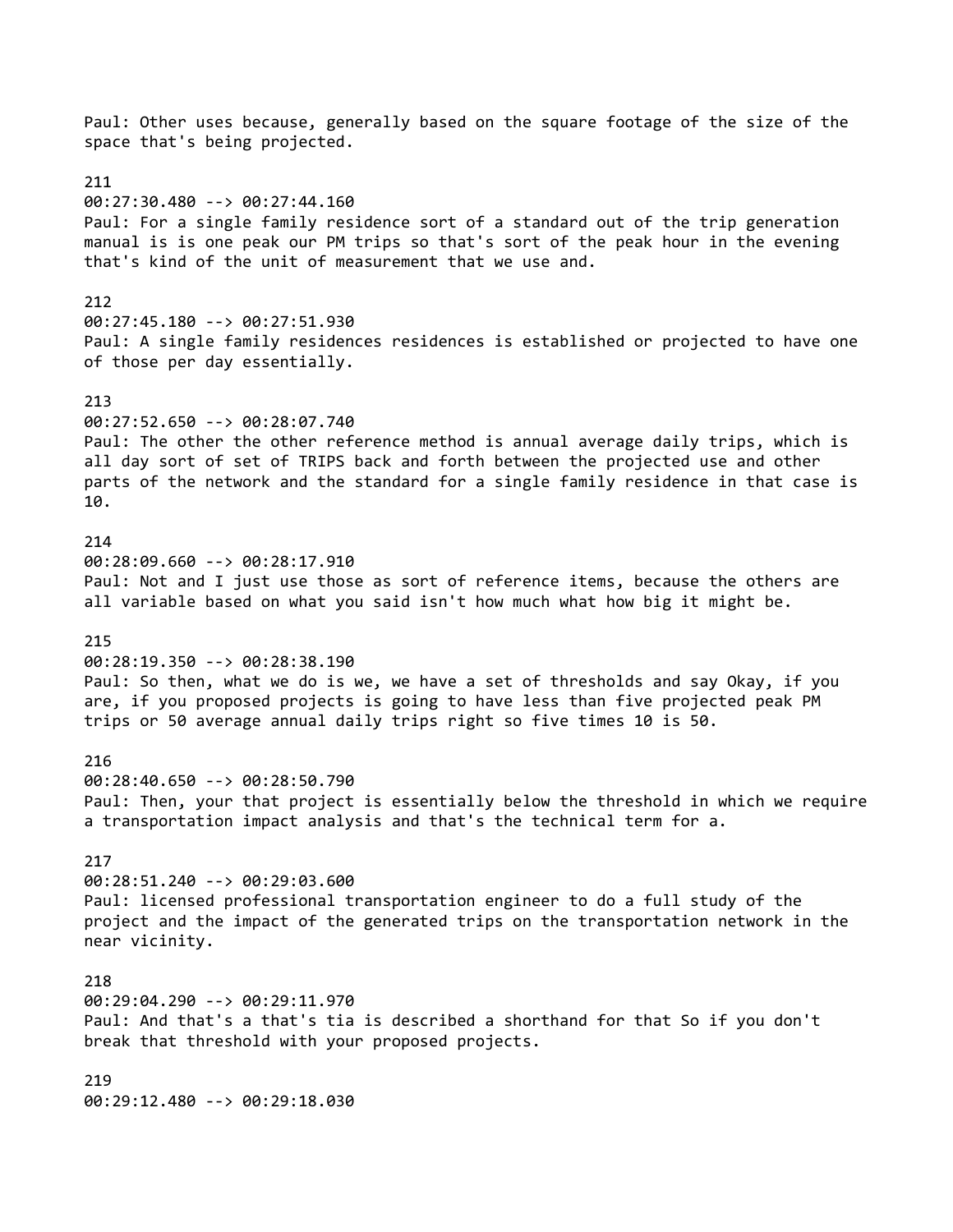Paul: Other uses because, generally based on the square footage of the size of the space that's being projected. 211 00:27:30.480 --> 00:27:44.160 Paul: For a single family residence sort of a standard out of the trip generation manual is is one peak our PM trips so that's sort of the peak hour in the evening that's kind of the unit of measurement that we use and. 212 00:27:45.180 --> 00:27:51.930 Paul: A single family residences residences is established or projected to have one of those per day essentially. 213 00:27:52.650 --> 00:28:07.740 Paul: The other the other reference method is annual average daily trips, which is all day sort of set of TRIPS back and forth between the projected use and other parts of the network and the standard for a single family residence in that case is 10. 214 00:28:09.660 --> 00:28:17.910 Paul: Not and I just use those as sort of reference items, because the others are all variable based on what you said isn't how much what how big it might be. 215 00:28:19.350 --> 00:28:38.190 Paul: So then, what we do is we, we have a set of thresholds and say Okay, if you are, if you proposed projects is going to have less than five projected peak PM trips or 50 average annual daily trips right so five times 10 is 50. 216 00:28:40.650 --> 00:28:50.790 Paul: Then, your that project is essentially below the threshold in which we require a transportation impact analysis and that's the technical term for a. 217 00:28:51.240 --> 00:29:03.600 Paul: licensed professional transportation engineer to do a full study of the project and the impact of the generated trips on the transportation network in the near vicinity. 218 00:29:04.290 --> 00:29:11.970 Paul: And that's a that's tia is described a shorthand for that So if you don't break that threshold with your proposed projects. 219 00:29:12.480 --> 00:29:18.030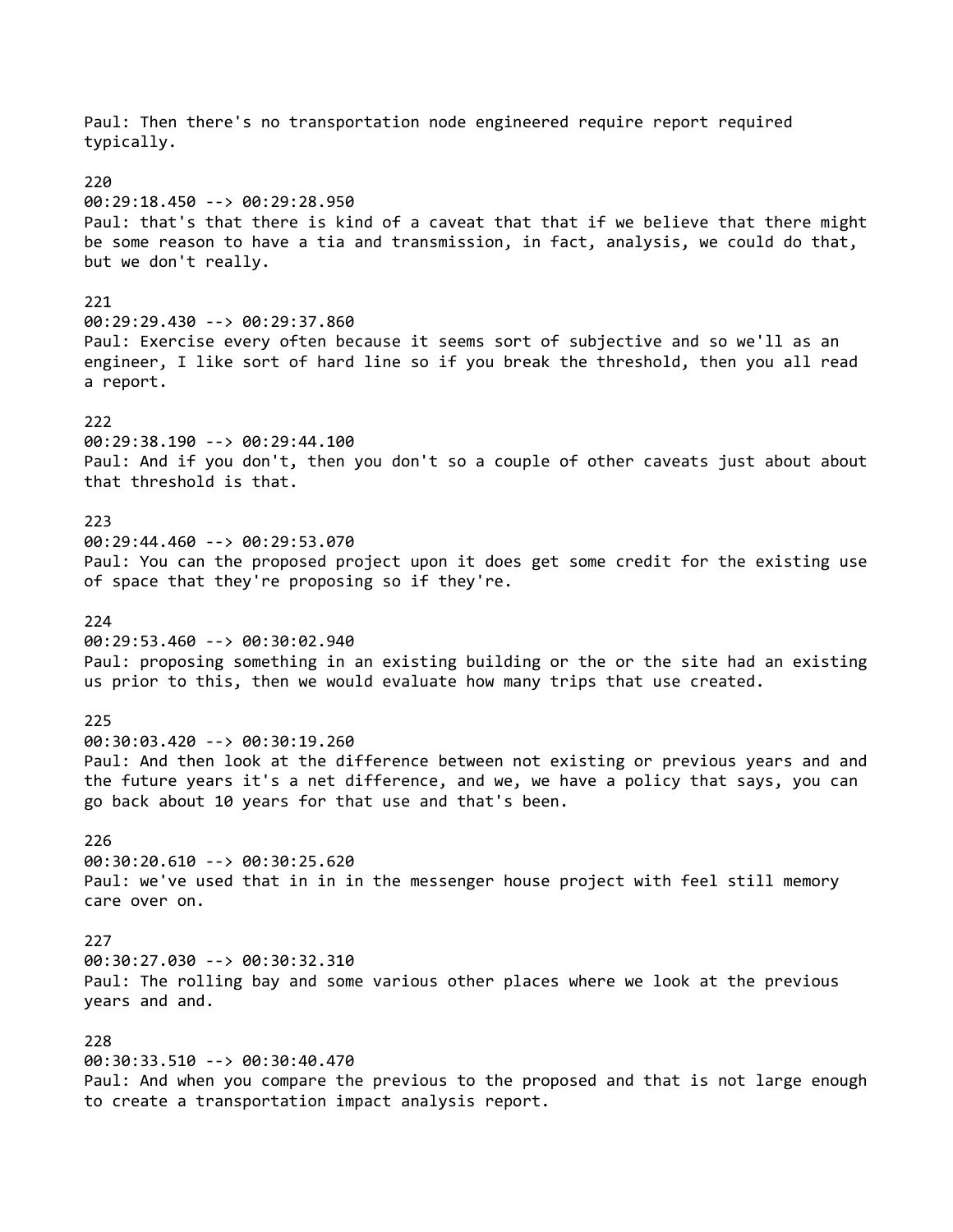Paul: Then there's no transportation node engineered require report required typically. 220 00:29:18.450 --> 00:29:28.950 Paul: that's that there is kind of a caveat that that if we believe that there might be some reason to have a tia and transmission, in fact, analysis, we could do that, but we don't really. 221 00:29:29.430 --> 00:29:37.860 Paul: Exercise every often because it seems sort of subjective and so we'll as an engineer, I like sort of hard line so if you break the threshold, then you all read a report. 222 00:29:38.190 --> 00:29:44.100 Paul: And if you don't, then you don't so a couple of other caveats just about about that threshold is that. 223 00:29:44.460 --> 00:29:53.070 Paul: You can the proposed project upon it does get some credit for the existing use of space that they're proposing so if they're.  $224$ 00:29:53.460 --> 00:30:02.940 Paul: proposing something in an existing building or the or the site had an existing us prior to this, then we would evaluate how many trips that use created. 225 00:30:03.420 --> 00:30:19.260 Paul: And then look at the difference between not existing or previous years and and the future years it's a net difference, and we, we have a policy that says, you can go back about 10 years for that use and that's been. 226 00:30:20.610 --> 00:30:25.620 Paul: we've used that in in in the messenger house project with feel still memory care over on. 227 00:30:27.030 --> 00:30:32.310 Paul: The rolling bay and some various other places where we look at the previous years and and. 228 00:30:33.510 --> 00:30:40.470 Paul: And when you compare the previous to the proposed and that is not large enough to create a transportation impact analysis report.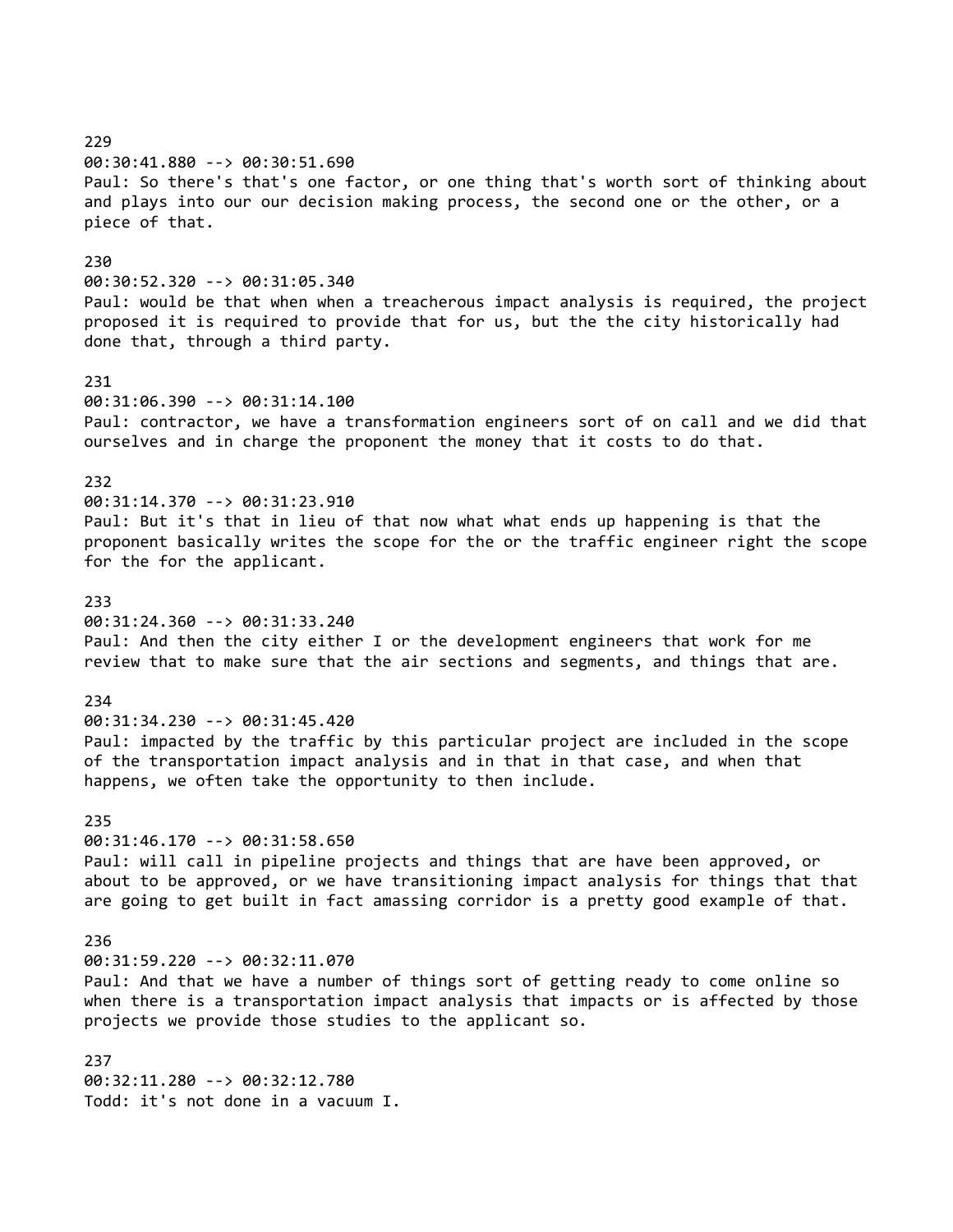229 00:30:41.880 --> 00:30:51.690 Paul: So there's that's one factor, or one thing that's worth sort of thinking about and plays into our our decision making process, the second one or the other, or a piece of that. 230 00:30:52.320 --> 00:31:05.340 Paul: would be that when when a treacherous impact analysis is required, the project proposed it is required to provide that for us, but the the city historically had done that, through a third party. 231 00:31:06.390 --> 00:31:14.100 Paul: contractor, we have a transformation engineers sort of on call and we did that ourselves and in charge the proponent the money that it costs to do that. 232 00:31:14.370 --> 00:31:23.910 Paul: But it's that in lieu of that now what what ends up happening is that the proponent basically writes the scope for the or the traffic engineer right the scope for the for the applicant. 233 00:31:24.360 --> 00:31:33.240 Paul: And then the city either I or the development engineers that work for me review that to make sure that the air sections and segments, and things that are. 234 00:31:34.230 --> 00:31:45.420 Paul: impacted by the traffic by this particular project are included in the scope of the transportation impact analysis and in that in that case, and when that happens, we often take the opportunity to then include. 235 00:31:46.170 --> 00:31:58.650 Paul: will call in pipeline projects and things that are have been approved, or about to be approved, or we have transitioning impact analysis for things that that are going to get built in fact amassing corridor is a pretty good example of that. 236 00:31:59.220 --> 00:32:11.070 Paul: And that we have a number of things sort of getting ready to come online so when there is a transportation impact analysis that impacts or is affected by those projects we provide those studies to the applicant so. 237 00:32:11.280 --> 00:32:12.780 Todd: it's not done in a vacuum I.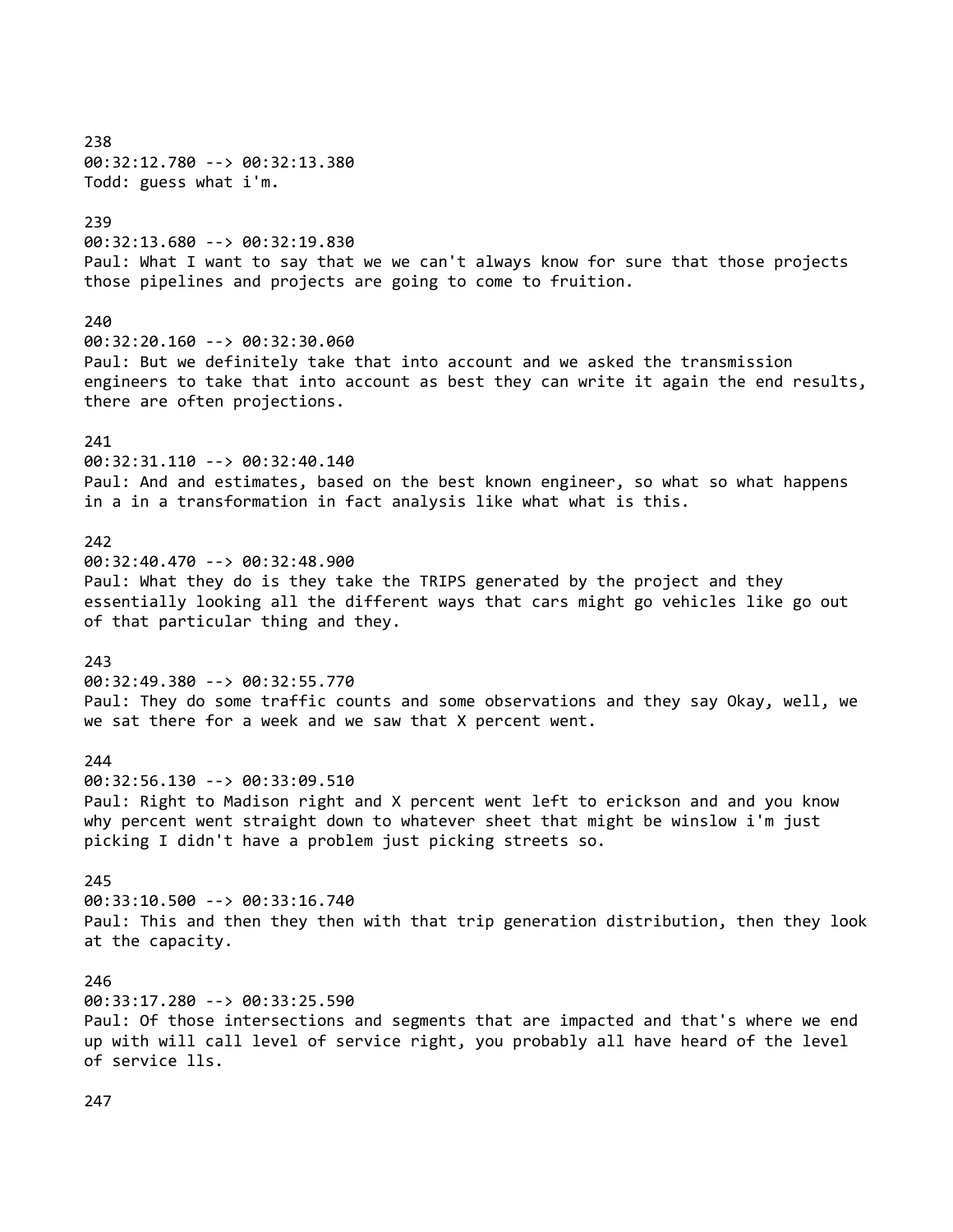238 00:32:12.780 --> 00:32:13.380 Todd: guess what i'm. 239 00:32:13.680 --> 00:32:19.830 Paul: What I want to say that we we can't always know for sure that those projects those pipelines and projects are going to come to fruition. 240 00:32:20.160 --> 00:32:30.060 Paul: But we definitely take that into account and we asked the transmission engineers to take that into account as best they can write it again the end results, there are often projections.  $241$ 00:32:31.110 --> 00:32:40.140 Paul: And and estimates, based on the best known engineer, so what so what happens in a in a transformation in fact analysis like what what is this. 242 00:32:40.470 --> 00:32:48.900 Paul: What they do is they take the TRIPS generated by the project and they essentially looking all the different ways that cars might go vehicles like go out of that particular thing and they. 243 00:32:49.380 --> 00:32:55.770 Paul: They do some traffic counts and some observations and they say Okay, well, we we sat there for a week and we saw that X percent went. 244 00:32:56.130 --> 00:33:09.510 Paul: Right to Madison right and X percent went left to erickson and and you know why percent went straight down to whatever sheet that might be winslow i'm just picking I didn't have a problem just picking streets so. 245 00:33:10.500 --> 00:33:16.740 Paul: This and then they then with that trip generation distribution, then they look at the capacity. 246 00:33:17.280 --> 00:33:25.590 Paul: Of those intersections and segments that are impacted and that's where we end up with will call level of service right, you probably all have heard of the level of service lls. 247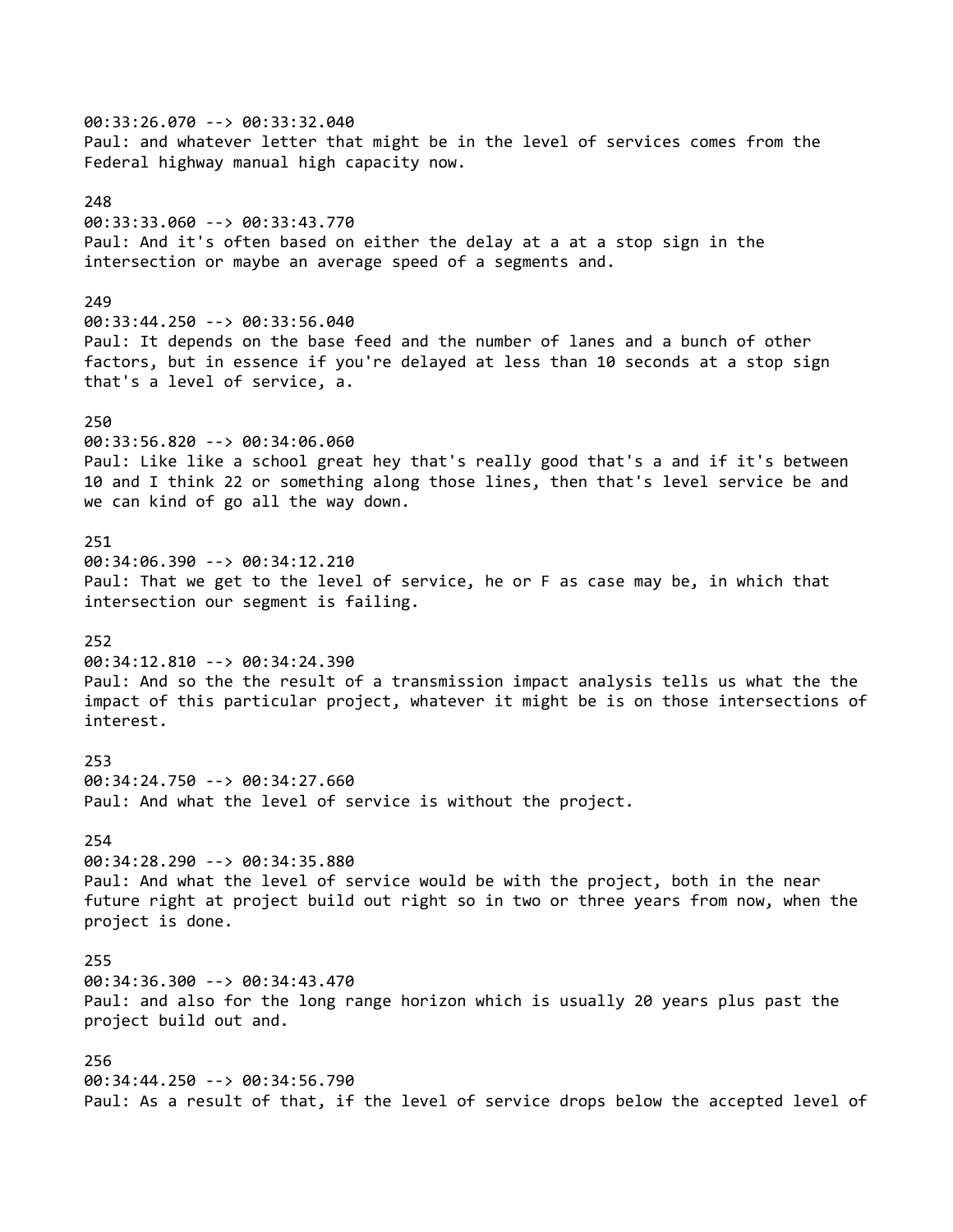00:33:26.070 --> 00:33:32.040 Paul: and whatever letter that might be in the level of services comes from the Federal highway manual high capacity now. 248 00:33:33.060 --> 00:33:43.770 Paul: And it's often based on either the delay at a at a stop sign in the intersection or maybe an average speed of a segments and. 249 00:33:44.250 --> 00:33:56.040 Paul: It depends on the base feed and the number of lanes and a bunch of other factors, but in essence if you're delayed at less than 10 seconds at a stop sign that's a level of service, a. 250 00:33:56.820 --> 00:34:06.060 Paul: Like like a school great hey that's really good that's a and if it's between 10 and I think 22 or something along those lines, then that's level service be and we can kind of go all the way down. 251 00:34:06.390 --> 00:34:12.210 Paul: That we get to the level of service, he or F as case may be, in which that intersection our segment is failing. 252 00:34:12.810 --> 00:34:24.390 Paul: And so the the result of a transmission impact analysis tells us what the the impact of this particular project, whatever it might be is on those intersections of interest. 253 00:34:24.750 --> 00:34:27.660 Paul: And what the level of service is without the project. 254 00:34:28.290 --> 00:34:35.880 Paul: And what the level of service would be with the project, both in the near future right at project build out right so in two or three years from now, when the project is done. 255 00:34:36.300 --> 00:34:43.470 Paul: and also for the long range horizon which is usually 20 years plus past the project build out and. 256 00:34:44.250 --> 00:34:56.790 Paul: As a result of that, if the level of service drops below the accepted level of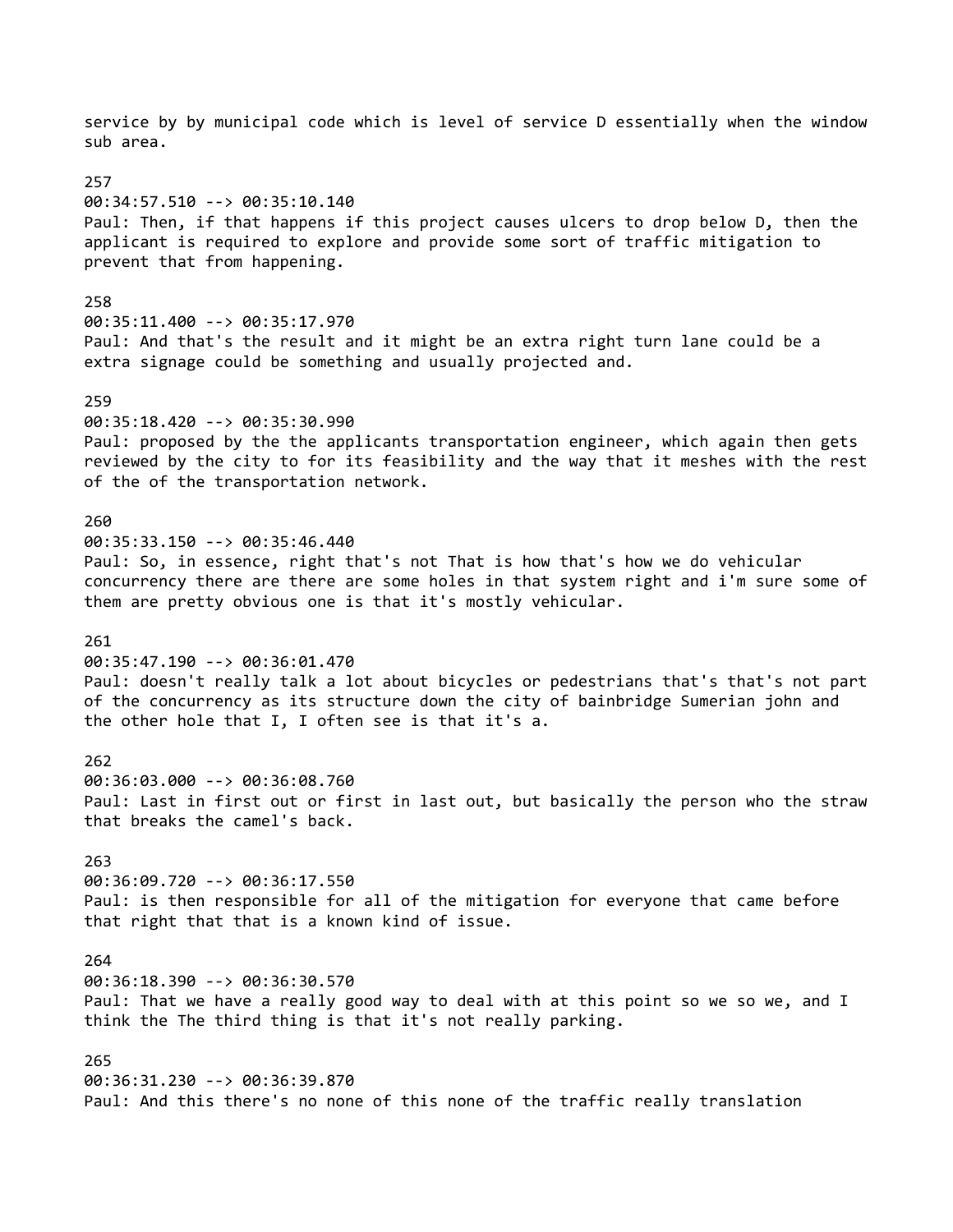service by by municipal code which is level of service D essentially when the window sub area. 257 00:34:57.510 --> 00:35:10.140 Paul: Then, if that happens if this project causes ulcers to drop below D, then the applicant is required to explore and provide some sort of traffic mitigation to prevent that from happening. 258 00:35:11.400 --> 00:35:17.970 Paul: And that's the result and it might be an extra right turn lane could be a extra signage could be something and usually projected and. 259 00:35:18.420 --> 00:35:30.990 Paul: proposed by the the applicants transportation engineer, which again then gets reviewed by the city to for its feasibility and the way that it meshes with the rest of the of the transportation network. 260 00:35:33.150 --> 00:35:46.440 Paul: So, in essence, right that's not That is how that's how we do vehicular concurrency there are there are some holes in that system right and i'm sure some of them are pretty obvious one is that it's mostly vehicular. 261 00:35:47.190 --> 00:36:01.470 Paul: doesn't really talk a lot about bicycles or pedestrians that's that's not part of the concurrency as its structure down the city of bainbridge Sumerian john and the other hole that I, I often see is that it's a. 262 00:36:03.000 --> 00:36:08.760 Paul: Last in first out or first in last out, but basically the person who the straw that breaks the camel's back. 263 00:36:09.720 --> 00:36:17.550 Paul: is then responsible for all of the mitigation for everyone that came before that right that that is a known kind of issue. 264 00:36:18.390 --> 00:36:30.570 Paul: That we have a really good way to deal with at this point so we so we, and I think the The third thing is that it's not really parking. 265 00:36:31.230 --> 00:36:39.870 Paul: And this there's no none of this none of the traffic really translation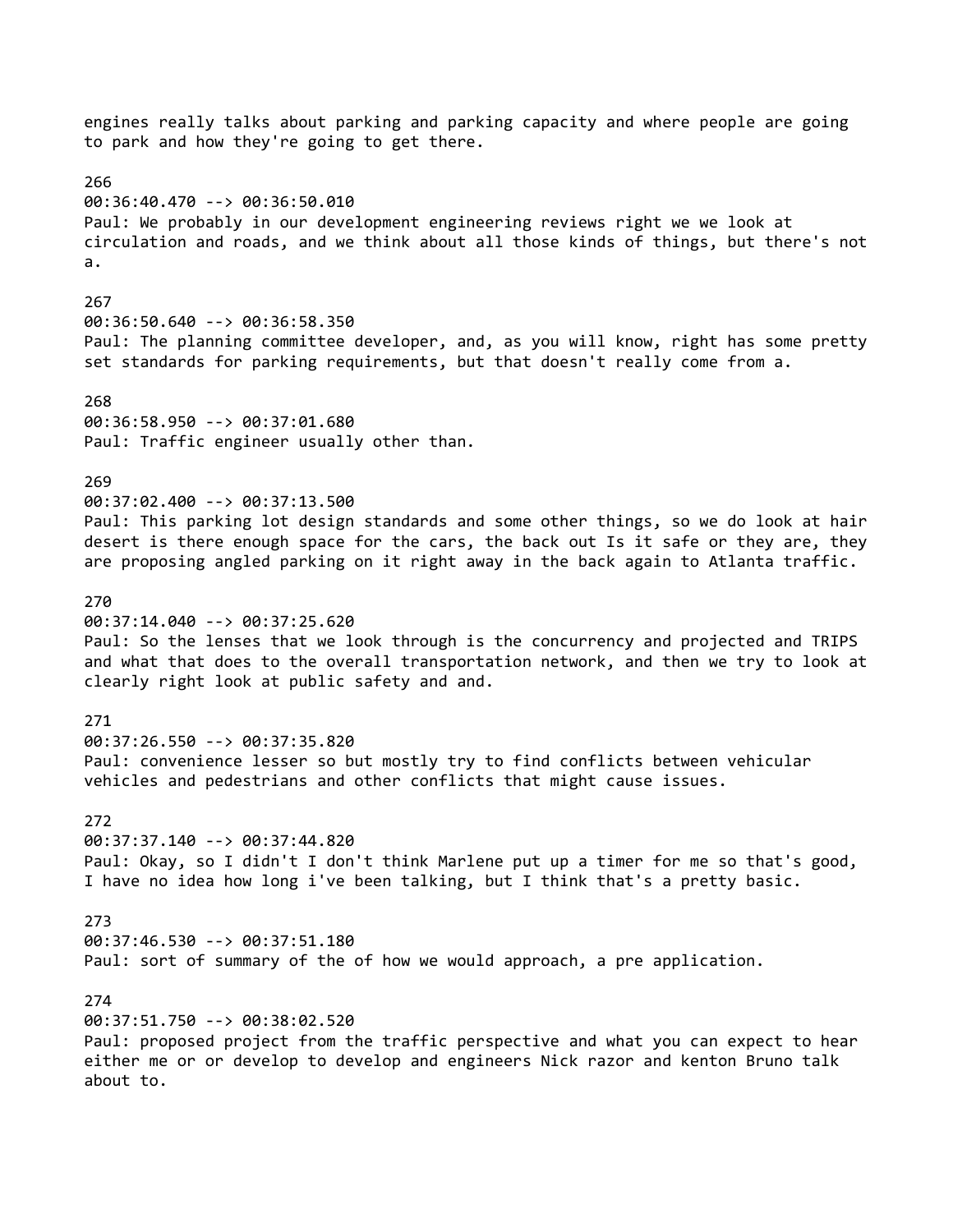engines really talks about parking and parking capacity and where people are going to park and how they're going to get there. 266 00:36:40.470 --> 00:36:50.010 Paul: We probably in our development engineering reviews right we we look at circulation and roads, and we think about all those kinds of things, but there's not a. 267 00:36:50.640 --> 00:36:58.350 Paul: The planning committee developer, and, as you will know, right has some pretty set standards for parking requirements, but that doesn't really come from a. 268 00:36:58.950 --> 00:37:01.680 Paul: Traffic engineer usually other than. 269 00:37:02.400 --> 00:37:13.500 Paul: This parking lot design standards and some other things, so we do look at hair desert is there enough space for the cars, the back out Is it safe or they are, they are proposing angled parking on it right away in the back again to Atlanta traffic. 270 00:37:14.040 --> 00:37:25.620 Paul: So the lenses that we look through is the concurrency and projected and TRIPS and what that does to the overall transportation network, and then we try to look at clearly right look at public safety and and. 271 00:37:26.550 --> 00:37:35.820 Paul: convenience lesser so but mostly try to find conflicts between vehicular vehicles and pedestrians and other conflicts that might cause issues. 272 00:37:37.140 --> 00:37:44.820 Paul: Okay, so I didn't I don't think Marlene put up a timer for me so that's good, I have no idea how long i've been talking, but I think that's a pretty basic. 273 00:37:46.530 --> 00:37:51.180 Paul: sort of summary of the of how we would approach, a pre application. 274 00:37:51.750 --> 00:38:02.520 Paul: proposed project from the traffic perspective and what you can expect to hear either me or or develop to develop and engineers Nick razor and kenton Bruno talk about to.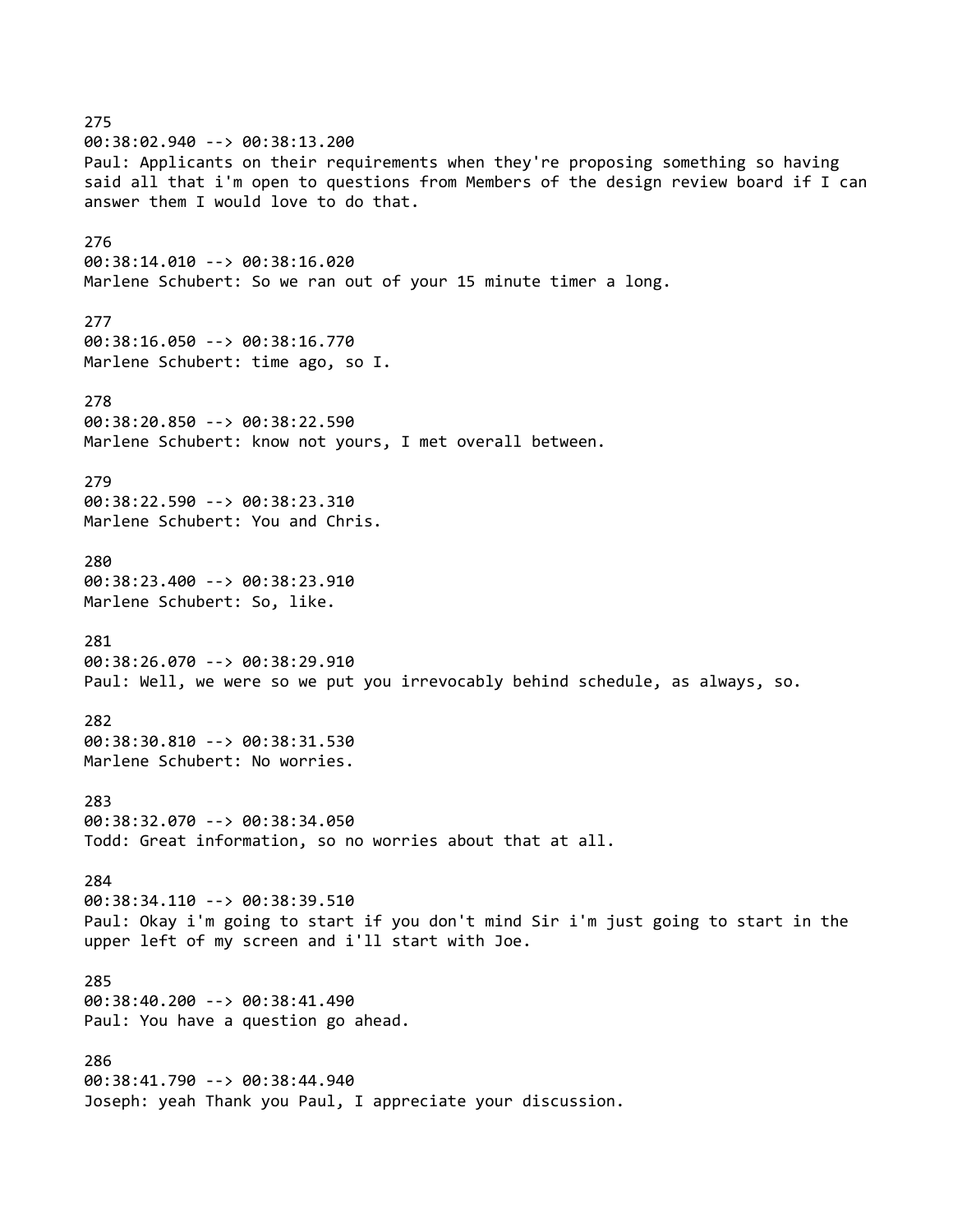275 00:38:02.940 --> 00:38:13.200 Paul: Applicants on their requirements when they're proposing something so having said all that i'm open to questions from Members of the design review board if I can answer them I would love to do that. 276 00:38:14.010 --> 00:38:16.020 Marlene Schubert: So we ran out of your 15 minute timer a long. 277 00:38:16.050 --> 00:38:16.770 Marlene Schubert: time ago, so I. 278 00:38:20.850 --> 00:38:22.590 Marlene Schubert: know not yours, I met overall between. 279 00:38:22.590 --> 00:38:23.310 Marlene Schubert: You and Chris. 280 00:38:23.400 --> 00:38:23.910 Marlene Schubert: So, like. 281 00:38:26.070 --> 00:38:29.910 Paul: Well, we were so we put you irrevocably behind schedule, as always, so. 282 00:38:30.810 --> 00:38:31.530 Marlene Schubert: No worries. 283 00:38:32.070 --> 00:38:34.050 Todd: Great information, so no worries about that at all. 284 00:38:34.110 --> 00:38:39.510 Paul: Okay i'm going to start if you don't mind Sir i'm just going to start in the upper left of my screen and i'll start with Joe. 285 00:38:40.200 --> 00:38:41.490 Paul: You have a question go ahead. 286 00:38:41.790 --> 00:38:44.940 Joseph: yeah Thank you Paul, I appreciate your discussion.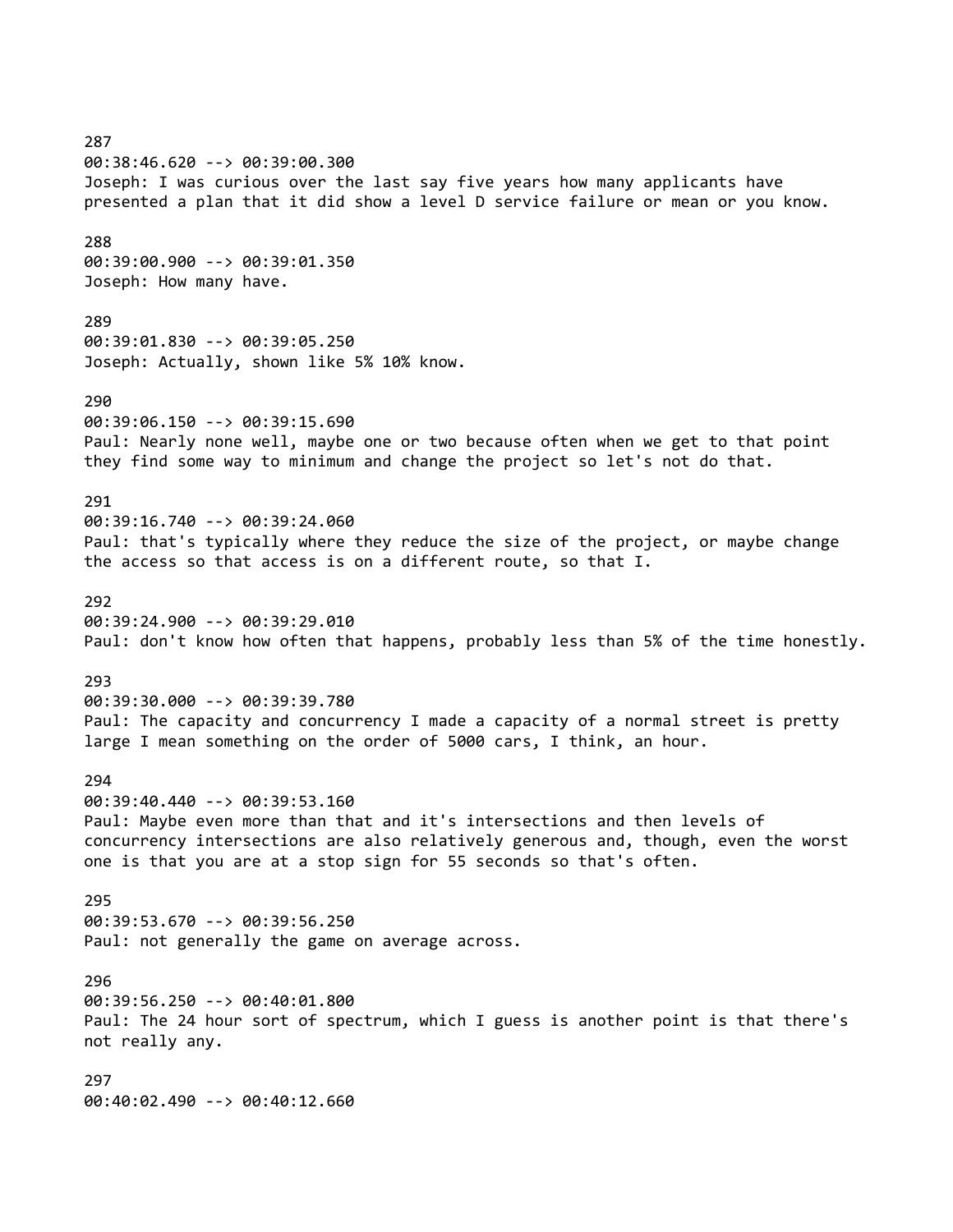287 00:38:46.620 --> 00:39:00.300 Joseph: I was curious over the last say five years how many applicants have presented a plan that it did show a level D service failure or mean or you know. 288 00:39:00.900 --> 00:39:01.350 Joseph: How many have. 289 00:39:01.830 --> 00:39:05.250 Joseph: Actually, shown like 5% 10% know. 290 00:39:06.150 --> 00:39:15.690 Paul: Nearly none well, maybe one or two because often when we get to that point they find some way to minimum and change the project so let's not do that. 291 00:39:16.740 --> 00:39:24.060 Paul: that's typically where they reduce the size of the project, or maybe change the access so that access is on a different route, so that I. 292 00:39:24.900 --> 00:39:29.010 Paul: don't know how often that happens, probably less than 5% of the time honestly. 293 00:39:30.000 --> 00:39:39.780 Paul: The capacity and concurrency I made a capacity of a normal street is pretty large I mean something on the order of 5000 cars, I think, an hour. 294 00:39:40.440 --> 00:39:53.160 Paul: Maybe even more than that and it's intersections and then levels of concurrency intersections are also relatively generous and, though, even the worst one is that you are at a stop sign for 55 seconds so that's often. 295 00:39:53.670 --> 00:39:56.250 Paul: not generally the game on average across. 296 00:39:56.250 --> 00:40:01.800 Paul: The 24 hour sort of spectrum, which I guess is another point is that there's not really any. 297 00:40:02.490 --> 00:40:12.660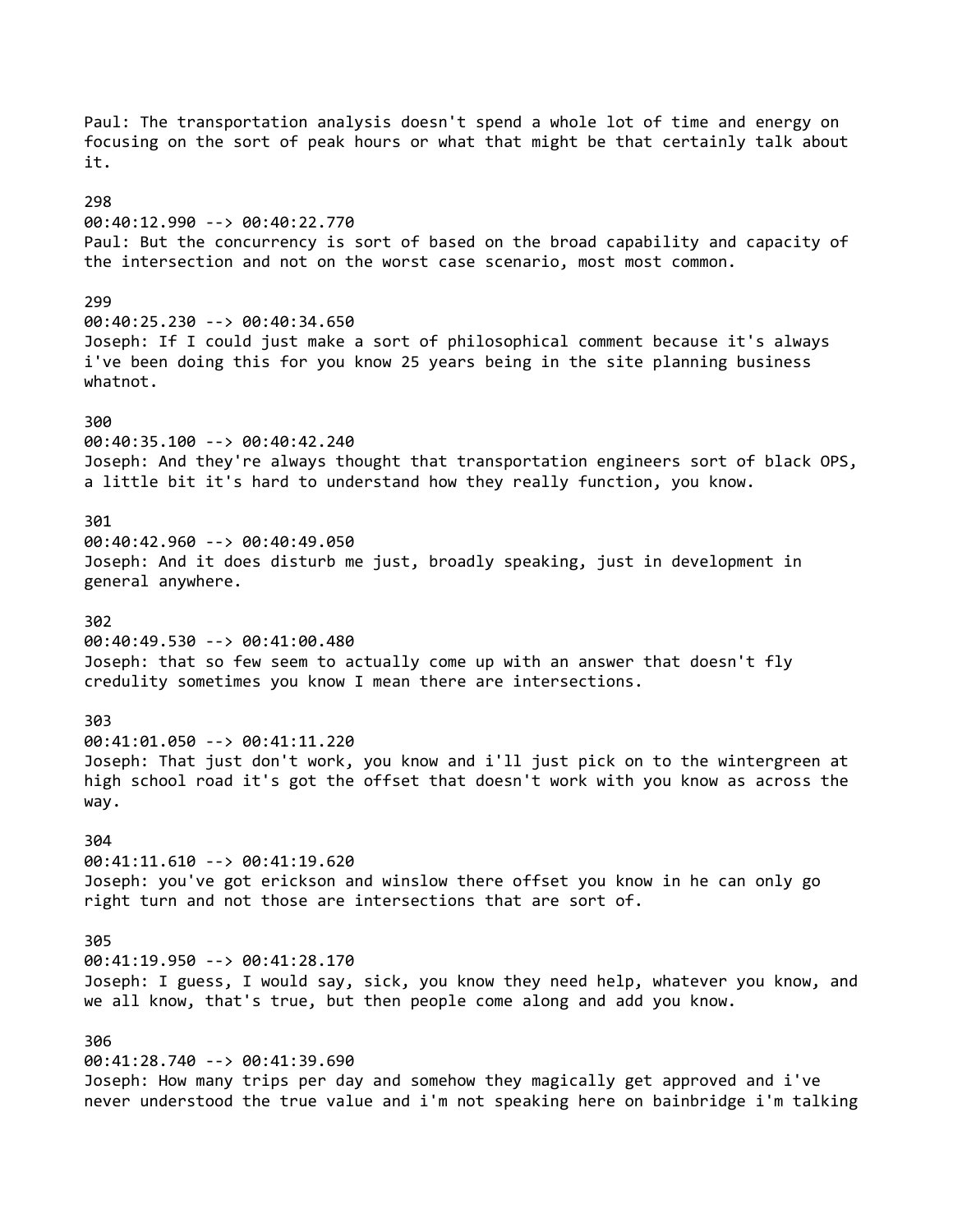Paul: The transportation analysis doesn't spend a whole lot of time and energy on focusing on the sort of peak hours or what that might be that certainly talk about it. 298 00:40:12.990 --> 00:40:22.770 Paul: But the concurrency is sort of based on the broad capability and capacity of the intersection and not on the worst case scenario, most most common. 299 00:40:25.230 --> 00:40:34.650 Joseph: If I could just make a sort of philosophical comment because it's always i've been doing this for you know 25 years being in the site planning business whatnot. 300 00:40:35.100 --> 00:40:42.240 Joseph: And they're always thought that transportation engineers sort of black OPS, a little bit it's hard to understand how they really function, you know. 301 00:40:42.960 --> 00:40:49.050 Joseph: And it does disturb me just, broadly speaking, just in development in general anywhere. 302 00:40:49.530 --> 00:41:00.480 Joseph: that so few seem to actually come up with an answer that doesn't fly credulity sometimes you know I mean there are intersections. 303 00:41:01.050 --> 00:41:11.220 Joseph: That just don't work, you know and i'll just pick on to the wintergreen at high school road it's got the offset that doesn't work with you know as across the way. 304 00:41:11.610 --> 00:41:19.620 Joseph: you've got erickson and winslow there offset you know in he can only go right turn and not those are intersections that are sort of. 305 00:41:19.950 --> 00:41:28.170 Joseph: I guess, I would say, sick, you know they need help, whatever you know, and we all know, that's true, but then people come along and add you know. 306 00:41:28.740 --> 00:41:39.690 Joseph: How many trips per day and somehow they magically get approved and i've never understood the true value and i'm not speaking here on bainbridge i'm talking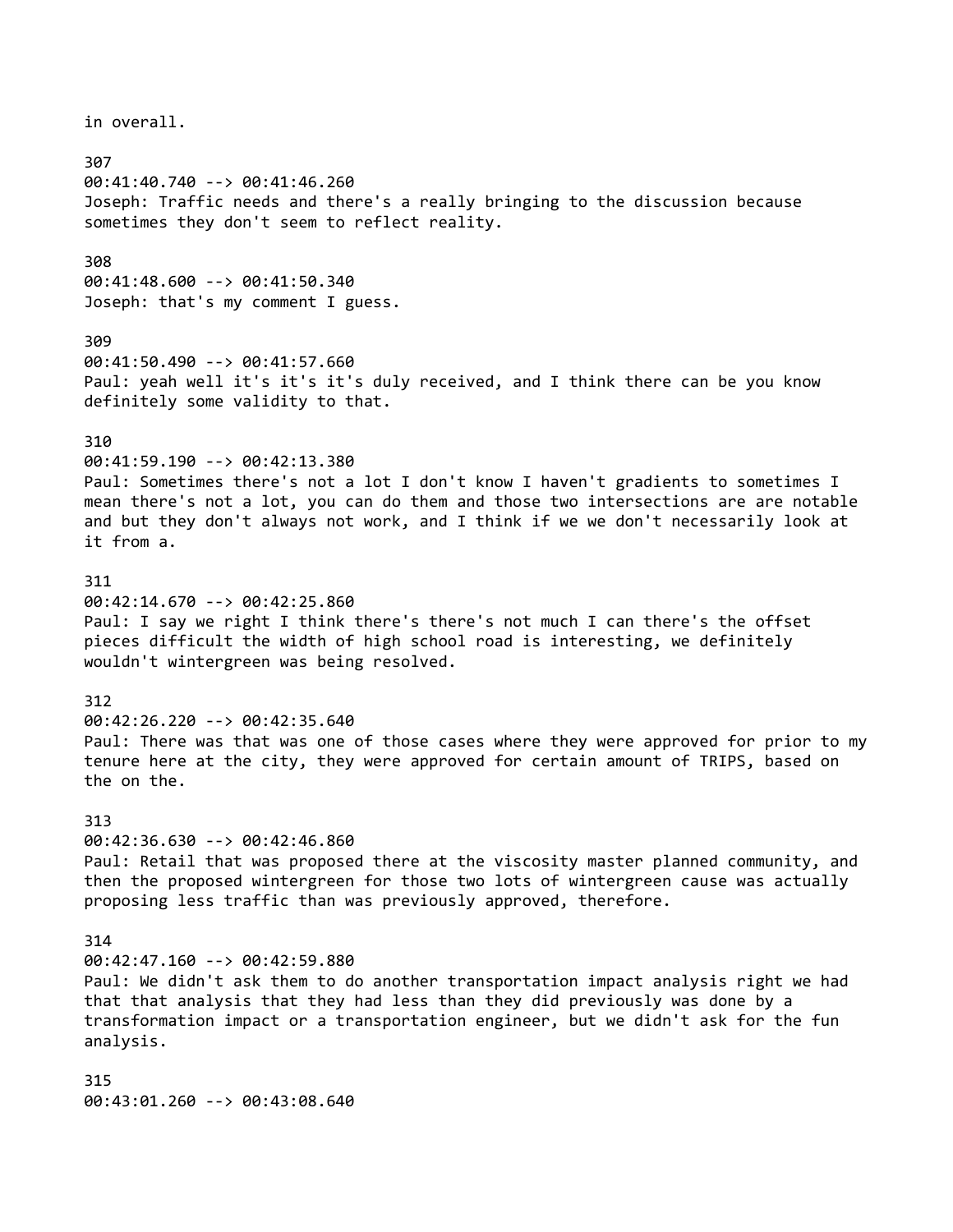in overall. 307 00:41:40.740 --> 00:41:46.260 Joseph: Traffic needs and there's a really bringing to the discussion because sometimes they don't seem to reflect reality. 308 00:41:48.600 --> 00:41:50.340 Joseph: that's my comment I guess. 309 00:41:50.490 --> 00:41:57.660 Paul: yeah well it's it's it's duly received, and I think there can be you know definitely some validity to that. 310 00:41:59.190 --> 00:42:13.380 Paul: Sometimes there's not a lot I don't know I haven't gradients to sometimes I mean there's not a lot, you can do them and those two intersections are are notable and but they don't always not work, and I think if we we don't necessarily look at it from a. 311 00:42:14.670 --> 00:42:25.860 Paul: I say we right I think there's there's not much I can there's the offset pieces difficult the width of high school road is interesting, we definitely wouldn't wintergreen was being resolved. 312 00:42:26.220 --> 00:42:35.640 Paul: There was that was one of those cases where they were approved for prior to my tenure here at the city, they were approved for certain amount of TRIPS, based on the on the. 313 00:42:36.630 --> 00:42:46.860 Paul: Retail that was proposed there at the viscosity master planned community, and then the proposed wintergreen for those two lots of wintergreen cause was actually proposing less traffic than was previously approved, therefore. 314 00:42:47.160 --> 00:42:59.880 Paul: We didn't ask them to do another transportation impact analysis right we had that that analysis that they had less than they did previously was done by a transformation impact or a transportation engineer, but we didn't ask for the fun analysis. 315 00:43:01.260 --> 00:43:08.640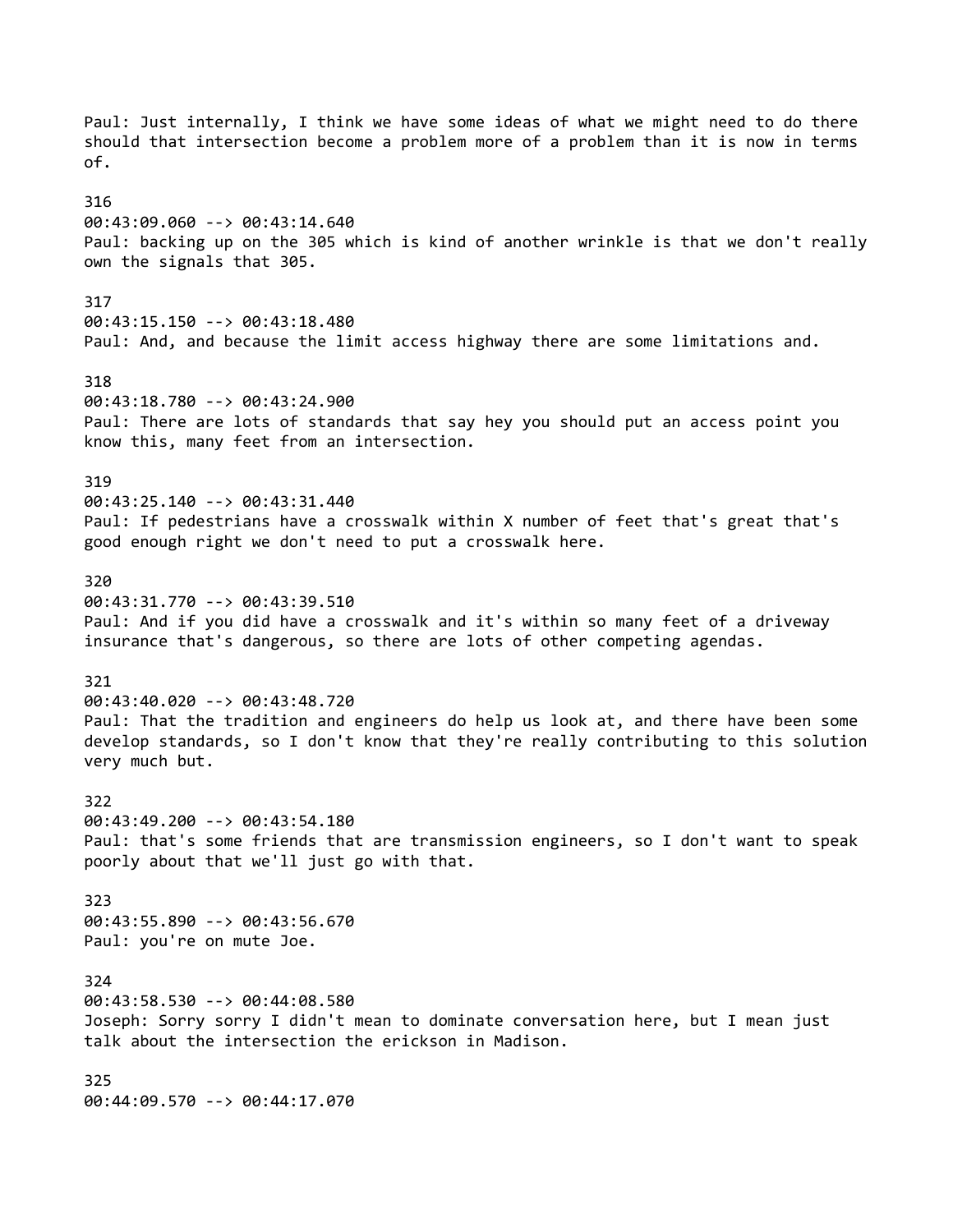Paul: Just internally, I think we have some ideas of what we might need to do there should that intersection become a problem more of a problem than it is now in terms of. 316 00:43:09.060 --> 00:43:14.640 Paul: backing up on the 305 which is kind of another wrinkle is that we don't really own the signals that 305. 317 00:43:15.150 --> 00:43:18.480 Paul: And, and because the limit access highway there are some limitations and. 318 00:43:18.780 --> 00:43:24.900 Paul: There are lots of standards that say hey you should put an access point you know this, many feet from an intersection. 319 00:43:25.140 --> 00:43:31.440 Paul: If pedestrians have a crosswalk within X number of feet that's great that's good enough right we don't need to put a crosswalk here. 320 00:43:31.770 --> 00:43:39.510 Paul: And if you did have a crosswalk and it's within so many feet of a driveway insurance that's dangerous, so there are lots of other competing agendas. 321 00:43:40.020 --> 00:43:48.720 Paul: That the tradition and engineers do help us look at, and there have been some develop standards, so I don't know that they're really contributing to this solution very much but. 322 00:43:49.200 --> 00:43:54.180 Paul: that's some friends that are transmission engineers, so I don't want to speak poorly about that we'll just go with that. 323 00:43:55.890 --> 00:43:56.670 Paul: you're on mute Joe. 324 00:43:58.530 --> 00:44:08.580 Joseph: Sorry sorry I didn't mean to dominate conversation here, but I mean just talk about the intersection the erickson in Madison. 325 00:44:09.570 --> 00:44:17.070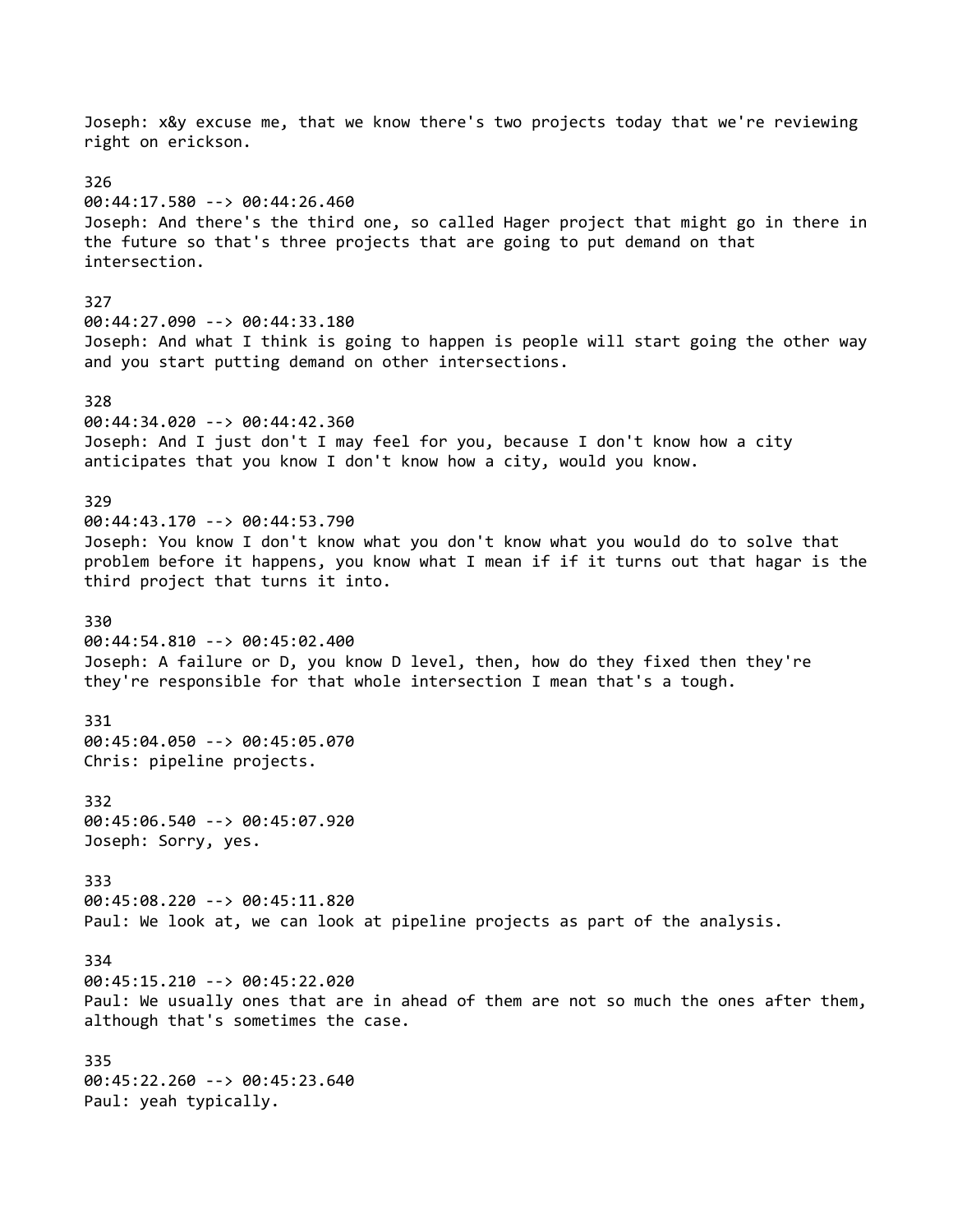Joseph: x&y excuse me, that we know there's two projects today that we're reviewing right on erickson. 326 00:44:17.580 --> 00:44:26.460 Joseph: And there's the third one, so called Hager project that might go in there in the future so that's three projects that are going to put demand on that intersection. 327 00:44:27.090 --> 00:44:33.180 Joseph: And what I think is going to happen is people will start going the other way and you start putting demand on other intersections. 328 00:44:34.020 --> 00:44:42.360 Joseph: And I just don't I may feel for you, because I don't know how a city anticipates that you know I don't know how a city, would you know. 329 00:44:43.170 --> 00:44:53.790 Joseph: You know I don't know what you don't know what you would do to solve that problem before it happens, you know what I mean if if it turns out that hagar is the third project that turns it into. 330 00:44:54.810 --> 00:45:02.400 Joseph: A failure or D, you know D level, then, how do they fixed then they're they're responsible for that whole intersection I mean that's a tough. 331 00:45:04.050 --> 00:45:05.070 Chris: pipeline projects. 332 00:45:06.540 --> 00:45:07.920 Joseph: Sorry, yes. 333 00:45:08.220 --> 00:45:11.820 Paul: We look at, we can look at pipeline projects as part of the analysis. 334 00:45:15.210 --> 00:45:22.020 Paul: We usually ones that are in ahead of them are not so much the ones after them, although that's sometimes the case. 335 00:45:22.260 --> 00:45:23.640 Paul: yeah typically.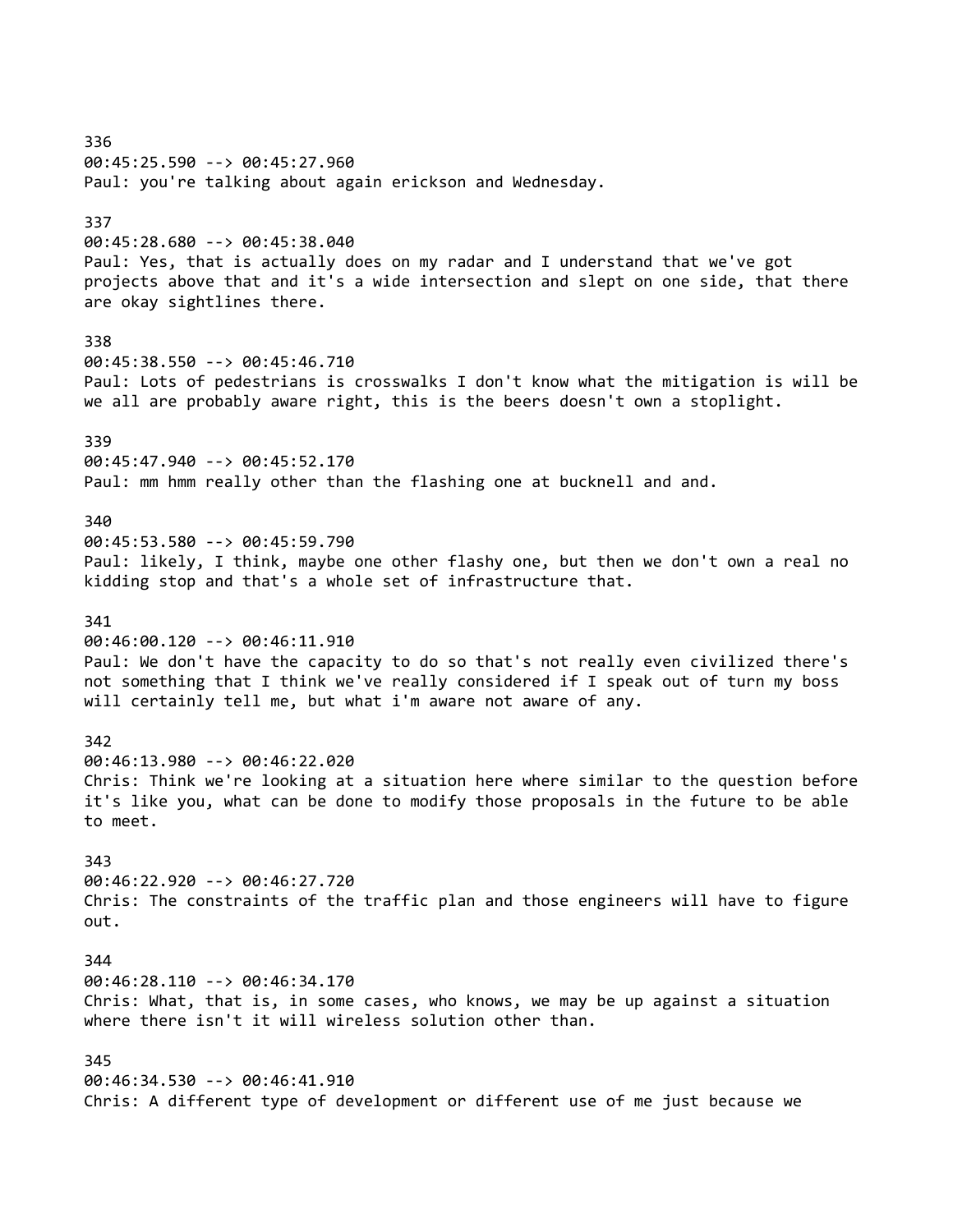336 00:45:25.590 --> 00:45:27.960 Paul: you're talking about again erickson and Wednesday. 337 00:45:28.680 --> 00:45:38.040 Paul: Yes, that is actually does on my radar and I understand that we've got projects above that and it's a wide intersection and slept on one side, that there are okay sightlines there. 338 00:45:38.550 --> 00:45:46.710 Paul: Lots of pedestrians is crosswalks I don't know what the mitigation is will be we all are probably aware right, this is the beers doesn't own a stoplight. 339 00:45:47.940 --> 00:45:52.170 Paul: mm hmm really other than the flashing one at bucknell and and. 340 00:45:53.580 --> 00:45:59.790 Paul: likely, I think, maybe one other flashy one, but then we don't own a real no kidding stop and that's a whole set of infrastructure that. 341 00:46:00.120 --> 00:46:11.910 Paul: We don't have the capacity to do so that's not really even civilized there's not something that I think we've really considered if I speak out of turn my boss will certainly tell me, but what i'm aware not aware of any. 342 00:46:13.980 --> 00:46:22.020 Chris: Think we're looking at a situation here where similar to the question before it's like you, what can be done to modify those proposals in the future to be able to meet. 343 00:46:22.920 --> 00:46:27.720 Chris: The constraints of the traffic plan and those engineers will have to figure out. 344 00:46:28.110 --> 00:46:34.170 Chris: What, that is, in some cases, who knows, we may be up against a situation where there isn't it will wireless solution other than. 345 00:46:34.530 --> 00:46:41.910 Chris: A different type of development or different use of me just because we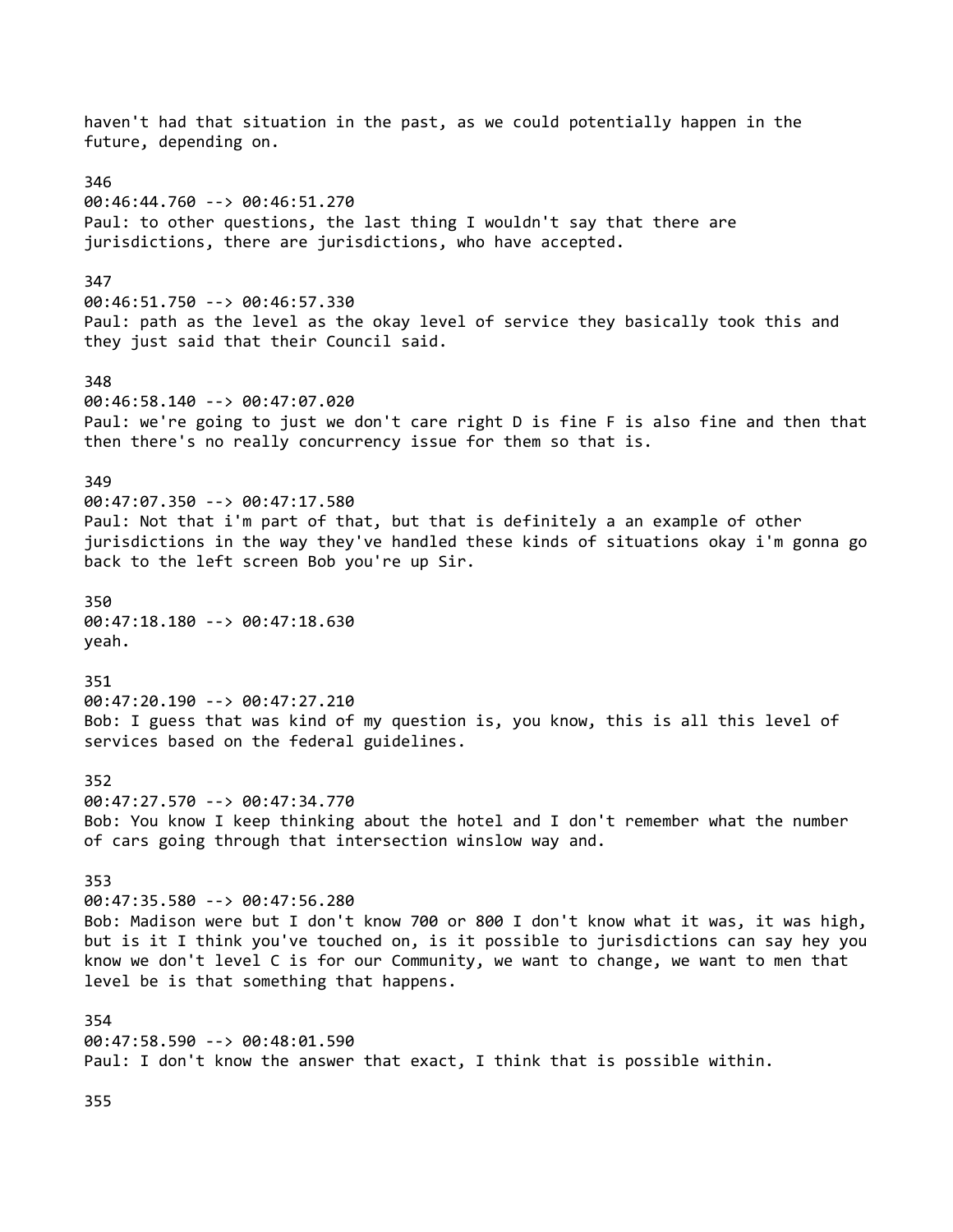haven't had that situation in the past, as we could potentially happen in the future, depending on. 346 00:46:44.760 --> 00:46:51.270 Paul: to other questions, the last thing I wouldn't say that there are jurisdictions, there are jurisdictions, who have accepted. 347 00:46:51.750 --> 00:46:57.330 Paul: path as the level as the okay level of service they basically took this and they just said that their Council said. 348 00:46:58.140 --> 00:47:07.020 Paul: we're going to just we don't care right D is fine F is also fine and then that then there's no really concurrency issue for them so that is. 349 00:47:07.350 --> 00:47:17.580 Paul: Not that i'm part of that, but that is definitely a an example of other jurisdictions in the way they've handled these kinds of situations okay i'm gonna go back to the left screen Bob you're up Sir. 350 00:47:18.180 --> 00:47:18.630 yeah. 351 00:47:20.190 --> 00:47:27.210 Bob: I guess that was kind of my question is, you know, this is all this level of services based on the federal guidelines. 352 00:47:27.570 --> 00:47:34.770 Bob: You know I keep thinking about the hotel and I don't remember what the number of cars going through that intersection winslow way and. 353 00:47:35.580 --> 00:47:56.280 Bob: Madison were but I don't know 700 or 800 I don't know what it was, it was high, but is it I think you've touched on, is it possible to jurisdictions can say hey you know we don't level C is for our Community, we want to change, we want to men that level be is that something that happens. 354 00:47:58.590 --> 00:48:01.590 Paul: I don't know the answer that exact, I think that is possible within.

355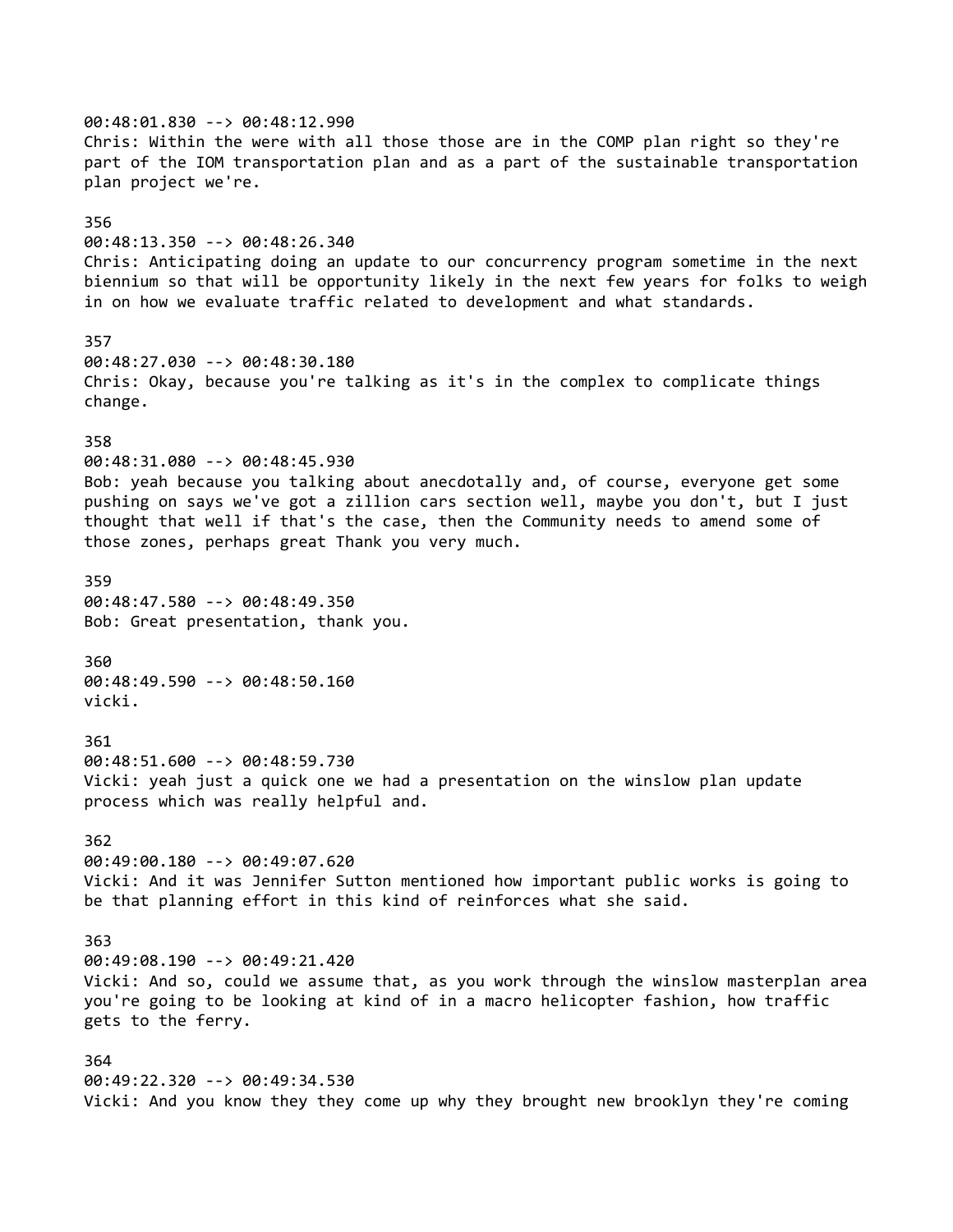00:48:01.830 --> 00:48:12.990 Chris: Within the were with all those those are in the COMP plan right so they're part of the IOM transportation plan and as a part of the sustainable transportation plan project we're. 356 00:48:13.350 --> 00:48:26.340 Chris: Anticipating doing an update to our concurrency program sometime in the next biennium so that will be opportunity likely in the next few years for folks to weigh in on how we evaluate traffic related to development and what standards. 357 00:48:27.030 --> 00:48:30.180 Chris: Okay, because you're talking as it's in the complex to complicate things change. 358 00:48:31.080 --> 00:48:45.930 Bob: yeah because you talking about anecdotally and, of course, everyone get some pushing on says we've got a zillion cars section well, maybe you don't, but I just thought that well if that's the case, then the Community needs to amend some of those zones, perhaps great Thank you very much. 359 00:48:47.580 --> 00:48:49.350 Bob: Great presentation, thank you. 360 00:48:49.590 --> 00:48:50.160 vicki. 361 00:48:51.600 --> 00:48:59.730 Vicki: yeah just a quick one we had a presentation on the winslow plan update process which was really helpful and. 362 00:49:00.180 --> 00:49:07.620 Vicki: And it was Jennifer Sutton mentioned how important public works is going to be that planning effort in this kind of reinforces what she said. 363 00:49:08.190 --> 00:49:21.420 Vicki: And so, could we assume that, as you work through the winslow masterplan area you're going to be looking at kind of in a macro helicopter fashion, how traffic gets to the ferry. 364 00:49:22.320 --> 00:49:34.530 Vicki: And you know they they come up why they brought new brooklyn they're coming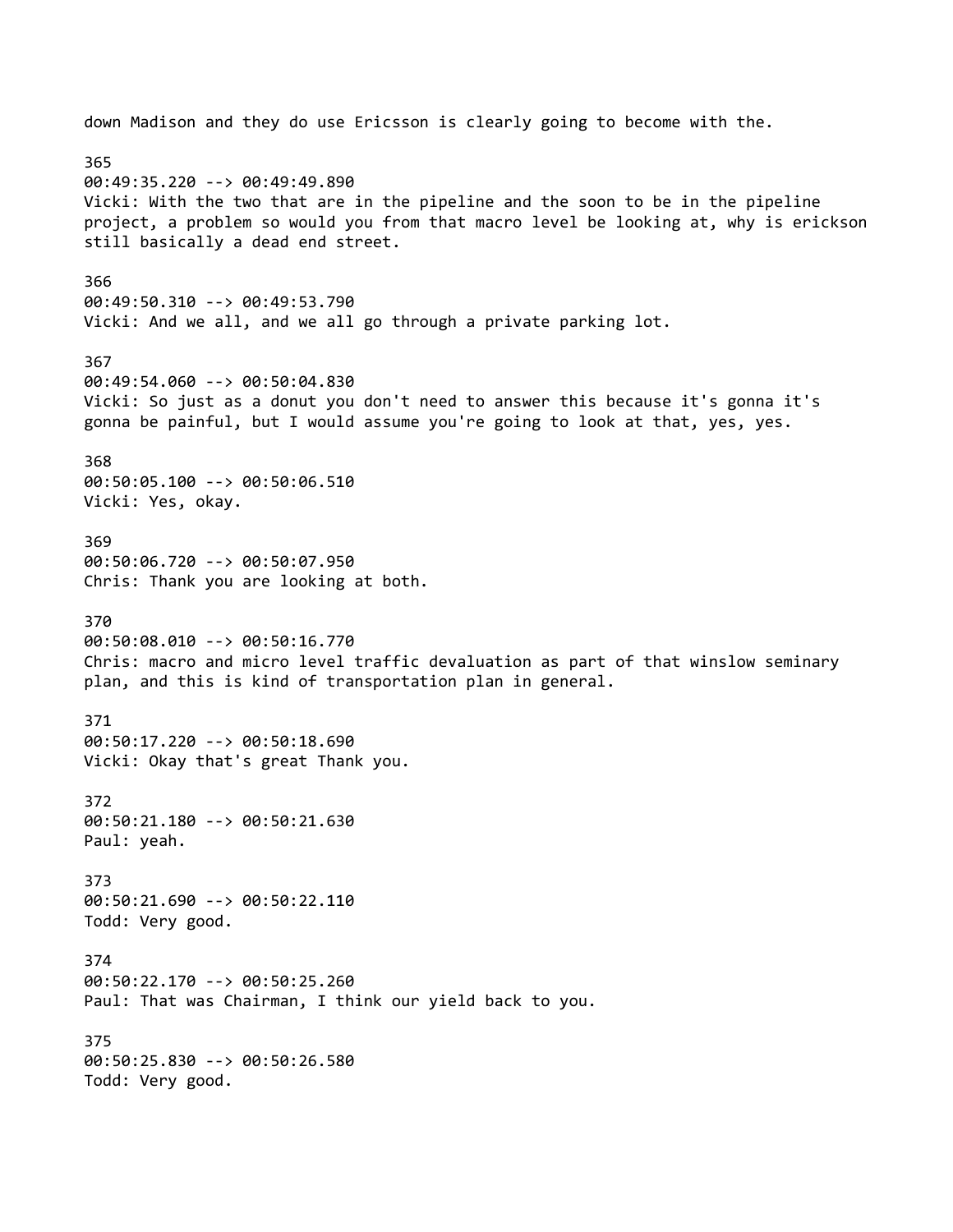down Madison and they do use Ericsson is clearly going to become with the. 365 00:49:35.220 --> 00:49:49.890 Vicki: With the two that are in the pipeline and the soon to be in the pipeline project, a problem so would you from that macro level be looking at, why is erickson still basically a dead end street. 366 00:49:50.310 --> 00:49:53.790 Vicki: And we all, and we all go through a private parking lot. 367 00:49:54.060 --> 00:50:04.830 Vicki: So just as a donut you don't need to answer this because it's gonna it's gonna be painful, but I would assume you're going to look at that, yes, yes. 368 00:50:05.100 --> 00:50:06.510 Vicki: Yes, okay. 369 00:50:06.720 --> 00:50:07.950 Chris: Thank you are looking at both. 370 00:50:08.010 --> 00:50:16.770 Chris: macro and micro level traffic devaluation as part of that winslow seminary plan, and this is kind of transportation plan in general. 371 00:50:17.220 --> 00:50:18.690 Vicki: Okay that's great Thank you. 372 00:50:21.180 --> 00:50:21.630 Paul: yeah. 373 00:50:21.690 --> 00:50:22.110 Todd: Very good. 374 00:50:22.170 --> 00:50:25.260 Paul: That was Chairman, I think our yield back to you. 375 00:50:25.830 --> 00:50:26.580 Todd: Very good.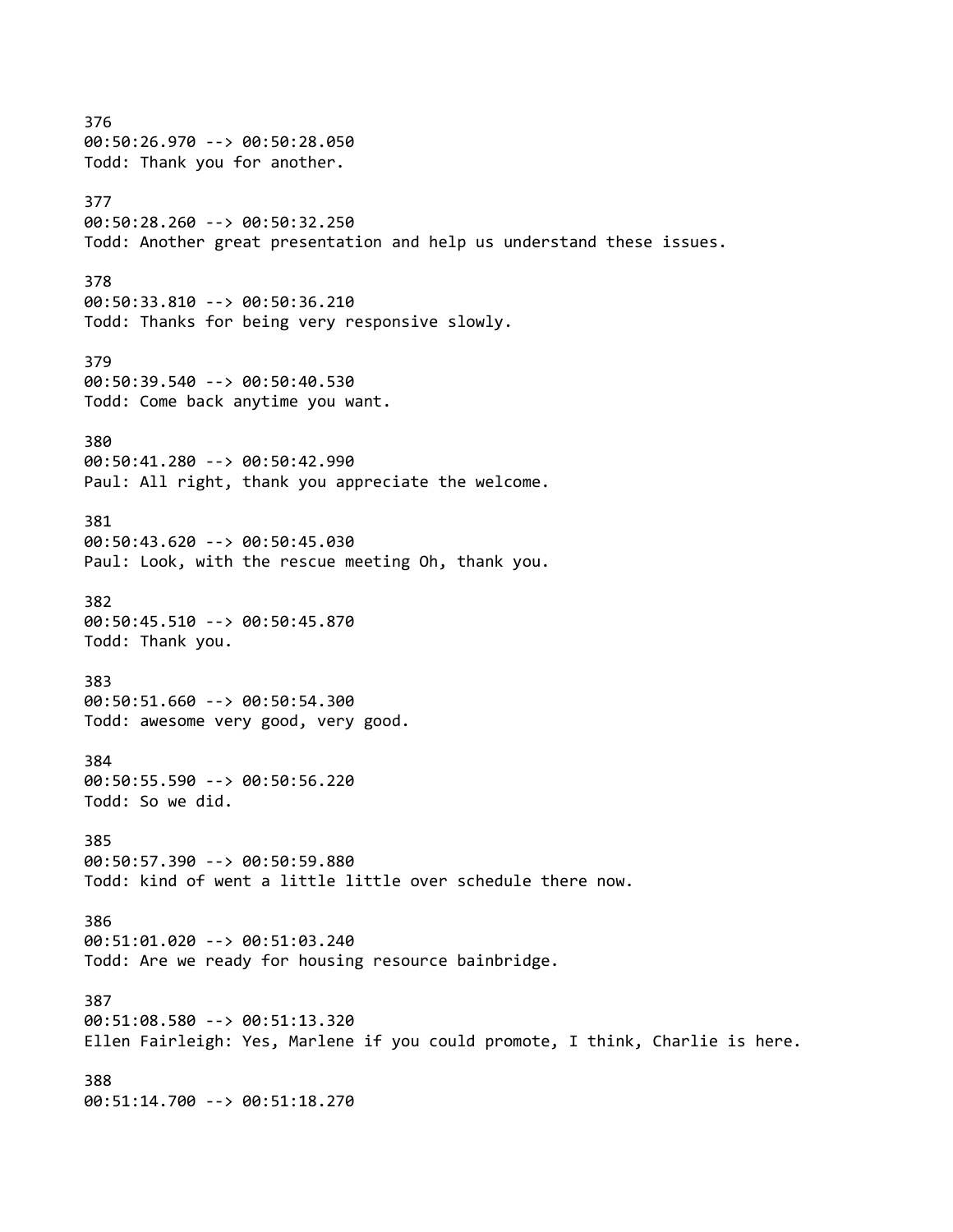376 00:50:26.970 --> 00:50:28.050 Todd: Thank you for another. 377 00:50:28.260 --> 00:50:32.250 Todd: Another great presentation and help us understand these issues. 378 00:50:33.810 --> 00:50:36.210 Todd: Thanks for being very responsive slowly. 379 00:50:39.540 --> 00:50:40.530 Todd: Come back anytime you want. 380 00:50:41.280 --> 00:50:42.990 Paul: All right, thank you appreciate the welcome. 381 00:50:43.620 --> 00:50:45.030 Paul: Look, with the rescue meeting Oh, thank you. 382 00:50:45.510 --> 00:50:45.870 Todd: Thank you. 383 00:50:51.660 --> 00:50:54.300 Todd: awesome very good, very good. 384 00:50:55.590 --> 00:50:56.220 Todd: So we did. 385 00:50:57.390 --> 00:50:59.880 Todd: kind of went a little little over schedule there now. 386 00:51:01.020 --> 00:51:03.240 Todd: Are we ready for housing resource bainbridge. 387 00:51:08.580 --> 00:51:13.320 Ellen Fairleigh: Yes, Marlene if you could promote, I think, Charlie is here. 388 00:51:14.700 --> 00:51:18.270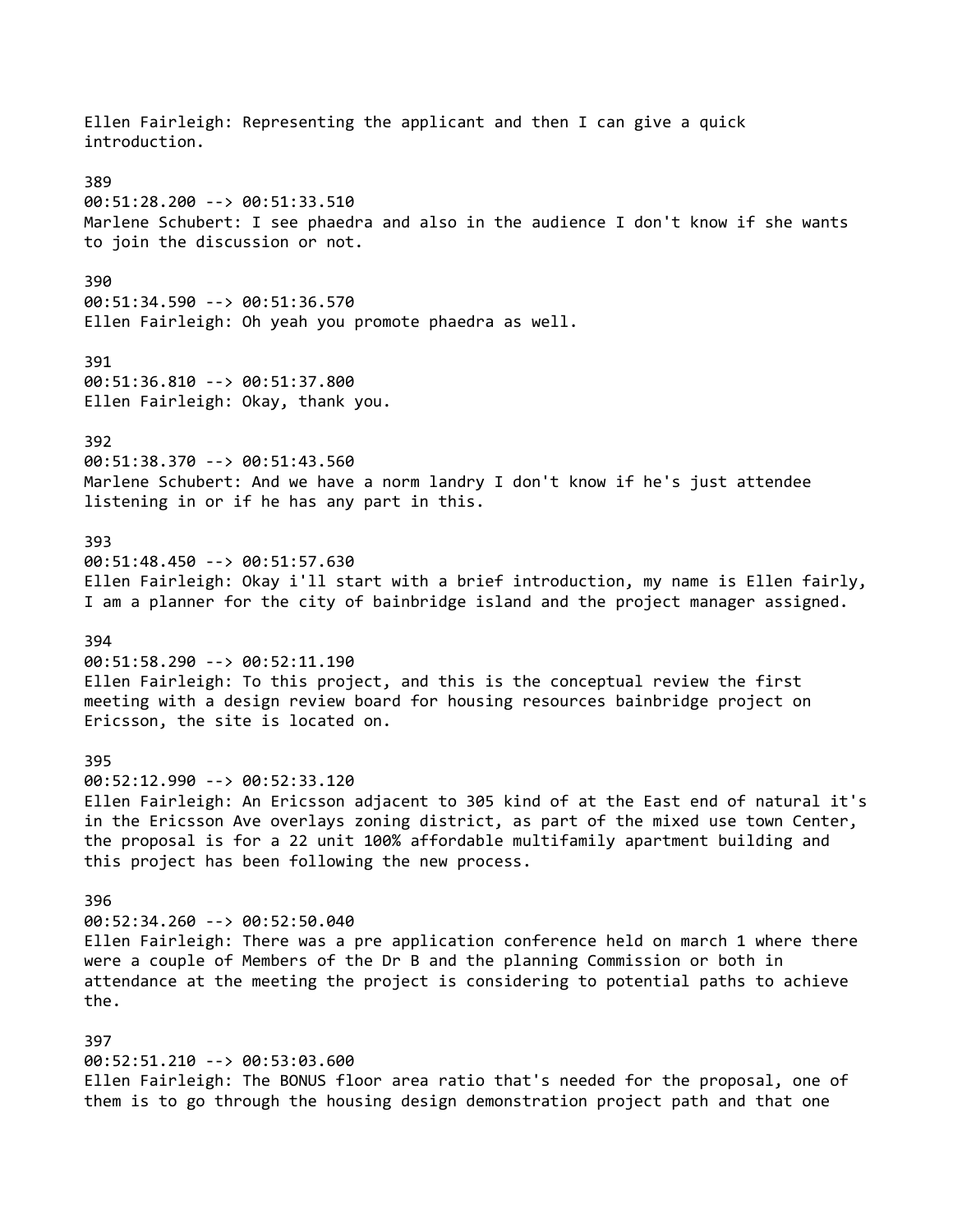Ellen Fairleigh: Representing the applicant and then I can give a quick introduction. 389 00:51:28.200 --> 00:51:33.510 Marlene Schubert: I see phaedra and also in the audience I don't know if she wants to join the discussion or not. 390 00:51:34.590 --> 00:51:36.570 Ellen Fairleigh: Oh yeah you promote phaedra as well. 391 00:51:36.810 --> 00:51:37.800 Ellen Fairleigh: Okay, thank you. 392 00:51:38.370 --> 00:51:43.560 Marlene Schubert: And we have a norm landry I don't know if he's just attendee listening in or if he has any part in this. 393 00:51:48.450 --> 00:51:57.630 Ellen Fairleigh: Okay i'll start with a brief introduction, my name is Ellen fairly, I am a planner for the city of bainbridge island and the project manager assigned. 394 00:51:58.290 --> 00:52:11.190 Ellen Fairleigh: To this project, and this is the conceptual review the first meeting with a design review board for housing resources bainbridge project on Ericsson, the site is located on. 395 00:52:12.990 --> 00:52:33.120 Ellen Fairleigh: An Ericsson adjacent to 305 kind of at the East end of natural it's in the Ericsson Ave overlays zoning district, as part of the mixed use town Center, the proposal is for a 22 unit 100% affordable multifamily apartment building and this project has been following the new process. 396 00:52:34.260 --> 00:52:50.040 Ellen Fairleigh: There was a pre application conference held on march 1 where there were a couple of Members of the Dr B and the planning Commission or both in attendance at the meeting the project is considering to potential paths to achieve the. 397 00:52:51.210 --> 00:53:03.600 Ellen Fairleigh: The BONUS floor area ratio that's needed for the proposal, one of them is to go through the housing design demonstration project path and that one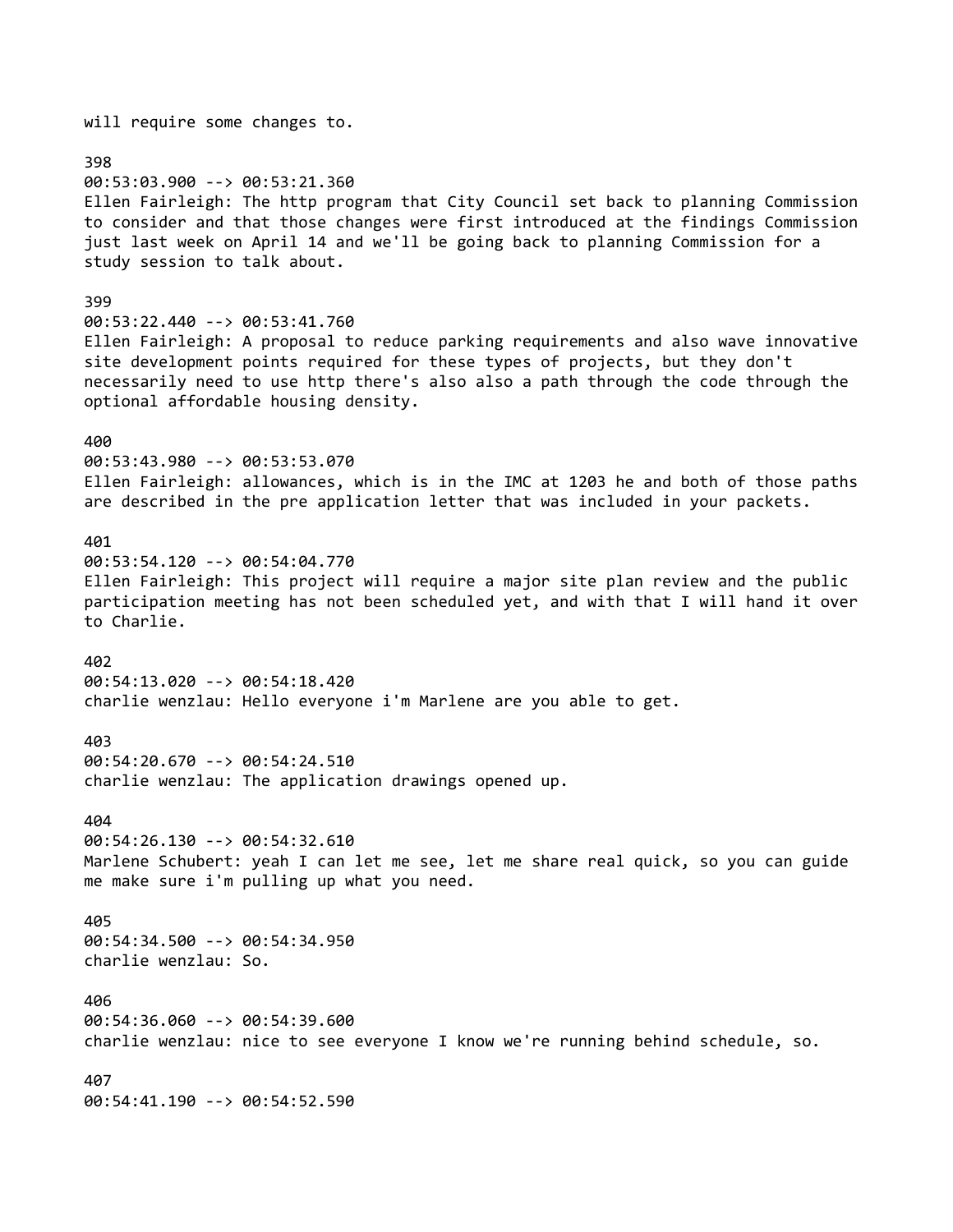will require some changes to. 398 00:53:03.900 --> 00:53:21.360 Ellen Fairleigh: The http program that City Council set back to planning Commission to consider and that those changes were first introduced at the findings Commission just last week on April 14 and we'll be going back to planning Commission for a study session to talk about. 399 00:53:22.440 --> 00:53:41.760 Ellen Fairleigh: A proposal to reduce parking requirements and also wave innovative site development points required for these types of projects, but they don't necessarily need to use http there's also also a path through the code through the optional affordable housing density. 400 00:53:43.980 --> 00:53:53.070 Ellen Fairleigh: allowances, which is in the IMC at 1203 he and both of those paths are described in the pre application letter that was included in your packets. 401 00:53:54.120 --> 00:54:04.770 Ellen Fairleigh: This project will require a major site plan review and the public participation meeting has not been scheduled yet, and with that I will hand it over to Charlie. 402 00:54:13.020 --> 00:54:18.420 charlie wenzlau: Hello everyone i'm Marlene are you able to get. 403 00:54:20.670 --> 00:54:24.510 charlie wenzlau: The application drawings opened up. 404 00:54:26.130 --> 00:54:32.610 Marlene Schubert: yeah I can let me see, let me share real quick, so you can guide me make sure i'm pulling up what you need. 405 00:54:34.500 --> 00:54:34.950 charlie wenzlau: So. 406 00:54:36.060 --> 00:54:39.600 charlie wenzlau: nice to see everyone I know we're running behind schedule, so. 407 00:54:41.190 --> 00:54:52.590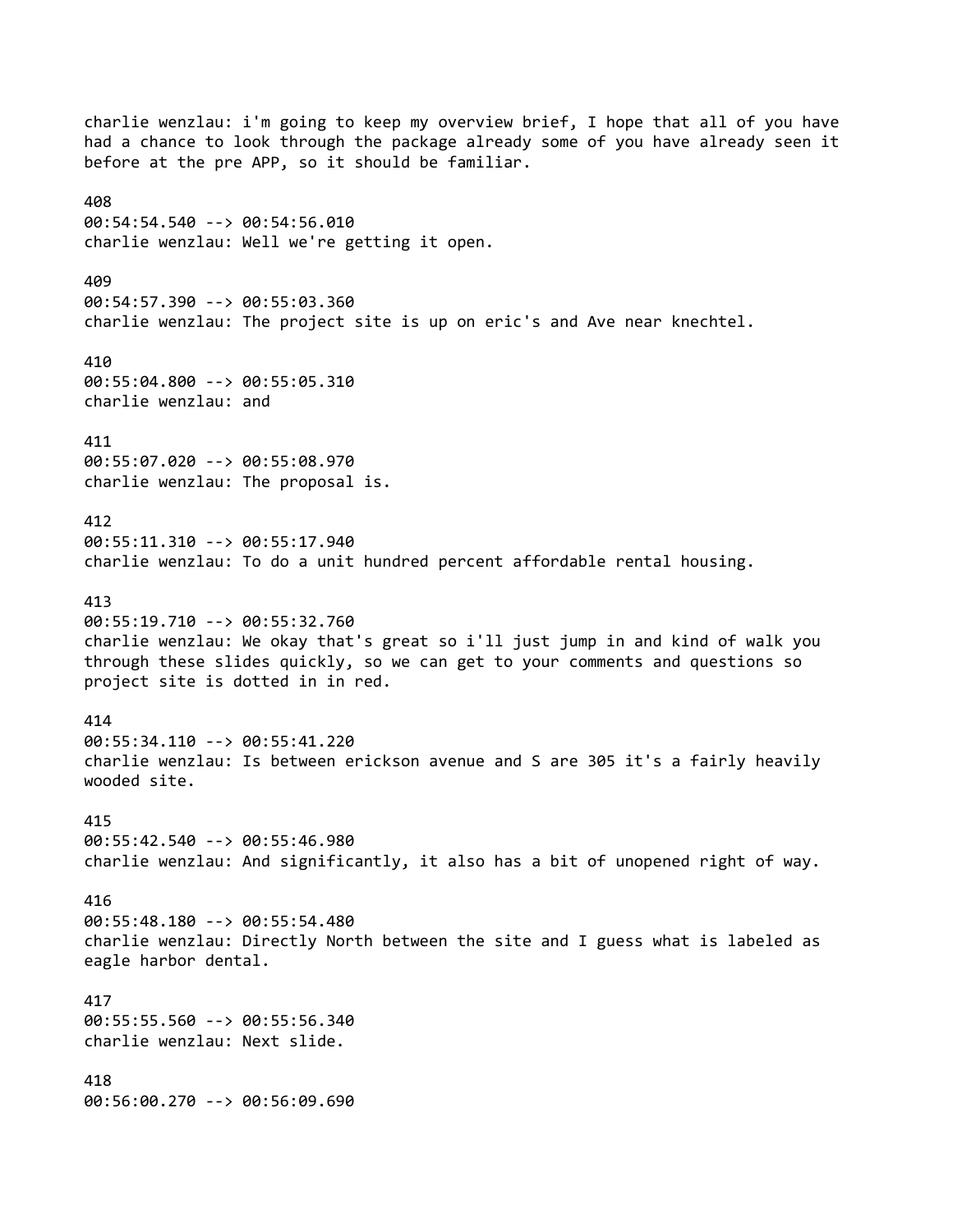charlie wenzlau: i'm going to keep my overview brief, I hope that all of you have had a chance to look through the package already some of you have already seen it before at the pre APP, so it should be familiar. 408 00:54:54.540 --> 00:54:56.010 charlie wenzlau: Well we're getting it open. 409 00:54:57.390 --> 00:55:03.360 charlie wenzlau: The project site is up on eric's and Ave near knechtel. 410 00:55:04.800 --> 00:55:05.310 charlie wenzlau: and 411 00:55:07.020 --> 00:55:08.970 charlie wenzlau: The proposal is. 412 00:55:11.310 --> 00:55:17.940 charlie wenzlau: To do a unit hundred percent affordable rental housing. 413 00:55:19.710 --> 00:55:32.760 charlie wenzlau: We okay that's great so i'll just jump in and kind of walk you through these slides quickly, so we can get to your comments and questions so project site is dotted in in red. 414 00:55:34.110 --> 00:55:41.220 charlie wenzlau: Is between erickson avenue and S are 305 it's a fairly heavily wooded site. 415 00:55:42.540 --> 00:55:46.980 charlie wenzlau: And significantly, it also has a bit of unopened right of way. 416 00:55:48.180 --> 00:55:54.480 charlie wenzlau: Directly North between the site and I guess what is labeled as eagle harbor dental. 417 00:55:55.560 --> 00:55:56.340 charlie wenzlau: Next slide. 418 00:56:00.270 --> 00:56:09.690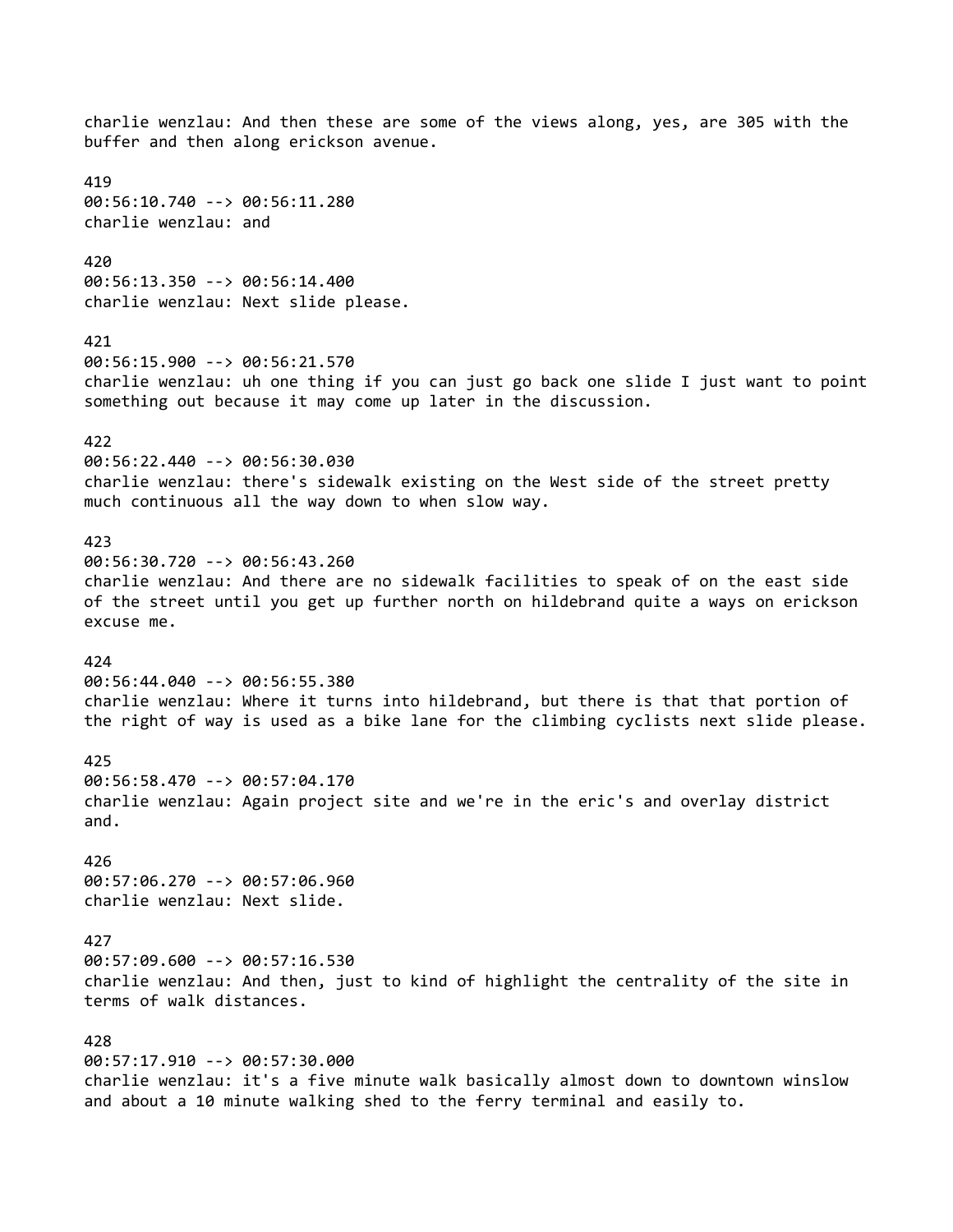charlie wenzlau: And then these are some of the views along, yes, are 305 with the buffer and then along erickson avenue. 419 00:56:10.740 --> 00:56:11.280 charlie wenzlau: and 420 00:56:13.350 --> 00:56:14.400 charlie wenzlau: Next slide please. 421 00:56:15.900 --> 00:56:21.570 charlie wenzlau: uh one thing if you can just go back one slide I just want to point something out because it may come up later in the discussion. 422 00:56:22.440 --> 00:56:30.030 charlie wenzlau: there's sidewalk existing on the West side of the street pretty much continuous all the way down to when slow way. 423 00:56:30.720 --> 00:56:43.260 charlie wenzlau: And there are no sidewalk facilities to speak of on the east side of the street until you get up further north on hildebrand quite a ways on erickson excuse me. 424 00:56:44.040 --> 00:56:55.380 charlie wenzlau: Where it turns into hildebrand, but there is that that portion of the right of way is used as a bike lane for the climbing cyclists next slide please. 425 00:56:58.470 --> 00:57:04.170 charlie wenzlau: Again project site and we're in the eric's and overlay district and. 426 00:57:06.270 --> 00:57:06.960 charlie wenzlau: Next slide. 427 00:57:09.600 --> 00:57:16.530 charlie wenzlau: And then, just to kind of highlight the centrality of the site in terms of walk distances. 428 00:57:17.910 --> 00:57:30.000 charlie wenzlau: it's a five minute walk basically almost down to downtown winslow and about a 10 minute walking shed to the ferry terminal and easily to.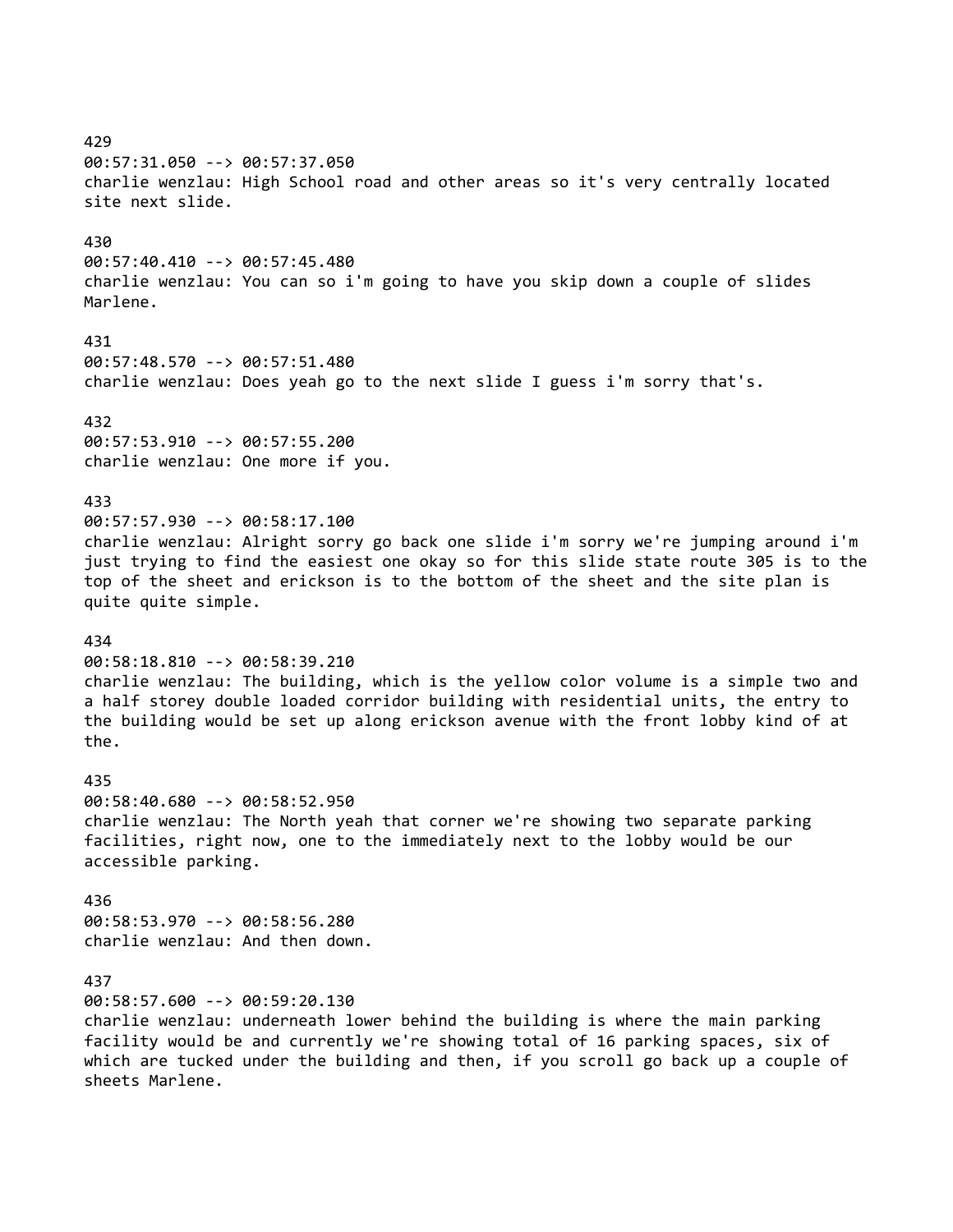429 00:57:31.050 --> 00:57:37.050 charlie wenzlau: High School road and other areas so it's very centrally located site next slide. 430 00:57:40.410 --> 00:57:45.480 charlie wenzlau: You can so i'm going to have you skip down a couple of slides Marlene. 431 00:57:48.570 --> 00:57:51.480 charlie wenzlau: Does yeah go to the next slide I guess i'm sorry that's. 432 00:57:53.910 --> 00:57:55.200 charlie wenzlau: One more if you. 433 00:57:57.930 --> 00:58:17.100 charlie wenzlau: Alright sorry go back one slide i'm sorry we're jumping around i'm just trying to find the easiest one okay so for this slide state route 305 is to the top of the sheet and erickson is to the bottom of the sheet and the site plan is quite quite simple. 434 00:58:18.810 --> 00:58:39.210 charlie wenzlau: The building, which is the yellow color volume is a simple two and a half storey double loaded corridor building with residential units, the entry to the building would be set up along erickson avenue with the front lobby kind of at the. 435 00:58:40.680 --> 00:58:52.950 charlie wenzlau: The North yeah that corner we're showing two separate parking facilities, right now, one to the immediately next to the lobby would be our accessible parking. 436 00:58:53.970 --> 00:58:56.280 charlie wenzlau: And then down. 437 00:58:57.600 --> 00:59:20.130 charlie wenzlau: underneath lower behind the building is where the main parking facility would be and currently we're showing total of 16 parking spaces, six of which are tucked under the building and then, if you scroll go back up a couple of sheets Marlene.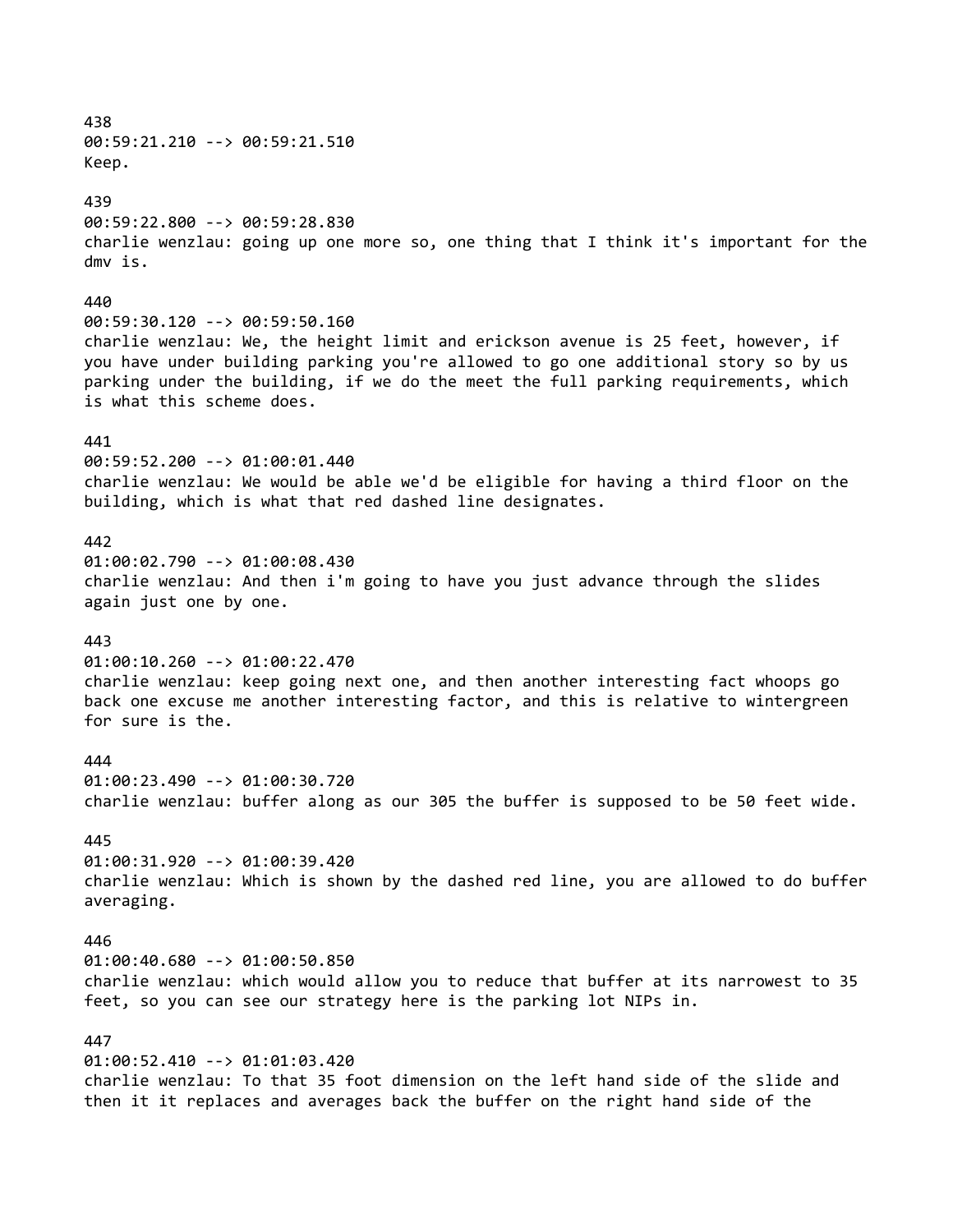438 00:59:21.210 --> 00:59:21.510 Keep. 439 00:59:22.800 --> 00:59:28.830 charlie wenzlau: going up one more so, one thing that I think it's important for the dmv is. 440 00:59:30.120 --> 00:59:50.160 charlie wenzlau: We, the height limit and erickson avenue is 25 feet, however, if you have under building parking you're allowed to go one additional story so by us parking under the building, if we do the meet the full parking requirements, which is what this scheme does. 441 00:59:52.200 --> 01:00:01.440 charlie wenzlau: We would be able we'd be eligible for having a third floor on the building, which is what that red dashed line designates. 442 01:00:02.790 --> 01:00:08.430 charlie wenzlau: And then i'm going to have you just advance through the slides again just one by one. 443 01:00:10.260 --> 01:00:22.470 charlie wenzlau: keep going next one, and then another interesting fact whoops go back one excuse me another interesting factor, and this is relative to wintergreen for sure is the. 444 01:00:23.490 --> 01:00:30.720 charlie wenzlau: buffer along as our 305 the buffer is supposed to be 50 feet wide. 445 01:00:31.920 --> 01:00:39.420 charlie wenzlau: Which is shown by the dashed red line, you are allowed to do buffer averaging. 446 01:00:40.680 --> 01:00:50.850 charlie wenzlau: which would allow you to reduce that buffer at its narrowest to 35 feet, so you can see our strategy here is the parking lot NIPs in. 447 01:00:52.410 --> 01:01:03.420 charlie wenzlau: To that 35 foot dimension on the left hand side of the slide and then it it replaces and averages back the buffer on the right hand side of the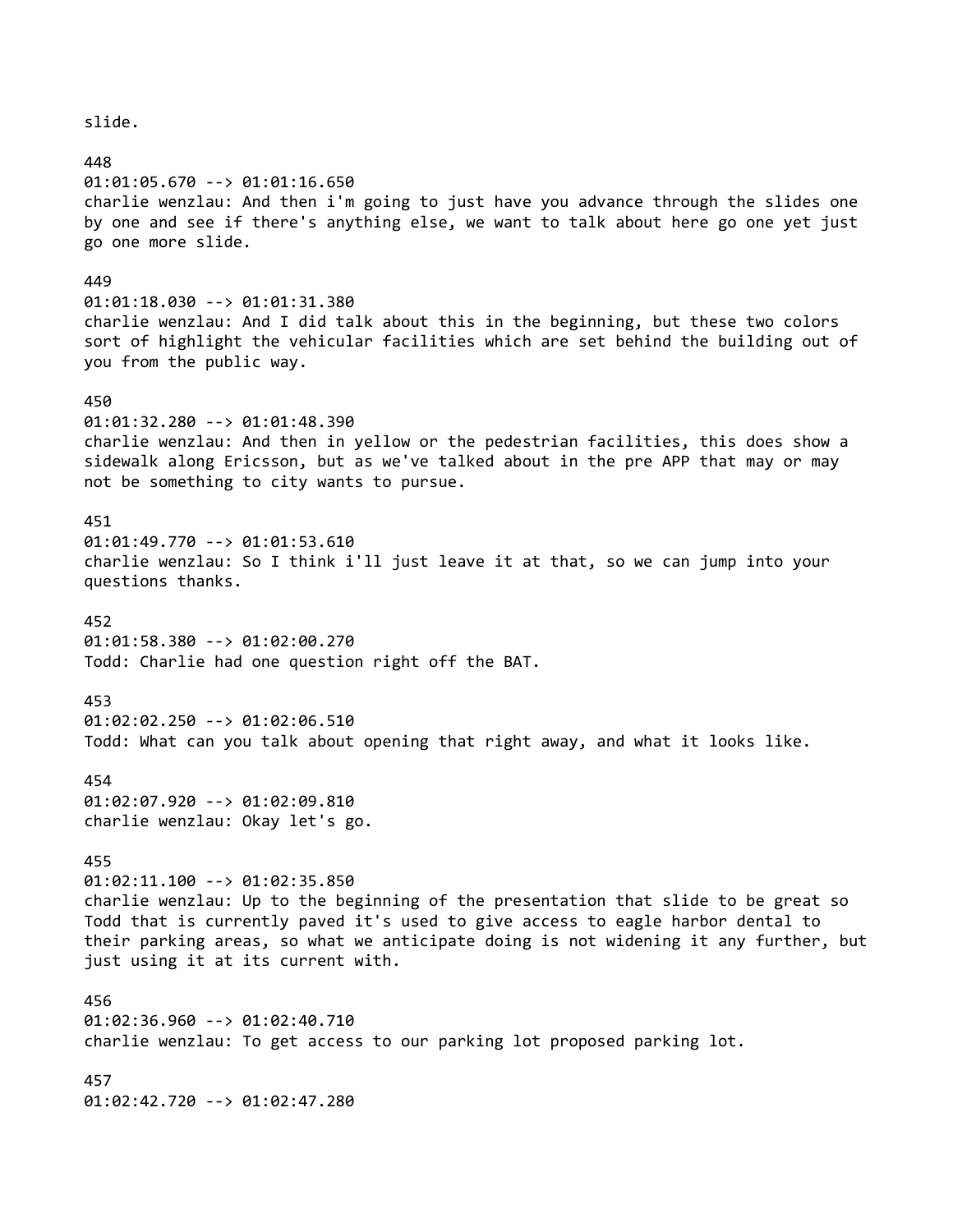448 01:01:05.670 --> 01:01:16.650 charlie wenzlau: And then i'm going to just have you advance through the slides one by one and see if there's anything else, we want to talk about here go one yet just go one more slide. 449 01:01:18.030 --> 01:01:31.380 charlie wenzlau: And I did talk about this in the beginning, but these two colors sort of highlight the vehicular facilities which are set behind the building out of you from the public way. 450 01:01:32.280 --> 01:01:48.390 charlie wenzlau: And then in yellow or the pedestrian facilities, this does show a sidewalk along Ericsson, but as we've talked about in the pre APP that may or may not be something to city wants to pursue. 451 01:01:49.770 --> 01:01:53.610 charlie wenzlau: So I think i'll just leave it at that, so we can jump into your questions thanks. 452 01:01:58.380 --> 01:02:00.270 Todd: Charlie had one question right off the BAT. 453 01:02:02.250 --> 01:02:06.510 Todd: What can you talk about opening that right away, and what it looks like. 454 01:02:07.920 --> 01:02:09.810 charlie wenzlau: Okay let's go. 455 01:02:11.100 --> 01:02:35.850 charlie wenzlau: Up to the beginning of the presentation that slide to be great so Todd that is currently paved it's used to give access to eagle harbor dental to their parking areas, so what we anticipate doing is not widening it any further, but just using it at its current with. 456 01:02:36.960 --> 01:02:40.710 charlie wenzlau: To get access to our parking lot proposed parking lot. 457 01:02:42.720 --> 01:02:47.280

slide.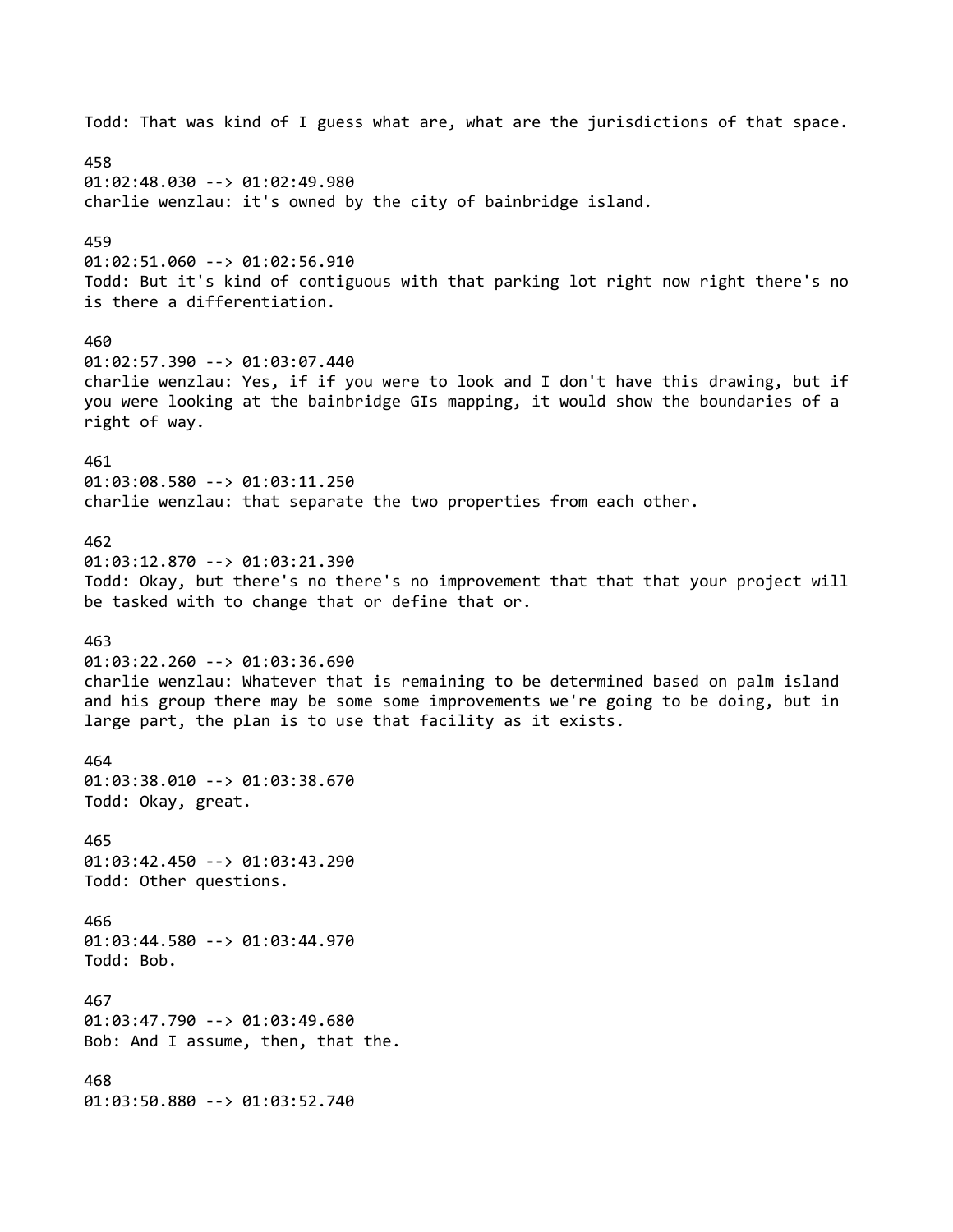Todd: That was kind of I guess what are, what are the jurisdictions of that space. 458 01:02:48.030 --> 01:02:49.980 charlie wenzlau: it's owned by the city of bainbridge island. 459 01:02:51.060 --> 01:02:56.910 Todd: But it's kind of contiguous with that parking lot right now right there's no is there a differentiation. 460 01:02:57.390 --> 01:03:07.440 charlie wenzlau: Yes, if if you were to look and I don't have this drawing, but if you were looking at the bainbridge GIs mapping, it would show the boundaries of a right of way. 461 01:03:08.580 --> 01:03:11.250 charlie wenzlau: that separate the two properties from each other. 462 01:03:12.870 --> 01:03:21.390 Todd: Okay, but there's no there's no improvement that that that your project will be tasked with to change that or define that or. 463 01:03:22.260 --> 01:03:36.690 charlie wenzlau: Whatever that is remaining to be determined based on palm island and his group there may be some some improvements we're going to be doing, but in large part, the plan is to use that facility as it exists. 464 01:03:38.010 --> 01:03:38.670 Todd: Okay, great. 465 01:03:42.450 --> 01:03:43.290 Todd: Other questions. 466 01:03:44.580 --> 01:03:44.970 Todd: Bob. 467 01:03:47.790 --> 01:03:49.680 Bob: And I assume, then, that the. 468 01:03:50.880 --> 01:03:52.740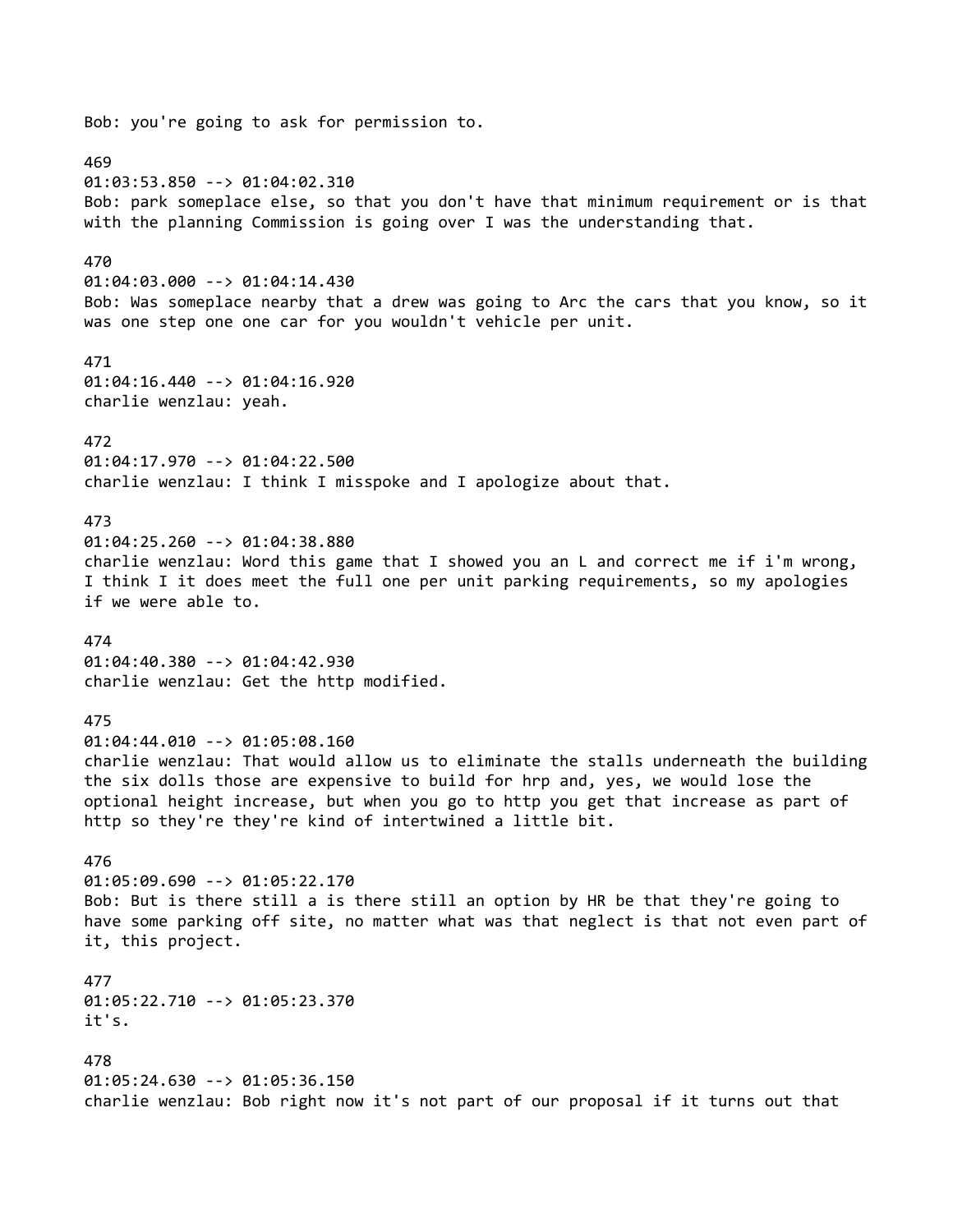Bob: you're going to ask for permission to. 469 01:03:53.850 --> 01:04:02.310 Bob: park someplace else, so that you don't have that minimum requirement or is that with the planning Commission is going over I was the understanding that. 470 01:04:03.000 --> 01:04:14.430 Bob: Was someplace nearby that a drew was going to Arc the cars that you know, so it was one step one one car for you wouldn't vehicle per unit. 471 01:04:16.440 --> 01:04:16.920 charlie wenzlau: yeah. 472 01:04:17.970 --> 01:04:22.500 charlie wenzlau: I think I misspoke and I apologize about that. 473 01:04:25.260 --> 01:04:38.880 charlie wenzlau: Word this game that I showed you an L and correct me if i'm wrong, I think I it does meet the full one per unit parking requirements, so my apologies if we were able to. 474 01:04:40.380 --> 01:04:42.930 charlie wenzlau: Get the http modified. 475 01:04:44.010 --> 01:05:08.160 charlie wenzlau: That would allow us to eliminate the stalls underneath the building the six dolls those are expensive to build for hrp and, yes, we would lose the optional height increase, but when you go to http you get that increase as part of http so they're they're kind of intertwined a little bit. 476 01:05:09.690 --> 01:05:22.170 Bob: But is there still a is there still an option by HR be that they're going to have some parking off site, no matter what was that neglect is that not even part of it, this project. 477 01:05:22.710 --> 01:05:23.370 it's. 478 01:05:24.630 --> 01:05:36.150 charlie wenzlau: Bob right now it's not part of our proposal if it turns out that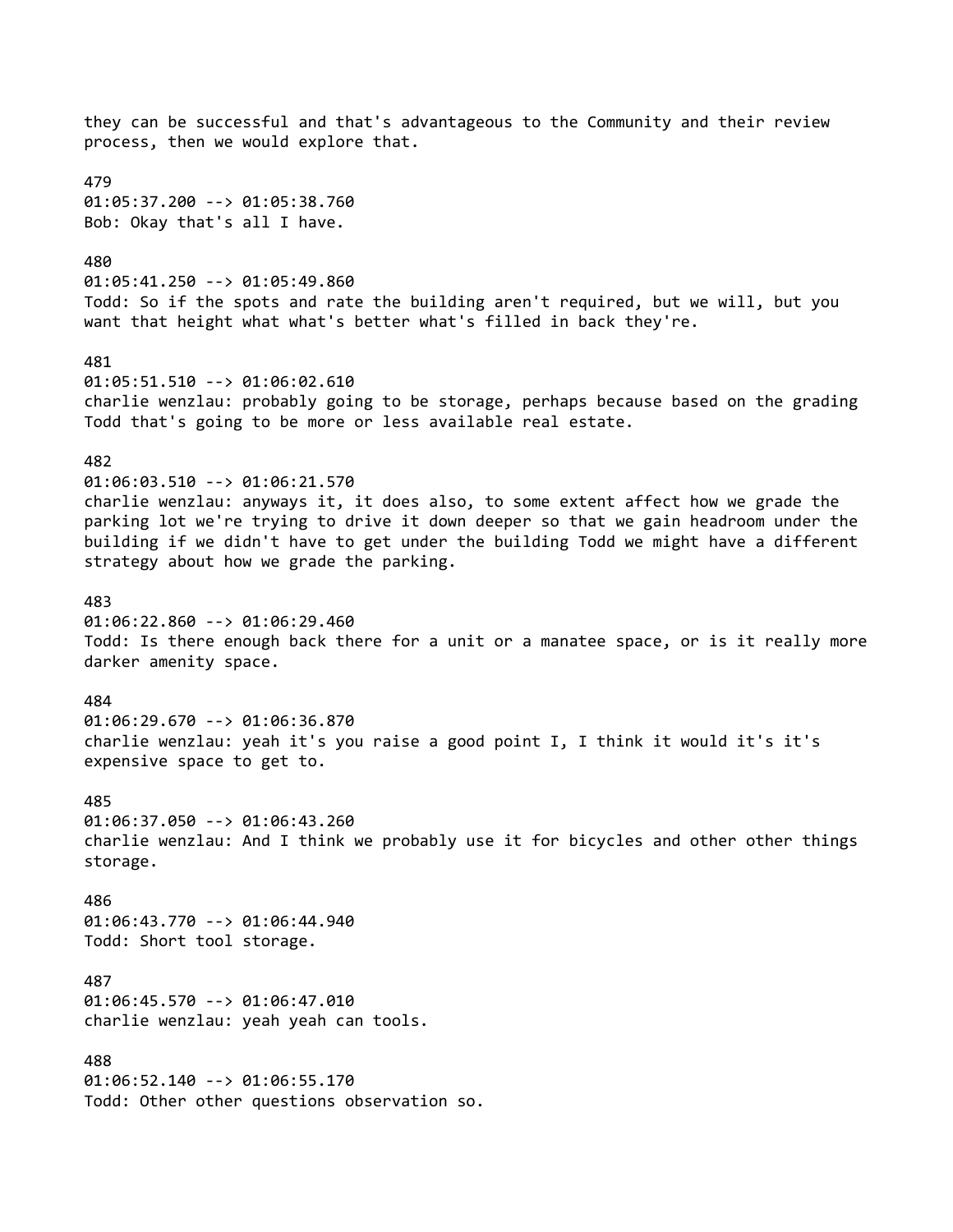they can be successful and that's advantageous to the Community and their review process, then we would explore that. 479 01:05:37.200 --> 01:05:38.760 Bob: Okay that's all I have. 480 01:05:41.250 --> 01:05:49.860 Todd: So if the spots and rate the building aren't required, but we will, but you want that height what what's better what's filled in back they're. 481 01:05:51.510 --> 01:06:02.610 charlie wenzlau: probably going to be storage, perhaps because based on the grading Todd that's going to be more or less available real estate. 482 01:06:03.510 --> 01:06:21.570 charlie wenzlau: anyways it, it does also, to some extent affect how we grade the parking lot we're trying to drive it down deeper so that we gain headroom under the building if we didn't have to get under the building Todd we might have a different strategy about how we grade the parking. 483 01:06:22.860 --> 01:06:29.460 Todd: Is there enough back there for a unit or a manatee space, or is it really more darker amenity space. 484 01:06:29.670 --> 01:06:36.870 charlie wenzlau: yeah it's you raise a good point I, I think it would it's it's expensive space to get to. 485 01:06:37.050 --> 01:06:43.260 charlie wenzlau: And I think we probably use it for bicycles and other other things storage. 486 01:06:43.770 --> 01:06:44.940 Todd: Short tool storage. 487 01:06:45.570 --> 01:06:47.010 charlie wenzlau: yeah yeah can tools. 488 01:06:52.140 --> 01:06:55.170 Todd: Other other questions observation so.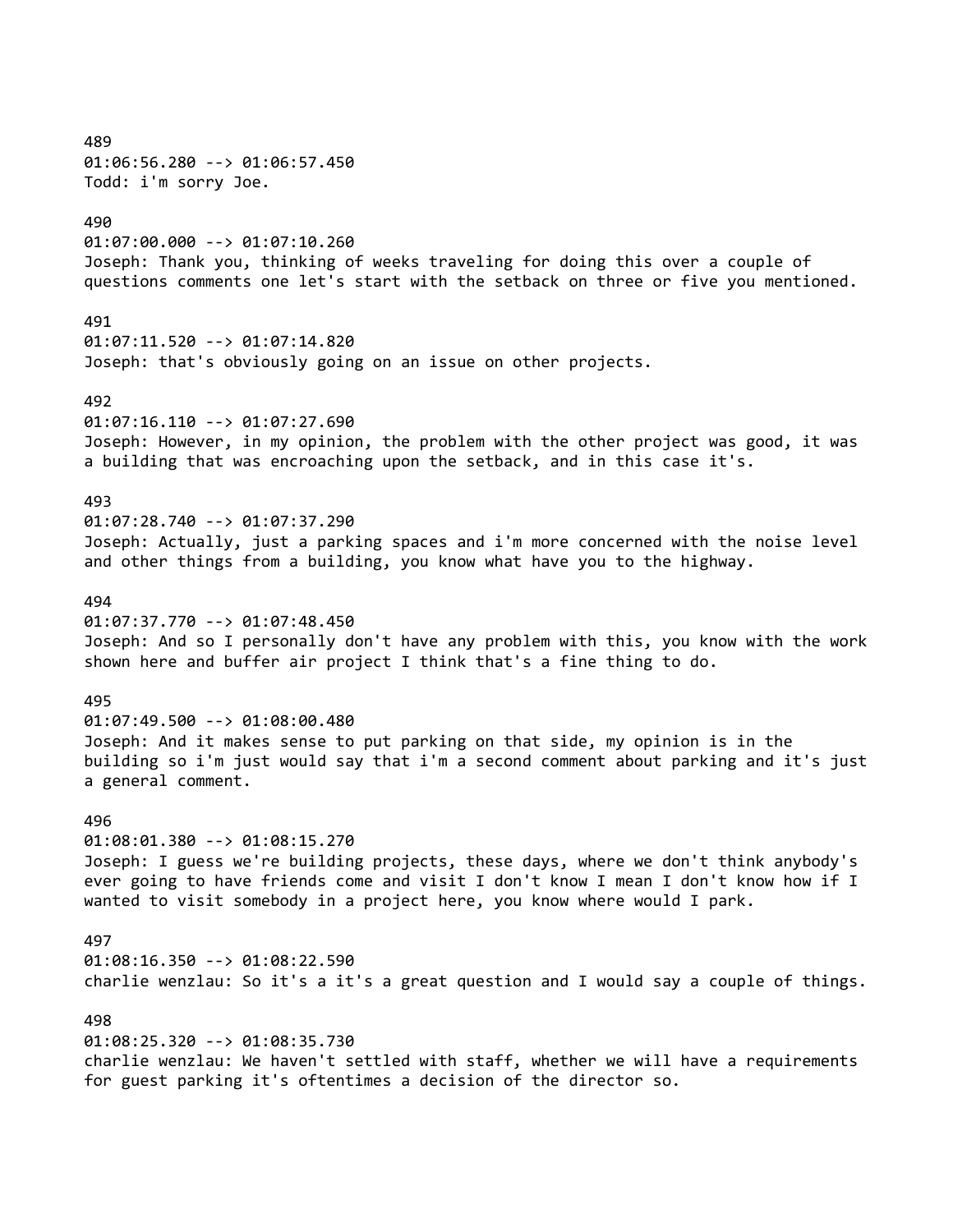489 01:06:56.280 --> 01:06:57.450 Todd: i'm sorry Joe. 490 01:07:00.000 --> 01:07:10.260 Joseph: Thank you, thinking of weeks traveling for doing this over a couple of questions comments one let's start with the setback on three or five you mentioned. 491 01:07:11.520 --> 01:07:14.820 Joseph: that's obviously going on an issue on other projects. 492 01:07:16.110 --> 01:07:27.690 Joseph: However, in my opinion, the problem with the other project was good, it was a building that was encroaching upon the setback, and in this case it's. 493 01:07:28.740 --> 01:07:37.290 Joseph: Actually, just a parking spaces and i'm more concerned with the noise level and other things from a building, you know what have you to the highway. 494 01:07:37.770 --> 01:07:48.450 Joseph: And so I personally don't have any problem with this, you know with the work shown here and buffer air project I think that's a fine thing to do. 495 01:07:49.500 --> 01:08:00.480 Joseph: And it makes sense to put parking on that side, my opinion is in the building so i'm just would say that i'm a second comment about parking and it's just a general comment. 496 01:08:01.380 --> 01:08:15.270 Joseph: I guess we're building projects, these days, where we don't think anybody's ever going to have friends come and visit I don't know I mean I don't know how if I wanted to visit somebody in a project here, you know where would I park. 497 01:08:16.350 --> 01:08:22.590 charlie wenzlau: So it's a it's a great question and I would say a couple of things. 498 01:08:25.320 --> 01:08:35.730

charlie wenzlau: We haven't settled with staff, whether we will have a requirements for guest parking it's oftentimes a decision of the director so.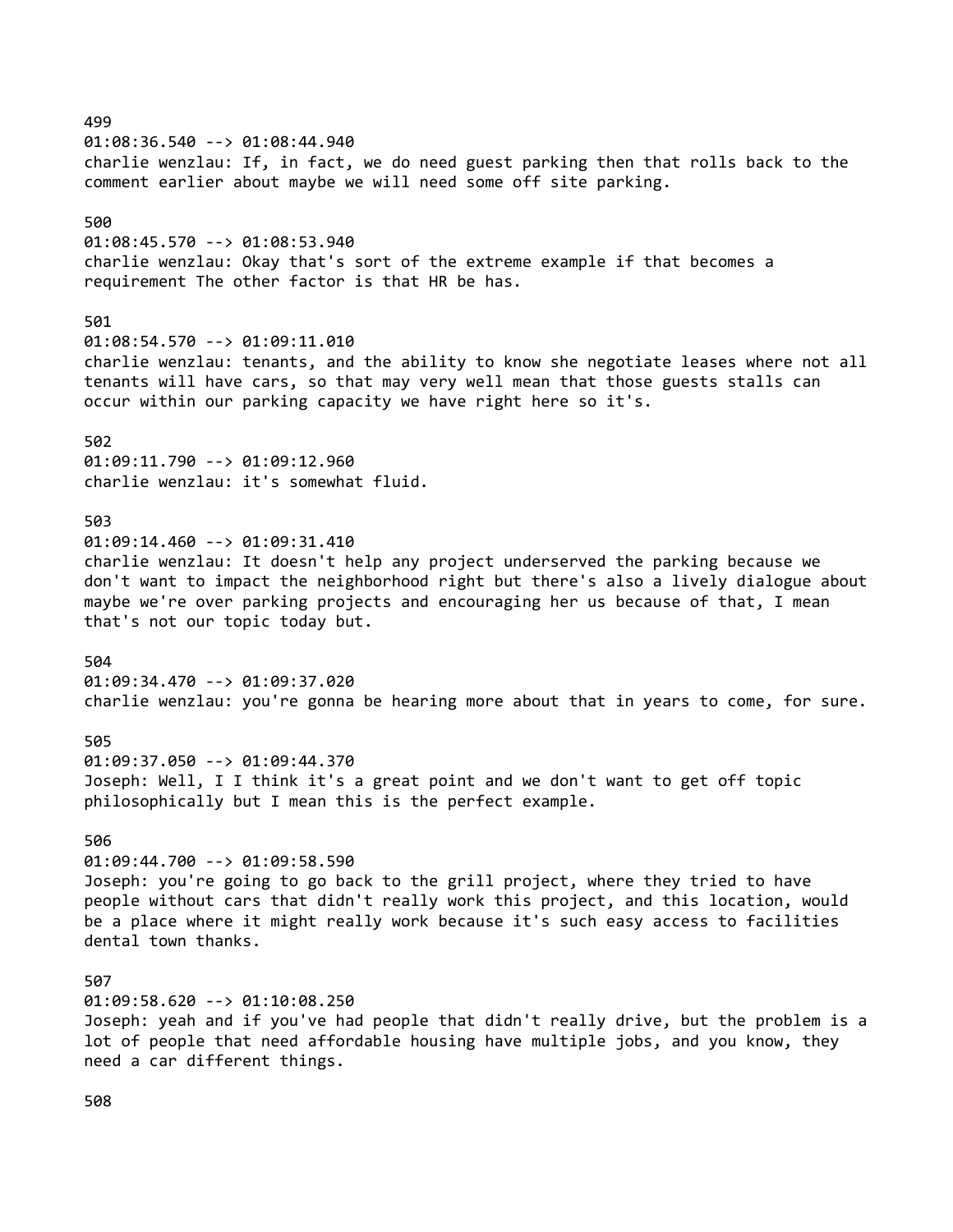499 01:08:36.540 --> 01:08:44.940 charlie wenzlau: If, in fact, we do need guest parking then that rolls back to the comment earlier about maybe we will need some off site parking. 500 01:08:45.570 --> 01:08:53.940 charlie wenzlau: Okay that's sort of the extreme example if that becomes a requirement The other factor is that HR be has. 501 01:08:54.570 --> 01:09:11.010 charlie wenzlau: tenants, and the ability to know she negotiate leases where not all tenants will have cars, so that may very well mean that those guests stalls can occur within our parking capacity we have right here so it's. 502 01:09:11.790 --> 01:09:12.960 charlie wenzlau: it's somewhat fluid. 503 01:09:14.460 --> 01:09:31.410 charlie wenzlau: It doesn't help any project underserved the parking because we don't want to impact the neighborhood right but there's also a lively dialogue about maybe we're over parking projects and encouraging her us because of that, I mean that's not our topic today but. 504 01:09:34.470 --> 01:09:37.020 charlie wenzlau: you're gonna be hearing more about that in years to come, for sure. 505 01:09:37.050 --> 01:09:44.370 Joseph: Well, I I think it's a great point and we don't want to get off topic philosophically but I mean this is the perfect example. 506 01:09:44.700 --> 01:09:58.590 Joseph: you're going to go back to the grill project, where they tried to have people without cars that didn't really work this project, and this location, would be a place where it might really work because it's such easy access to facilities dental town thanks. 507 01:09:58.620 --> 01:10:08.250 Joseph: yeah and if you've had people that didn't really drive, but the problem is a lot of people that need affordable housing have multiple jobs, and you know, they need a car different things.

508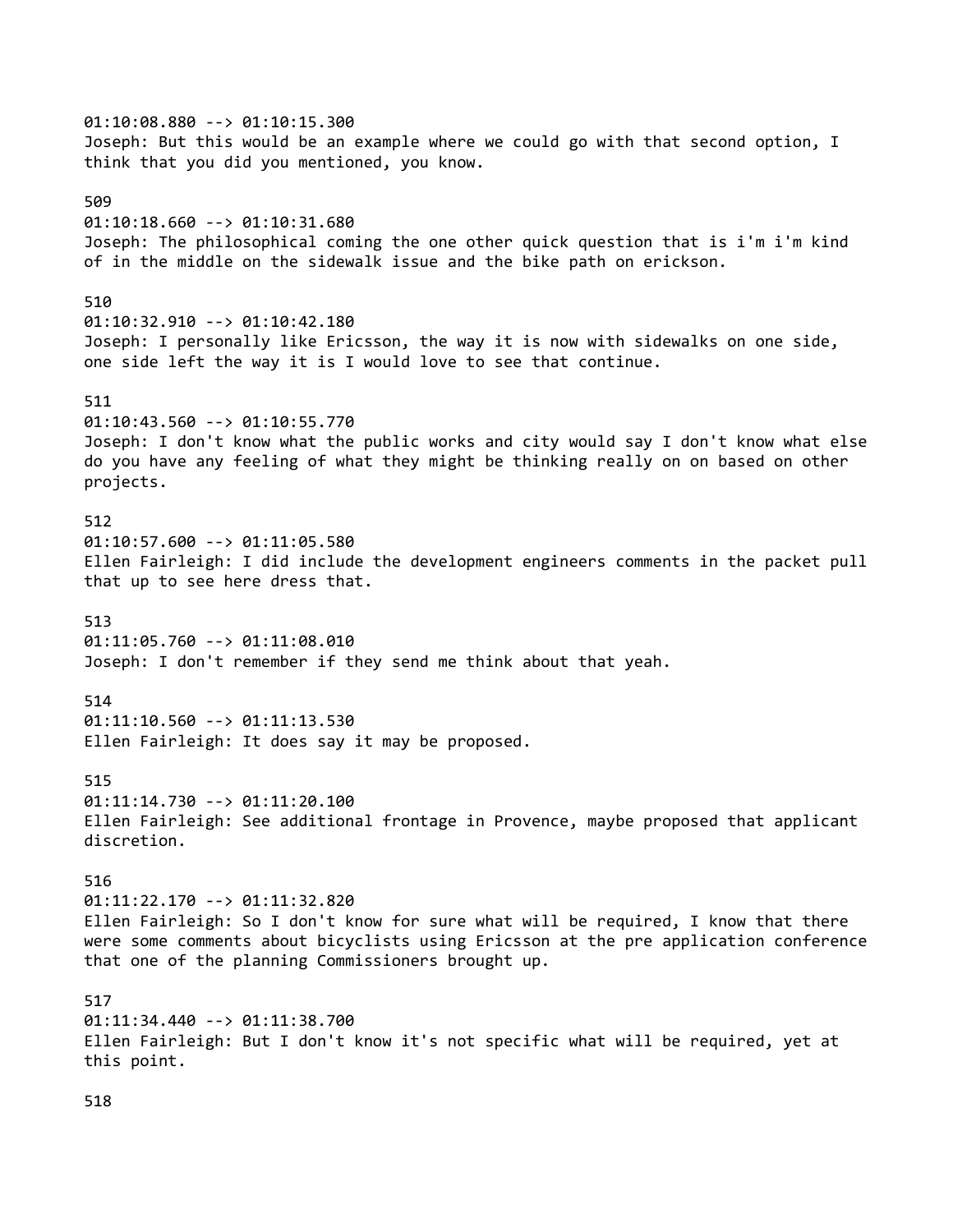01:10:08.880 --> 01:10:15.300 Joseph: But this would be an example where we could go with that second option, I think that you did you mentioned, you know. 509 01:10:18.660 --> 01:10:31.680 Joseph: The philosophical coming the one other quick question that is i'm i'm kind of in the middle on the sidewalk issue and the bike path on erickson. 510 01:10:32.910 --> 01:10:42.180 Joseph: I personally like Ericsson, the way it is now with sidewalks on one side, one side left the way it is I would love to see that continue. 511 01:10:43.560 --> 01:10:55.770 Joseph: I don't know what the public works and city would say I don't know what else do you have any feeling of what they might be thinking really on on based on other projects. 512 01:10:57.600 --> 01:11:05.580 Ellen Fairleigh: I did include the development engineers comments in the packet pull that up to see here dress that. 513 01:11:05.760 --> 01:11:08.010 Joseph: I don't remember if they send me think about that yeah. 514 01:11:10.560 --> 01:11:13.530 Ellen Fairleigh: It does say it may be proposed. 515 01:11:14.730 --> 01:11:20.100 Ellen Fairleigh: See additional frontage in Provence, maybe proposed that applicant discretion. 516 01:11:22.170 --> 01:11:32.820 Ellen Fairleigh: So I don't know for sure what will be required, I know that there were some comments about bicyclists using Ericsson at the pre application conference that one of the planning Commissioners brought up. 517 01:11:34.440 --> 01:11:38.700 Ellen Fairleigh: But I don't know it's not specific what will be required, yet at this point. 518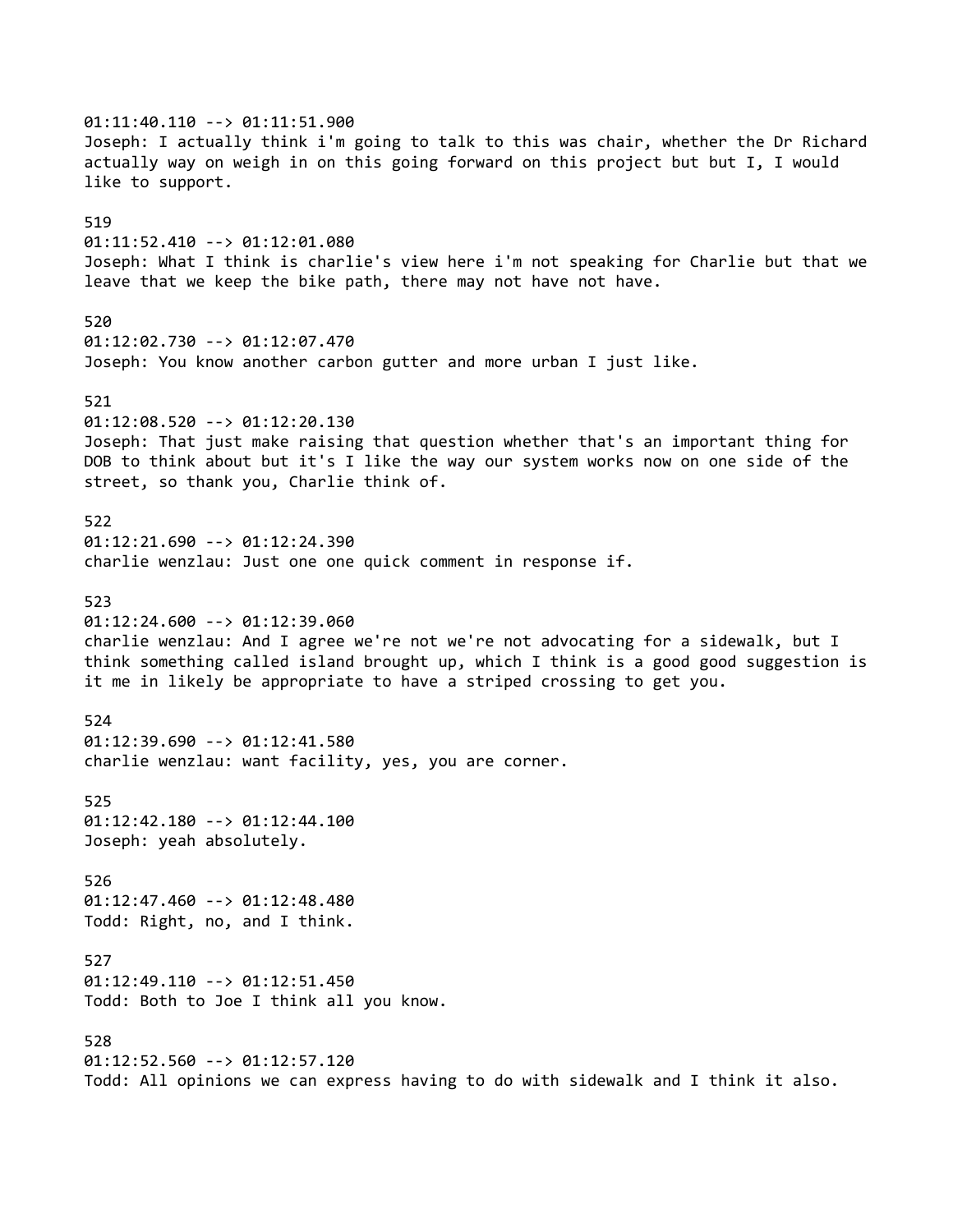01:11:40.110 --> 01:11:51.900 Joseph: I actually think i'm going to talk to this was chair, whether the Dr Richard actually way on weigh in on this going forward on this project but but I, I would like to support. 519 01:11:52.410 --> 01:12:01.080 Joseph: What I think is charlie's view here i'm not speaking for Charlie but that we leave that we keep the bike path, there may not have not have. 520 01:12:02.730 --> 01:12:07.470 Joseph: You know another carbon gutter and more urban I just like. 521 01:12:08.520 --> 01:12:20.130 Joseph: That just make raising that question whether that's an important thing for DOB to think about but it's I like the way our system works now on one side of the street, so thank you, Charlie think of. 522 01:12:21.690 --> 01:12:24.390 charlie wenzlau: Just one one quick comment in response if. 523 01:12:24.600 --> 01:12:39.060 charlie wenzlau: And I agree we're not we're not advocating for a sidewalk, but I think something called island brought up, which I think is a good good suggestion is it me in likely be appropriate to have a striped crossing to get you. 524 01:12:39.690 --> 01:12:41.580 charlie wenzlau: want facility, yes, you are corner. 525 01:12:42.180 --> 01:12:44.100 Joseph: yeah absolutely. 526 01:12:47.460 --> 01:12:48.480 Todd: Right, no, and I think. 527 01:12:49.110 --> 01:12:51.450 Todd: Both to Joe I think all you know. 528 01:12:52.560 --> 01:12:57.120 Todd: All opinions we can express having to do with sidewalk and I think it also.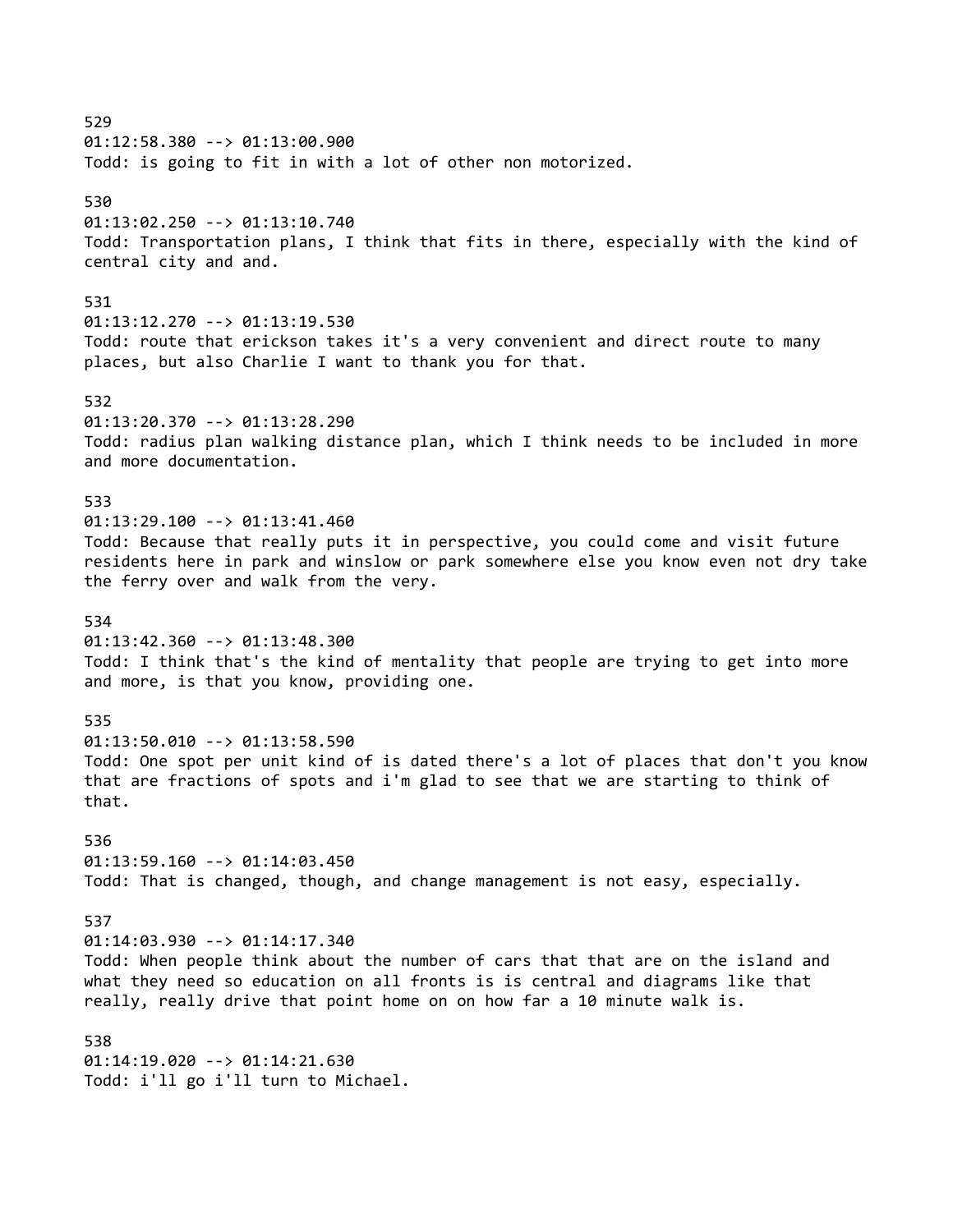529 01:12:58.380 --> 01:13:00.900 Todd: is going to fit in with a lot of other non motorized. 530 01:13:02.250 --> 01:13:10.740 Todd: Transportation plans, I think that fits in there, especially with the kind of central city and and. 531 01:13:12.270 --> 01:13:19.530 Todd: route that erickson takes it's a very convenient and direct route to many places, but also Charlie I want to thank you for that. 532 01:13:20.370 --> 01:13:28.290 Todd: radius plan walking distance plan, which I think needs to be included in more and more documentation. 533 01:13:29.100 --> 01:13:41.460 Todd: Because that really puts it in perspective, you could come and visit future residents here in park and winslow or park somewhere else you know even not dry take the ferry over and walk from the very. 534 01:13:42.360 --> 01:13:48.300 Todd: I think that's the kind of mentality that people are trying to get into more and more, is that you know, providing one. 535 01:13:50.010 --> 01:13:58.590 Todd: One spot per unit kind of is dated there's a lot of places that don't you know that are fractions of spots and i'm glad to see that we are starting to think of that. 536 01:13:59.160 --> 01:14:03.450 Todd: That is changed, though, and change management is not easy, especially. 537 01:14:03.930 --> 01:14:17.340 Todd: When people think about the number of cars that that are on the island and what they need so education on all fronts is is central and diagrams like that really, really drive that point home on on how far a 10 minute walk is. 538 01:14:19.020 --> 01:14:21.630 Todd: i'll go i'll turn to Michael.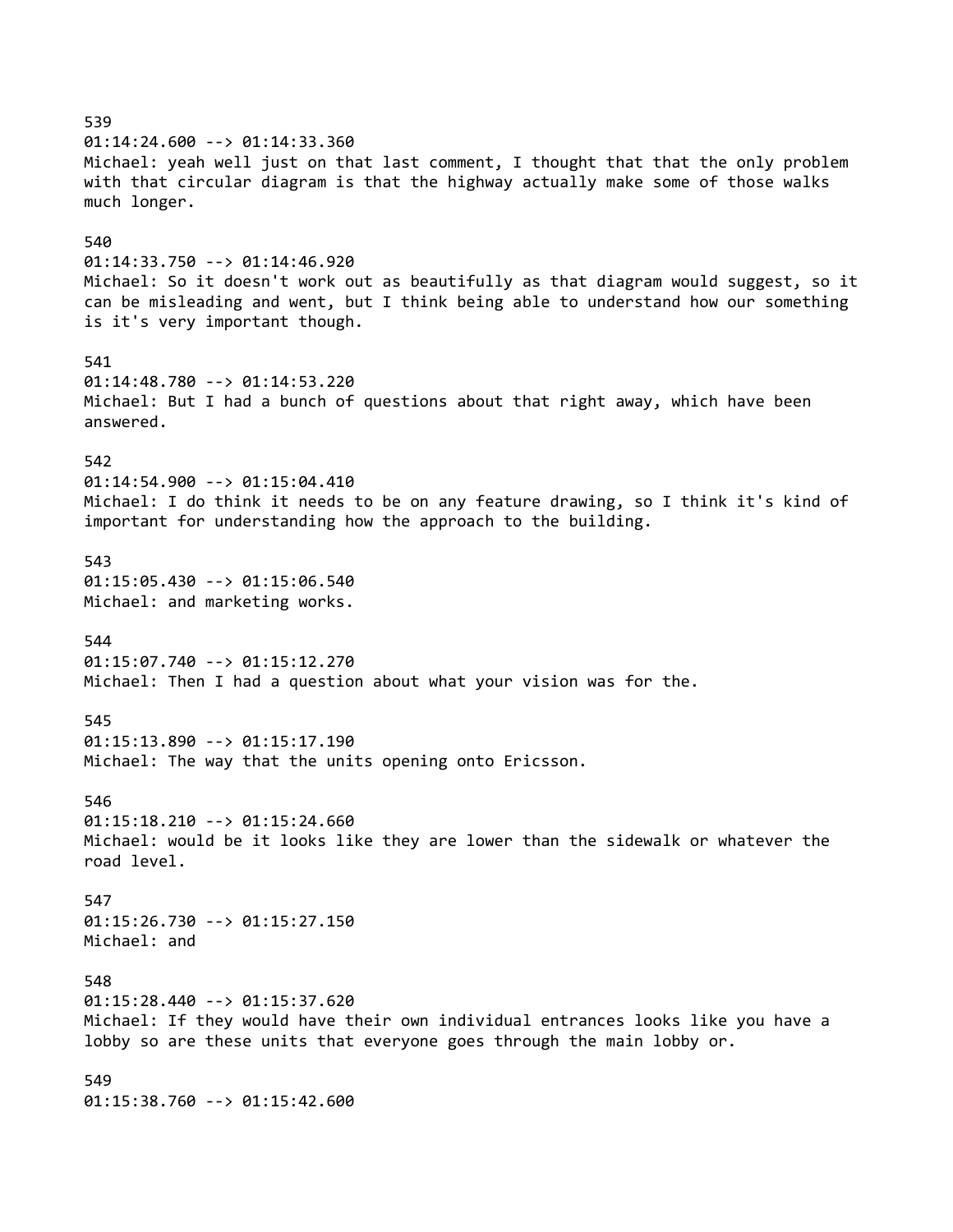539 01:14:24.600 --> 01:14:33.360 Michael: yeah well just on that last comment, I thought that that the only problem with that circular diagram is that the highway actually make some of those walks much longer. 540 01:14:33.750 --> 01:14:46.920 Michael: So it doesn't work out as beautifully as that diagram would suggest, so it can be misleading and went, but I think being able to understand how our something is it's very important though. 541 01:14:48.780 --> 01:14:53.220 Michael: But I had a bunch of questions about that right away, which have been answered. 542 01:14:54.900 --> 01:15:04.410 Michael: I do think it needs to be on any feature drawing, so I think it's kind of important for understanding how the approach to the building. 543 01:15:05.430 --> 01:15:06.540 Michael: and marketing works. 544 01:15:07.740 --> 01:15:12.270 Michael: Then I had a question about what your vision was for the. 545 01:15:13.890 --> 01:15:17.190 Michael: The way that the units opening onto Ericsson. 546 01:15:18.210 --> 01:15:24.660 Michael: would be it looks like they are lower than the sidewalk or whatever the road level. 547 01:15:26.730 --> 01:15:27.150 Michael: and 548 01:15:28.440 --> 01:15:37.620 Michael: If they would have their own individual entrances looks like you have a lobby so are these units that everyone goes through the main lobby or. 549 01:15:38.760 --> 01:15:42.600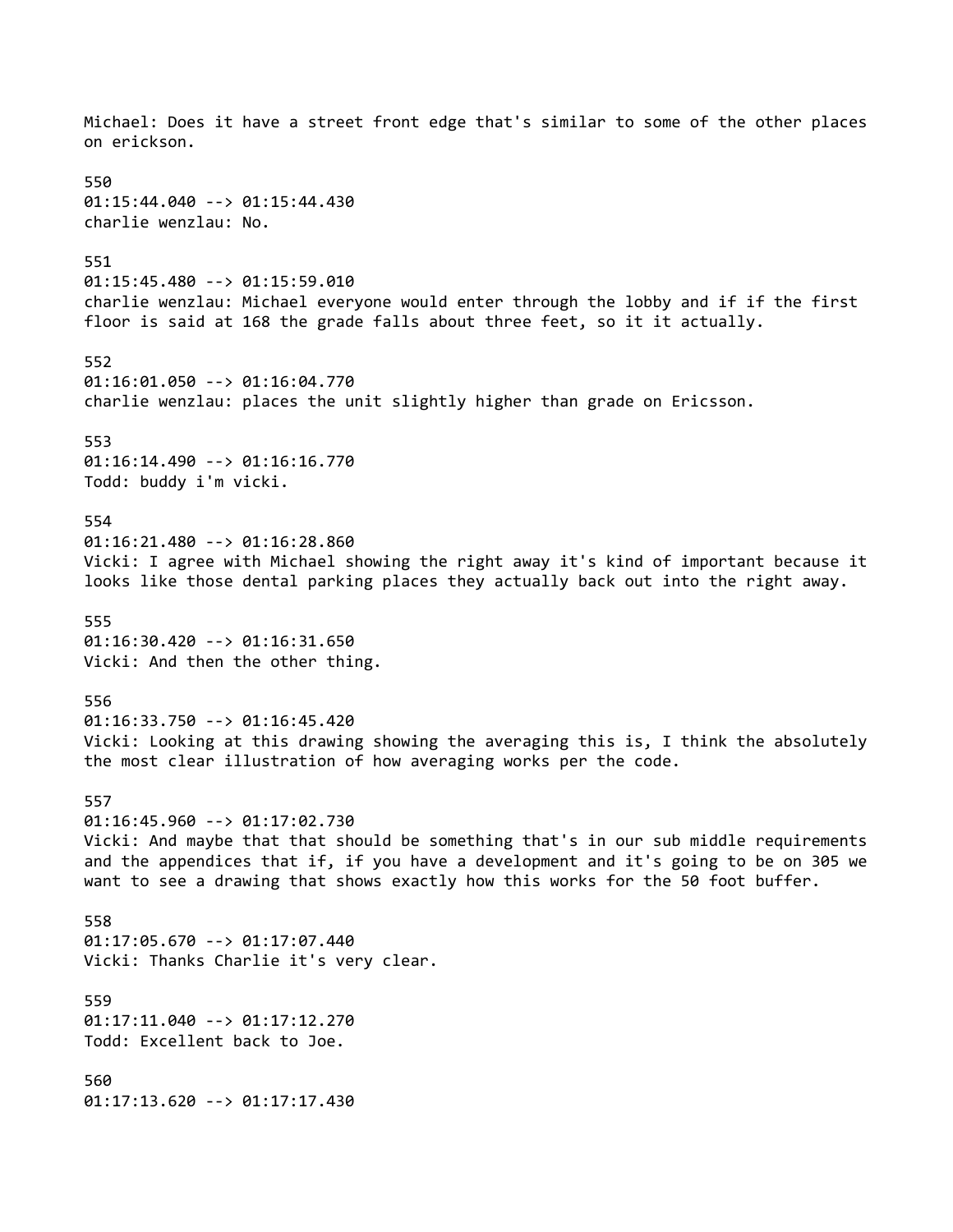Michael: Does it have a street front edge that's similar to some of the other places on erickson. 550 01:15:44.040 --> 01:15:44.430 charlie wenzlau: No. 551 01:15:45.480 --> 01:15:59.010 charlie wenzlau: Michael everyone would enter through the lobby and if if the first floor is said at 168 the grade falls about three feet, so it it actually. 552 01:16:01.050 --> 01:16:04.770 charlie wenzlau: places the unit slightly higher than grade on Ericsson. 553 01:16:14.490 --> 01:16:16.770 Todd: buddy i'm vicki. 554 01:16:21.480 --> 01:16:28.860 Vicki: I agree with Michael showing the right away it's kind of important because it looks like those dental parking places they actually back out into the right away. 555 01:16:30.420 --> 01:16:31.650 Vicki: And then the other thing. 556 01:16:33.750 --> 01:16:45.420 Vicki: Looking at this drawing showing the averaging this is, I think the absolutely the most clear illustration of how averaging works per the code. 557 01:16:45.960 --> 01:17:02.730 Vicki: And maybe that that should be something that's in our sub middle requirements and the appendices that if, if you have a development and it's going to be on 305 we want to see a drawing that shows exactly how this works for the 50 foot buffer. 558 01:17:05.670 --> 01:17:07.440 Vicki: Thanks Charlie it's very clear. 559 01:17:11.040 --> 01:17:12.270 Todd: Excellent back to Joe. 560 01:17:13.620 --> 01:17:17.430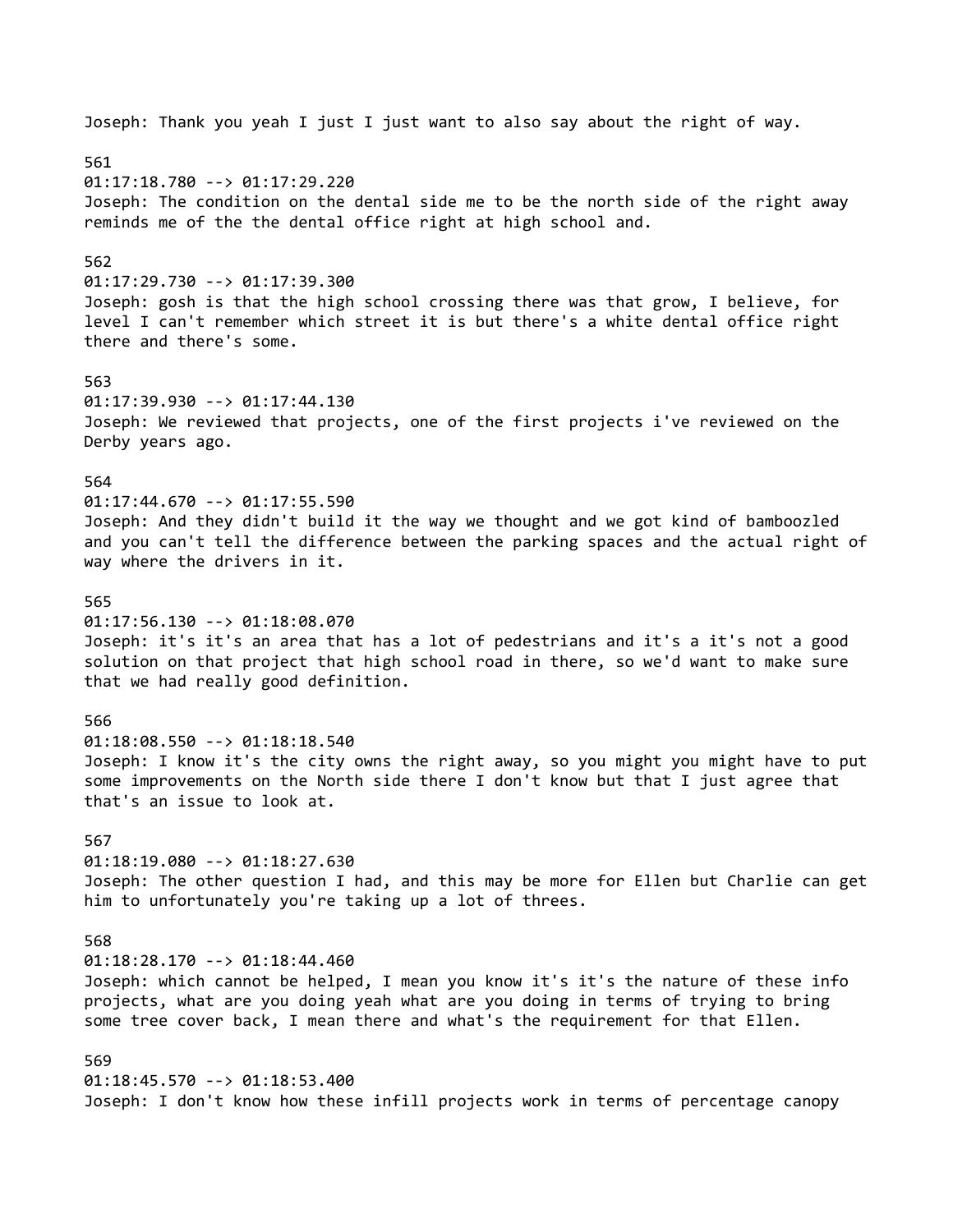Joseph: Thank you yeah I just I just want to also say about the right of way. 561 01:17:18.780 --> 01:17:29.220 Joseph: The condition on the dental side me to be the north side of the right away reminds me of the the dental office right at high school and. 562 01:17:29.730 --> 01:17:39.300 Joseph: gosh is that the high school crossing there was that grow, I believe, for level I can't remember which street it is but there's a white dental office right there and there's some. 563 01:17:39.930 --> 01:17:44.130 Joseph: We reviewed that projects, one of the first projects i've reviewed on the Derby years ago. 564 01:17:44.670 --> 01:17:55.590 Joseph: And they didn't build it the way we thought and we got kind of bamboozled and you can't tell the difference between the parking spaces and the actual right of way where the drivers in it. 565 01:17:56.130 --> 01:18:08.070 Joseph: it's it's an area that has a lot of pedestrians and it's a it's not a good solution on that project that high school road in there, so we'd want to make sure that we had really good definition. 566 01:18:08.550 --> 01:18:18.540 Joseph: I know it's the city owns the right away, so you might you might have to put some improvements on the North side there I don't know but that I just agree that that's an issue to look at. 567 01:18:19.080 --> 01:18:27.630 Joseph: The other question I had, and this may be more for Ellen but Charlie can get him to unfortunately you're taking up a lot of threes. 568 01:18:28.170 --> 01:18:44.460 Joseph: which cannot be helped, I mean you know it's it's the nature of these info projects, what are you doing yeah what are you doing in terms of trying to bring some tree cover back, I mean there and what's the requirement for that Ellen. 569 01:18:45.570 --> 01:18:53.400 Joseph: I don't know how these infill projects work in terms of percentage canopy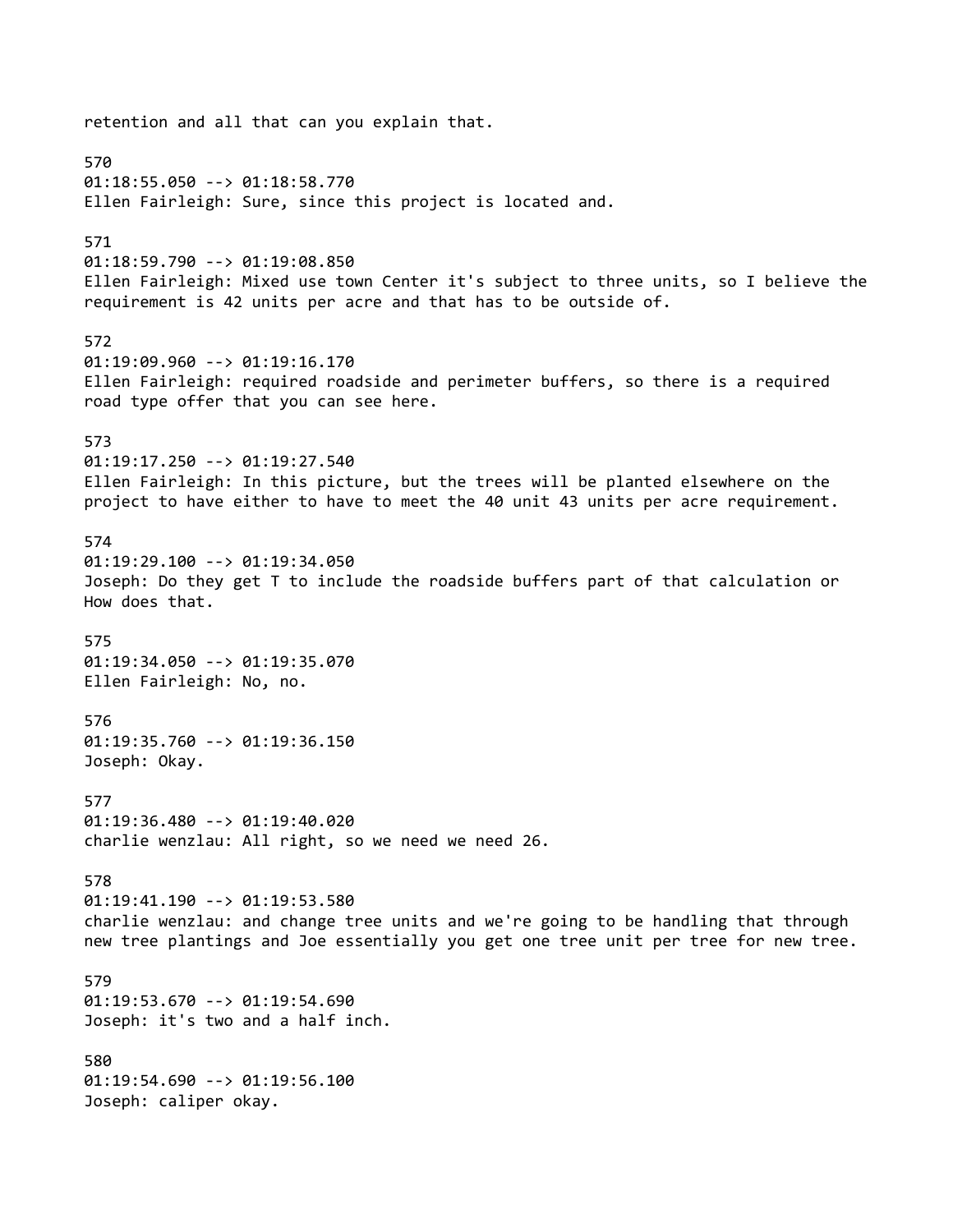retention and all that can you explain that. 570 01:18:55.050 --> 01:18:58.770 Ellen Fairleigh: Sure, since this project is located and. 571 01:18:59.790 --> 01:19:08.850 Ellen Fairleigh: Mixed use town Center it's subject to three units, so I believe the requirement is 42 units per acre and that has to be outside of. 572 01:19:09.960 --> 01:19:16.170 Ellen Fairleigh: required roadside and perimeter buffers, so there is a required road type offer that you can see here. 573 01:19:17.250 --> 01:19:27.540 Ellen Fairleigh: In this picture, but the trees will be planted elsewhere on the project to have either to have to meet the 40 unit 43 units per acre requirement. 574 01:19:29.100 --> 01:19:34.050 Joseph: Do they get T to include the roadside buffers part of that calculation or How does that. 575 01:19:34.050 --> 01:19:35.070 Ellen Fairleigh: No, no. 576 01:19:35.760 --> 01:19:36.150 Joseph: Okay. 577 01:19:36.480 --> 01:19:40.020 charlie wenzlau: All right, so we need we need 26. 578 01:19:41.190 --> 01:19:53.580 charlie wenzlau: and change tree units and we're going to be handling that through new tree plantings and Joe essentially you get one tree unit per tree for new tree. 579 01:19:53.670 --> 01:19:54.690 Joseph: it's two and a half inch. 580 01:19:54.690 --> 01:19:56.100 Joseph: caliper okay.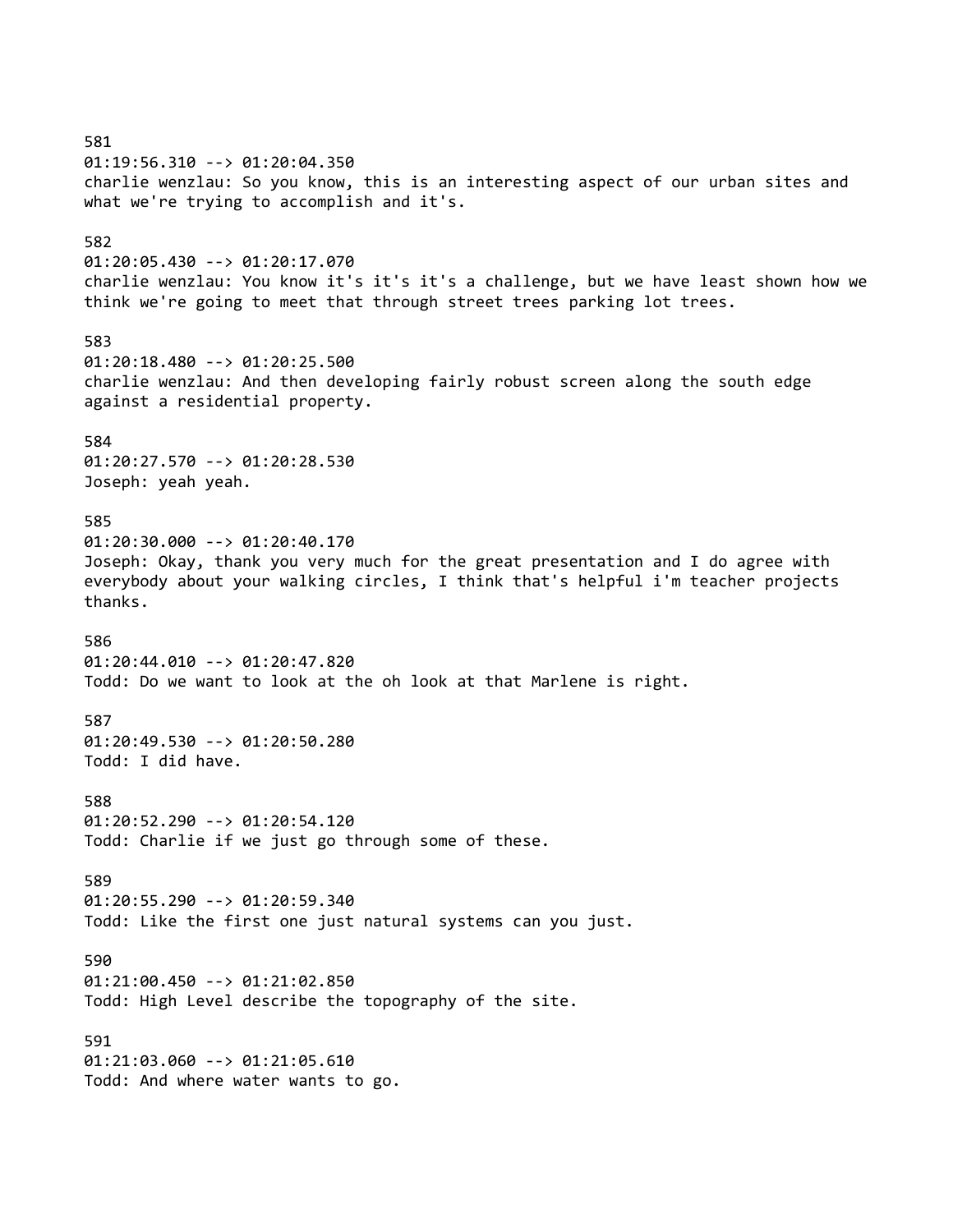581 01:19:56.310 --> 01:20:04.350 charlie wenzlau: So you know, this is an interesting aspect of our urban sites and what we're trying to accomplish and it's. 582 01:20:05.430 --> 01:20:17.070 charlie wenzlau: You know it's it's it's a challenge, but we have least shown how we think we're going to meet that through street trees parking lot trees. 583 01:20:18.480 --> 01:20:25.500 charlie wenzlau: And then developing fairly robust screen along the south edge against a residential property. 584 01:20:27.570 --> 01:20:28.530 Joseph: yeah yeah. 585 01:20:30.000 --> 01:20:40.170 Joseph: Okay, thank you very much for the great presentation and I do agree with everybody about your walking circles, I think that's helpful i'm teacher projects thanks. 586 01:20:44.010 --> 01:20:47.820 Todd: Do we want to look at the oh look at that Marlene is right. 587 01:20:49.530 --> 01:20:50.280 Todd: I did have. 588 01:20:52.290 --> 01:20:54.120 Todd: Charlie if we just go through some of these. 589 01:20:55.290 --> 01:20:59.340 Todd: Like the first one just natural systems can you just. 590 01:21:00.450 --> 01:21:02.850 Todd: High Level describe the topography of the site. 591 01:21:03.060 --> 01:21:05.610 Todd: And where water wants to go.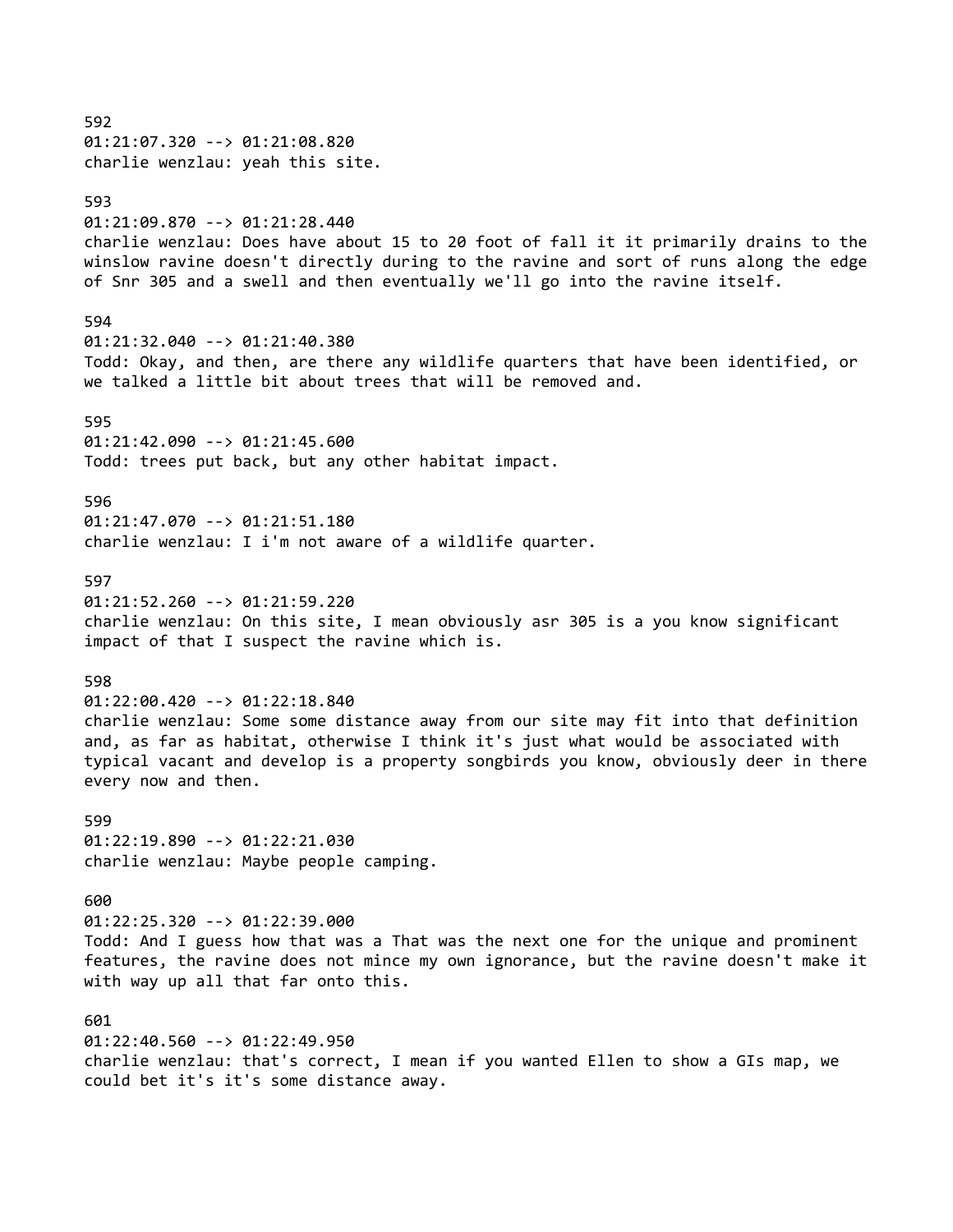592 01:21:07.320 --> 01:21:08.820 charlie wenzlau: yeah this site. 593 01:21:09.870 --> 01:21:28.440 charlie wenzlau: Does have about 15 to 20 foot of fall it it primarily drains to the winslow ravine doesn't directly during to the ravine and sort of runs along the edge of Snr 305 and a swell and then eventually we'll go into the ravine itself. 594 01:21:32.040 --> 01:21:40.380 Todd: Okay, and then, are there any wildlife quarters that have been identified, or we talked a little bit about trees that will be removed and. 595 01:21:42.090 --> 01:21:45.600 Todd: trees put back, but any other habitat impact. 596 01:21:47.070 --> 01:21:51.180 charlie wenzlau: I i'm not aware of a wildlife quarter. 597 01:21:52.260 --> 01:21:59.220 charlie wenzlau: On this site, I mean obviously asr 305 is a you know significant impact of that I suspect the ravine which is. 598 01:22:00.420 --> 01:22:18.840 charlie wenzlau: Some some distance away from our site may fit into that definition and, as far as habitat, otherwise I think it's just what would be associated with typical vacant and develop is a property songbirds you know, obviously deer in there every now and then. 599 01:22:19.890 --> 01:22:21.030 charlie wenzlau: Maybe people camping. 600 01:22:25.320 --> 01:22:39.000 Todd: And I guess how that was a That was the next one for the unique and prominent features, the ravine does not mince my own ignorance, but the ravine doesn't make it with way up all that far onto this. 601 01:22:40.560 --> 01:22:49.950 charlie wenzlau: that's correct, I mean if you wanted Ellen to show a GIs map, we could bet it's it's some distance away.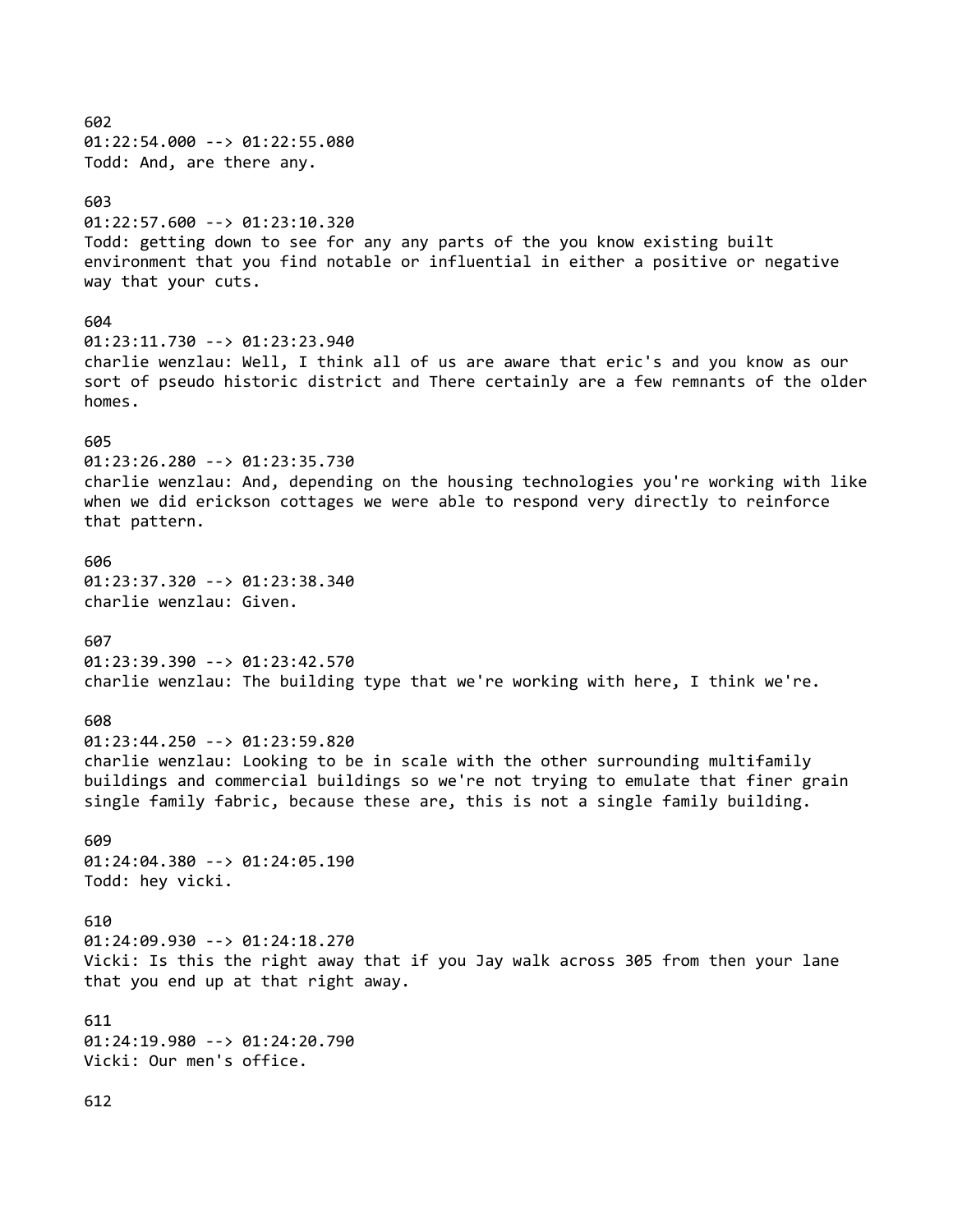602 01:22:54.000 --> 01:22:55.080 Todd: And, are there any. 603 01:22:57.600 --> 01:23:10.320 Todd: getting down to see for any any parts of the you know existing built environment that you find notable or influential in either a positive or negative way that your cuts. 604 01:23:11.730 --> 01:23:23.940 charlie wenzlau: Well, I think all of us are aware that eric's and you know as our sort of pseudo historic district and There certainly are a few remnants of the older homes. 605 01:23:26.280 --> 01:23:35.730 charlie wenzlau: And, depending on the housing technologies you're working with like when we did erickson cottages we were able to respond very directly to reinforce that pattern. 606 01:23:37.320 --> 01:23:38.340 charlie wenzlau: Given. 607 01:23:39.390 --> 01:23:42.570 charlie wenzlau: The building type that we're working with here, I think we're. 608 01:23:44.250 --> 01:23:59.820 charlie wenzlau: Looking to be in scale with the other surrounding multifamily buildings and commercial buildings so we're not trying to emulate that finer grain single family fabric, because these are, this is not a single family building. 609 01:24:04.380 --> 01:24:05.190 Todd: hey vicki. 610 01:24:09.930 --> 01:24:18.270 Vicki: Is this the right away that if you Jay walk across 305 from then your lane that you end up at that right away. 611 01:24:19.980 --> 01:24:20.790 Vicki: Our men's office.

612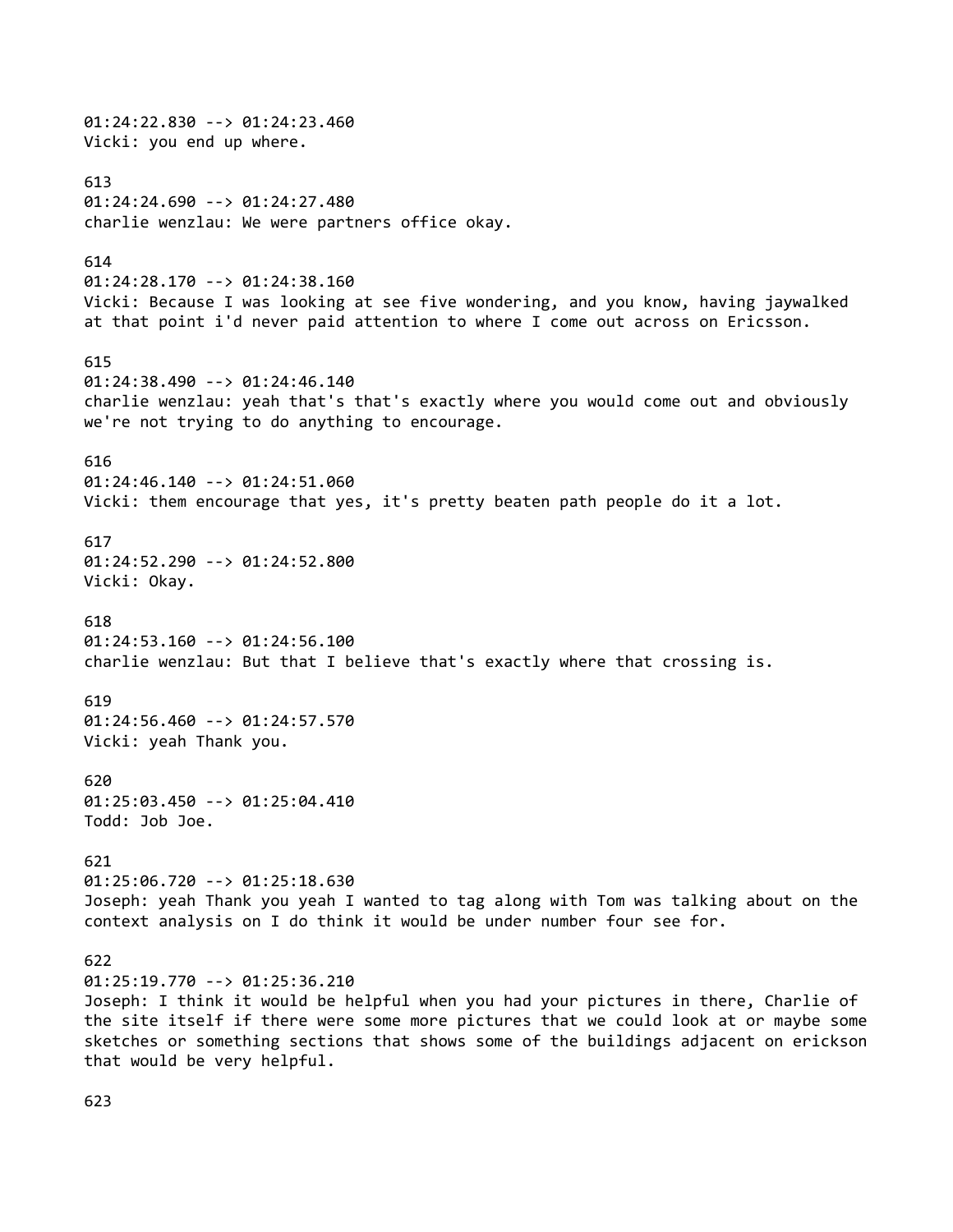01:24:22.830 --> 01:24:23.460 Vicki: you end up where. 613 01:24:24.690 --> 01:24:27.480 charlie wenzlau: We were partners office okay. 614 01:24:28.170 --> 01:24:38.160 Vicki: Because I was looking at see five wondering, and you know, having jaywalked at that point i'd never paid attention to where I come out across on Ericsson. 615 01:24:38.490 --> 01:24:46.140 charlie wenzlau: yeah that's that's exactly where you would come out and obviously we're not trying to do anything to encourage. 616 01:24:46.140 --> 01:24:51.060 Vicki: them encourage that yes, it's pretty beaten path people do it a lot. 617 01:24:52.290 --> 01:24:52.800 Vicki: Okay. 618 01:24:53.160 --> 01:24:56.100 charlie wenzlau: But that I believe that's exactly where that crossing is. 619 01:24:56.460 --> 01:24:57.570 Vicki: yeah Thank you. 620 01:25:03.450 --> 01:25:04.410 Todd: Job Joe. 621 01:25:06.720 --> 01:25:18.630 Joseph: yeah Thank you yeah I wanted to tag along with Tom was talking about on the context analysis on I do think it would be under number four see for. 622 01:25:19.770 --> 01:25:36.210 Joseph: I think it would be helpful when you had your pictures in there, Charlie of the site itself if there were some more pictures that we could look at or maybe some sketches or something sections that shows some of the buildings adjacent on erickson that would be very helpful.

623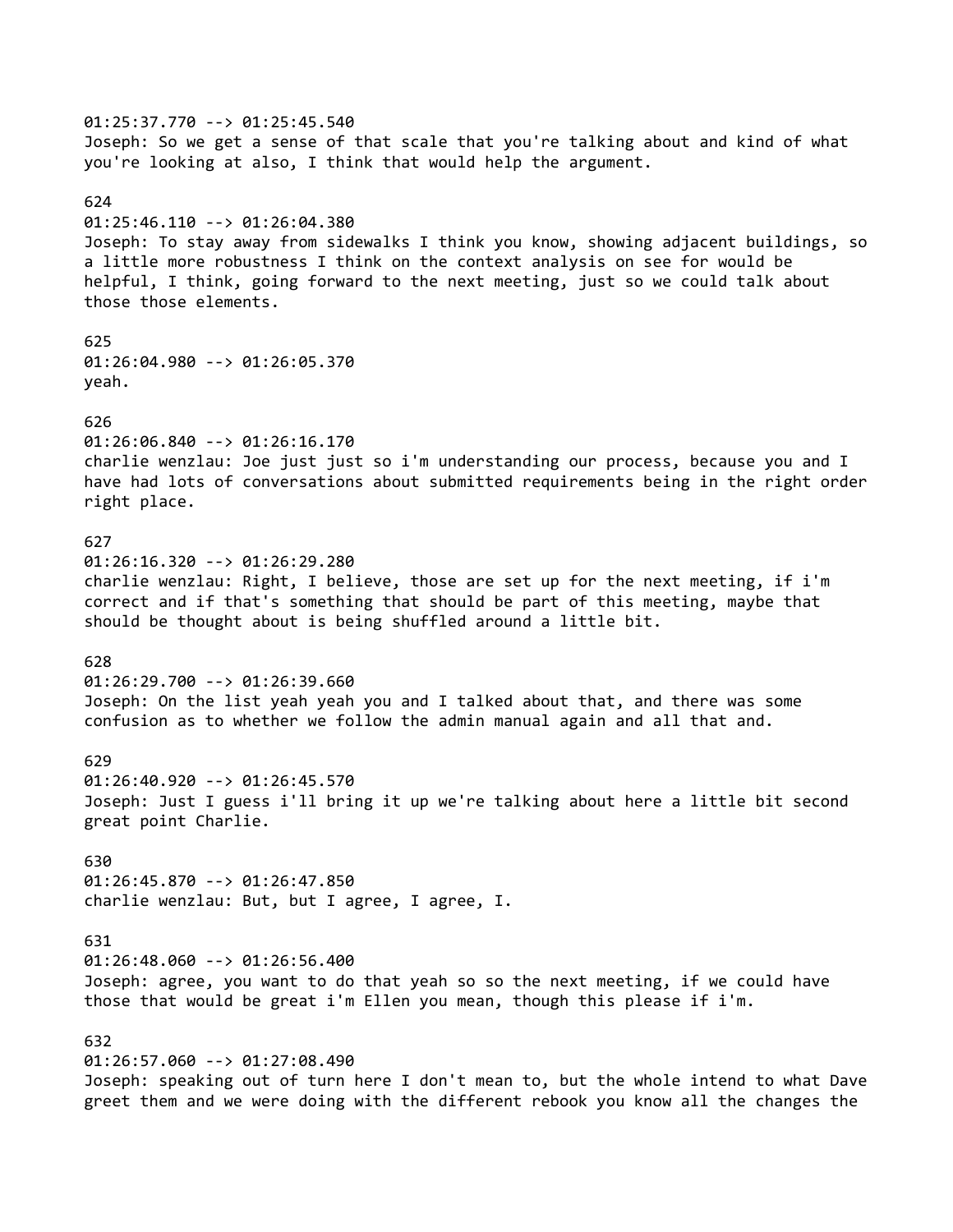01:25:37.770 --> 01:25:45.540 Joseph: So we get a sense of that scale that you're talking about and kind of what you're looking at also, I think that would help the argument. 624 01:25:46.110 --> 01:26:04.380 Joseph: To stay away from sidewalks I think you know, showing adjacent buildings, so a little more robustness I think on the context analysis on see for would be helpful, I think, going forward to the next meeting, just so we could talk about those those elements. 625 01:26:04.980 --> 01:26:05.370 yeah. 626 01:26:06.840 --> 01:26:16.170 charlie wenzlau: Joe just just so i'm understanding our process, because you and I have had lots of conversations about submitted requirements being in the right order right place. 627 01:26:16.320 --> 01:26:29.280 charlie wenzlau: Right, I believe, those are set up for the next meeting, if i'm correct and if that's something that should be part of this meeting, maybe that should be thought about is being shuffled around a little bit. 628 01:26:29.700 --> 01:26:39.660 Joseph: On the list yeah yeah you and I talked about that, and there was some confusion as to whether we follow the admin manual again and all that and. 629 01:26:40.920 --> 01:26:45.570 Joseph: Just I guess i'll bring it up we're talking about here a little bit second great point Charlie. 630 01:26:45.870 --> 01:26:47.850 charlie wenzlau: But, but I agree, I agree, I. 631 01:26:48.060 --> 01:26:56.400 Joseph: agree, you want to do that yeah so so the next meeting, if we could have those that would be great i'm Ellen you mean, though this please if i'm. 632 01:26:57.060 --> 01:27:08.490 Joseph: speaking out of turn here I don't mean to, but the whole intend to what Dave greet them and we were doing with the different rebook you know all the changes the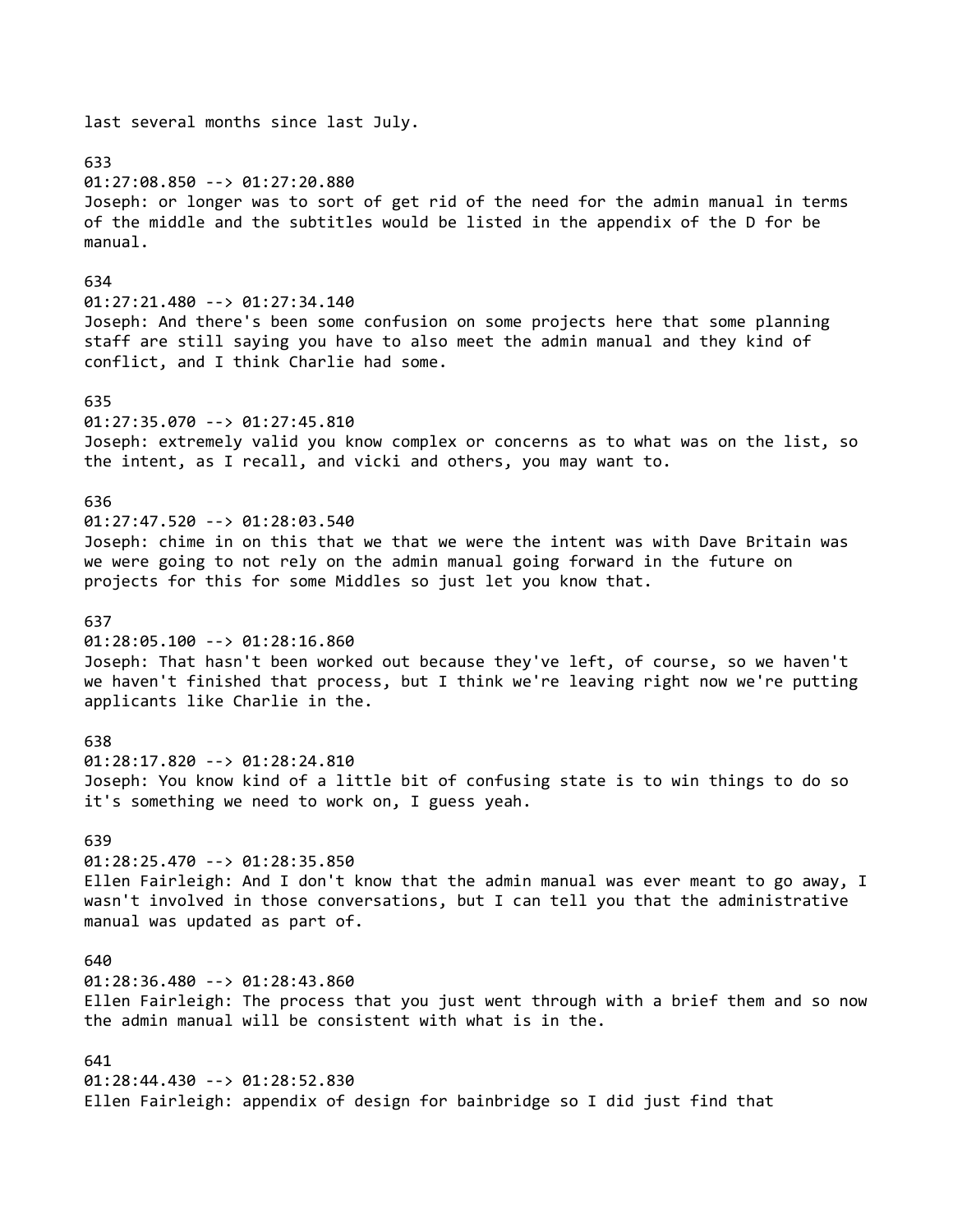last several months since last July. 633 01:27:08.850 --> 01:27:20.880 Joseph: or longer was to sort of get rid of the need for the admin manual in terms of the middle and the subtitles would be listed in the appendix of the D for be manual. 634 01:27:21.480 --> 01:27:34.140 Joseph: And there's been some confusion on some projects here that some planning staff are still saying you have to also meet the admin manual and they kind of conflict, and I think Charlie had some. 635 01:27:35.070 --> 01:27:45.810 Joseph: extremely valid you know complex or concerns as to what was on the list, so the intent, as I recall, and vicki and others, you may want to. 636 01:27:47.520 --> 01:28:03.540 Joseph: chime in on this that we that we were the intent was with Dave Britain was we were going to not rely on the admin manual going forward in the future on projects for this for some Middles so just let you know that. 637 01:28:05.100 --> 01:28:16.860 Joseph: That hasn't been worked out because they've left, of course, so we haven't we haven't finished that process, but I think we're leaving right now we're putting applicants like Charlie in the. 638 01:28:17.820 --> 01:28:24.810 Joseph: You know kind of a little bit of confusing state is to win things to do so it's something we need to work on, I guess yeah. 639 01:28:25.470 --> 01:28:35.850 Ellen Fairleigh: And I don't know that the admin manual was ever meant to go away, I wasn't involved in those conversations, but I can tell you that the administrative manual was updated as part of. 640 01:28:36.480 --> 01:28:43.860 Ellen Fairleigh: The process that you just went through with a brief them and so now the admin manual will be consistent with what is in the. 641 01:28:44.430 --> 01:28:52.830 Ellen Fairleigh: appendix of design for bainbridge so I did just find that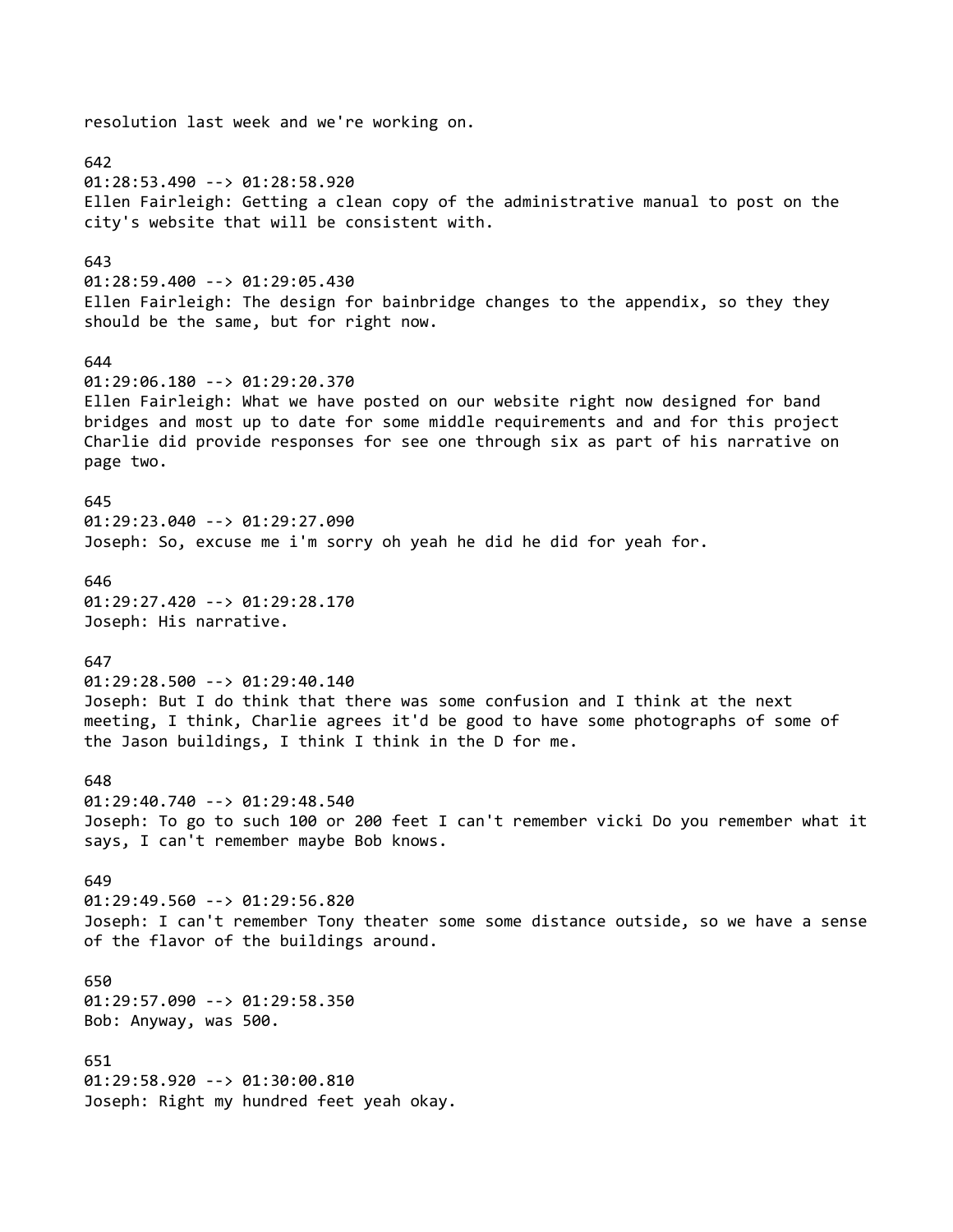resolution last week and we're working on. 642 01:28:53.490 --> 01:28:58.920 Ellen Fairleigh: Getting a clean copy of the administrative manual to post on the city's website that will be consistent with. 643 01:28:59.400 --> 01:29:05.430 Ellen Fairleigh: The design for bainbridge changes to the appendix, so they they should be the same, but for right now. 644 01:29:06.180 --> 01:29:20.370 Ellen Fairleigh: What we have posted on our website right now designed for band bridges and most up to date for some middle requirements and and for this project Charlie did provide responses for see one through six as part of his narrative on page two. 645 01:29:23.040 --> 01:29:27.090 Joseph: So, excuse me i'm sorry oh yeah he did he did for yeah for. 646 01:29:27.420 --> 01:29:28.170 Joseph: His narrative. 647 01:29:28.500 --> 01:29:40.140 Joseph: But I do think that there was some confusion and I think at the next meeting, I think, Charlie agrees it'd be good to have some photographs of some of the Jason buildings, I think I think in the D for me. 648 01:29:40.740 --> 01:29:48.540 Joseph: To go to such 100 or 200 feet I can't remember vicki Do you remember what it says, I can't remember maybe Bob knows. 649 01:29:49.560 --> 01:29:56.820 Joseph: I can't remember Tony theater some some distance outside, so we have a sense of the flavor of the buildings around. 650 01:29:57.090 --> 01:29:58.350 Bob: Anyway, was 500. 651 01:29:58.920 --> 01:30:00.810 Joseph: Right my hundred feet yeah okay.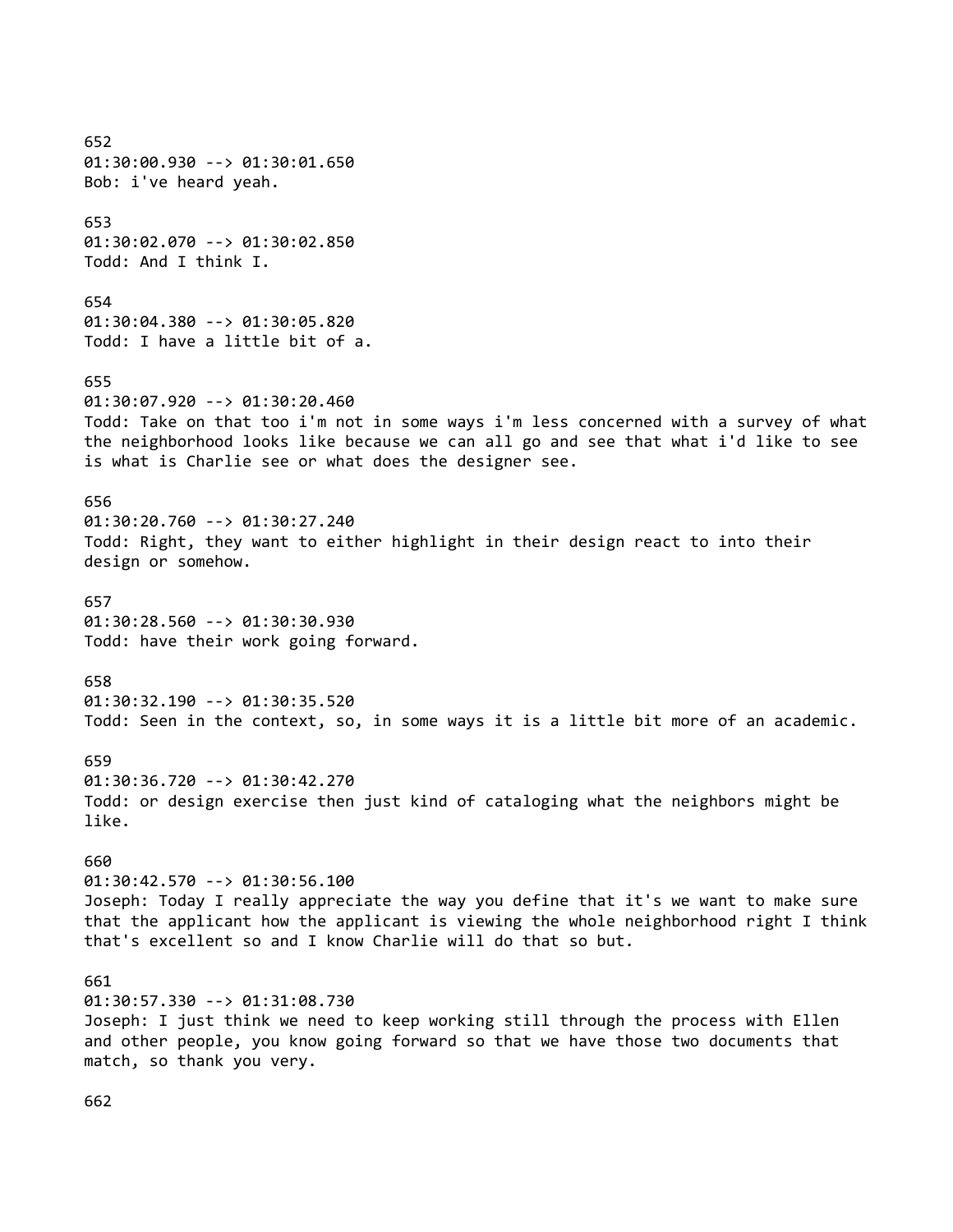652 01:30:00.930 --> 01:30:01.650 Bob: i've heard yeah. 653 01:30:02.070 --> 01:30:02.850 Todd: And I think I. 654 01:30:04.380 --> 01:30:05.820 Todd: I have a little bit of a. 655 01:30:07.920 --> 01:30:20.460 Todd: Take on that too i'm not in some ways i'm less concerned with a survey of what the neighborhood looks like because we can all go and see that what i'd like to see is what is Charlie see or what does the designer see. 656 01:30:20.760 --> 01:30:27.240 Todd: Right, they want to either highlight in their design react to into their design or somehow. 657 01:30:28.560 --> 01:30:30.930 Todd: have their work going forward. 658 01:30:32.190 --> 01:30:35.520 Todd: Seen in the context, so, in some ways it is a little bit more of an academic. 659 01:30:36.720 --> 01:30:42.270 Todd: or design exercise then just kind of cataloging what the neighbors might be like. 660 01:30:42.570 --> 01:30:56.100 Joseph: Today I really appreciate the way you define that it's we want to make sure that the applicant how the applicant is viewing the whole neighborhood right I think that's excellent so and I know Charlie will do that so but. 661 01:30:57.330 --> 01:31:08.730 Joseph: I just think we need to keep working still through the process with Ellen and other people, you know going forward so that we have those two documents that match, so thank you very.

662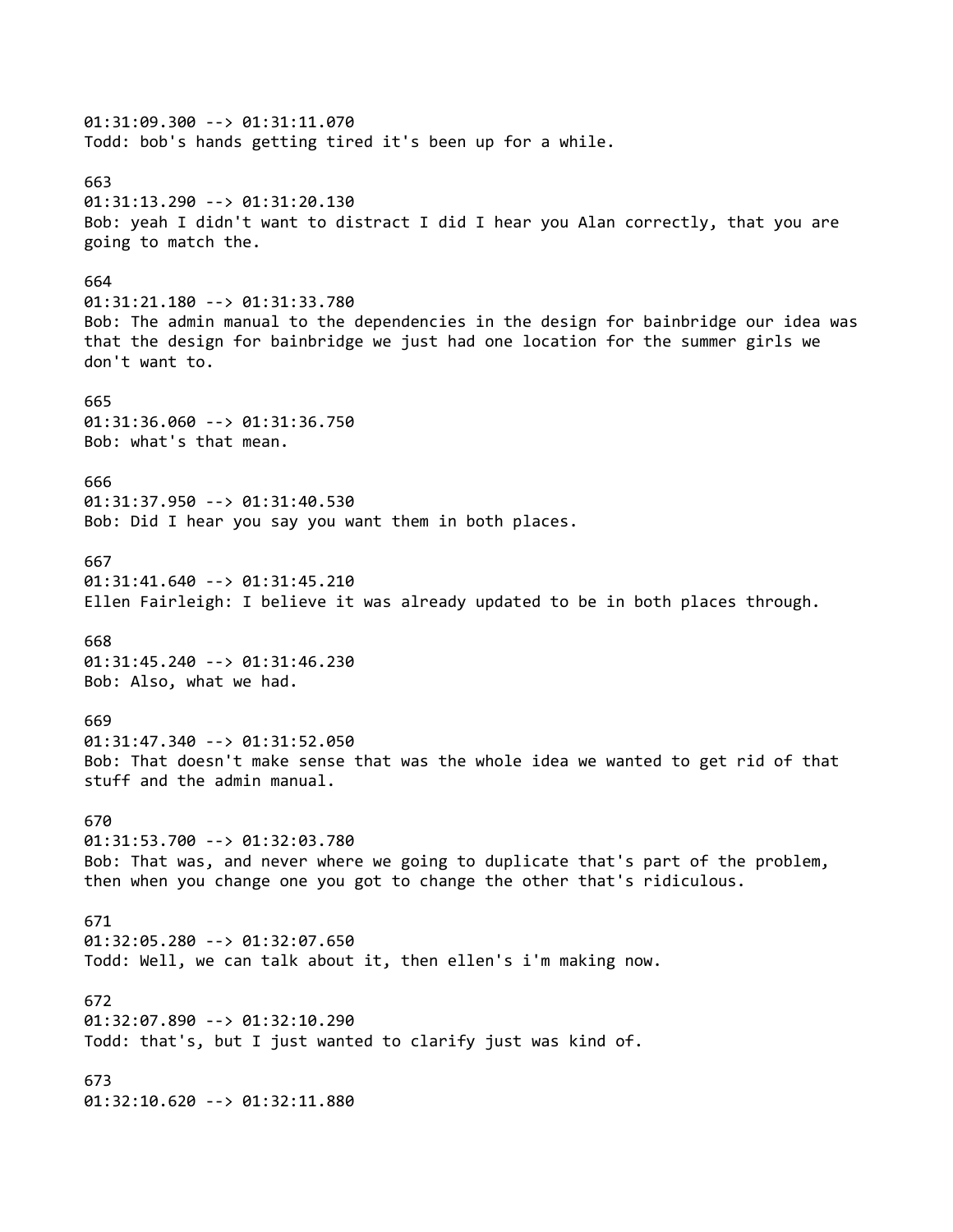01:31:09.300 --> 01:31:11.070 Todd: bob's hands getting tired it's been up for a while. 663 01:31:13.290 --> 01:31:20.130 Bob: yeah I didn't want to distract I did I hear you Alan correctly, that you are going to match the. 664 01:31:21.180 --> 01:31:33.780 Bob: The admin manual to the dependencies in the design for bainbridge our idea was that the design for bainbridge we just had one location for the summer girls we don't want to. 665 01:31:36.060 --> 01:31:36.750 Bob: what's that mean. 666 01:31:37.950 --> 01:31:40.530 Bob: Did I hear you say you want them in both places. 667 01:31:41.640 --> 01:31:45.210 Ellen Fairleigh: I believe it was already updated to be in both places through. 668 01:31:45.240 --> 01:31:46.230 Bob: Also, what we had. 669 01:31:47.340 --> 01:31:52.050 Bob: That doesn't make sense that was the whole idea we wanted to get rid of that stuff and the admin manual. 670 01:31:53.700 --> 01:32:03.780 Bob: That was, and never where we going to duplicate that's part of the problem, then when you change one you got to change the other that's ridiculous. 671 01:32:05.280 --> 01:32:07.650 Todd: Well, we can talk about it, then ellen's i'm making now. 672 01:32:07.890 --> 01:32:10.290 Todd: that's, but I just wanted to clarify just was kind of. 673 01:32:10.620 --> 01:32:11.880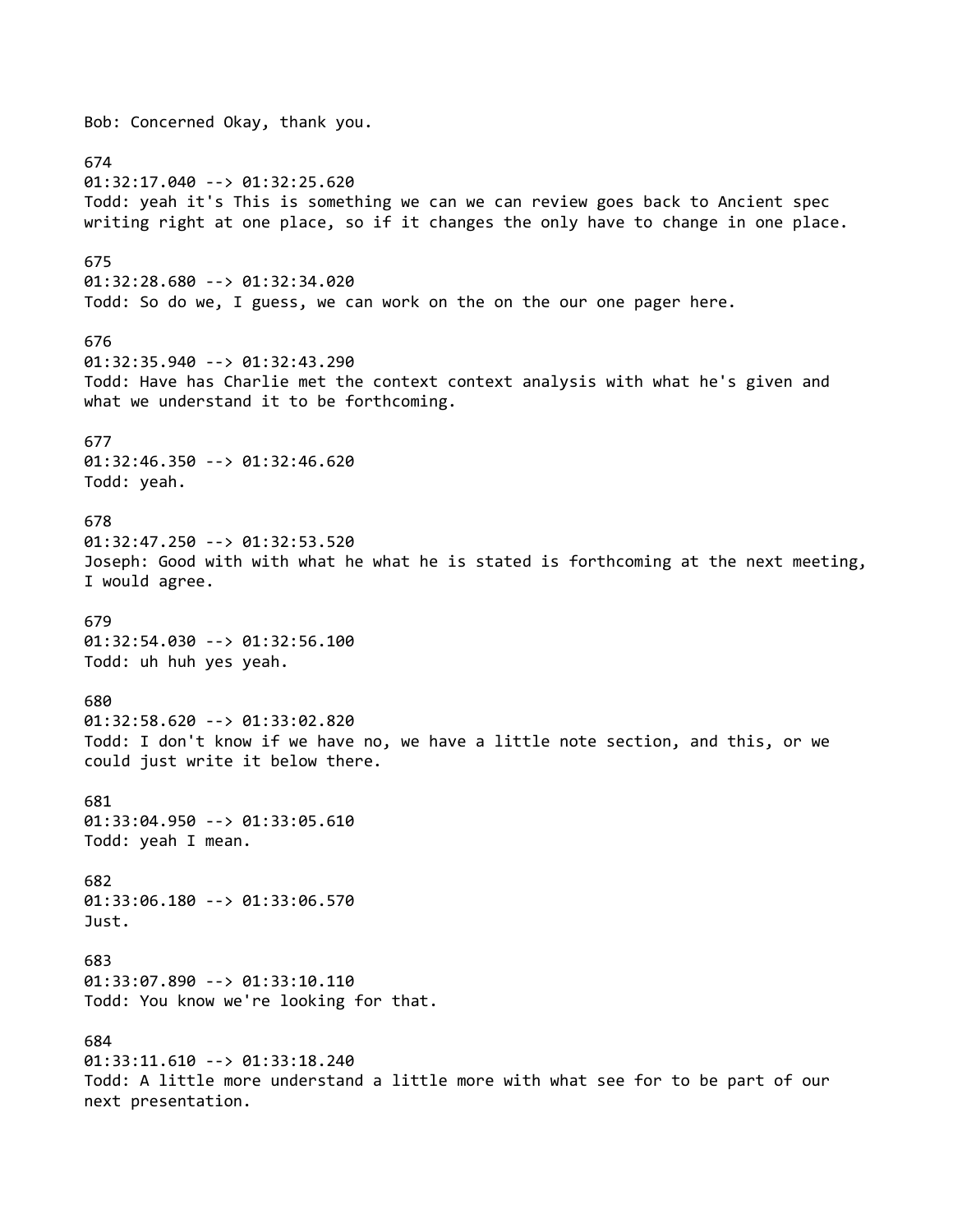Bob: Concerned Okay, thank you. 674 01:32:17.040 --> 01:32:25.620 Todd: yeah it's This is something we can we can review goes back to Ancient spec writing right at one place, so if it changes the only have to change in one place. 675 01:32:28.680 --> 01:32:34.020 Todd: So do we, I guess, we can work on the on the our one pager here. 676 01:32:35.940 --> 01:32:43.290 Todd: Have has Charlie met the context context analysis with what he's given and what we understand it to be forthcoming. 677 01:32:46.350 --> 01:32:46.620 Todd: yeah. 678 01:32:47.250 --> 01:32:53.520 Joseph: Good with with what he what he is stated is forthcoming at the next meeting, I would agree. 679 01:32:54.030 --> 01:32:56.100 Todd: uh huh yes yeah. 680 01:32:58.620 --> 01:33:02.820 Todd: I don't know if we have no, we have a little note section, and this, or we could just write it below there. 681 01:33:04.950 --> 01:33:05.610 Todd: yeah I mean. 682 01:33:06.180 --> 01:33:06.570 Just. 683 01:33:07.890 --> 01:33:10.110 Todd: You know we're looking for that. 684 01:33:11.610 --> 01:33:18.240 Todd: A little more understand a little more with what see for to be part of our next presentation.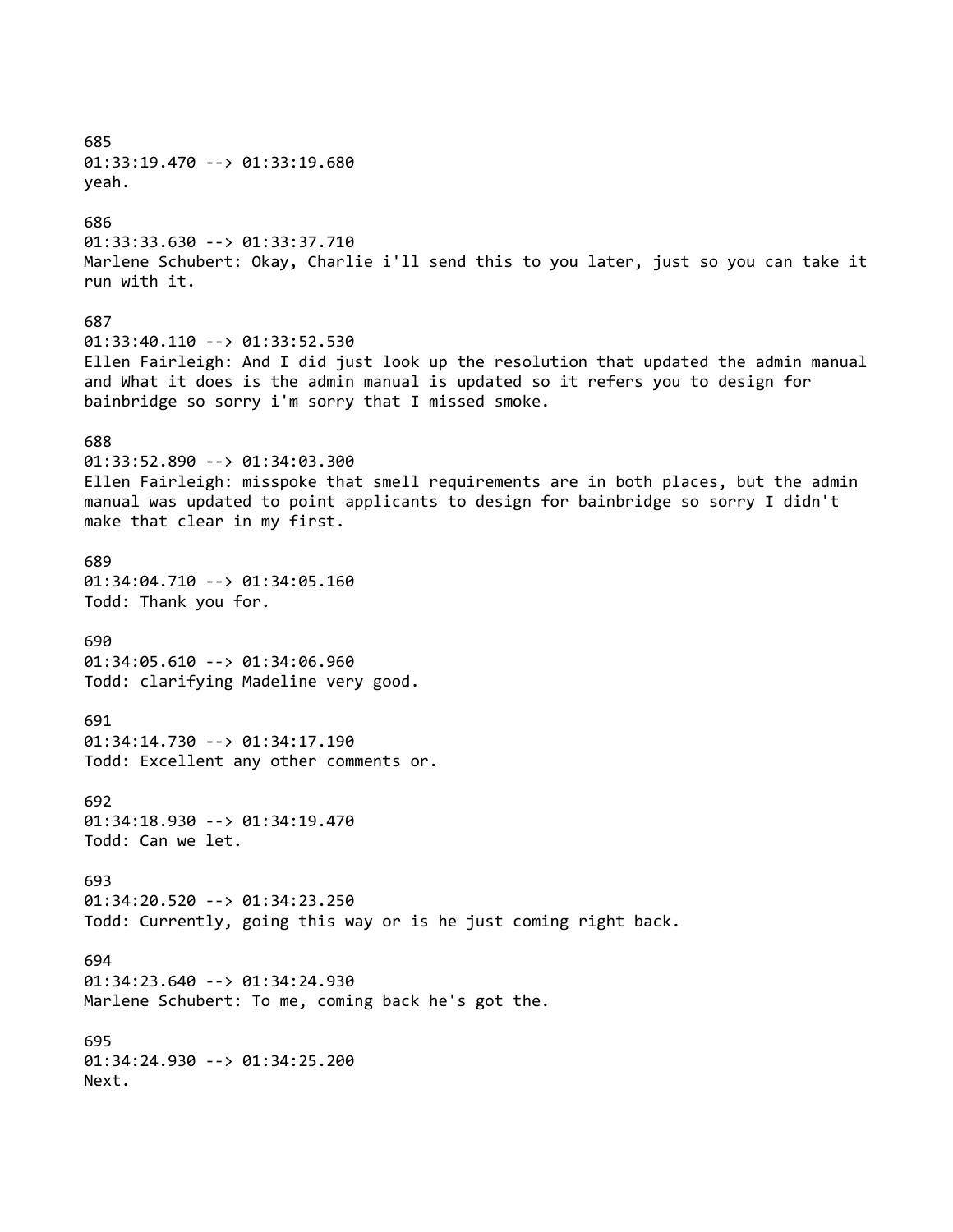685 01:33:19.470 --> 01:33:19.680 yeah. 686 01:33:33.630 --> 01:33:37.710 Marlene Schubert: Okay, Charlie i'll send this to you later, just so you can take it run with it. 687 01:33:40.110 --> 01:33:52.530 Ellen Fairleigh: And I did just look up the resolution that updated the admin manual and What it does is the admin manual is updated so it refers you to design for bainbridge so sorry i'm sorry that I missed smoke. 688 01:33:52.890 --> 01:34:03.300 Ellen Fairleigh: misspoke that smell requirements are in both places, but the admin manual was updated to point applicants to design for bainbridge so sorry I didn't make that clear in my first. 689 01:34:04.710 --> 01:34:05.160 Todd: Thank you for. 690 01:34:05.610 --> 01:34:06.960 Todd: clarifying Madeline very good. 691 01:34:14.730 --> 01:34:17.190 Todd: Excellent any other comments or. 692 01:34:18.930 --> 01:34:19.470 Todd: Can we let. 693 01:34:20.520 --> 01:34:23.250 Todd: Currently, going this way or is he just coming right back. 694 01:34:23.640 --> 01:34:24.930 Marlene Schubert: To me, coming back he's got the. 695 01:34:24.930 --> 01:34:25.200 Next.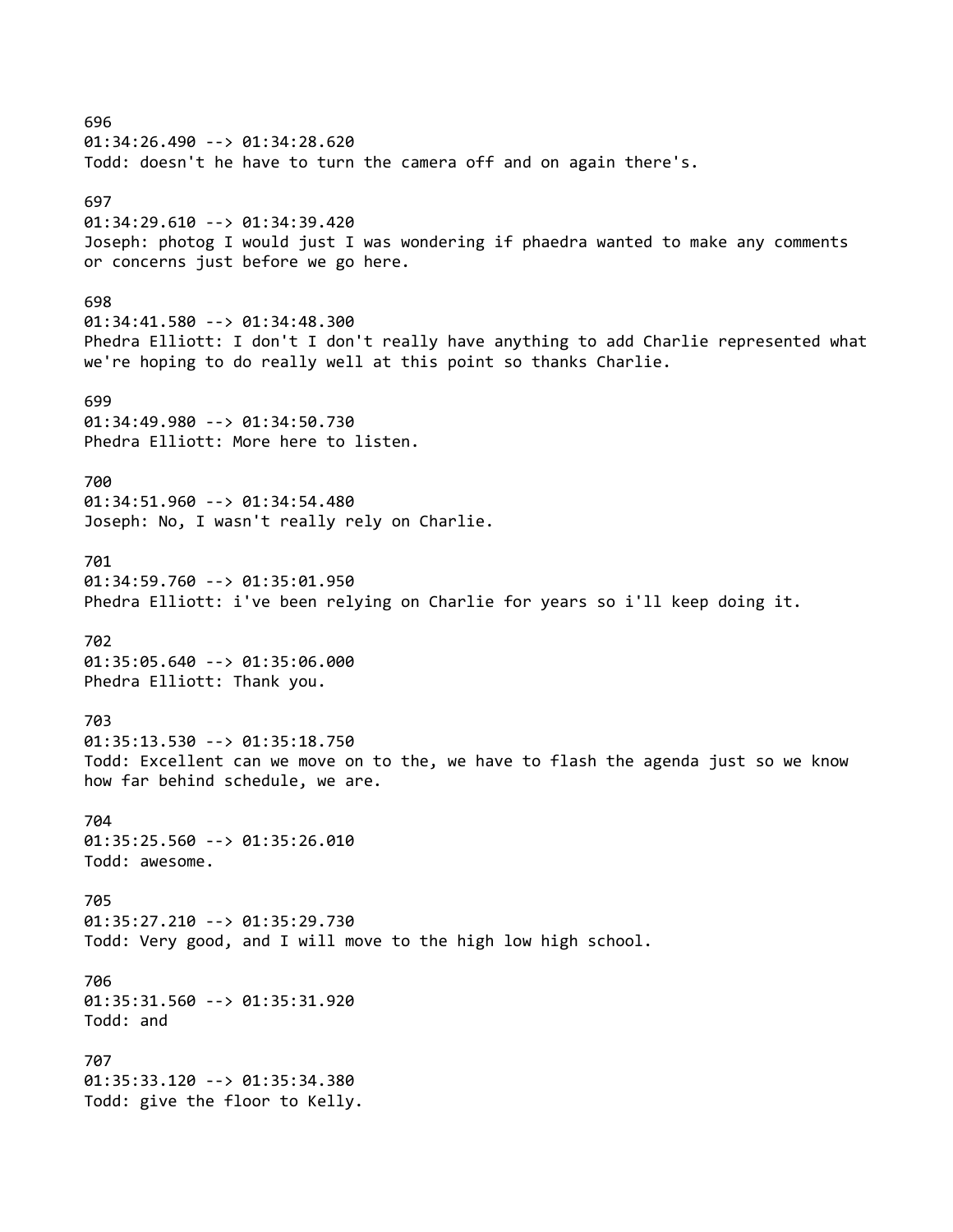696 01:34:26.490 --> 01:34:28.620 Todd: doesn't he have to turn the camera off and on again there's. 697 01:34:29.610 --> 01:34:39.420 Joseph: photog I would just I was wondering if phaedra wanted to make any comments or concerns just before we go here. 698 01:34:41.580 --> 01:34:48.300 Phedra Elliott: I don't I don't really have anything to add Charlie represented what we're hoping to do really well at this point so thanks Charlie. 699 01:34:49.980 --> 01:34:50.730 Phedra Elliott: More here to listen. 700 01:34:51.960 --> 01:34:54.480 Joseph: No, I wasn't really rely on Charlie. 701 01:34:59.760 --> 01:35:01.950 Phedra Elliott: i've been relying on Charlie for years so i'll keep doing it. 702 01:35:05.640 --> 01:35:06.000 Phedra Elliott: Thank you. 703 01:35:13.530 --> 01:35:18.750 Todd: Excellent can we move on to the, we have to flash the agenda just so we know how far behind schedule, we are. 704 01:35:25.560 --> 01:35:26.010 Todd: awesome. 705 01:35:27.210 --> 01:35:29.730 Todd: Very good, and I will move to the high low high school. 706 01:35:31.560 --> 01:35:31.920 Todd: and 707 01:35:33.120 --> 01:35:34.380 Todd: give the floor to Kelly.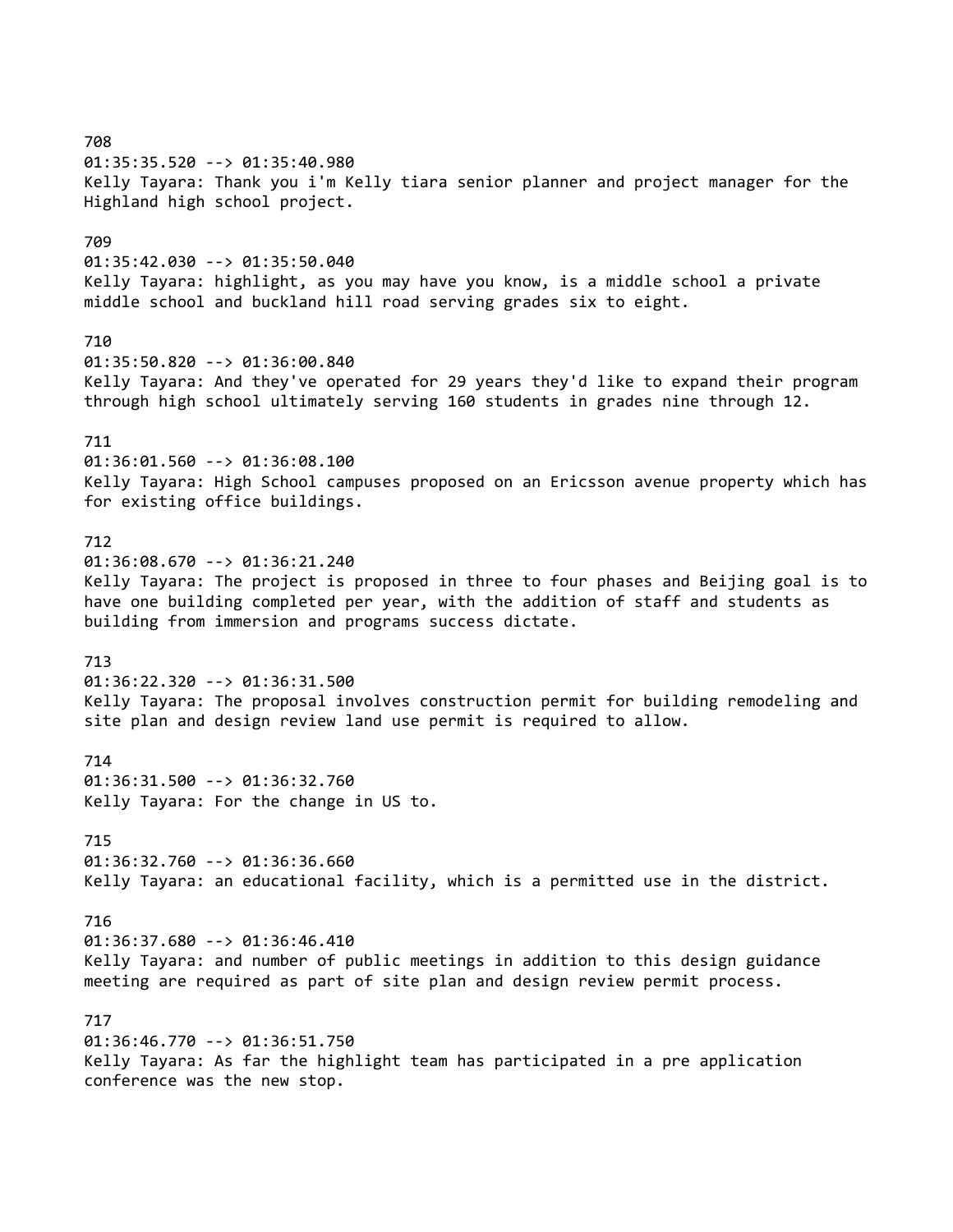708 01:35:35.520 --> 01:35:40.980 Kelly Tayara: Thank you i'm Kelly tiara senior planner and project manager for the Highland high school project. 709 01:35:42.030 --> 01:35:50.040 Kelly Tayara: highlight, as you may have you know, is a middle school a private middle school and buckland hill road serving grades six to eight. 710 01:35:50.820 --> 01:36:00.840 Kelly Tayara: And they've operated for 29 years they'd like to expand their program through high school ultimately serving 160 students in grades nine through 12. 711 01:36:01.560 --> 01:36:08.100 Kelly Tayara: High School campuses proposed on an Ericsson avenue property which has for existing office buildings. 712 01:36:08.670 --> 01:36:21.240 Kelly Tayara: The project is proposed in three to four phases and Beijing goal is to have one building completed per year, with the addition of staff and students as building from immersion and programs success dictate. 713 01:36:22.320 --> 01:36:31.500 Kelly Tayara: The proposal involves construction permit for building remodeling and site plan and design review land use permit is required to allow. 714 01:36:31.500 --> 01:36:32.760 Kelly Tayara: For the change in US to. 715 01:36:32.760 --> 01:36:36.660 Kelly Tayara: an educational facility, which is a permitted use in the district. 716 01:36:37.680 --> 01:36:46.410 Kelly Tayara: and number of public meetings in addition to this design guidance meeting are required as part of site plan and design review permit process. 717 01:36:46.770 --> 01:36:51.750 Kelly Tayara: As far the highlight team has participated in a pre application conference was the new stop.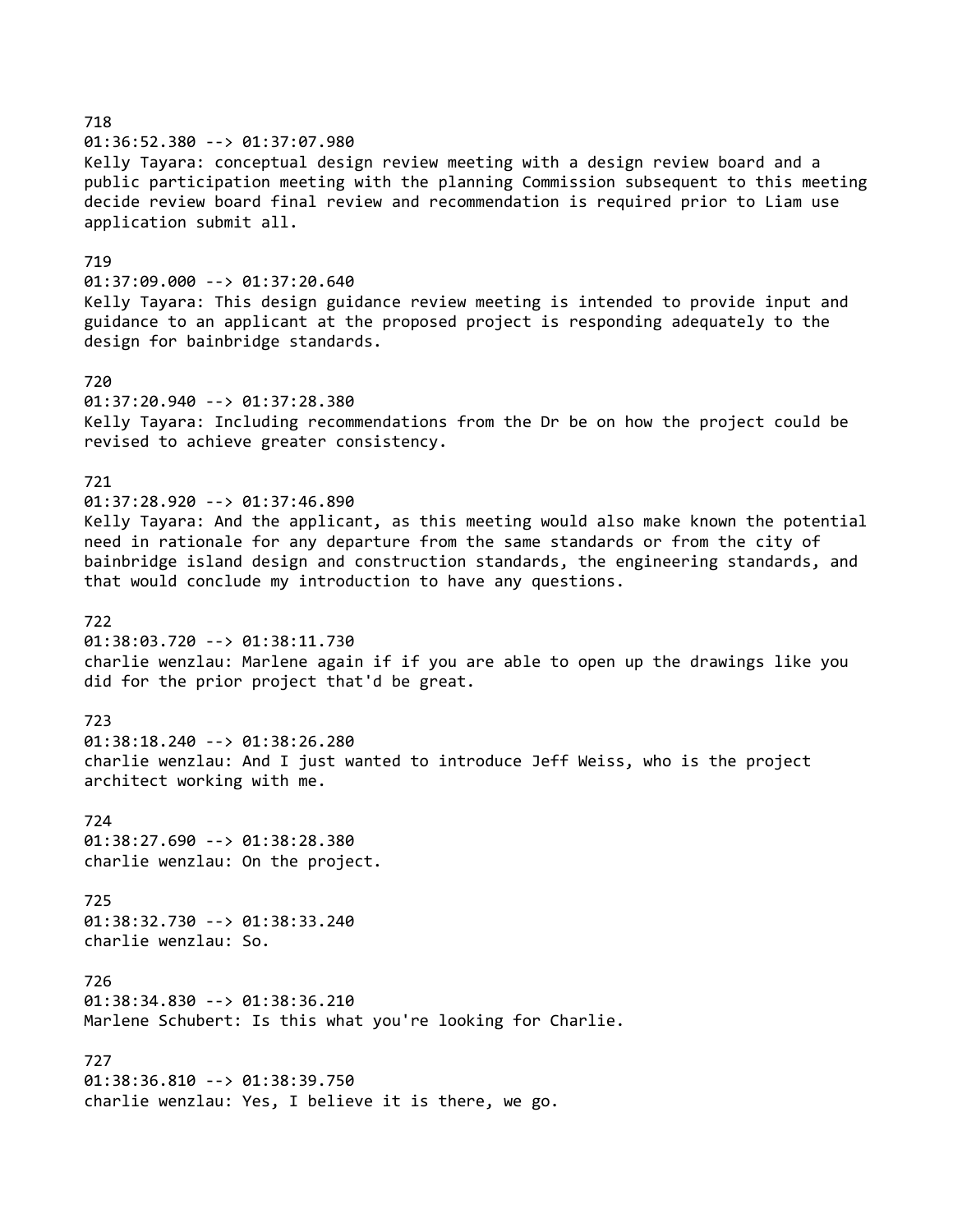718 01:36:52.380 --> 01:37:07.980 Kelly Tayara: conceptual design review meeting with a design review board and a public participation meeting with the planning Commission subsequent to this meeting decide review board final review and recommendation is required prior to Liam use application submit all. 719 01:37:09.000 --> 01:37:20.640 Kelly Tayara: This design guidance review meeting is intended to provide input and guidance to an applicant at the proposed project is responding adequately to the design for bainbridge standards. 720 01:37:20.940 --> 01:37:28.380 Kelly Tayara: Including recommendations from the Dr be on how the project could be revised to achieve greater consistency. 721 01:37:28.920 --> 01:37:46.890 Kelly Tayara: And the applicant, as this meeting would also make known the potential need in rationale for any departure from the same standards or from the city of bainbridge island design and construction standards, the engineering standards, and that would conclude my introduction to have any questions. 722 01:38:03.720 --> 01:38:11.730 charlie wenzlau: Marlene again if if you are able to open up the drawings like you did for the prior project that'd be great. 723 01:38:18.240 --> 01:38:26.280 charlie wenzlau: And I just wanted to introduce Jeff Weiss, who is the project architect working with me. 724 01:38:27.690 --> 01:38:28.380 charlie wenzlau: On the project. 725 01:38:32.730 --> 01:38:33.240 charlie wenzlau: So. 726 01:38:34.830 --> 01:38:36.210 Marlene Schubert: Is this what you're looking for Charlie. 727 01:38:36.810 --> 01:38:39.750 charlie wenzlau: Yes, I believe it is there, we go.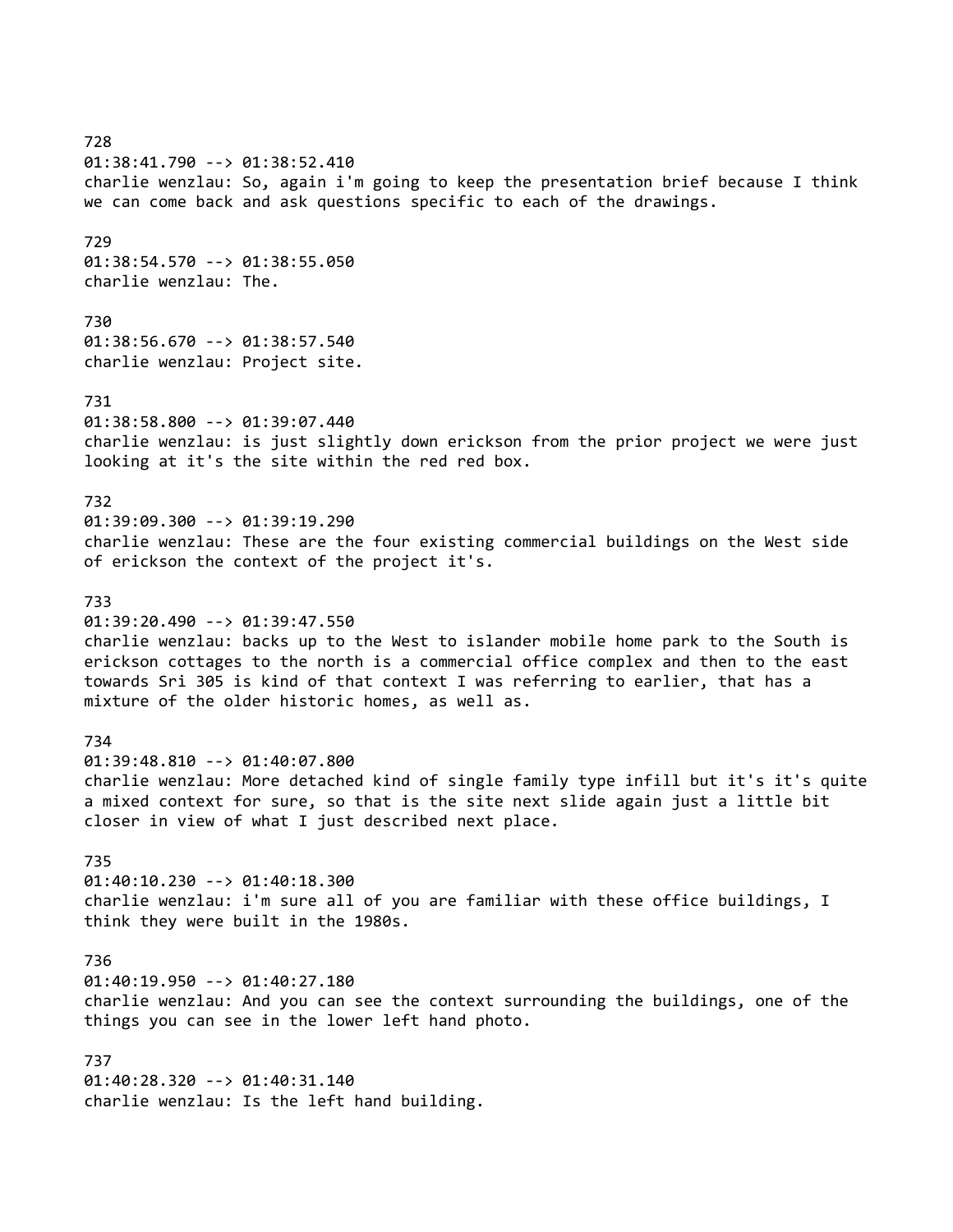728 01:38:41.790 --> 01:38:52.410 charlie wenzlau: So, again i'm going to keep the presentation brief because I think we can come back and ask questions specific to each of the drawings. 729 01:38:54.570 --> 01:38:55.050 charlie wenzlau: The. 730 01:38:56.670 --> 01:38:57.540 charlie wenzlau: Project site. 731 01:38:58.800 --> 01:39:07.440 charlie wenzlau: is just slightly down erickson from the prior project we were just looking at it's the site within the red red box. 732 01:39:09.300 --> 01:39:19.290 charlie wenzlau: These are the four existing commercial buildings on the West side of erickson the context of the project it's. 733 01:39:20.490 --> 01:39:47.550 charlie wenzlau: backs up to the West to islander mobile home park to the South is erickson cottages to the north is a commercial office complex and then to the east towards Sri 305 is kind of that context I was referring to earlier, that has a mixture of the older historic homes, as well as. 734 01:39:48.810 --> 01:40:07.800 charlie wenzlau: More detached kind of single family type infill but it's it's quite a mixed context for sure, so that is the site next slide again just a little bit closer in view of what I just described next place. 735 01:40:10.230 --> 01:40:18.300 charlie wenzlau: i'm sure all of you are familiar with these office buildings, I think they were built in the 1980s. 736 01:40:19.950 --> 01:40:27.180 charlie wenzlau: And you can see the context surrounding the buildings, one of the things you can see in the lower left hand photo. 737

01:40:28.320 --> 01:40:31.140 charlie wenzlau: Is the left hand building.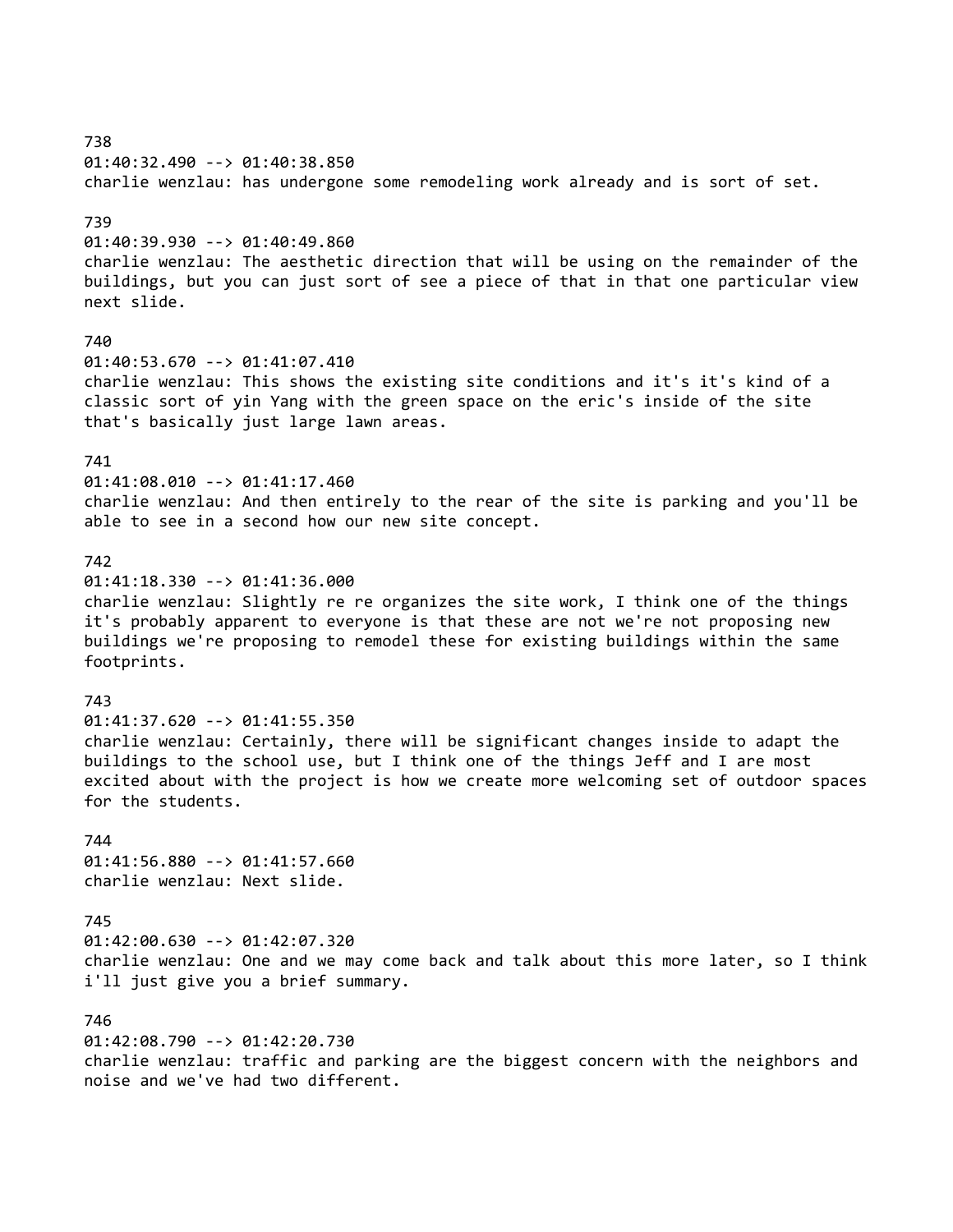738 01:40:32.490 --> 01:40:38.850 charlie wenzlau: has undergone some remodeling work already and is sort of set. 739 01:40:39.930 --> 01:40:49.860 charlie wenzlau: The aesthetic direction that will be using on the remainder of the buildings, but you can just sort of see a piece of that in that one particular view next slide. 740 01:40:53.670 --> 01:41:07.410 charlie wenzlau: This shows the existing site conditions and it's it's kind of a classic sort of yin Yang with the green space on the eric's inside of the site that's basically just large lawn areas. 741 01:41:08.010 --> 01:41:17.460 charlie wenzlau: And then entirely to the rear of the site is parking and you'll be able to see in a second how our new site concept. 742 01:41:18.330 --> 01:41:36.000 charlie wenzlau: Slightly re re organizes the site work, I think one of the things it's probably apparent to everyone is that these are not we're not proposing new buildings we're proposing to remodel these for existing buildings within the same footprints. 743 01:41:37.620 --> 01:41:55.350 charlie wenzlau: Certainly, there will be significant changes inside to adapt the buildings to the school use, but I think one of the things Jeff and I are most excited about with the project is how we create more welcoming set of outdoor spaces for the students. 744 01:41:56.880 --> 01:41:57.660 charlie wenzlau: Next slide. 745 01:42:00.630 --> 01:42:07.320 charlie wenzlau: One and we may come back and talk about this more later, so I think i'll just give you a brief summary. 746 01:42:08.790 --> 01:42:20.730

charlie wenzlau: traffic and parking are the biggest concern with the neighbors and noise and we've had two different.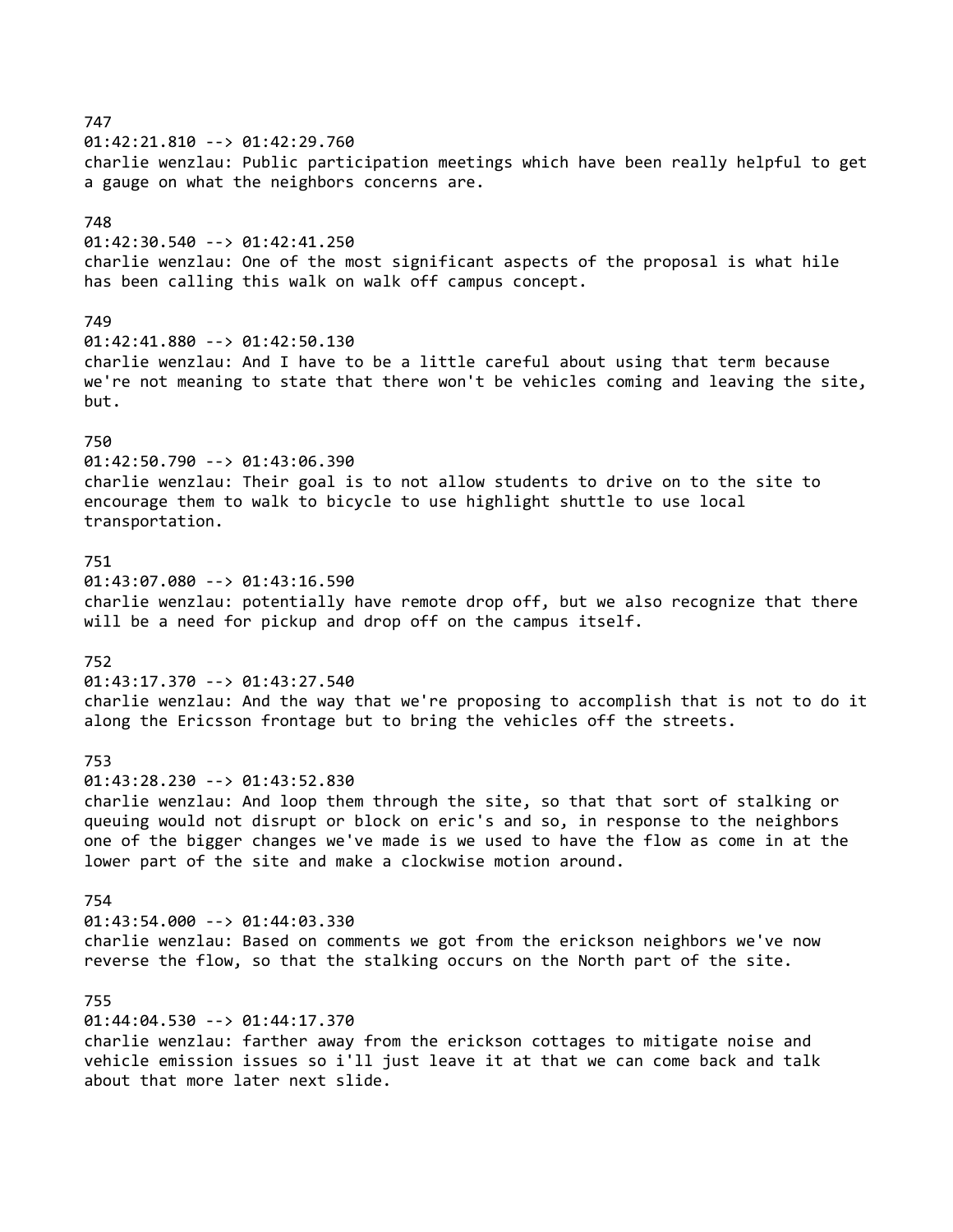## 747

01:42:21.810 --> 01:42:29.760

charlie wenzlau: Public participation meetings which have been really helpful to get a gauge on what the neighbors concerns are.

### 748

01:42:30.540 --> 01:42:41.250 charlie wenzlau: One of the most significant aspects of the proposal is what hile has been calling this walk on walk off campus concept.

#### 749

01:42:41.880 --> 01:42:50.130 charlie wenzlau: And I have to be a little careful about using that term because we're not meaning to state that there won't be vehicles coming and leaving the site, but.

#### 750

01:42:50.790 --> 01:43:06.390 charlie wenzlau: Their goal is to not allow students to drive on to the site to encourage them to walk to bicycle to use highlight shuttle to use local transportation.

#### 751

01:43:07.080 --> 01:43:16.590 charlie wenzlau: potentially have remote drop off, but we also recognize that there will be a need for pickup and drop off on the campus itself.

#### 752

01:43:17.370 --> 01:43:27.540 charlie wenzlau: And the way that we're proposing to accomplish that is not to do it along the Ericsson frontage but to bring the vehicles off the streets.

#### 753

01:43:28.230 --> 01:43:52.830

charlie wenzlau: And loop them through the site, so that that sort of stalking or queuing would not disrupt or block on eric's and so, in response to the neighbors one of the bigger changes we've made is we used to have the flow as come in at the lower part of the site and make a clockwise motion around.

### 754

01:43:54.000 --> 01:44:03.330 charlie wenzlau: Based on comments we got from the erickson neighbors we've now reverse the flow, so that the stalking occurs on the North part of the site.

#### 755

01:44:04.530 --> 01:44:17.370 charlie wenzlau: farther away from the erickson cottages to mitigate noise and vehicle emission issues so i'll just leave it at that we can come back and talk about that more later next slide.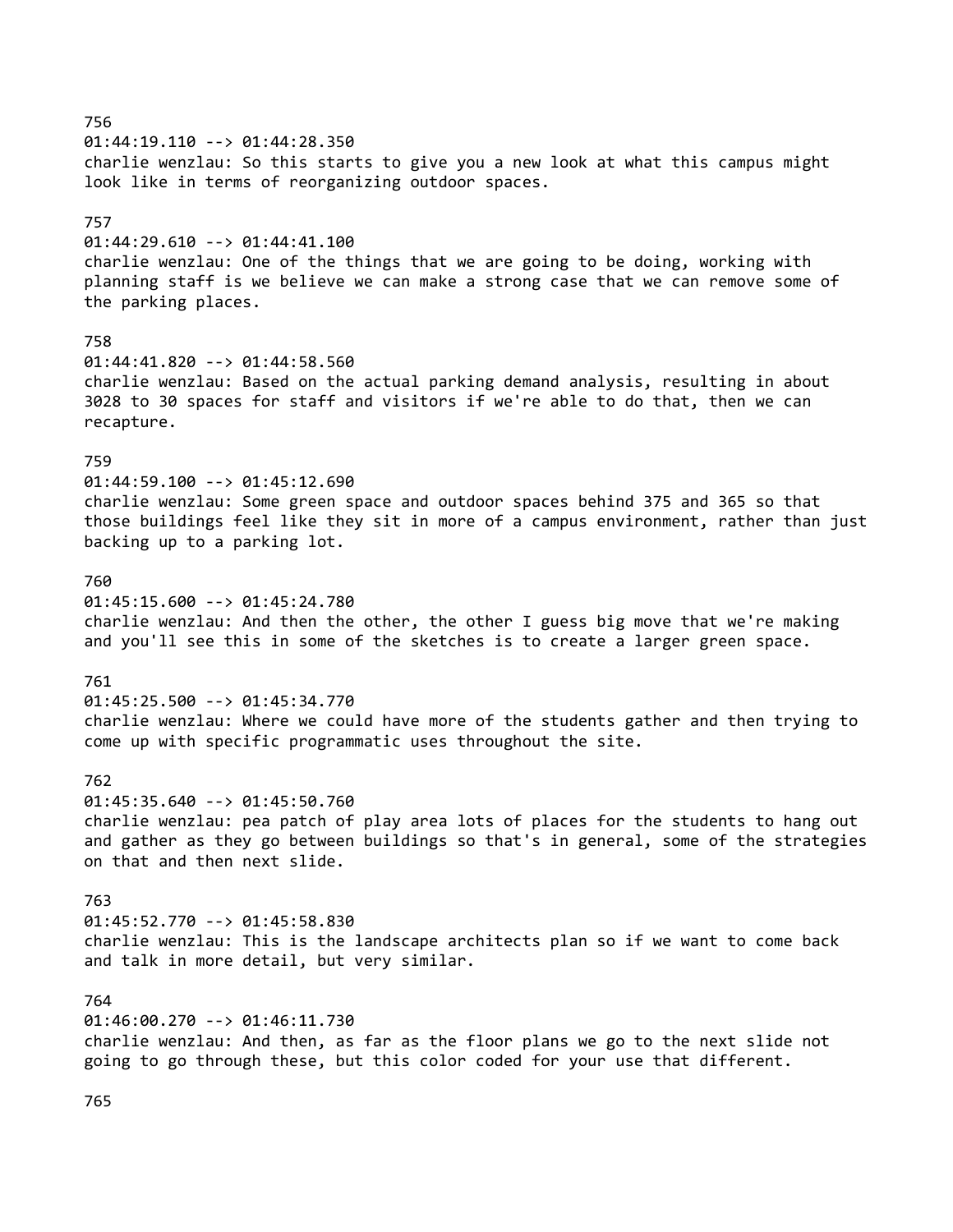# 01:44:19.110 --> 01:44:28.350 charlie wenzlau: So this starts to give you a new look at what this campus might look like in terms of reorganizing outdoor spaces. 757 01:44:29.610 --> 01:44:41.100 charlie wenzlau: One of the things that we are going to be doing, working with planning staff is we believe we can make a strong case that we can remove some of the parking places. 758 01:44:41.820 --> 01:44:58.560 charlie wenzlau: Based on the actual parking demand analysis, resulting in about 3028 to 30 spaces for staff and visitors if we're able to do that, then we can recapture. 759 01:44:59.100 --> 01:45:12.690 charlie wenzlau: Some green space and outdoor spaces behind 375 and 365 so that those buildings feel like they sit in more of a campus environment, rather than just backing up to a parking lot. 760 01:45:15.600 --> 01:45:24.780 charlie wenzlau: And then the other, the other I guess big move that we're making and you'll see this in some of the sketches is to create a larger green space. 761 01:45:25.500 --> 01:45:34.770 charlie wenzlau: Where we could have more of the students gather and then trying to come up with specific programmatic uses throughout the site. 762 01:45:35.640 --> 01:45:50.760 charlie wenzlau: pea patch of play area lots of places for the students to hang out and gather as they go between buildings so that's in general, some of the strategies on that and then next slide. 763 01:45:52.770 --> 01:45:58.830 charlie wenzlau: This is the landscape architects plan so if we want to come back and talk in more detail, but very similar. 764 01:46:00.270 --> 01:46:11.730 charlie wenzlau: And then, as far as the floor plans we go to the next slide not going to go through these, but this color coded for your use that different.

# 756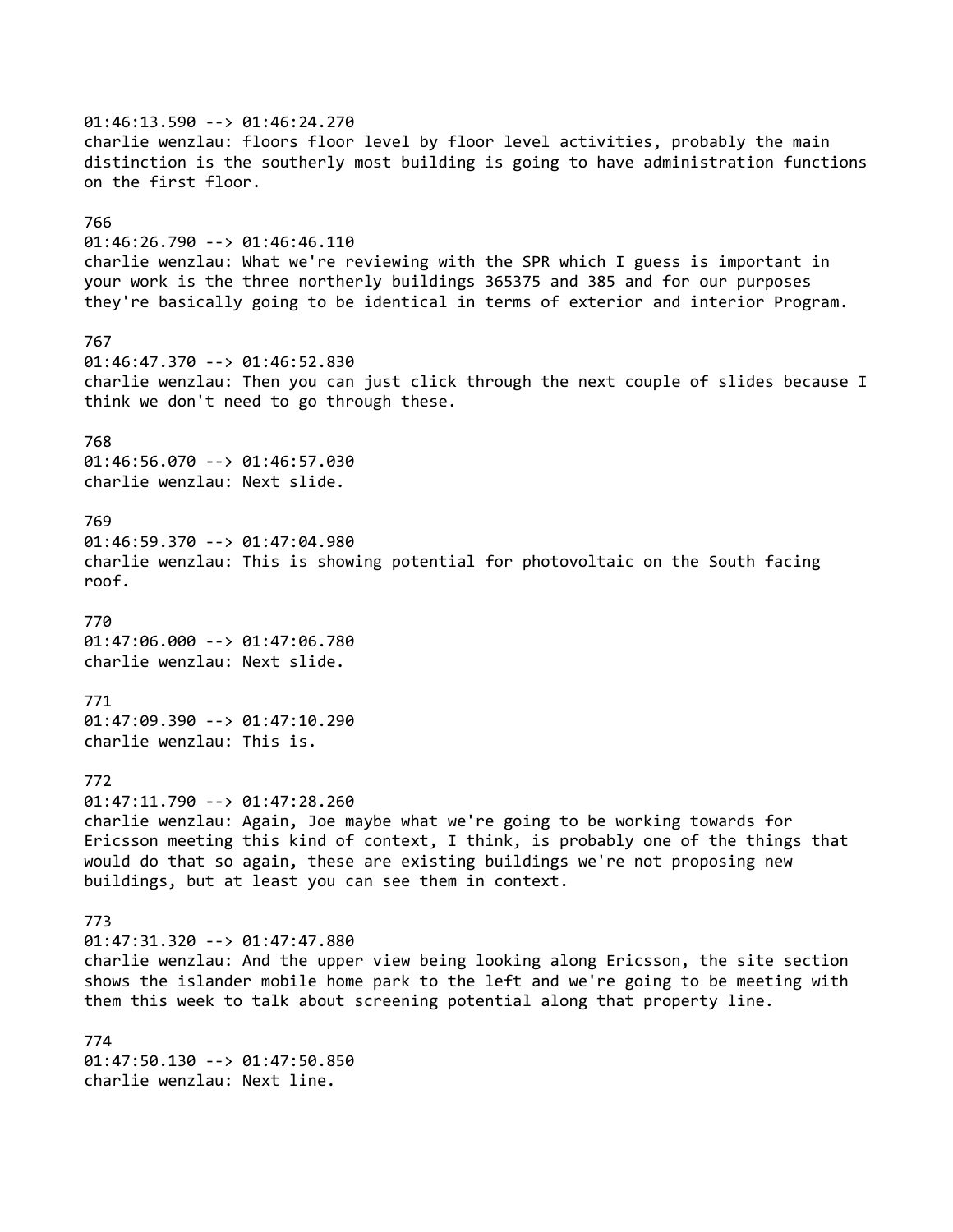01:46:13.590 --> 01:46:24.270 charlie wenzlau: floors floor level by floor level activities, probably the main distinction is the southerly most building is going to have administration functions on the first floor. 766 01:46:26.790 --> 01:46:46.110 charlie wenzlau: What we're reviewing with the SPR which I guess is important in your work is the three northerly buildings 365375 and 385 and for our purposes they're basically going to be identical in terms of exterior and interior Program. 767 01:46:47.370 --> 01:46:52.830 charlie wenzlau: Then you can just click through the next couple of slides because I think we don't need to go through these. 768 01:46:56.070 --> 01:46:57.030 charlie wenzlau: Next slide. 769 01:46:59.370 --> 01:47:04.980 charlie wenzlau: This is showing potential for photovoltaic on the South facing roof. 770 01:47:06.000 --> 01:47:06.780 charlie wenzlau: Next slide. 771 01:47:09.390 --> 01:47:10.290 charlie wenzlau: This is. 772 01:47:11.790 --> 01:47:28.260 charlie wenzlau: Again, Joe maybe what we're going to be working towards for Ericsson meeting this kind of context, I think, is probably one of the things that would do that so again, these are existing buildings we're not proposing new buildings, but at least you can see them in context. 773 01:47:31.320 --> 01:47:47.880 charlie wenzlau: And the upper view being looking along Ericsson, the site section shows the islander mobile home park to the left and we're going to be meeting with them this week to talk about screening potential along that property line. 774 01:47:50.130 --> 01:47:50.850 charlie wenzlau: Next line.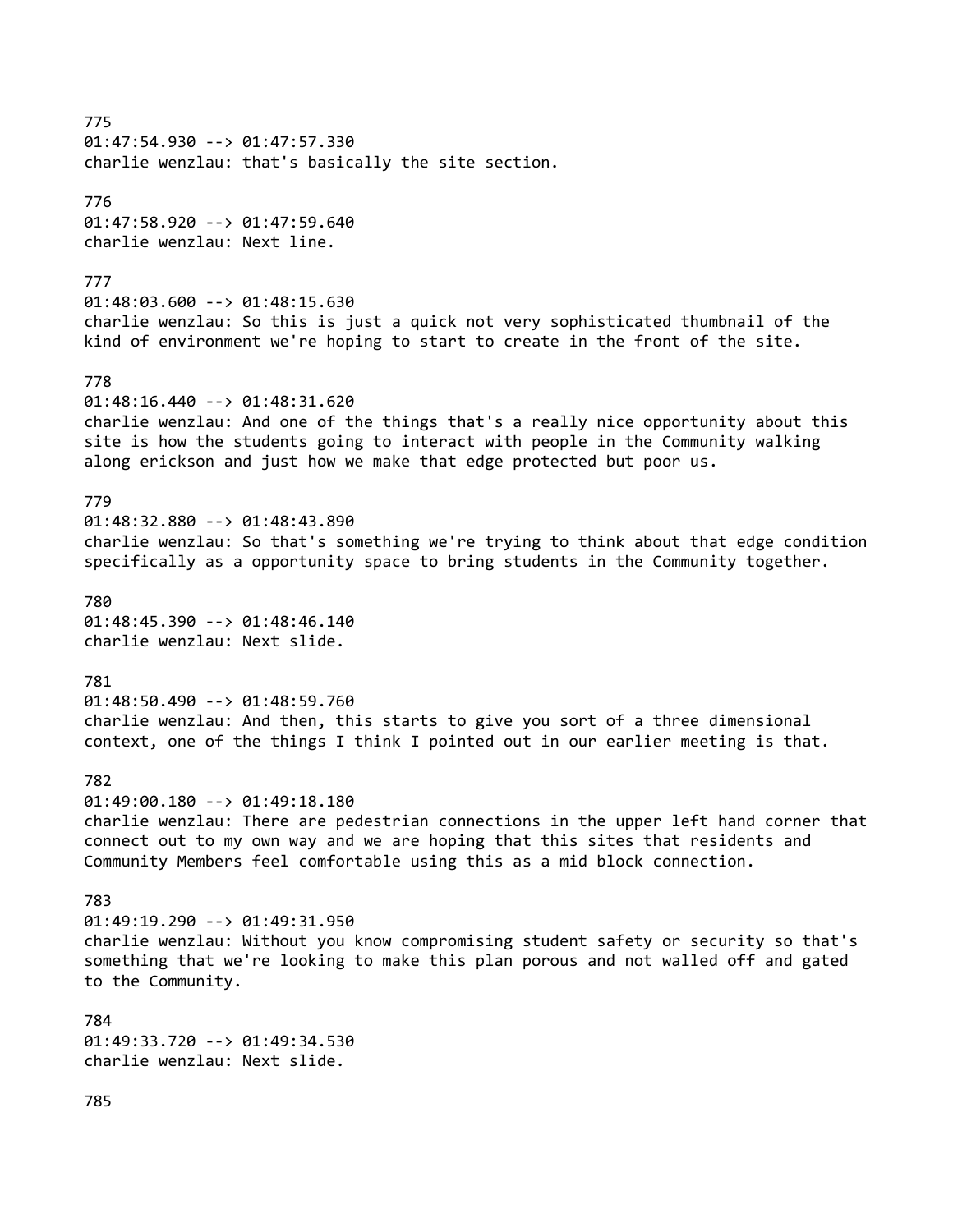775 01:47:54.930 --> 01:47:57.330 charlie wenzlau: that's basically the site section. 776 01:47:58.920 --> 01:47:59.640 charlie wenzlau: Next line. 777 01:48:03.600 --> 01:48:15.630 charlie wenzlau: So this is just a quick not very sophisticated thumbnail of the kind of environment we're hoping to start to create in the front of the site. 778 01:48:16.440 --> 01:48:31.620 charlie wenzlau: And one of the things that's a really nice opportunity about this site is how the students going to interact with people in the Community walking along erickson and just how we make that edge protected but poor us. 779 01:48:32.880 --> 01:48:43.890 charlie wenzlau: So that's something we're trying to think about that edge condition specifically as a opportunity space to bring students in the Community together. 780 01:48:45.390 --> 01:48:46.140 charlie wenzlau: Next slide. 781 01:48:50.490 --> 01:48:59.760 charlie wenzlau: And then, this starts to give you sort of a three dimensional context, one of the things I think I pointed out in our earlier meeting is that. 782 01:49:00.180 --> 01:49:18.180 charlie wenzlau: There are pedestrian connections in the upper left hand corner that connect out to my own way and we are hoping that this sites that residents and Community Members feel comfortable using this as a mid block connection. 783 01:49:19.290 --> 01:49:31.950 charlie wenzlau: Without you know compromising student safety or security so that's something that we're looking to make this plan porous and not walled off and gated to the Community. 784 01:49:33.720 --> 01:49:34.530 charlie wenzlau: Next slide. 785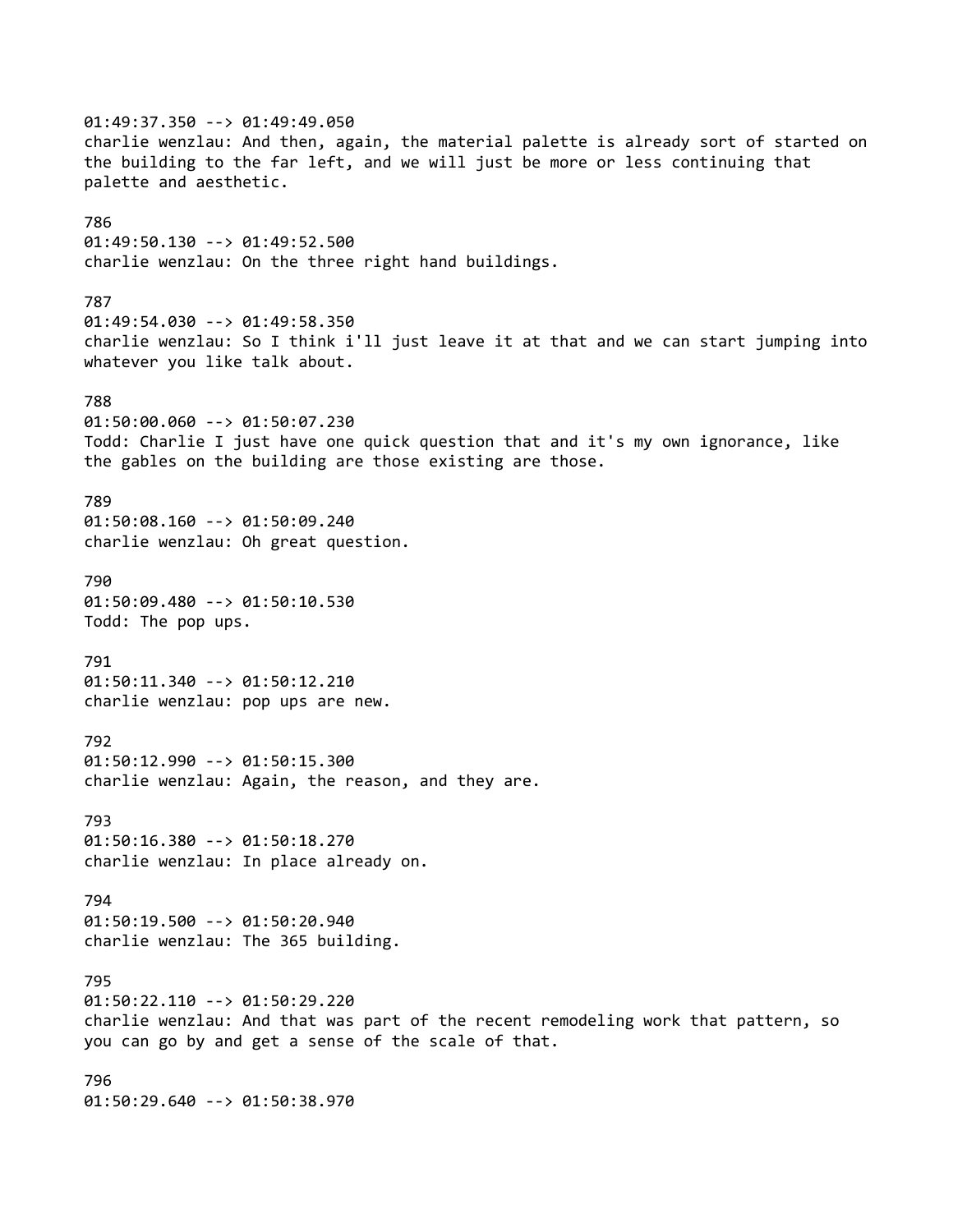01:49:37.350 --> 01:49:49.050 charlie wenzlau: And then, again, the material palette is already sort of started on the building to the far left, and we will just be more or less continuing that palette and aesthetic. 786 01:49:50.130 --> 01:49:52.500 charlie wenzlau: On the three right hand buildings. 787 01:49:54.030 --> 01:49:58.350 charlie wenzlau: So I think i'll just leave it at that and we can start jumping into whatever you like talk about. 788 01:50:00.060 --> 01:50:07.230 Todd: Charlie I just have one quick question that and it's my own ignorance, like the gables on the building are those existing are those. 789 01:50:08.160 --> 01:50:09.240 charlie wenzlau: Oh great question. 790 01:50:09.480 --> 01:50:10.530 Todd: The pop ups. 791 01:50:11.340 --> 01:50:12.210 charlie wenzlau: pop ups are new. 792 01:50:12.990 --> 01:50:15.300 charlie wenzlau: Again, the reason, and they are. 793 01:50:16.380 --> 01:50:18.270 charlie wenzlau: In place already on. 794 01:50:19.500 --> 01:50:20.940 charlie wenzlau: The 365 building. 795 01:50:22.110 --> 01:50:29.220 charlie wenzlau: And that was part of the recent remodeling work that pattern, so you can go by and get a sense of the scale of that. 796 01:50:29.640 --> 01:50:38.970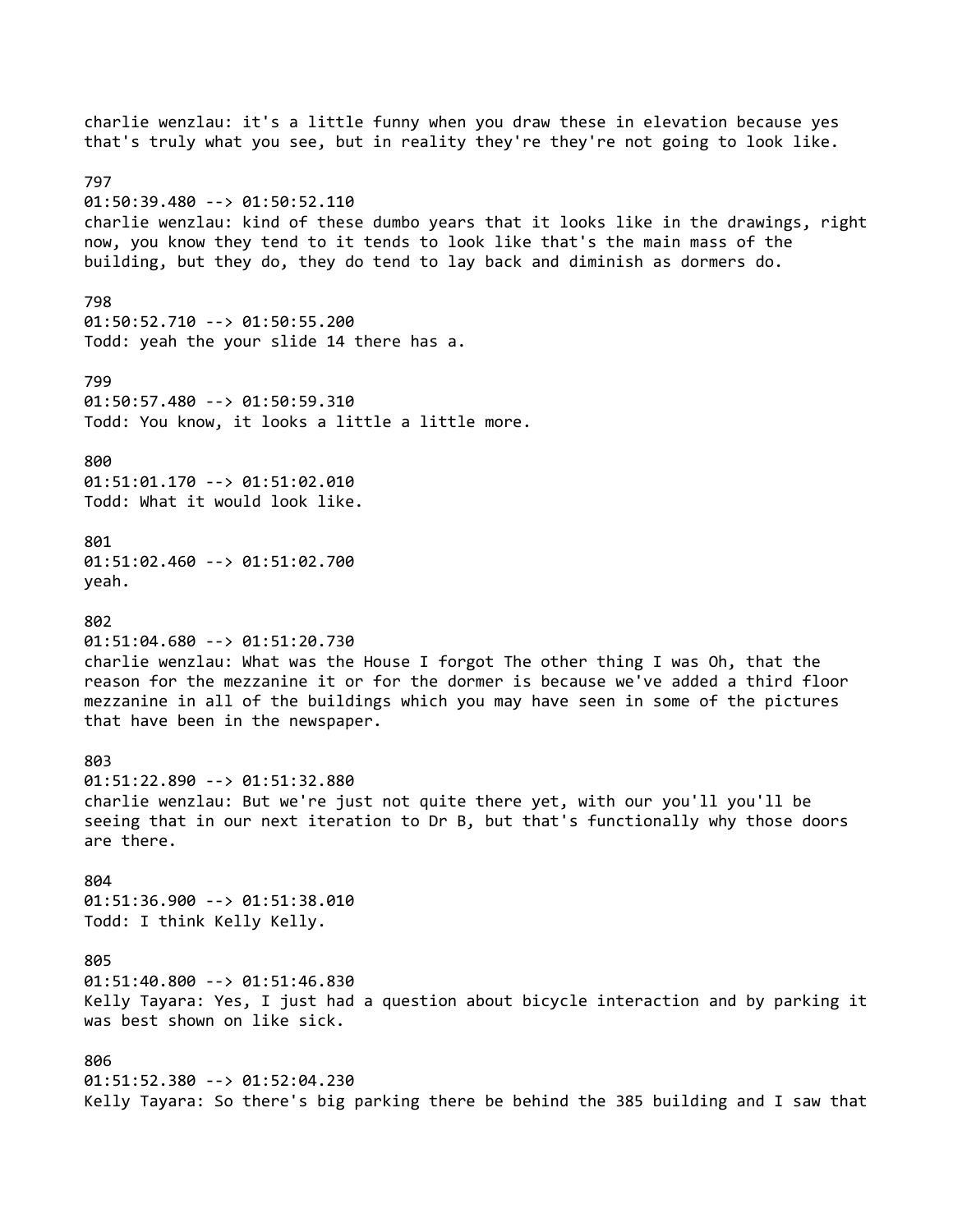charlie wenzlau: it's a little funny when you draw these in elevation because yes that's truly what you see, but in reality they're they're not going to look like. 797 01:50:39.480 --> 01:50:52.110 charlie wenzlau: kind of these dumbo years that it looks like in the drawings, right now, you know they tend to it tends to look like that's the main mass of the building, but they do, they do tend to lay back and diminish as dormers do. 798 01:50:52.710 --> 01:50:55.200 Todd: yeah the your slide 14 there has a. 799 01:50:57.480 --> 01:50:59.310 Todd: You know, it looks a little a little more. 800 01:51:01.170 --> 01:51:02.010 Todd: What it would look like. 801 01:51:02.460 --> 01:51:02.700 yeah. 802 01:51:04.680 --> 01:51:20.730 charlie wenzlau: What was the House I forgot The other thing I was Oh, that the reason for the mezzanine it or for the dormer is because we've added a third floor mezzanine in all of the buildings which you may have seen in some of the pictures that have been in the newspaper. 803 01:51:22.890 --> 01:51:32.880 charlie wenzlau: But we're just not quite there yet, with our you'll you'll be seeing that in our next iteration to Dr B, but that's functionally why those doors are there. 804 01:51:36.900 --> 01:51:38.010 Todd: I think Kelly Kelly. 805 01:51:40.800 --> 01:51:46.830 Kelly Tayara: Yes, I just had a question about bicycle interaction and by parking it was best shown on like sick. 806 01:51:52.380 --> 01:52:04.230 Kelly Tayara: So there's big parking there be behind the 385 building and I saw that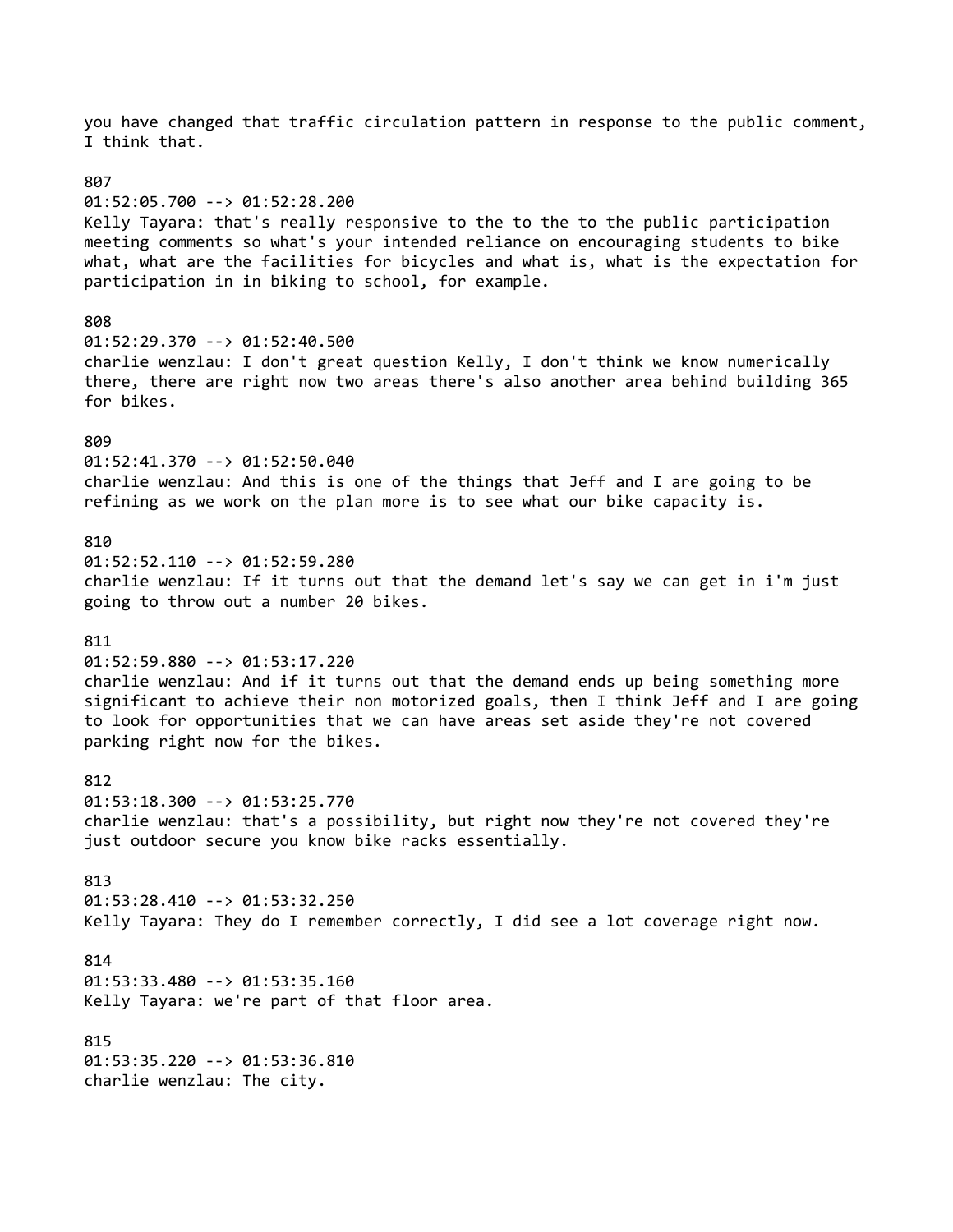you have changed that traffic circulation pattern in response to the public comment, I think that. 807 01:52:05.700 --> 01:52:28.200 Kelly Tayara: that's really responsive to the to the to the public participation meeting comments so what's your intended reliance on encouraging students to bike what, what are the facilities for bicycles and what is, what is the expectation for participation in in biking to school, for example. 808 01:52:29.370 --> 01:52:40.500 charlie wenzlau: I don't great question Kelly, I don't think we know numerically there, there are right now two areas there's also another area behind building 365 for bikes. 809 01:52:41.370 --> 01:52:50.040 charlie wenzlau: And this is one of the things that Jeff and I are going to be refining as we work on the plan more is to see what our bike capacity is. 810 01:52:52.110 --> 01:52:59.280 charlie wenzlau: If it turns out that the demand let's say we can get in i'm just going to throw out a number 20 bikes. 811 01:52:59.880 --> 01:53:17.220 charlie wenzlau: And if it turns out that the demand ends up being something more significant to achieve their non motorized goals, then I think Jeff and I are going to look for opportunities that we can have areas set aside they're not covered parking right now for the bikes. 812 01:53:18.300 --> 01:53:25.770 charlie wenzlau: that's a possibility, but right now they're not covered they're just outdoor secure you know bike racks essentially. 813 01:53:28.410 --> 01:53:32.250 Kelly Tayara: They do I remember correctly, I did see a lot coverage right now. 814 01:53:33.480 --> 01:53:35.160 Kelly Tayara: we're part of that floor area. 815 01:53:35.220 --> 01:53:36.810 charlie wenzlau: The city.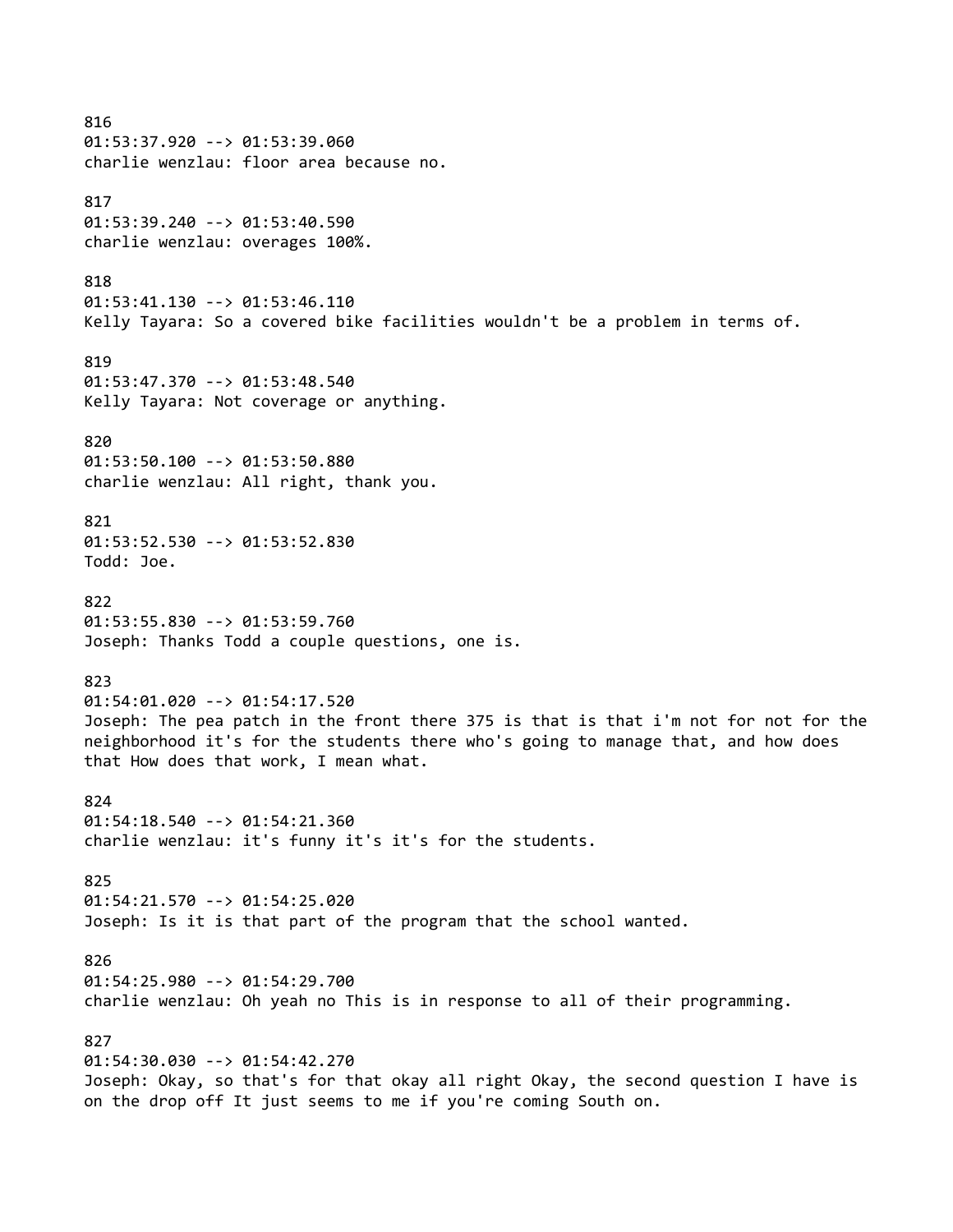816 01:53:37.920 --> 01:53:39.060 charlie wenzlau: floor area because no. 817 01:53:39.240 --> 01:53:40.590 charlie wenzlau: overages 100%. 818 01:53:41.130 --> 01:53:46.110 Kelly Tayara: So a covered bike facilities wouldn't be a problem in terms of. 819 01:53:47.370 --> 01:53:48.540 Kelly Tayara: Not coverage or anything. 820 01:53:50.100 --> 01:53:50.880 charlie wenzlau: All right, thank you. 821 01:53:52.530 --> 01:53:52.830 Todd: Joe. 822 01:53:55.830 --> 01:53:59.760 Joseph: Thanks Todd a couple questions, one is. 823 01:54:01.020 --> 01:54:17.520 Joseph: The pea patch in the front there 375 is that is that i'm not for not for the neighborhood it's for the students there who's going to manage that, and how does that How does that work, I mean what. 824 01:54:18.540 --> 01:54:21.360 charlie wenzlau: it's funny it's it's for the students. 825 01:54:21.570 --> 01:54:25.020 Joseph: Is it is that part of the program that the school wanted. 826 01:54:25.980 --> 01:54:29.700 charlie wenzlau: Oh yeah no This is in response to all of their programming. 827 01:54:30.030 --> 01:54:42.270 Joseph: Okay, so that's for that okay all right Okay, the second question I have is on the drop off It just seems to me if you're coming South on.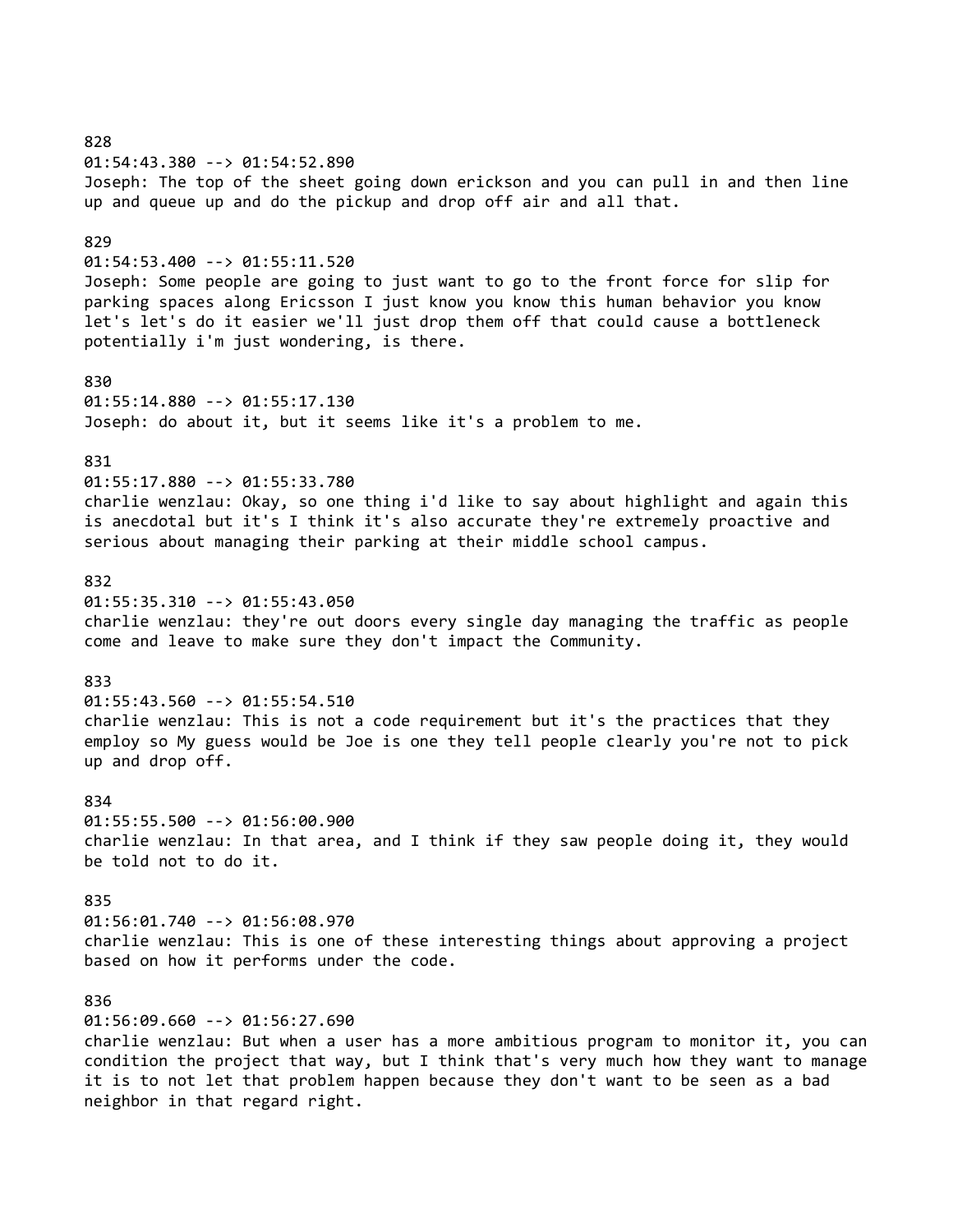828 01:54:43.380 --> 01:54:52.890 Joseph: The top of the sheet going down erickson and you can pull in and then line up and queue up and do the pickup and drop off air and all that. 829 01:54:53.400 --> 01:55:11.520 Joseph: Some people are going to just want to go to the front force for slip for parking spaces along Ericsson I just know you know this human behavior you know let's let's do it easier we'll just drop them off that could cause a bottleneck potentially i'm just wondering, is there. 830 01:55:14.880 --> 01:55:17.130 Joseph: do about it, but it seems like it's a problem to me. 831 01:55:17.880 --> 01:55:33.780 charlie wenzlau: Okay, so one thing i'd like to say about highlight and again this is anecdotal but it's I think it's also accurate they're extremely proactive and serious about managing their parking at their middle school campus. 832 01:55:35.310 --> 01:55:43.050 charlie wenzlau: they're out doors every single day managing the traffic as people come and leave to make sure they don't impact the Community. 833 01:55:43.560 --> 01:55:54.510 charlie wenzlau: This is not a code requirement but it's the practices that they employ so My guess would be Joe is one they tell people clearly you're not to pick up and drop off. 834 01:55:55.500 --> 01:56:00.900 charlie wenzlau: In that area, and I think if they saw people doing it, they would be told not to do it. 835 01:56:01.740 --> 01:56:08.970 charlie wenzlau: This is one of these interesting things about approving a project based on how it performs under the code. 836 01:56:09.660 --> 01:56:27.690 charlie wenzlau: But when a user has a more ambitious program to monitor it, you can condition the project that way, but I think that's very much how they want to manage it is to not let that problem happen because they don't want to be seen as a bad

neighbor in that regard right.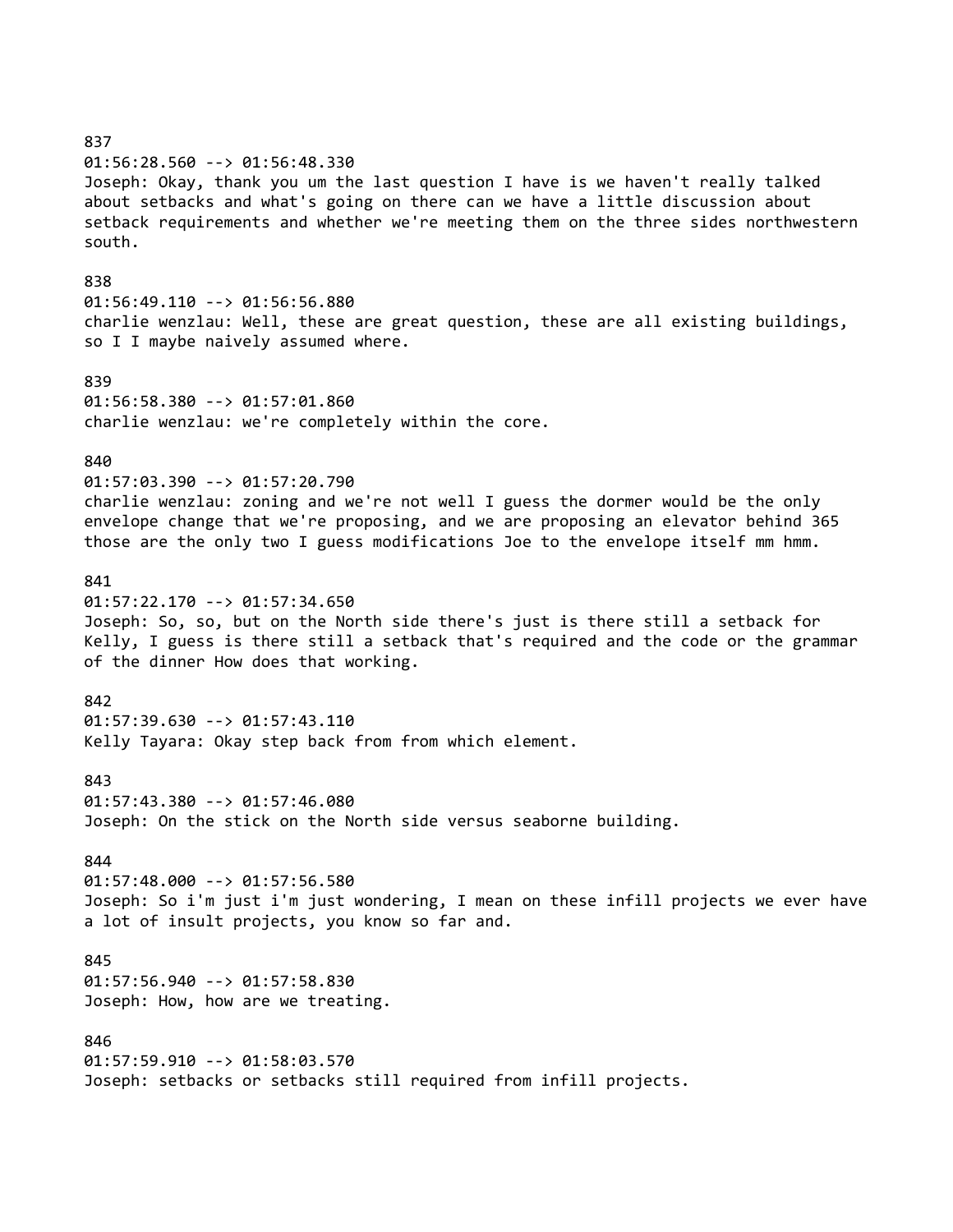837 01:56:28.560 --> 01:56:48.330 Joseph: Okay, thank you um the last question I have is we haven't really talked about setbacks and what's going on there can we have a little discussion about setback requirements and whether we're meeting them on the three sides northwestern south. 838 01:56:49.110 --> 01:56:56.880 charlie wenzlau: Well, these are great question, these are all existing buildings, so I I maybe naively assumed where. 839 01:56:58.380 --> 01:57:01.860 charlie wenzlau: we're completely within the core. 840 01:57:03.390 --> 01:57:20.790 charlie wenzlau: zoning and we're not well I guess the dormer would be the only envelope change that we're proposing, and we are proposing an elevator behind 365 those are the only two I guess modifications Joe to the envelope itself mm hmm. 841 01:57:22.170 --> 01:57:34.650 Joseph: So, so, but on the North side there's just is there still a setback for Kelly, I guess is there still a setback that's required and the code or the grammar of the dinner How does that working. 842 01:57:39.630 --> 01:57:43.110 Kelly Tayara: Okay step back from from which element. 843 01:57:43.380 --> 01:57:46.080 Joseph: On the stick on the North side versus seaborne building. 844 01:57:48.000 --> 01:57:56.580 Joseph: So i'm just i'm just wondering, I mean on these infill projects we ever have a lot of insult projects, you know so far and. 845 01:57:56.940 --> 01:57:58.830 Joseph: How, how are we treating. 846 01:57:59.910 --> 01:58:03.570 Joseph: setbacks or setbacks still required from infill projects.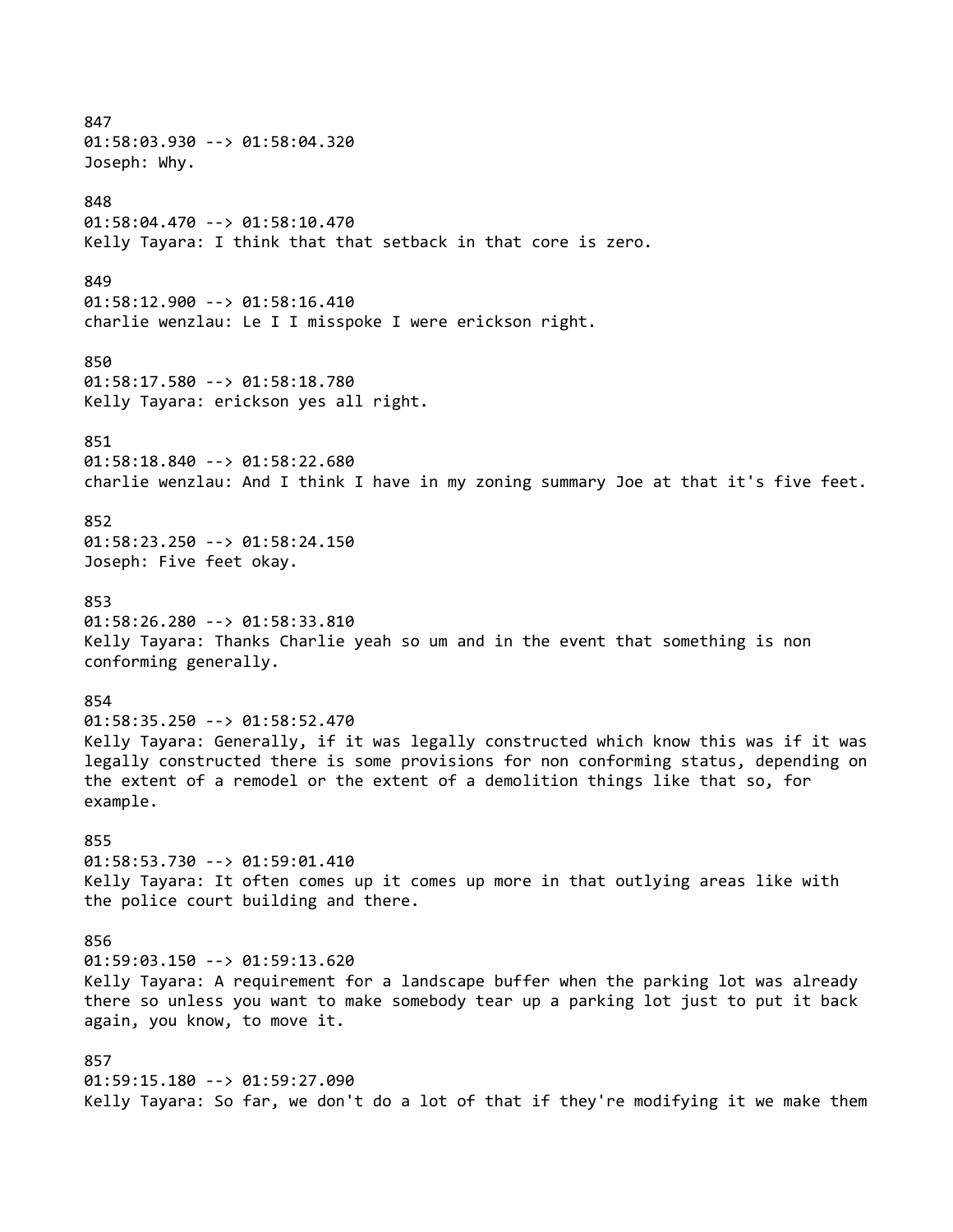847 01:58:03.930 --> 01:58:04.320 Joseph: Why. 848 01:58:04.470 --> 01:58:10.470 Kelly Tayara: I think that that setback in that core is zero. 849 01:58:12.900 --> 01:58:16.410 charlie wenzlau: Le I I misspoke I were erickson right. 850 01:58:17.580 --> 01:58:18.780 Kelly Tayara: erickson yes all right. 851 01:58:18.840 --> 01:58:22.680 charlie wenzlau: And I think I have in my zoning summary Joe at that it's five feet. 852 01:58:23.250 --> 01:58:24.150 Joseph: Five feet okay. 853 01:58:26.280 --> 01:58:33.810 Kelly Tayara: Thanks Charlie yeah so um and in the event that something is non conforming generally. 854 01:58:35.250 --> 01:58:52.470 Kelly Tayara: Generally, if it was legally constructed which know this was if it was legally constructed there is some provisions for non conforming status, depending on the extent of a remodel or the extent of a demolition things like that so, for example. 855 01:58:53.730 --> 01:59:01.410 Kelly Tayara: It often comes up it comes up more in that outlying areas like with the police court building and there. 856 01:59:03.150 --> 01:59:13.620 Kelly Tayara: A requirement for a landscape buffer when the parking lot was already there so unless you want to make somebody tear up a parking lot just to put it back again, you know, to move it. 857 01:59:15.180 --> 01:59:27.090 Kelly Tayara: So far, we don't do a lot of that if they're modifying it we make them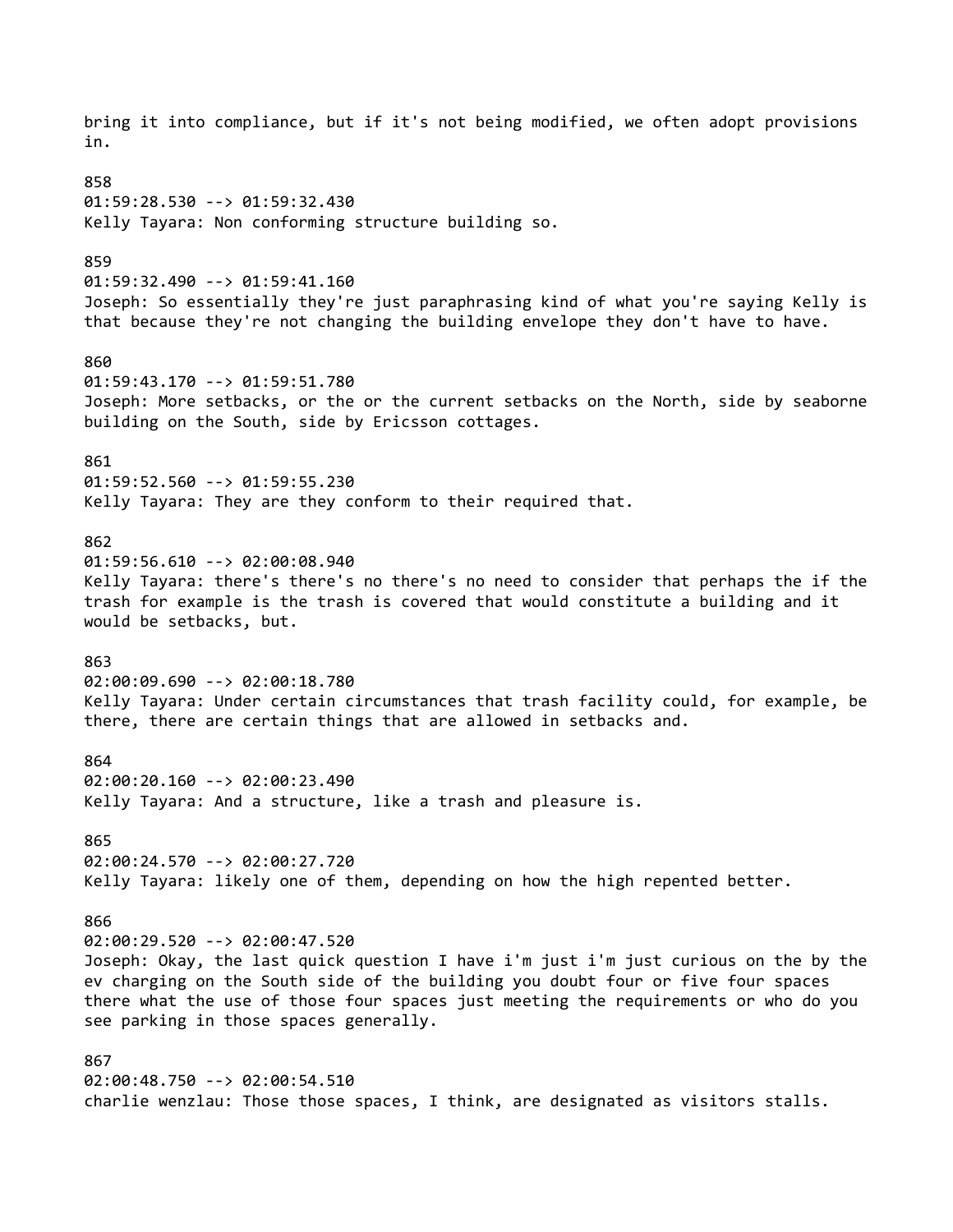bring it into compliance, but if it's not being modified, we often adopt provisions in. 858 01:59:28.530 --> 01:59:32.430 Kelly Tayara: Non conforming structure building so. 859 01:59:32.490 --> 01:59:41.160 Joseph: So essentially they're just paraphrasing kind of what you're saying Kelly is that because they're not changing the building envelope they don't have to have. 860 01:59:43.170 --> 01:59:51.780 Joseph: More setbacks, or the or the current setbacks on the North, side by seaborne building on the South, side by Ericsson cottages. 861 01:59:52.560 --> 01:59:55.230 Kelly Tayara: They are they conform to their required that. 862 01:59:56.610 --> 02:00:08.940 Kelly Tayara: there's there's no there's no need to consider that perhaps the if the trash for example is the trash is covered that would constitute a building and it would be setbacks, but. 863 02:00:09.690 --> 02:00:18.780 Kelly Tayara: Under certain circumstances that trash facility could, for example, be there, there are certain things that are allowed in setbacks and. 864 02:00:20.160 --> 02:00:23.490 Kelly Tayara: And a structure, like a trash and pleasure is. 865 02:00:24.570 --> 02:00:27.720 Kelly Tayara: likely one of them, depending on how the high repented better. 866 02:00:29.520 --> 02:00:47.520 Joseph: Okay, the last quick question I have i'm just i'm just curious on the by the ev charging on the South side of the building you doubt four or five four spaces there what the use of those four spaces just meeting the requirements or who do you see parking in those spaces generally. 867 02:00:48.750 --> 02:00:54.510 charlie wenzlau: Those those spaces, I think, are designated as visitors stalls.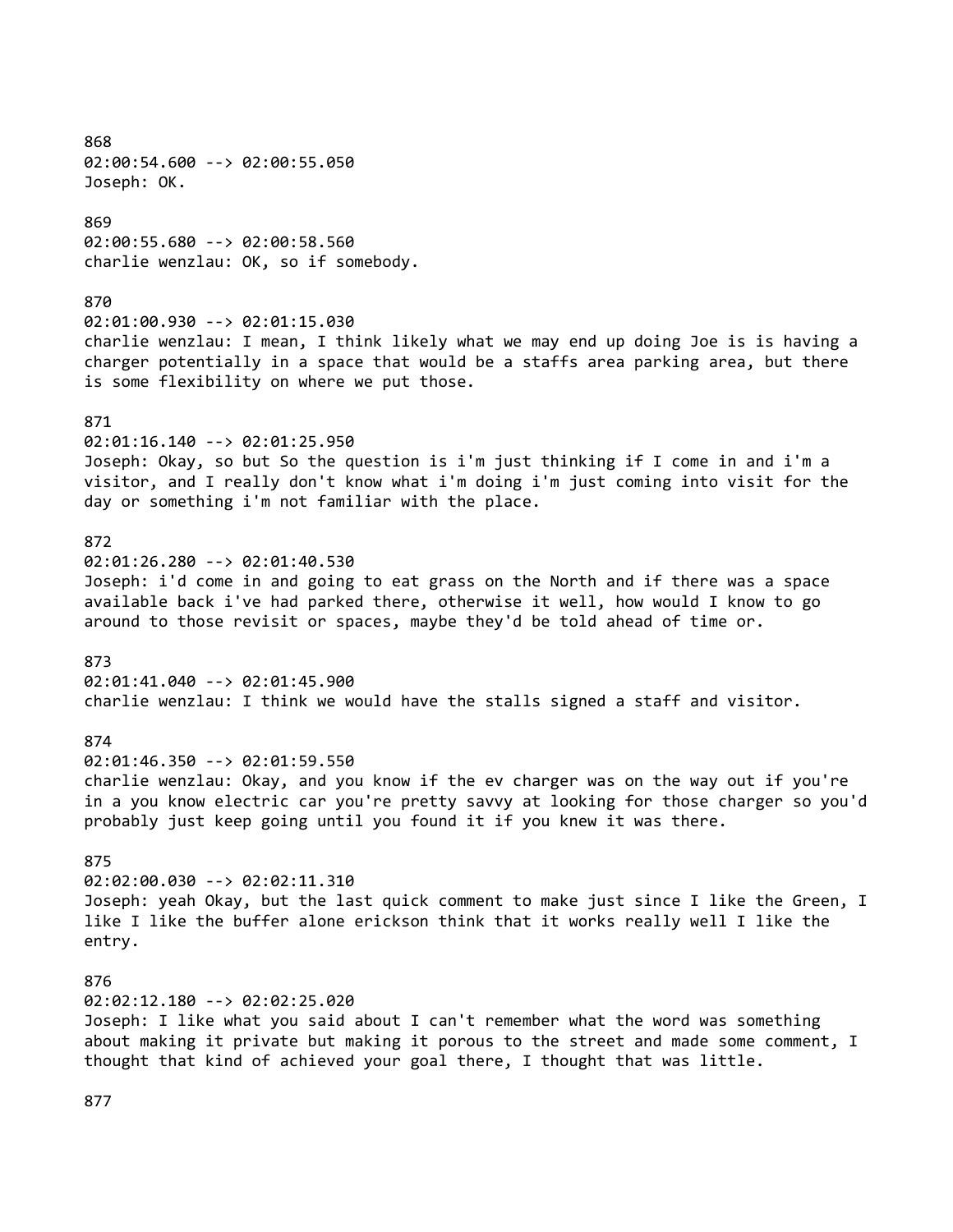868 02:00:54.600 --> 02:00:55.050 Joseph: OK. 869 02:00:55.680 --> 02:00:58.560 charlie wenzlau: OK, so if somebody. 870 02:01:00.930 --> 02:01:15.030 charlie wenzlau: I mean, I think likely what we may end up doing Joe is is having a charger potentially in a space that would be a staffs area parking area, but there is some flexibility on where we put those. 871 02:01:16.140 --> 02:01:25.950 Joseph: Okay, so but So the question is i'm just thinking if I come in and i'm a visitor, and I really don't know what i'm doing i'm just coming into visit for the day or something i'm not familiar with the place. 872 02:01:26.280 --> 02:01:40.530 Joseph: i'd come in and going to eat grass on the North and if there was a space available back i've had parked there, otherwise it well, how would I know to go around to those revisit or spaces, maybe they'd be told ahead of time or. 873 02:01:41.040 --> 02:01:45.900 charlie wenzlau: I think we would have the stalls signed a staff and visitor. 874 02:01:46.350 --> 02:01:59.550 charlie wenzlau: Okay, and you know if the ev charger was on the way out if you're in a you know electric car you're pretty savvy at looking for those charger so you'd probably just keep going until you found it if you knew it was there. 875 02:02:00.030 --> 02:02:11.310 Joseph: yeah Okay, but the last quick comment to make just since I like the Green, I like I like the buffer alone erickson think that it works really well I like the entry. 876 02:02:12.180 --> 02:02:25.020 Joseph: I like what you said about I can't remember what the word was something about making it private but making it porous to the street and made some comment, I thought that kind of achieved your goal there, I thought that was little.

877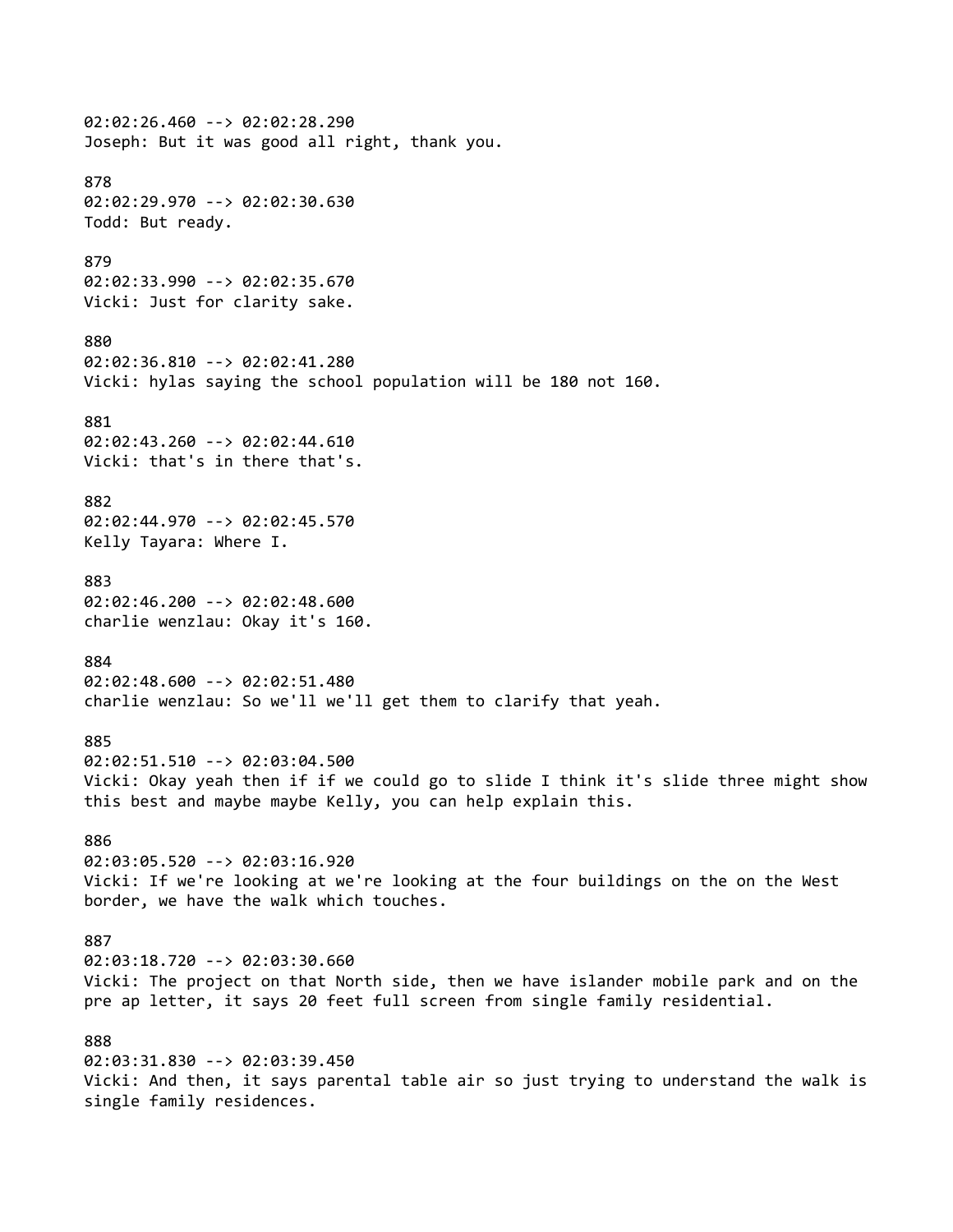02:02:26.460 --> 02:02:28.290 Joseph: But it was good all right, thank you. 878 02:02:29.970 --> 02:02:30.630 Todd: But ready. 879 02:02:33.990 --> 02:02:35.670 Vicki: Just for clarity sake. 880 02:02:36.810 --> 02:02:41.280 Vicki: hylas saying the school population will be 180 not 160. 881 02:02:43.260 --> 02:02:44.610 Vicki: that's in there that's. 882 02:02:44.970 --> 02:02:45.570 Kelly Tayara: Where I. 883 02:02:46.200 --> 02:02:48.600 charlie wenzlau: Okay it's 160. 884 02:02:48.600 --> 02:02:51.480 charlie wenzlau: So we'll we'll get them to clarify that yeah. 885 02:02:51.510 --> 02:03:04.500 Vicki: Okay yeah then if if we could go to slide I think it's slide three might show this best and maybe maybe Kelly, you can help explain this. 886 02:03:05.520 --> 02:03:16.920 Vicki: If we're looking at we're looking at the four buildings on the on the West border, we have the walk which touches. 887 02:03:18.720 --> 02:03:30.660 Vicki: The project on that North side, then we have islander mobile park and on the pre ap letter, it says 20 feet full screen from single family residential. 888 02:03:31.830 --> 02:03:39.450 Vicki: And then, it says parental table air so just trying to understand the walk is single family residences.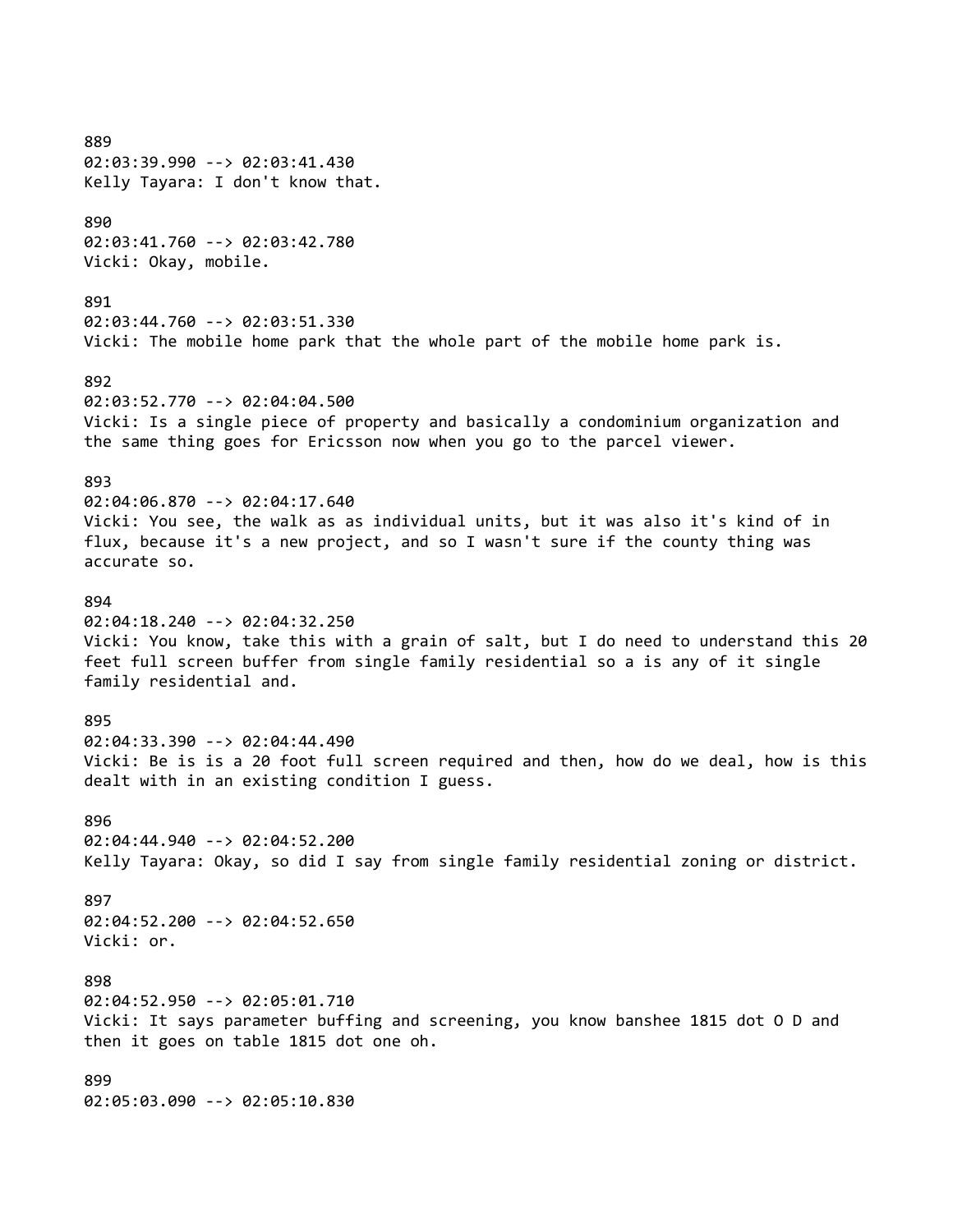889 02:03:39.990 --> 02:03:41.430 Kelly Tayara: I don't know that. 890 02:03:41.760 --> 02:03:42.780 Vicki: Okay, mobile. 891 02:03:44.760 --> 02:03:51.330 Vicki: The mobile home park that the whole part of the mobile home park is. 892 02:03:52.770 --> 02:04:04.500 Vicki: Is a single piece of property and basically a condominium organization and the same thing goes for Ericsson now when you go to the parcel viewer. 893 02:04:06.870 --> 02:04:17.640 Vicki: You see, the walk as as individual units, but it was also it's kind of in flux, because it's a new project, and so I wasn't sure if the county thing was accurate so. 894 02:04:18.240 --> 02:04:32.250 Vicki: You know, take this with a grain of salt, but I do need to understand this 20 feet full screen buffer from single family residential so a is any of it single family residential and. 895 02:04:33.390 --> 02:04:44.490 Vicki: Be is is a 20 foot full screen required and then, how do we deal, how is this dealt with in an existing condition I guess. 896 02:04:44.940 --> 02:04:52.200 Kelly Tayara: Okay, so did I say from single family residential zoning or district. 897 02:04:52.200 --> 02:04:52.650 Vicki: or. 898 02:04:52.950 --> 02:05:01.710 Vicki: It says parameter buffing and screening, you know banshee 1815 dot O D and then it goes on table 1815 dot one oh. 899 02:05:03.090 --> 02:05:10.830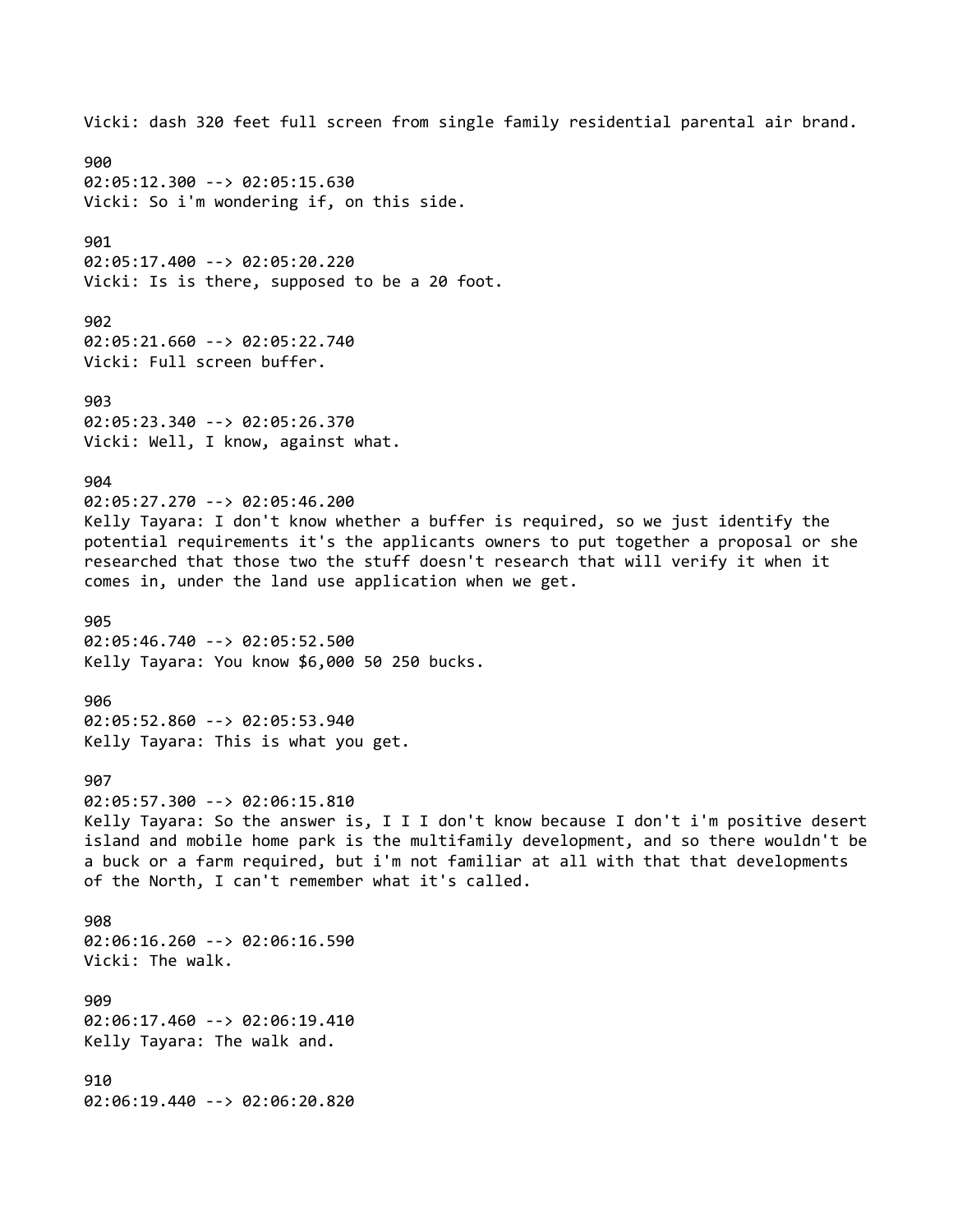Vicki: dash 320 feet full screen from single family residential parental air brand. 900 02:05:12.300 --> 02:05:15.630 Vicki: So i'm wondering if, on this side. 901 02:05:17.400 --> 02:05:20.220 Vicki: Is is there, supposed to be a 20 foot. 902 02:05:21.660 --> 02:05:22.740 Vicki: Full screen buffer. 903 02:05:23.340 --> 02:05:26.370 Vicki: Well, I know, against what. 904 02:05:27.270 --> 02:05:46.200 Kelly Tayara: I don't know whether a buffer is required, so we just identify the potential requirements it's the applicants owners to put together a proposal or she researched that those two the stuff doesn't research that will verify it when it comes in, under the land use application when we get. 905 02:05:46.740 --> 02:05:52.500 Kelly Tayara: You know \$6,000 50 250 bucks. 906 02:05:52.860 --> 02:05:53.940 Kelly Tayara: This is what you get. 907 02:05:57.300 --> 02:06:15.810 Kelly Tayara: So the answer is, I I I don't know because I don't i'm positive desert island and mobile home park is the multifamily development, and so there wouldn't be a buck or a farm required, but i'm not familiar at all with that that developments of the North, I can't remember what it's called. 908 02:06:16.260 --> 02:06:16.590 Vicki: The walk. 909 02:06:17.460 --> 02:06:19.410 Kelly Tayara: The walk and. 910 02:06:19.440 --> 02:06:20.820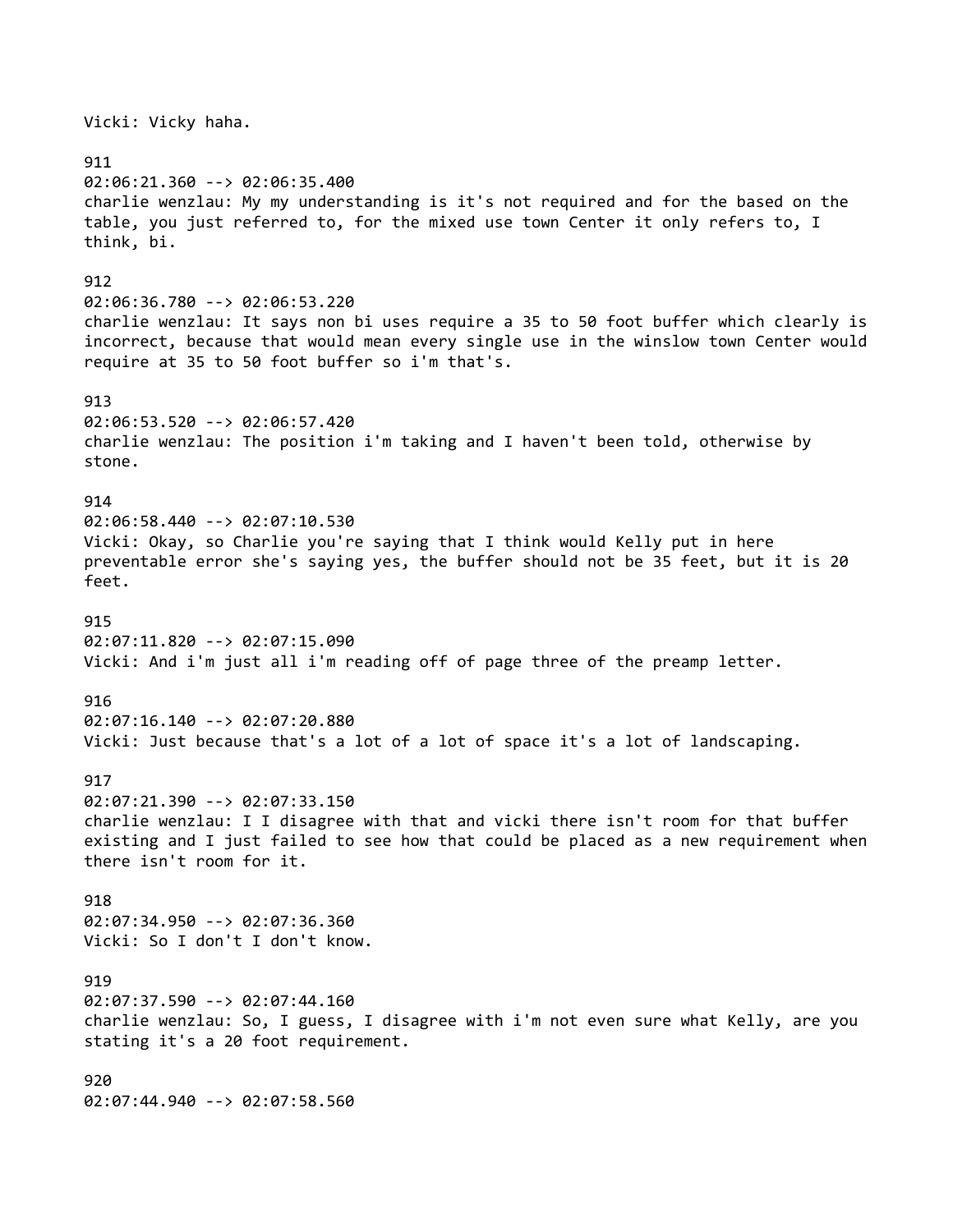Vicki: Vicky haha. 911 02:06:21.360 --> 02:06:35.400 charlie wenzlau: My my understanding is it's not required and for the based on the table, you just referred to, for the mixed use town Center it only refers to, I think, bi. 912 02:06:36.780 --> 02:06:53.220 charlie wenzlau: It says non bi uses require a 35 to 50 foot buffer which clearly is incorrect, because that would mean every single use in the winslow town Center would require at 35 to 50 foot buffer so i'm that's. 913 02:06:53.520 --> 02:06:57.420 charlie wenzlau: The position i'm taking and I haven't been told, otherwise by stone. 914 02:06:58.440 --> 02:07:10.530 Vicki: Okay, so Charlie you're saying that I think would Kelly put in here preventable error she's saying yes, the buffer should not be 35 feet, but it is 20 feet. 915 02:07:11.820 --> 02:07:15.090 Vicki: And i'm just all i'm reading off of page three of the preamp letter. 916 02:07:16.140 --> 02:07:20.880 Vicki: Just because that's a lot of a lot of space it's a lot of landscaping. 917 02:07:21.390 --> 02:07:33.150 charlie wenzlau: I I disagree with that and vicki there isn't room for that buffer existing and I just failed to see how that could be placed as a new requirement when there isn't room for it. 918 02:07:34.950 --> 02:07:36.360 Vicki: So I don't I don't know. 919 02:07:37.590 --> 02:07:44.160 charlie wenzlau: So, I guess, I disagree with i'm not even sure what Kelly, are you stating it's a 20 foot requirement. 920 02:07:44.940 --> 02:07:58.560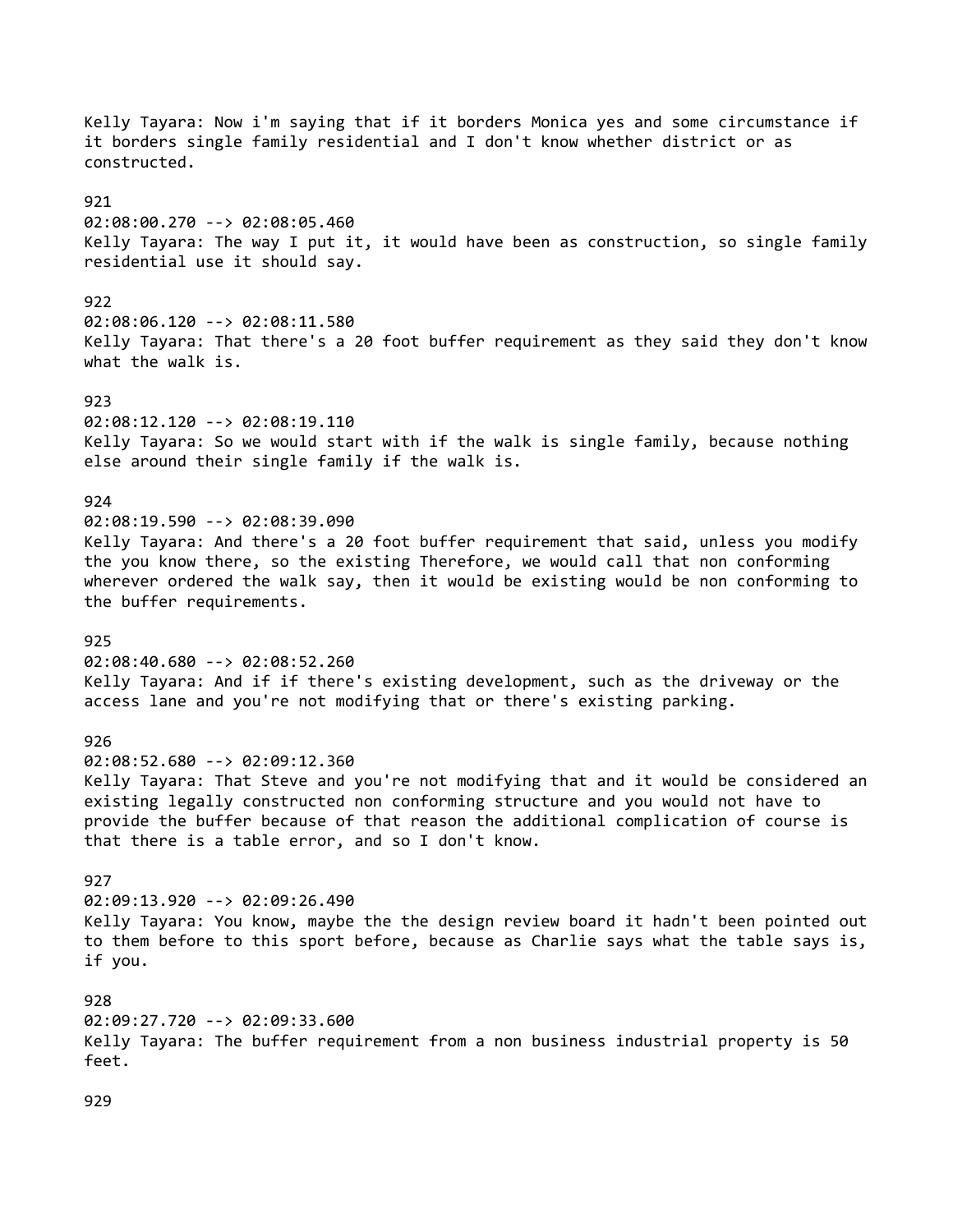Kelly Tayara: Now i'm saying that if it borders Monica yes and some circumstance if it borders single family residential and I don't know whether district or as constructed. 921 02:08:00.270 --> 02:08:05.460 Kelly Tayara: The way I put it, it would have been as construction, so single family residential use it should say. 922 02:08:06.120 --> 02:08:11.580 Kelly Tayara: That there's a 20 foot buffer requirement as they said they don't know what the walk is. 923 02:08:12.120 --> 02:08:19.110 Kelly Tayara: So we would start with if the walk is single family, because nothing else around their single family if the walk is. 924 02:08:19.590 --> 02:08:39.090 Kelly Tayara: And there's a 20 foot buffer requirement that said, unless you modify the you know there, so the existing Therefore, we would call that non conforming wherever ordered the walk say, then it would be existing would be non conforming to the buffer requirements. 925 02:08:40.680 --> 02:08:52.260 Kelly Tayara: And if if there's existing development, such as the driveway or the access lane and you're not modifying that or there's existing parking. 926 02:08:52.680 --> 02:09:12.360 Kelly Tayara: That Steve and you're not modifying that and it would be considered an existing legally constructed non conforming structure and you would not have to provide the buffer because of that reason the additional complication of course is that there is a table error, and so I don't know. 927 02:09:13.920 --> 02:09:26.490 Kelly Tayara: You know, maybe the the design review board it hadn't been pointed out to them before to this sport before, because as Charlie says what the table says is, if you. 928 02:09:27.720 --> 02:09:33.600 Kelly Tayara: The buffer requirement from a non business industrial property is 50 feet.

929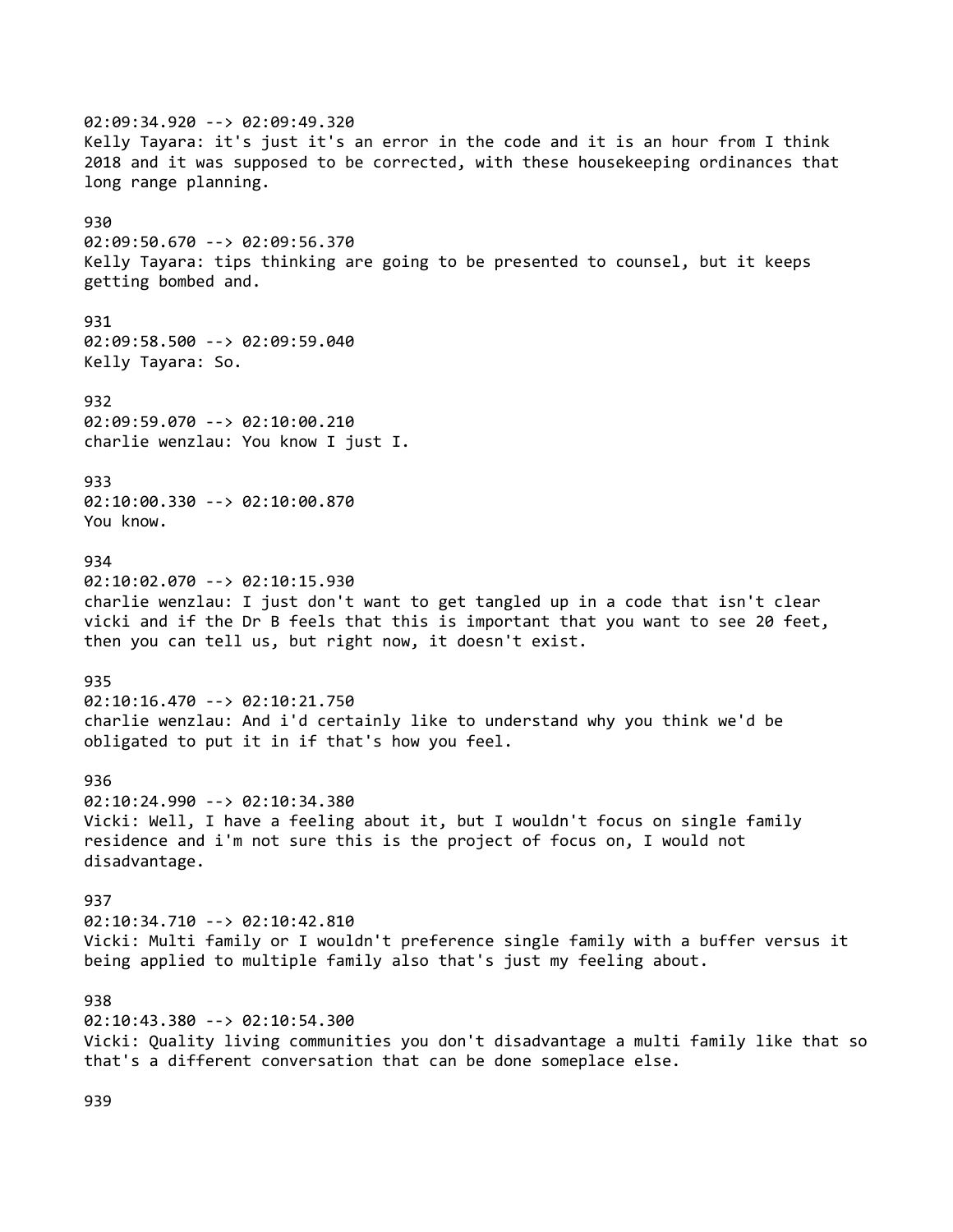02:09:34.920 --> 02:09:49.320 Kelly Tayara: it's just it's an error in the code and it is an hour from I think 2018 and it was supposed to be corrected, with these housekeeping ordinances that long range planning. 930 02:09:50.670 --> 02:09:56.370 Kelly Tayara: tips thinking are going to be presented to counsel, but it keeps getting bombed and. 931 02:09:58.500 --> 02:09:59.040 Kelly Tayara: So. 932 02:09:59.070 --> 02:10:00.210 charlie wenzlau: You know I just I. 933 02:10:00.330 --> 02:10:00.870 You know. 934 02:10:02.070 --> 02:10:15.930 charlie wenzlau: I just don't want to get tangled up in a code that isn't clear vicki and if the Dr B feels that this is important that you want to see 20 feet, then you can tell us, but right now, it doesn't exist. 935 02:10:16.470 --> 02:10:21.750 charlie wenzlau: And i'd certainly like to understand why you think we'd be obligated to put it in if that's how you feel. 936 02:10:24.990 --> 02:10:34.380 Vicki: Well, I have a feeling about it, but I wouldn't focus on single family residence and i'm not sure this is the project of focus on, I would not disadvantage. 937 02:10:34.710 --> 02:10:42.810 Vicki: Multi family or I wouldn't preference single family with a buffer versus it being applied to multiple family also that's just my feeling about. 938 02:10:43.380 --> 02:10:54.300 Vicki: Quality living communities you don't disadvantage a multi family like that so that's a different conversation that can be done someplace else.

939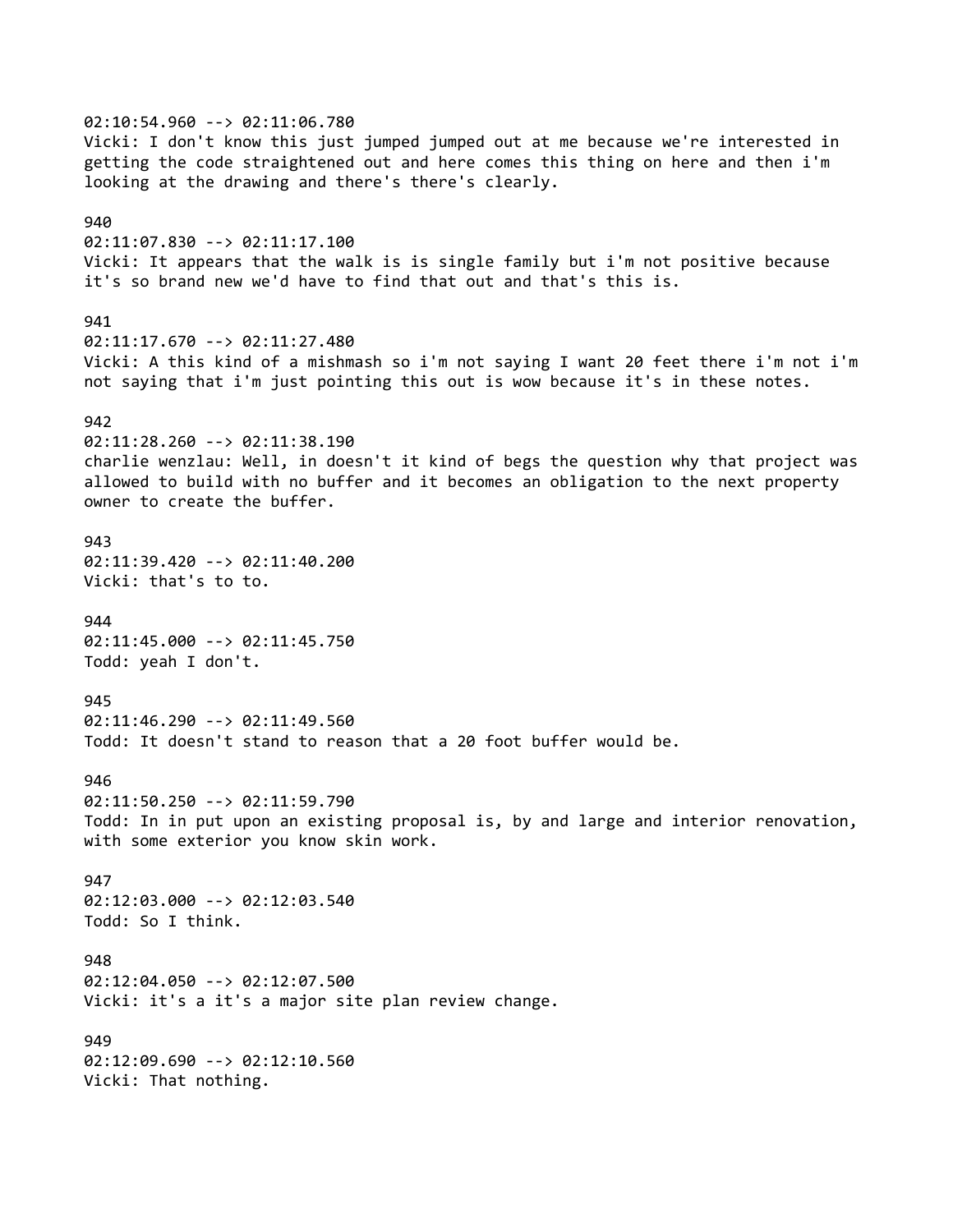02:10:54.960 --> 02:11:06.780 Vicki: I don't know this just jumped jumped out at me because we're interested in getting the code straightened out and here comes this thing on here and then i'm looking at the drawing and there's there's clearly. 940 02:11:07.830 --> 02:11:17.100 Vicki: It appears that the walk is is single family but i'm not positive because it's so brand new we'd have to find that out and that's this is. 941 02:11:17.670 --> 02:11:27.480 Vicki: A this kind of a mishmash so i'm not saying I want 20 feet there i'm not i'm not saying that i'm just pointing this out is wow because it's in these notes. 942 02:11:28.260 --> 02:11:38.190 charlie wenzlau: Well, in doesn't it kind of begs the question why that project was allowed to build with no buffer and it becomes an obligation to the next property owner to create the buffer. 943 02:11:39.420 --> 02:11:40.200 Vicki: that's to to. 944 02:11:45.000 --> 02:11:45.750 Todd: yeah I don't. 945 02:11:46.290 --> 02:11:49.560 Todd: It doesn't stand to reason that a 20 foot buffer would be. 946 02:11:50.250 --> 02:11:59.790 Todd: In in put upon an existing proposal is, by and large and interior renovation, with some exterior you know skin work. 947 02:12:03.000 --> 02:12:03.540 Todd: So I think. 948 02:12:04.050 --> 02:12:07.500 Vicki: it's a it's a major site plan review change. 949 02:12:09.690 --> 02:12:10.560 Vicki: That nothing.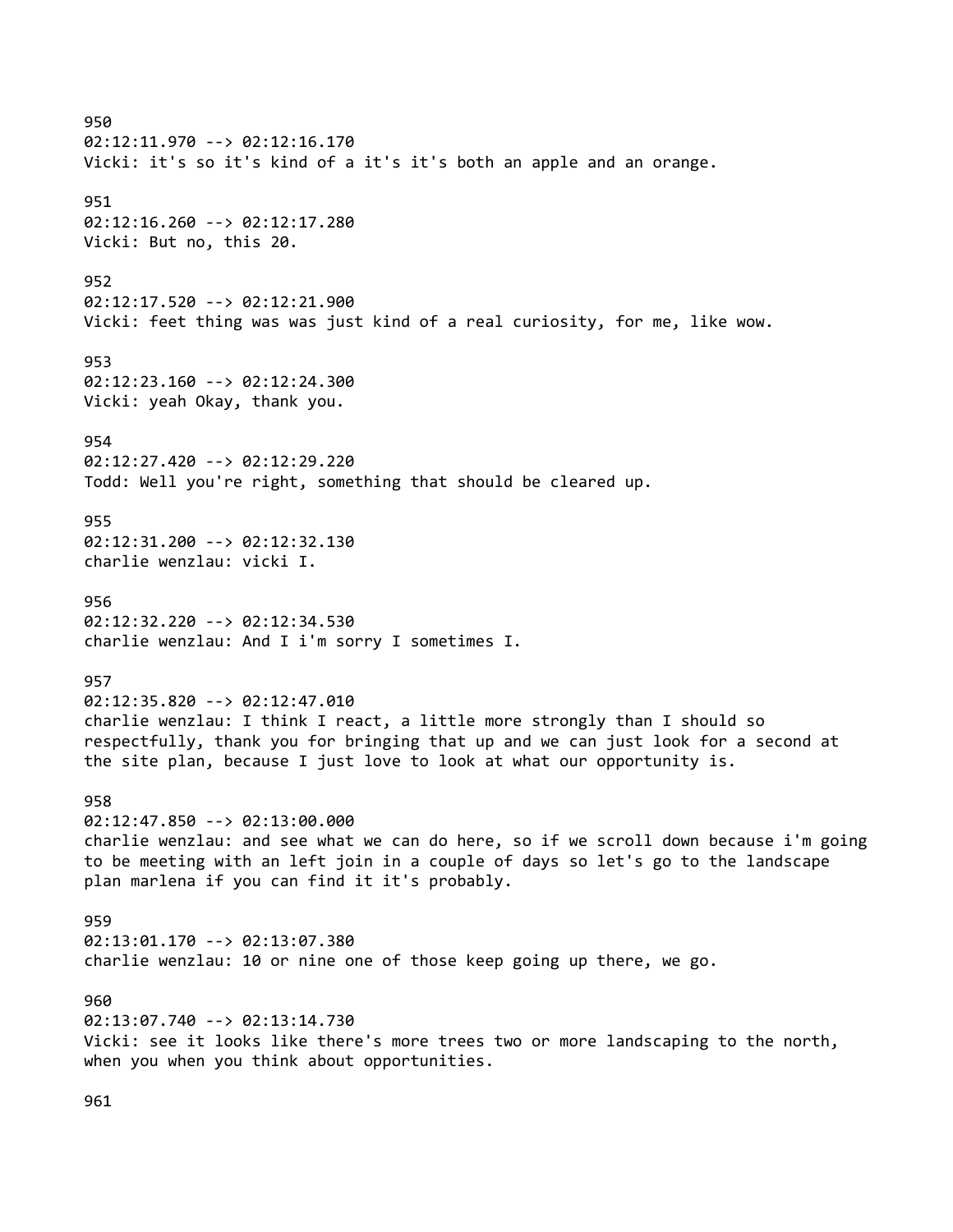950 02:12:11.970 --> 02:12:16.170 Vicki: it's so it's kind of a it's it's both an apple and an orange. 951 02:12:16.260 --> 02:12:17.280 Vicki: But no, this 20. 952 02:12:17.520 --> 02:12:21.900 Vicki: feet thing was was just kind of a real curiosity, for me, like wow. 953 02:12:23.160 --> 02:12:24.300 Vicki: yeah Okay, thank you. 954 02:12:27.420 --> 02:12:29.220 Todd: Well you're right, something that should be cleared up. 955 02:12:31.200 --> 02:12:32.130 charlie wenzlau: vicki I. 956 02:12:32.220 --> 02:12:34.530 charlie wenzlau: And I i'm sorry I sometimes I. 957 02:12:35.820 --> 02:12:47.010 charlie wenzlau: I think I react, a little more strongly than I should so respectfully, thank you for bringing that up and we can just look for a second at the site plan, because I just love to look at what our opportunity is. 958 02:12:47.850 --> 02:13:00.000 charlie wenzlau: and see what we can do here, so if we scroll down because i'm going to be meeting with an left join in a couple of days so let's go to the landscape plan marlena if you can find it it's probably. 959 02:13:01.170 --> 02:13:07.380 charlie wenzlau: 10 or nine one of those keep going up there, we go. 960 02:13:07.740 --> 02:13:14.730 Vicki: see it looks like there's more trees two or more landscaping to the north, when you when you think about opportunities.

961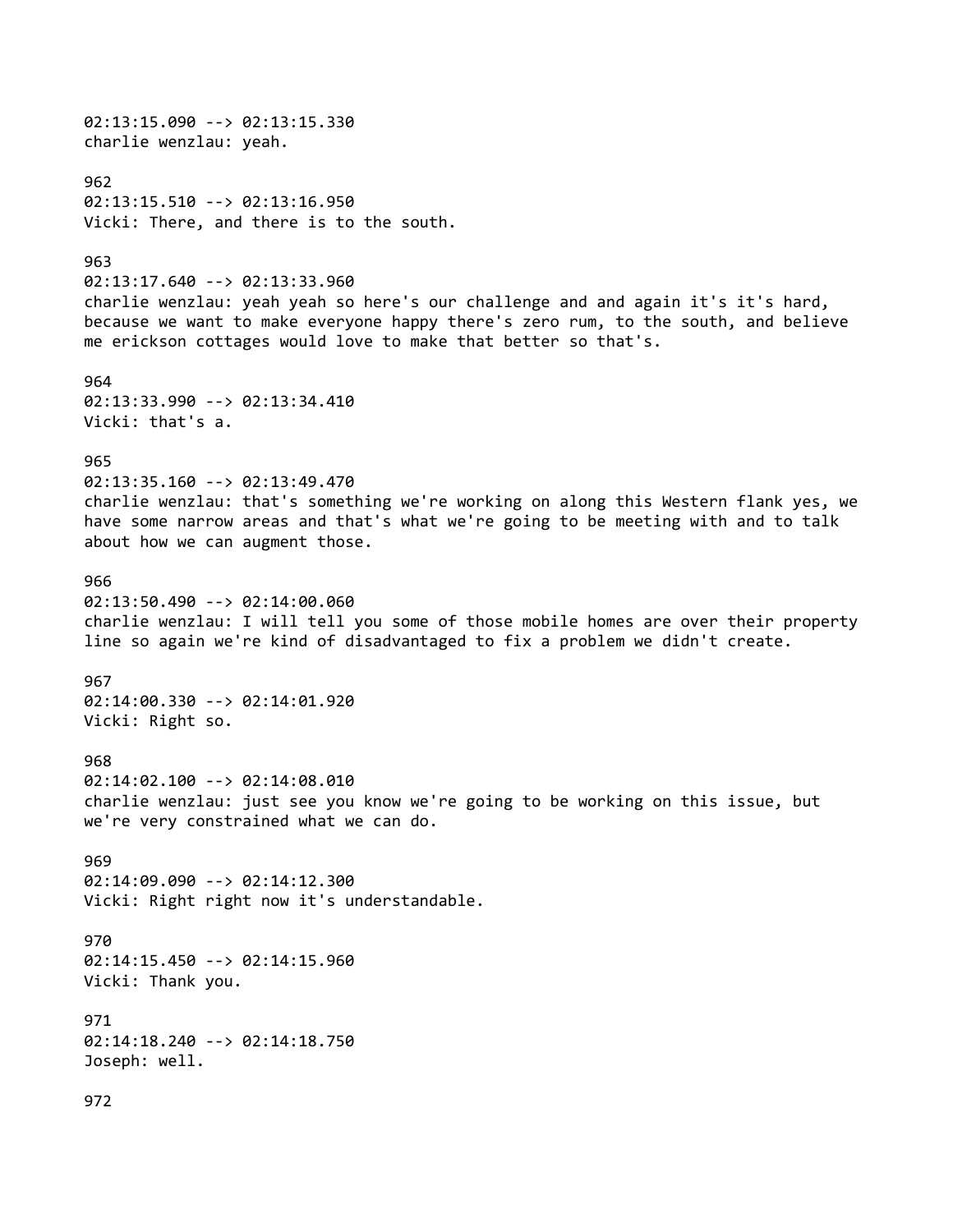02:13:15.090 --> 02:13:15.330 charlie wenzlau: yeah. 962 02:13:15.510 --> 02:13:16.950 Vicki: There, and there is to the south. 963 02:13:17.640 --> 02:13:33.960 charlie wenzlau: yeah yeah so here's our challenge and and again it's it's hard, because we want to make everyone happy there's zero rum, to the south, and believe me erickson cottages would love to make that better so that's. 964 02:13:33.990 --> 02:13:34.410 Vicki: that's a. 965 02:13:35.160 --> 02:13:49.470 charlie wenzlau: that's something we're working on along this Western flank yes, we have some narrow areas and that's what we're going to be meeting with and to talk about how we can augment those. 966 02:13:50.490 --> 02:14:00.060 charlie wenzlau: I will tell you some of those mobile homes are over their property line so again we're kind of disadvantaged to fix a problem we didn't create. 967 02:14:00.330 --> 02:14:01.920 Vicki: Right so. 968 02:14:02.100 --> 02:14:08.010 charlie wenzlau: just see you know we're going to be working on this issue, but we're very constrained what we can do. 969 02:14:09.090 --> 02:14:12.300 Vicki: Right right now it's understandable. 970 02:14:15.450 --> 02:14:15.960 Vicki: Thank you. 971 02:14:18.240 --> 02:14:18.750 Joseph: well. 972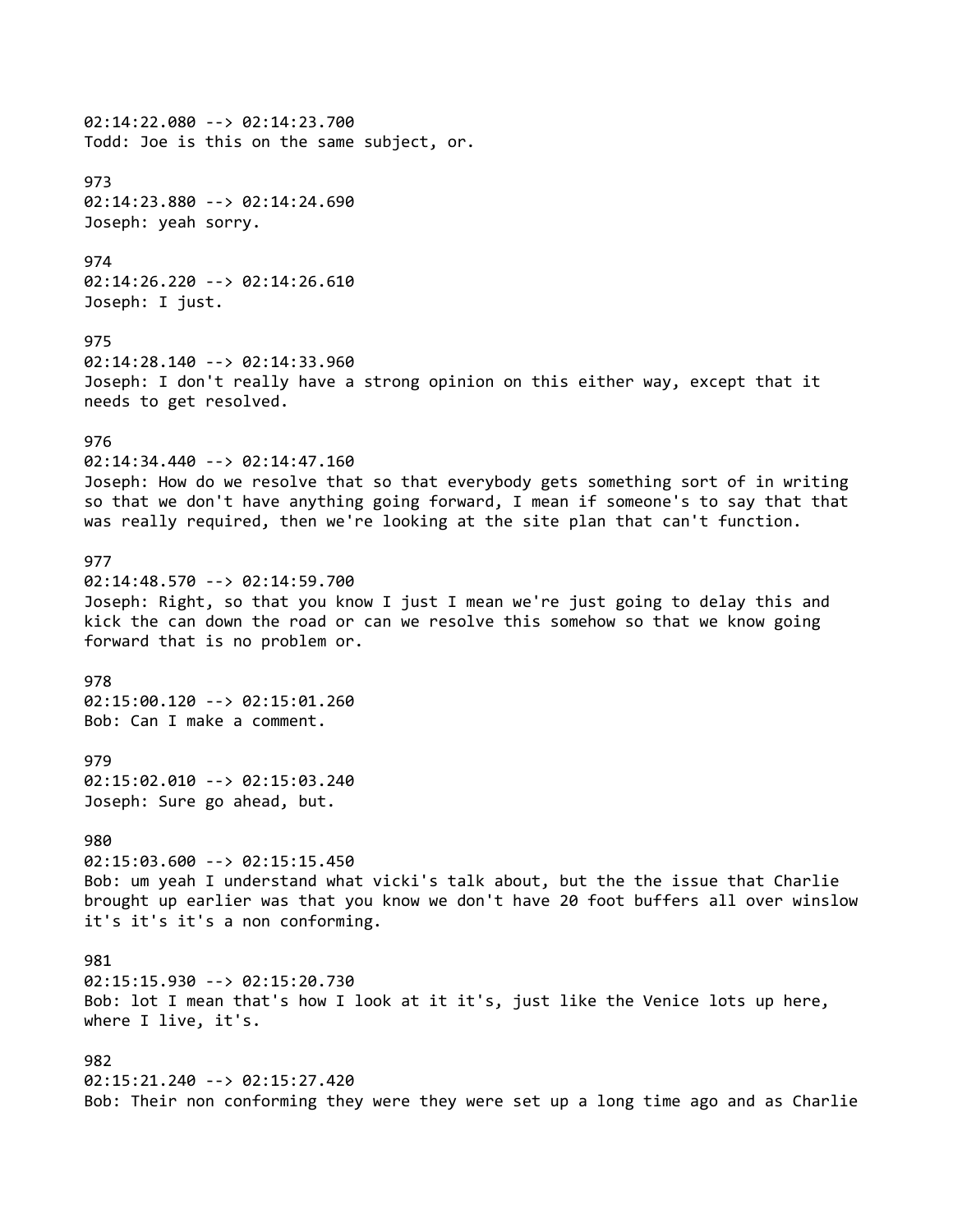02:14:22.080 --> 02:14:23.700 Todd: Joe is this on the same subject, or. 973 02:14:23.880 --> 02:14:24.690 Joseph: yeah sorry. 974 02:14:26.220 --> 02:14:26.610 Joseph: I just. 975 02:14:28.140 --> 02:14:33.960 Joseph: I don't really have a strong opinion on this either way, except that it needs to get resolved. 976 02:14:34.440 --> 02:14:47.160 Joseph: How do we resolve that so that everybody gets something sort of in writing so that we don't have anything going forward, I mean if someone's to say that that was really required, then we're looking at the site plan that can't function. 977 02:14:48.570 --> 02:14:59.700 Joseph: Right, so that you know I just I mean we're just going to delay this and kick the can down the road or can we resolve this somehow so that we know going forward that is no problem or. 978 02:15:00.120 --> 02:15:01.260 Bob: Can I make a comment. 979 02:15:02.010 --> 02:15:03.240 Joseph: Sure go ahead, but. 980 02:15:03.600 --> 02:15:15.450 Bob: um yeah I understand what vicki's talk about, but the the issue that Charlie brought up earlier was that you know we don't have 20 foot buffers all over winslow it's it's it's a non conforming. 981 02:15:15.930 --> 02:15:20.730 Bob: lot I mean that's how I look at it it's, just like the Venice lots up here, where I live, it's. 982 02:15:21.240 --> 02:15:27.420 Bob: Their non conforming they were they were set up a long time ago and as Charlie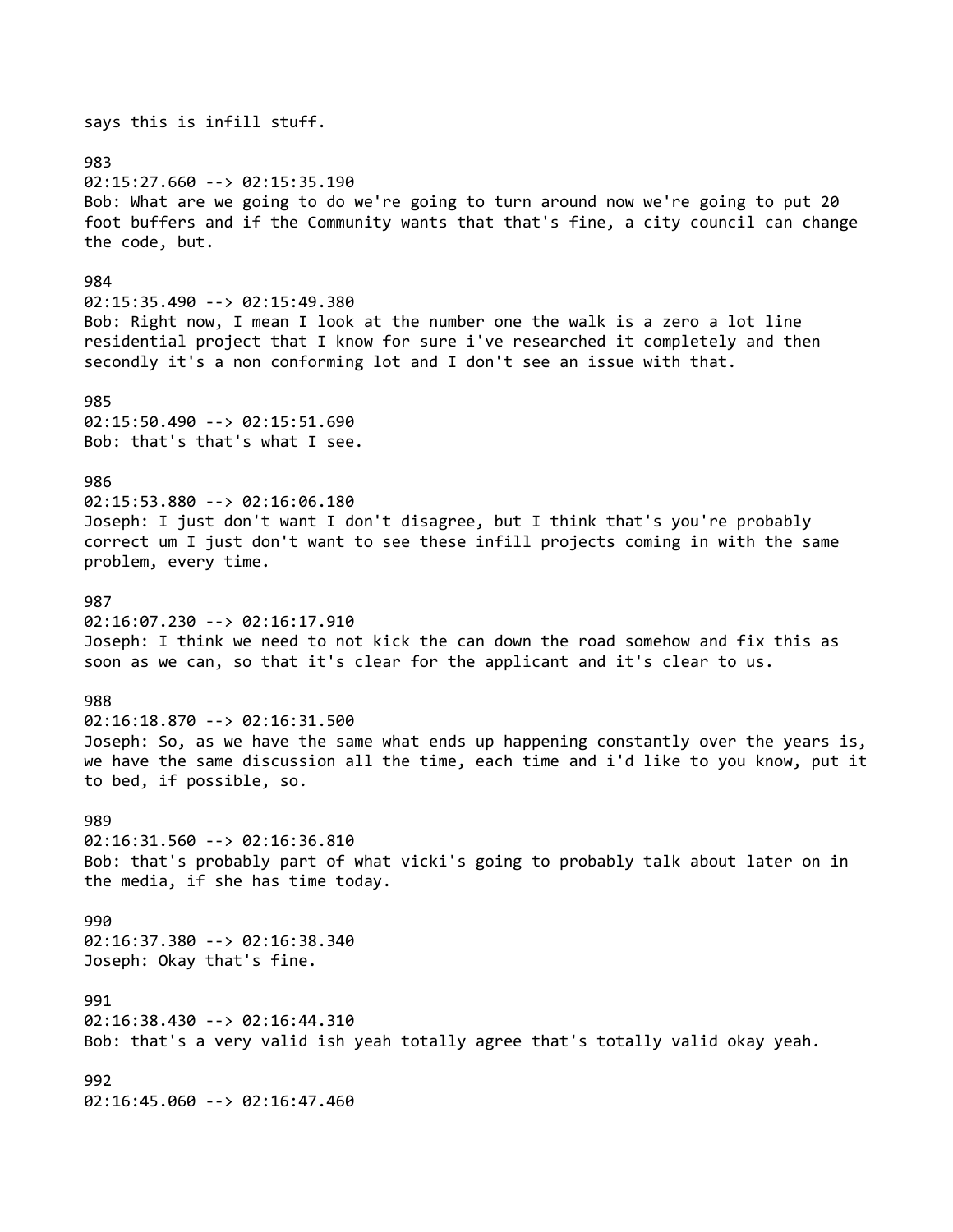says this is infill stuff. 983 02:15:27.660 --> 02:15:35.190 Bob: What are we going to do we're going to turn around now we're going to put 20 foot buffers and if the Community wants that that's fine, a city council can change the code, but. 984 02:15:35.490 --> 02:15:49.380 Bob: Right now, I mean I look at the number one the walk is a zero a lot line residential project that I know for sure i've researched it completely and then secondly it's a non conforming lot and I don't see an issue with that. 985 02:15:50.490 --> 02:15:51.690 Bob: that's that's what I see. 986 02:15:53.880 --> 02:16:06.180 Joseph: I just don't want I don't disagree, but I think that's you're probably correct um I just don't want to see these infill projects coming in with the same problem, every time. 987 02:16:07.230 --> 02:16:17.910 Joseph: I think we need to not kick the can down the road somehow and fix this as soon as we can, so that it's clear for the applicant and it's clear to us. 988 02:16:18.870 --> 02:16:31.500 Joseph: So, as we have the same what ends up happening constantly over the years is, we have the same discussion all the time, each time and i'd like to you know, put it to bed, if possible, so. 989 02:16:31.560 --> 02:16:36.810 Bob: that's probably part of what vicki's going to probably talk about later on in the media, if she has time today. 990 02:16:37.380 --> 02:16:38.340 Joseph: Okay that's fine. 991 02:16:38.430 --> 02:16:44.310 Bob: that's a very valid ish yeah totally agree that's totally valid okay yeah. 992 02:16:45.060 --> 02:16:47.460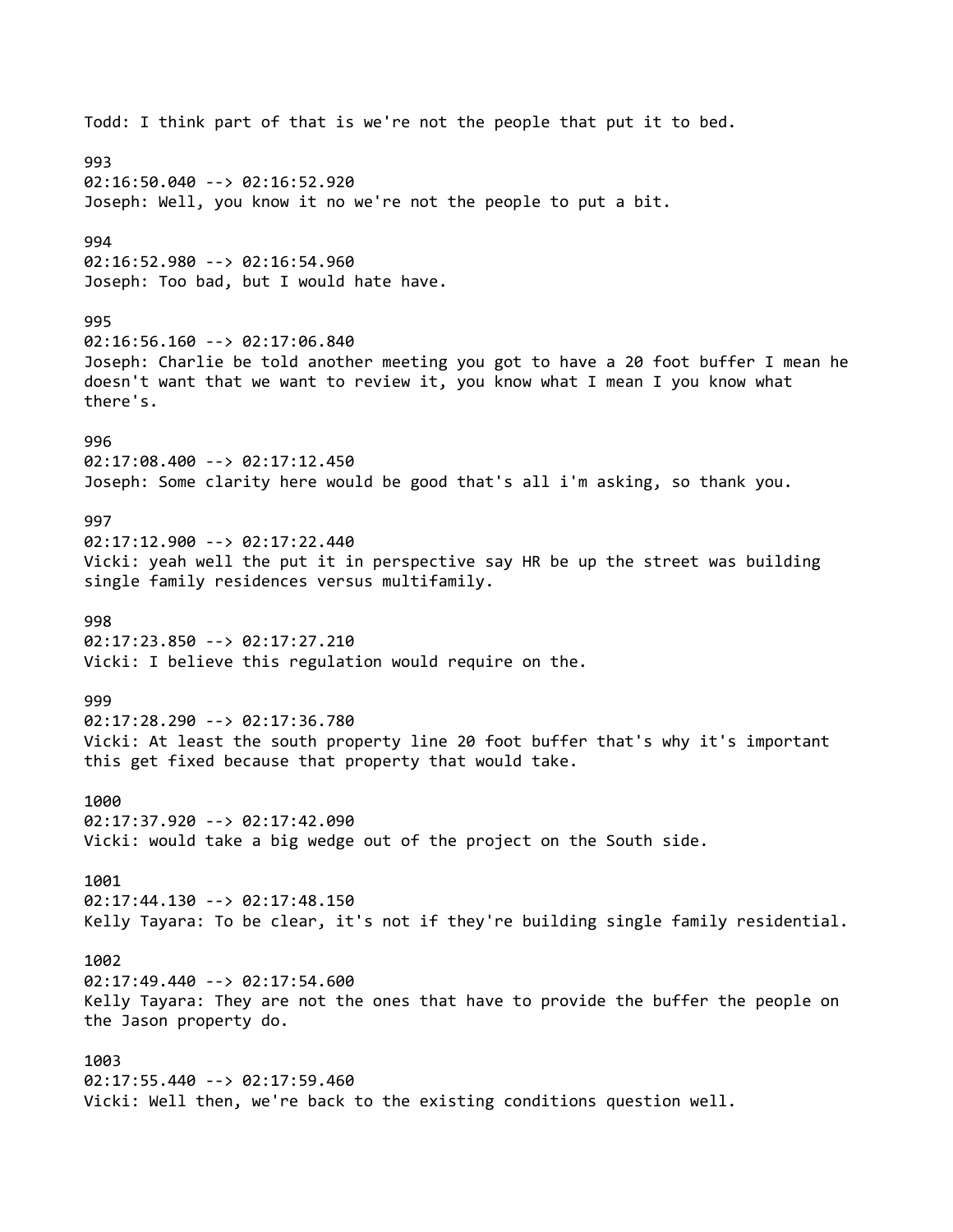Todd: I think part of that is we're not the people that put it to bed. 993 02:16:50.040 --> 02:16:52.920 Joseph: Well, you know it no we're not the people to put a bit. 994 02:16:52.980 --> 02:16:54.960 Joseph: Too bad, but I would hate have. 995 02:16:56.160 --> 02:17:06.840 Joseph: Charlie be told another meeting you got to have a 20 foot buffer I mean he doesn't want that we want to review it, you know what I mean I you know what there's. 996 02:17:08.400 --> 02:17:12.450 Joseph: Some clarity here would be good that's all i'm asking, so thank you. 997 02:17:12.900 --> 02:17:22.440 Vicki: yeah well the put it in perspective say HR be up the street was building single family residences versus multifamily. 998 02:17:23.850 --> 02:17:27.210 Vicki: I believe this regulation would require on the. 999 02:17:28.290 --> 02:17:36.780 Vicki: At least the south property line 20 foot buffer that's why it's important this get fixed because that property that would take. 1000 02:17:37.920 --> 02:17:42.090 Vicki: would take a big wedge out of the project on the South side. 1001 02:17:44.130 --> 02:17:48.150 Kelly Tayara: To be clear, it's not if they're building single family residential. 1002 02:17:49.440 --> 02:17:54.600 Kelly Tayara: They are not the ones that have to provide the buffer the people on the Jason property do. 1003 02:17:55.440 --> 02:17:59.460 Vicki: Well then, we're back to the existing conditions question well.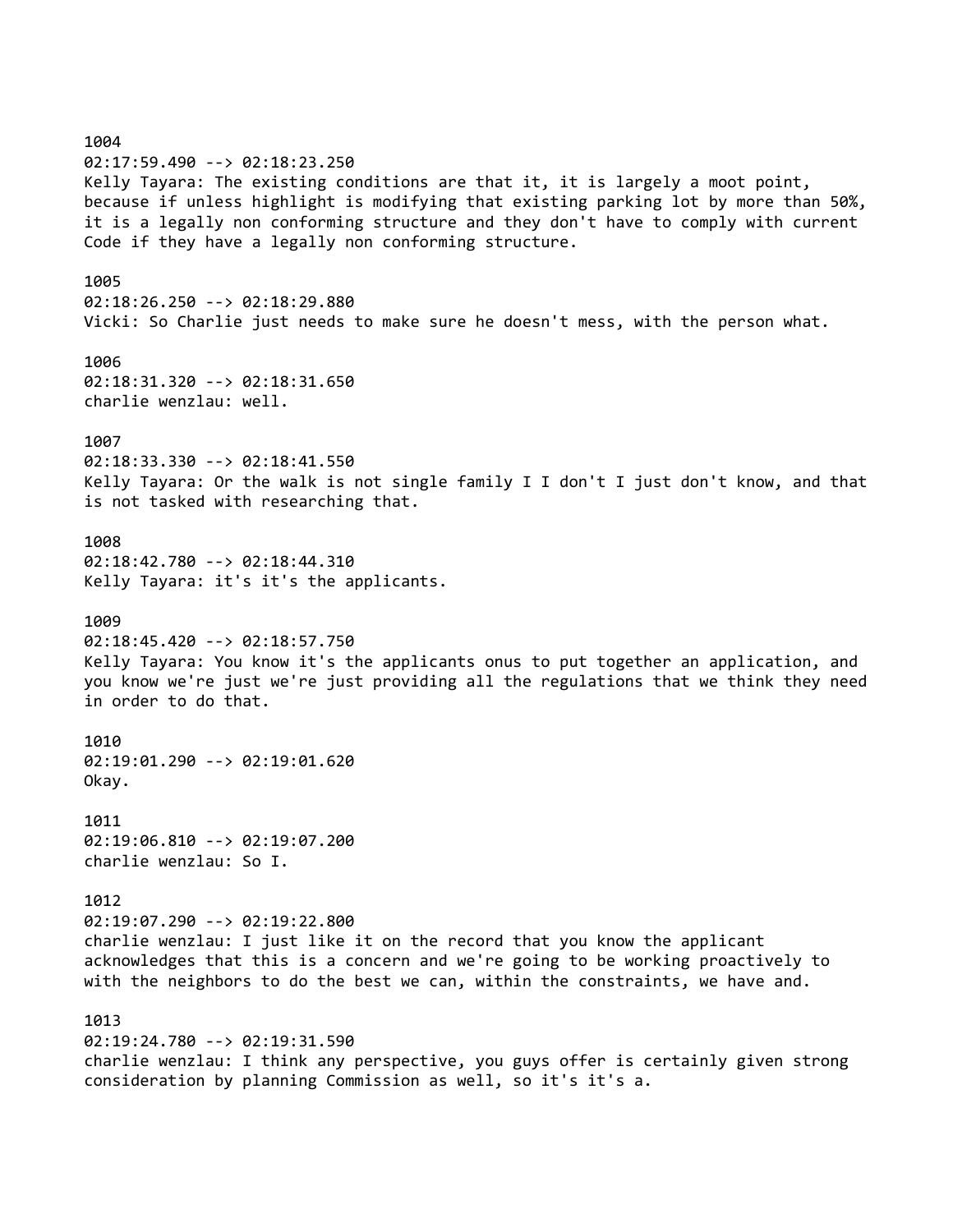1004 02:17:59.490 --> 02:18:23.250 Kelly Tayara: The existing conditions are that it, it is largely a moot point, because if unless highlight is modifying that existing parking lot by more than 50%, it is a legally non conforming structure and they don't have to comply with current Code if they have a legally non conforming structure. 1005 02:18:26.250 --> 02:18:29.880 Vicki: So Charlie just needs to make sure he doesn't mess, with the person what. 1006 02:18:31.320 --> 02:18:31.650 charlie wenzlau: well. 1007 02:18:33.330 --> 02:18:41.550 Kelly Tayara: Or the walk is not single family I I don't I just don't know, and that is not tasked with researching that. 1008 02:18:42.780 --> 02:18:44.310 Kelly Tayara: it's it's the applicants. 1009 02:18:45.420 --> 02:18:57.750 Kelly Tayara: You know it's the applicants onus to put together an application, and you know we're just we're just providing all the regulations that we think they need in order to do that. 1010 02:19:01.290 --> 02:19:01.620 Okay. 1011 02:19:06.810 --> 02:19:07.200 charlie wenzlau: So I. 1012 02:19:07.290 --> 02:19:22.800 charlie wenzlau: I just like it on the record that you know the applicant acknowledges that this is a concern and we're going to be working proactively to with the neighbors to do the best we can, within the constraints, we have and. 1013 02:19:24.780 --> 02:19:31.590 charlie wenzlau: I think any perspective, you guys offer is certainly given strong consideration by planning Commission as well, so it's it's a.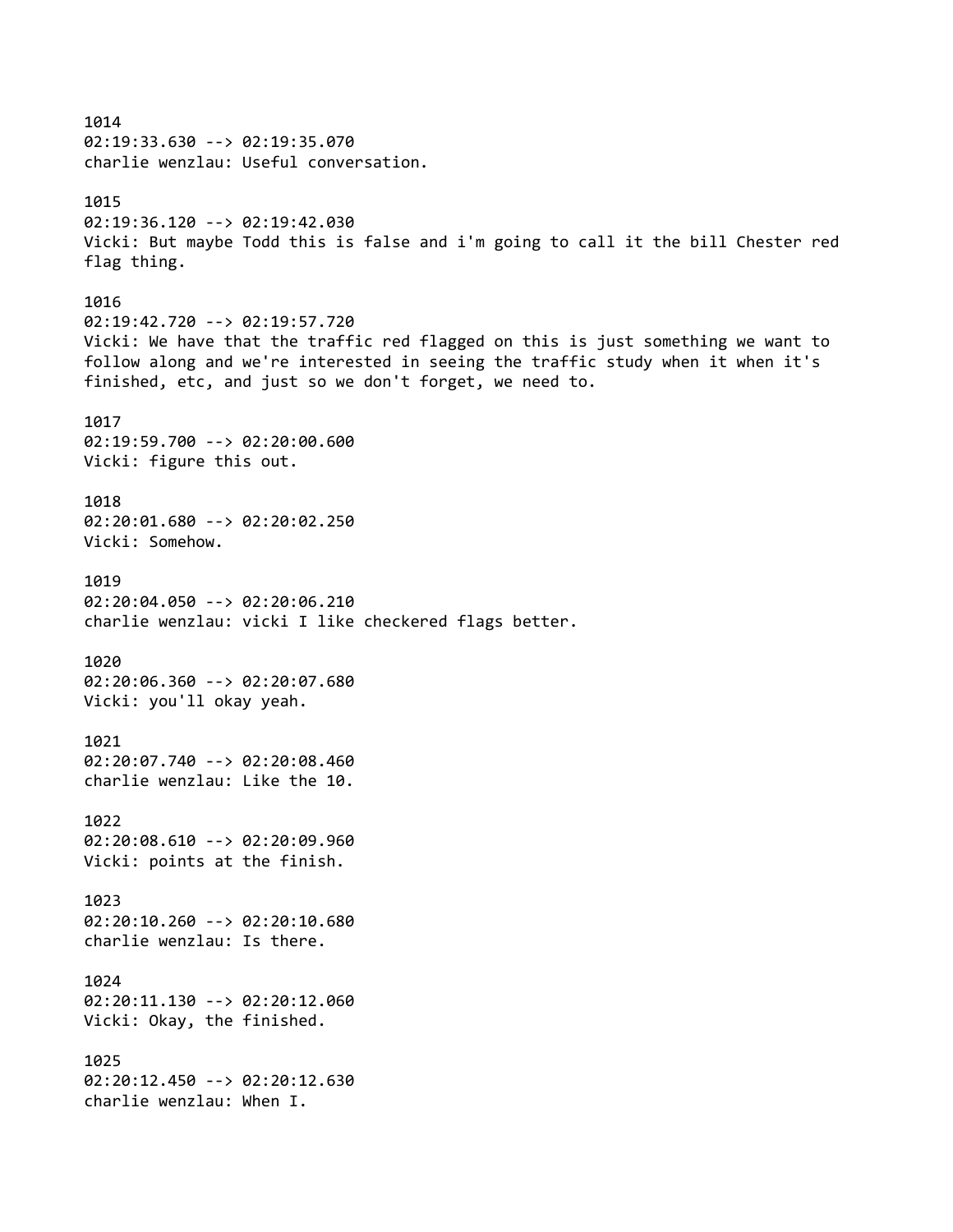1014 02:19:33.630 --> 02:19:35.070 charlie wenzlau: Useful conversation. 1015 02:19:36.120 --> 02:19:42.030 Vicki: But maybe Todd this is false and i'm going to call it the bill Chester red flag thing. 1016 02:19:42.720 --> 02:19:57.720 Vicki: We have that the traffic red flagged on this is just something we want to follow along and we're interested in seeing the traffic study when it when it's finished, etc, and just so we don't forget, we need to. 1017 02:19:59.700 --> 02:20:00.600 Vicki: figure this out. 1018 02:20:01.680 --> 02:20:02.250 Vicki: Somehow. 1019 02:20:04.050 --> 02:20:06.210 charlie wenzlau: vicki I like checkered flags better. 1020 02:20:06.360 --> 02:20:07.680 Vicki: you'll okay yeah. 1021 02:20:07.740 --> 02:20:08.460 charlie wenzlau: Like the 10. 1022 02:20:08.610 --> 02:20:09.960 Vicki: points at the finish. 1023 02:20:10.260 --> 02:20:10.680 charlie wenzlau: Is there. 1024 02:20:11.130 --> 02:20:12.060 Vicki: Okay, the finished. 1025 02:20:12.450 --> 02:20:12.630 charlie wenzlau: When I.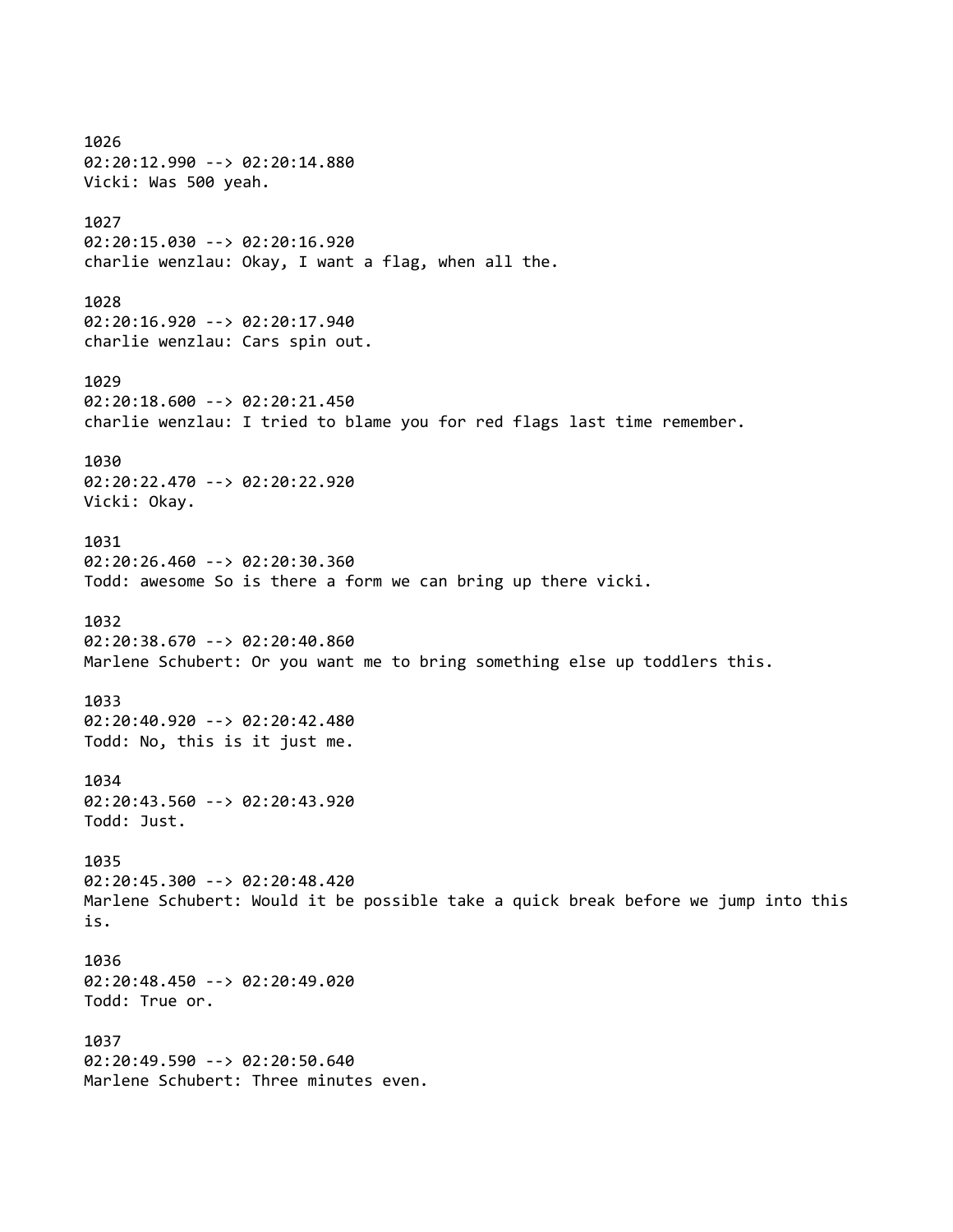1026 02:20:12.990 --> 02:20:14.880 Vicki: Was 500 yeah. 1027 02:20:15.030 --> 02:20:16.920 charlie wenzlau: Okay, I want a flag, when all the. 1028 02:20:16.920 --> 02:20:17.940 charlie wenzlau: Cars spin out. 1029 02:20:18.600 --> 02:20:21.450 charlie wenzlau: I tried to blame you for red flags last time remember. 1030 02:20:22.470 --> 02:20:22.920 Vicki: Okay. 1031 02:20:26.460 --> 02:20:30.360 Todd: awesome So is there a form we can bring up there vicki. 1032 02:20:38.670 --> 02:20:40.860 Marlene Schubert: Or you want me to bring something else up toddlers this. 1033 02:20:40.920 --> 02:20:42.480 Todd: No, this is it just me. 1034 02:20:43.560 --> 02:20:43.920 Todd: Just. 1035 02:20:45.300 --> 02:20:48.420 Marlene Schubert: Would it be possible take a quick break before we jump into this is. 1036 02:20:48.450 --> 02:20:49.020 Todd: True or. 1037 02:20:49.590 --> 02:20:50.640 Marlene Schubert: Three minutes even.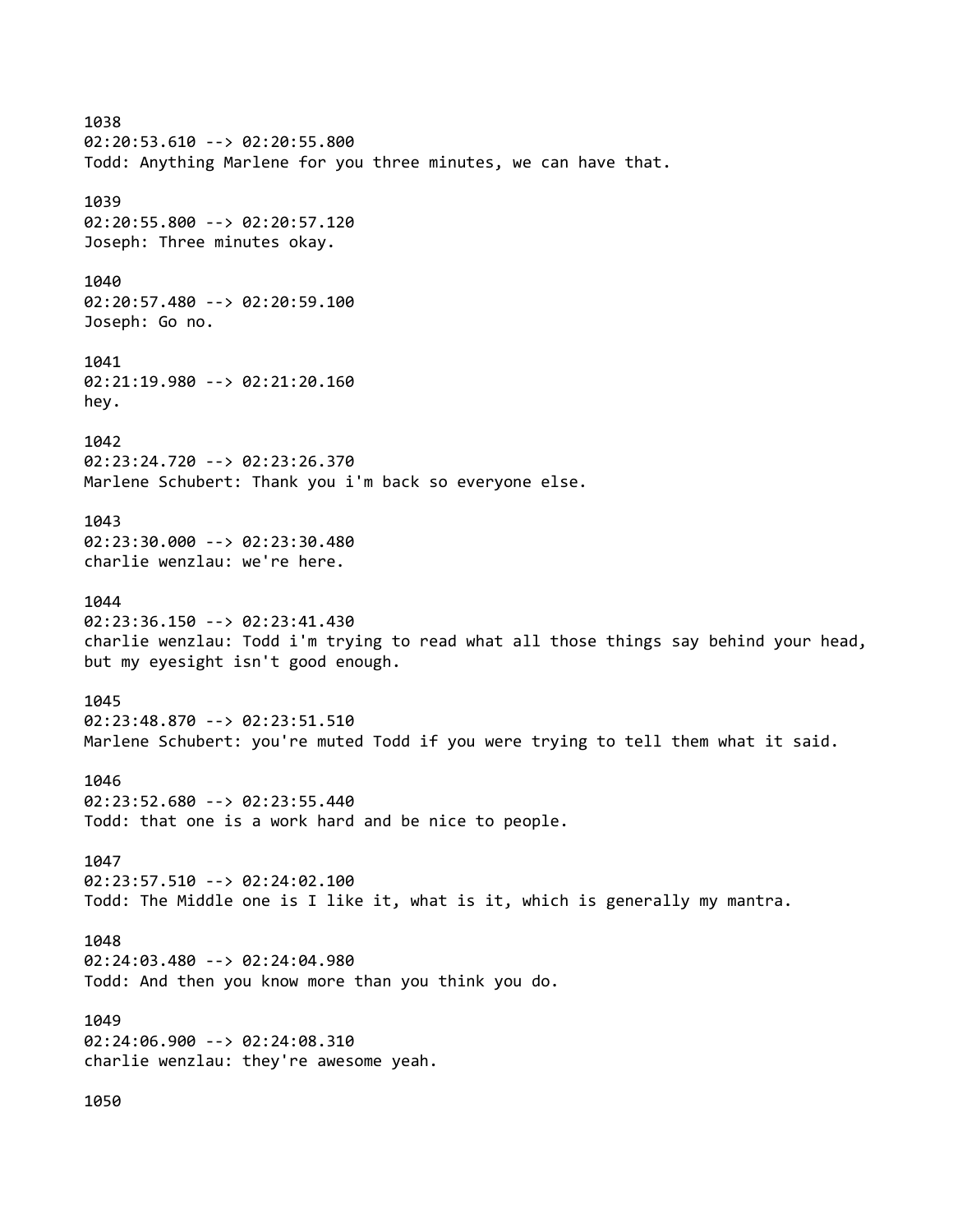1038 02:20:53.610 --> 02:20:55.800 Todd: Anything Marlene for you three minutes, we can have that. 1039 02:20:55.800 --> 02:20:57.120 Joseph: Three minutes okay. 1040 02:20:57.480 --> 02:20:59.100 Joseph: Go no. 1041 02:21:19.980 --> 02:21:20.160 hey.  $1042$ 02:23:24.720 --> 02:23:26.370 Marlene Schubert: Thank you i'm back so everyone else. 1043 02:23:30.000 --> 02:23:30.480 charlie wenzlau: we're here. 1044 02:23:36.150 --> 02:23:41.430 charlie wenzlau: Todd i'm trying to read what all those things say behind your head, but my eyesight isn't good enough. 1045 02:23:48.870 --> 02:23:51.510 Marlene Schubert: you're muted Todd if you were trying to tell them what it said. 1046 02:23:52.680 --> 02:23:55.440 Todd: that one is a work hard and be nice to people. 1047 02:23:57.510 --> 02:24:02.100 Todd: The Middle one is I like it, what is it, which is generally my mantra. 1048 02:24:03.480 --> 02:24:04.980 Todd: And then you know more than you think you do. 1049 02:24:06.900 --> 02:24:08.310 charlie wenzlau: they're awesome yeah. 1050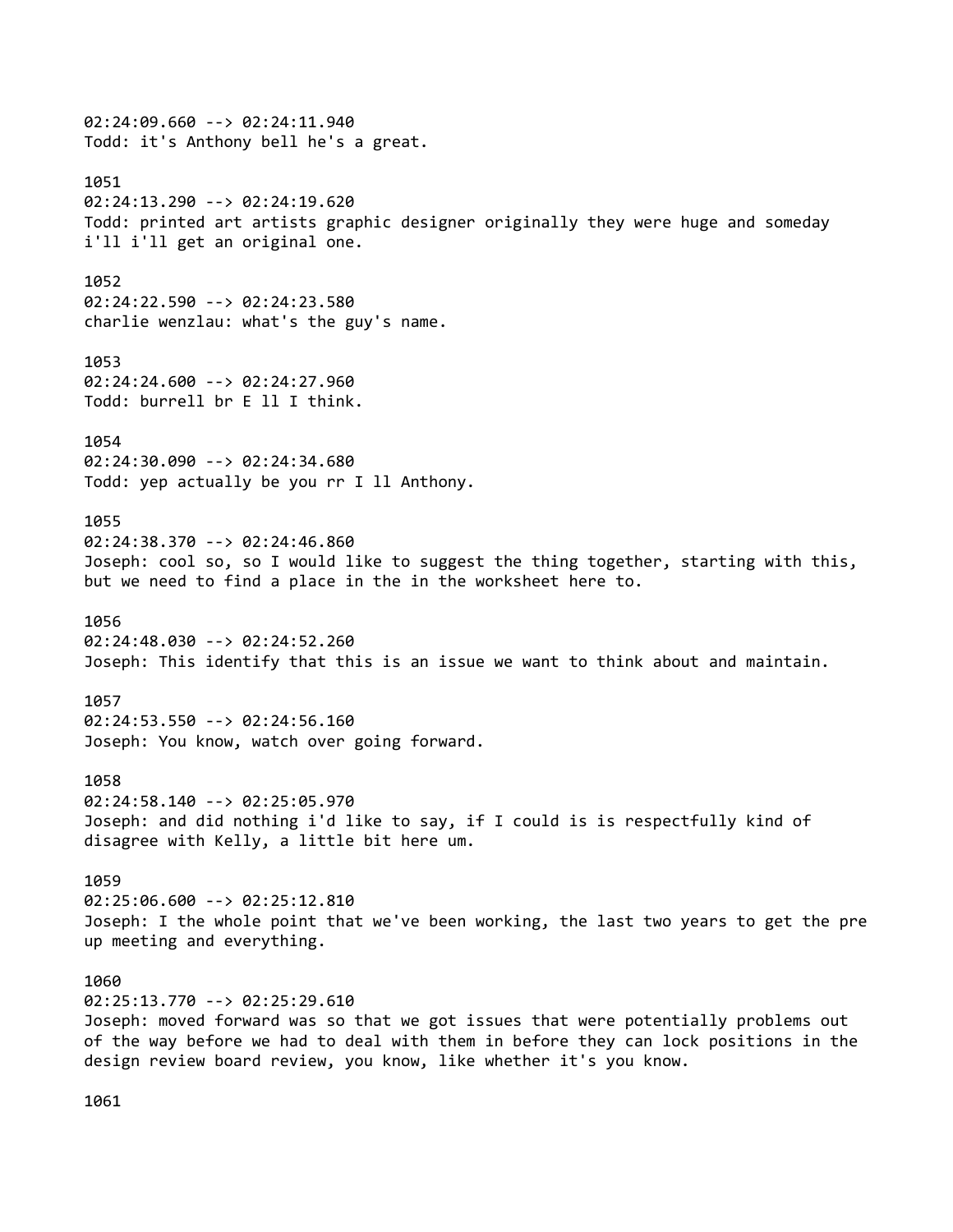02:24:09.660 --> 02:24:11.940 Todd: it's Anthony bell he's a great. 1051 02:24:13.290 --> 02:24:19.620 Todd: printed art artists graphic designer originally they were huge and someday i'll i'll get an original one. 1052 02:24:22.590 --> 02:24:23.580 charlie wenzlau: what's the guy's name. 1053 02:24:24.600 --> 02:24:27.960 Todd: burrell br E ll I think. 1054 02:24:30.090 --> 02:24:34.680 Todd: yep actually be you rr I ll Anthony. 1055 02:24:38.370 --> 02:24:46.860 Joseph: cool so, so I would like to suggest the thing together, starting with this, but we need to find a place in the in the worksheet here to. 1056 02:24:48.030 --> 02:24:52.260 Joseph: This identify that this is an issue we want to think about and maintain. 1057 02:24:53.550 --> 02:24:56.160 Joseph: You know, watch over going forward. 1058 02:24:58.140 --> 02:25:05.970 Joseph: and did nothing i'd like to say, if I could is is respectfully kind of disagree with Kelly, a little bit here um. 1059 02:25:06.600 --> 02:25:12.810 Joseph: I the whole point that we've been working, the last two years to get the pre up meeting and everything. 1060 02:25:13.770 --> 02:25:29.610 Joseph: moved forward was so that we got issues that were potentially problems out of the way before we had to deal with them in before they can lock positions in the design review board review, you know, like whether it's you know.

1061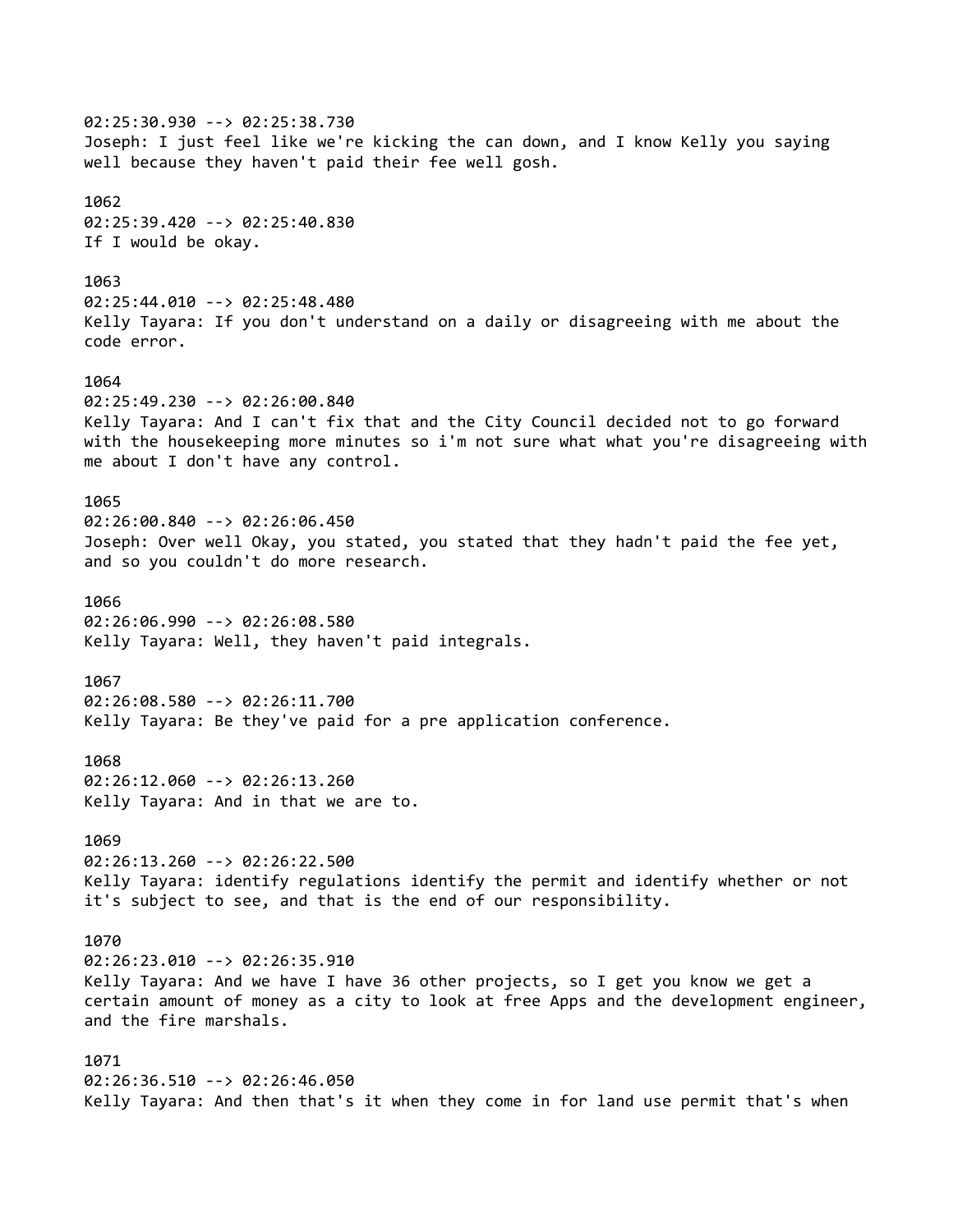02:25:30.930 --> 02:25:38.730 Joseph: I just feel like we're kicking the can down, and I know Kelly you saying well because they haven't paid their fee well gosh. 1062 02:25:39.420 --> 02:25:40.830 If I would be okay. 1063 02:25:44.010 --> 02:25:48.480 Kelly Tayara: If you don't understand on a daily or disagreeing with me about the code error. 1064 02:25:49.230 --> 02:26:00.840 Kelly Tayara: And I can't fix that and the City Council decided not to go forward with the housekeeping more minutes so i'm not sure what what you're disagreeing with me about I don't have any control. 1065 02:26:00.840 --> 02:26:06.450 Joseph: Over well Okay, you stated, you stated that they hadn't paid the fee yet, and so you couldn't do more research. 1066 02:26:06.990 --> 02:26:08.580 Kelly Tayara: Well, they haven't paid integrals. 1067 02:26:08.580 --> 02:26:11.700 Kelly Tayara: Be they've paid for a pre application conference. 1068 02:26:12.060 --> 02:26:13.260 Kelly Tayara: And in that we are to. 1069 02:26:13.260 --> 02:26:22.500 Kelly Tayara: identify regulations identify the permit and identify whether or not it's subject to see, and that is the end of our responsibility. 1070 02:26:23.010 --> 02:26:35.910 Kelly Tayara: And we have I have 36 other projects, so I get you know we get a certain amount of money as a city to look at free Apps and the development engineer, and the fire marshals. 1071 02:26:36.510 --> 02:26:46.050 Kelly Tayara: And then that's it when they come in for land use permit that's when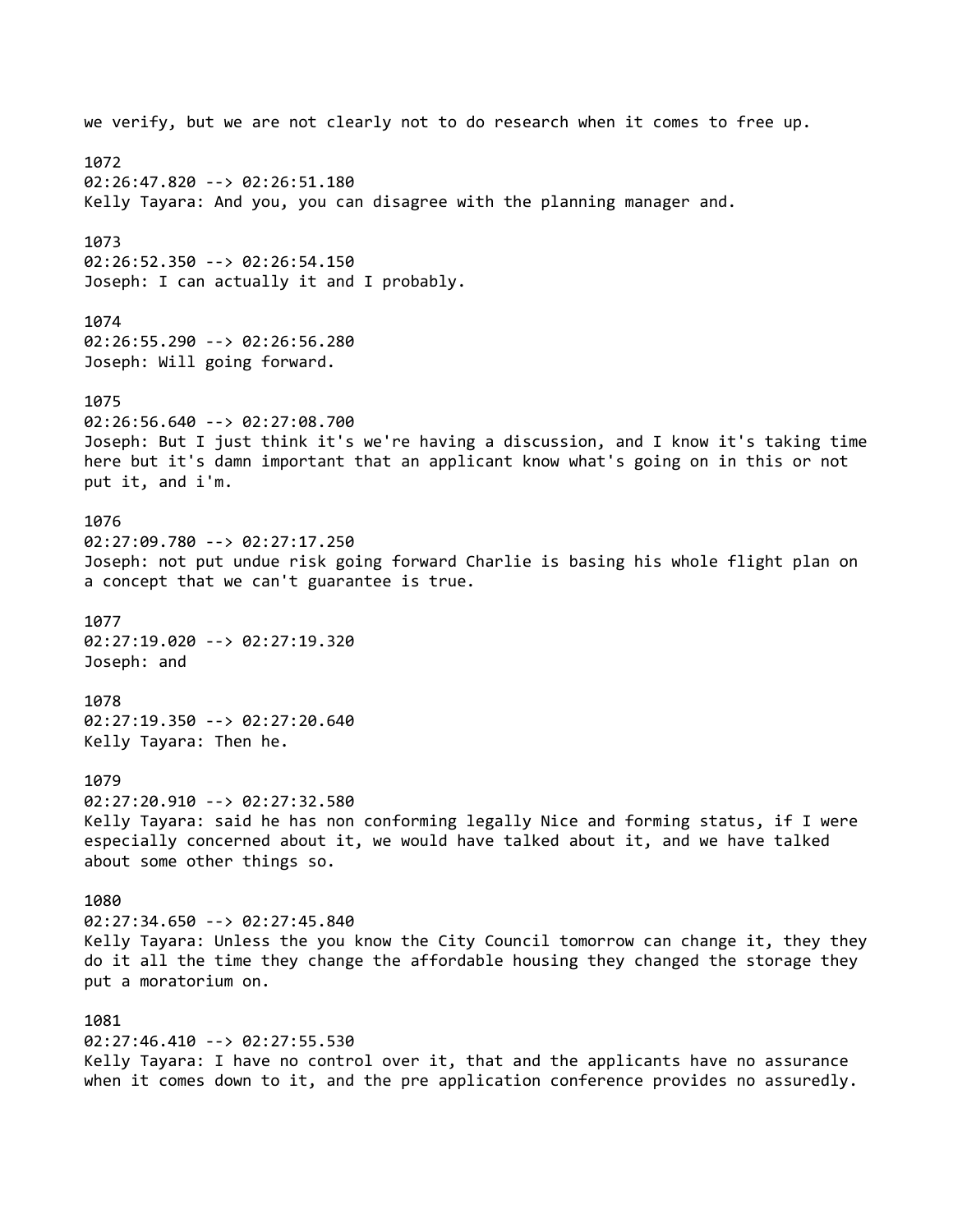we verify, but we are not clearly not to do research when it comes to free up. 1072 02:26:47.820 --> 02:26:51.180 Kelly Tayara: And you, you can disagree with the planning manager and. 1073 02:26:52.350 --> 02:26:54.150 Joseph: I can actually it and I probably. 1074 02:26:55.290 --> 02:26:56.280 Joseph: Will going forward. 1075 02:26:56.640 --> 02:27:08.700 Joseph: But I just think it's we're having a discussion, and I know it's taking time here but it's damn important that an applicant know what's going on in this or not put it, and i'm. 1076 02:27:09.780 --> 02:27:17.250 Joseph: not put undue risk going forward Charlie is basing his whole flight plan on a concept that we can't guarantee is true. 1077 02:27:19.020 --> 02:27:19.320 Joseph: and 1078 02:27:19.350 --> 02:27:20.640 Kelly Tayara: Then he. 1079 02:27:20.910 --> 02:27:32.580 Kelly Tayara: said he has non conforming legally Nice and forming status, if I were especially concerned about it, we would have talked about it, and we have talked about some other things so. 1080 02:27:34.650 --> 02:27:45.840 Kelly Tayara: Unless the you know the City Council tomorrow can change it, they they do it all the time they change the affordable housing they changed the storage they put a moratorium on. 1081 02:27:46.410 --> 02:27:55.530 Kelly Tayara: I have no control over it, that and the applicants have no assurance when it comes down to it, and the pre application conference provides no assuredly.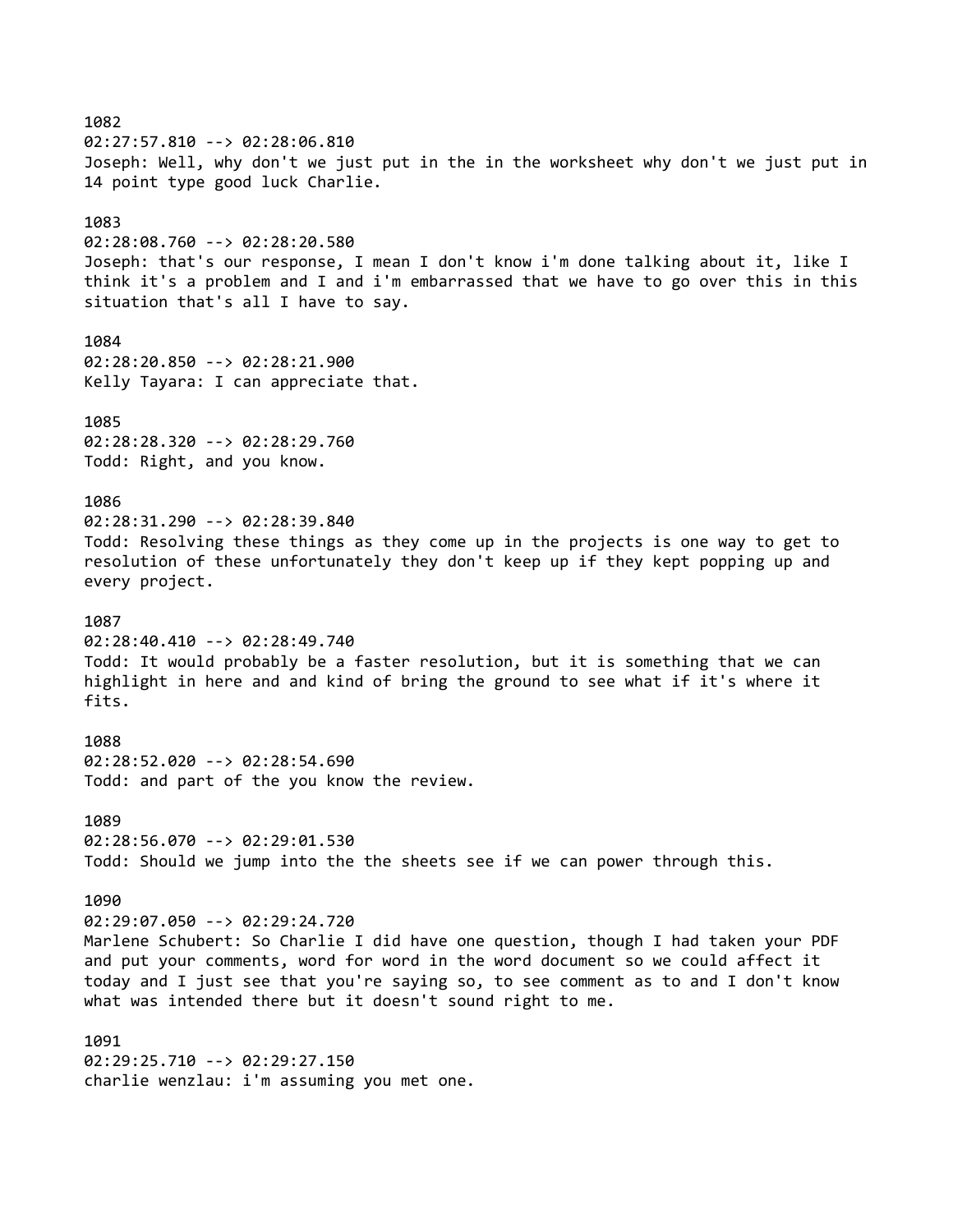## 1082

02:27:57.810 --> 02:28:06.810 Joseph: Well, why don't we just put in the in the worksheet why don't we just put in 14 point type good luck Charlie.

## 1083

02:28:08.760 --> 02:28:20.580 Joseph: that's our response, I mean I don't know i'm done talking about it, like I think it's a problem and I and i'm embarrassed that we have to go over this in this situation that's all I have to say.

# 1084

02:28:20.850 --> 02:28:21.900 Kelly Tayara: I can appreciate that.

#### 1085

02:28:28.320 --> 02:28:29.760 Todd: Right, and you know.

## 1086

02:28:31.290 --> 02:28:39.840 Todd: Resolving these things as they come up in the projects is one way to get to resolution of these unfortunately they don't keep up if they kept popping up and every project.

### 1087

02:28:40.410 --> 02:28:49.740 Todd: It would probably be a faster resolution, but it is something that we can highlight in here and and kind of bring the ground to see what if it's where it fits.

1088 02:28:52.020 --> 02:28:54.690 Todd: and part of the you know the review.

1089 02:28:56.070 --> 02:29:01.530 Todd: Should we jump into the the sheets see if we can power through this.

## 1090

02:29:07.050 --> 02:29:24.720

Marlene Schubert: So Charlie I did have one question, though I had taken your PDF and put your comments, word for word in the word document so we could affect it today and I just see that you're saying so, to see comment as to and I don't know what was intended there but it doesn't sound right to me.

1091 02:29:25.710 --> 02:29:27.150 charlie wenzlau: i'm assuming you met one.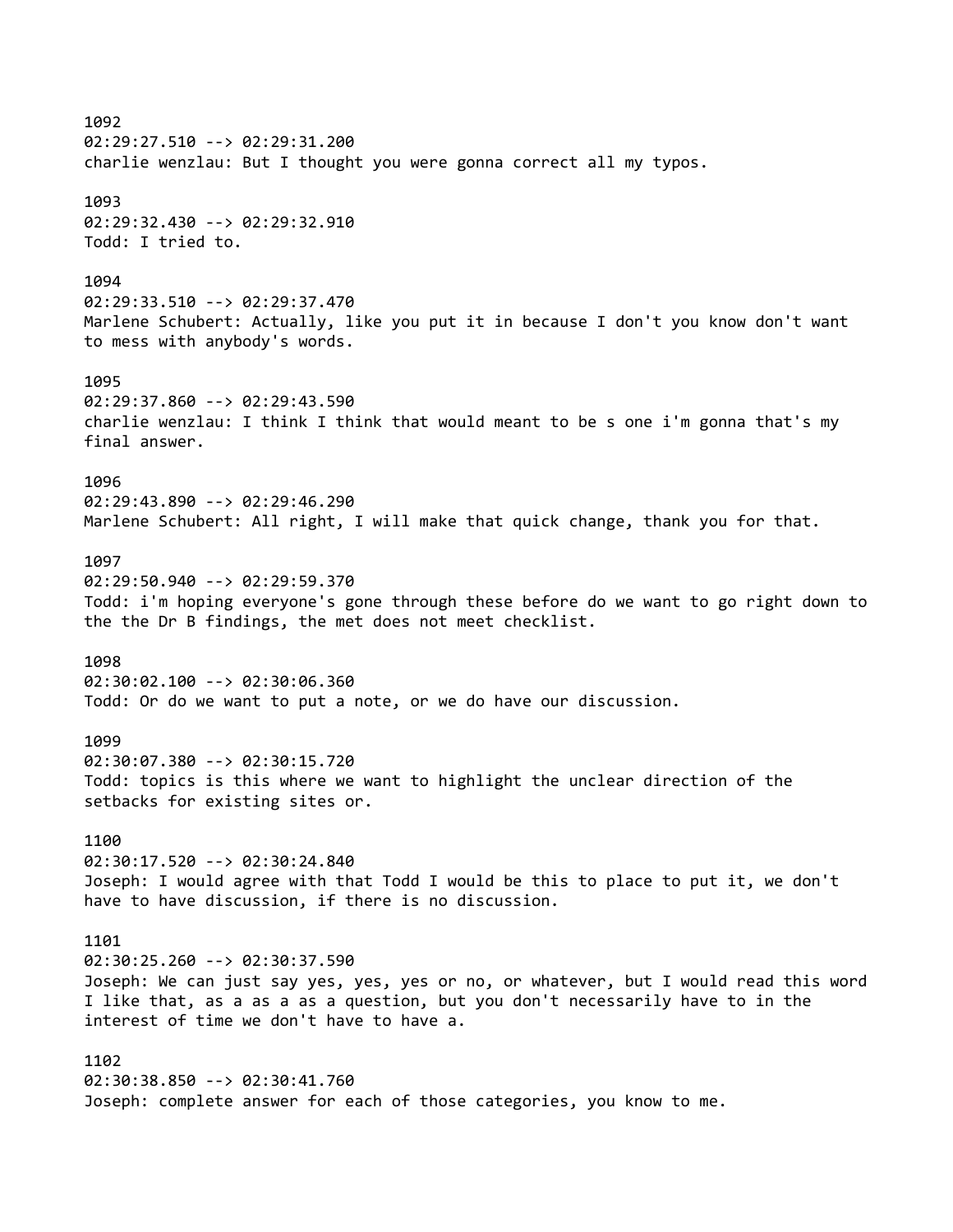1092 02:29:27.510 --> 02:29:31.200 charlie wenzlau: But I thought you were gonna correct all my typos. 1093 02:29:32.430 --> 02:29:32.910 Todd: I tried to. 1094 02:29:33.510 --> 02:29:37.470 Marlene Schubert: Actually, like you put it in because I don't you know don't want to mess with anybody's words. 1095 02:29:37.860 --> 02:29:43.590 charlie wenzlau: I think I think that would meant to be s one i'm gonna that's my final answer. 1096 02:29:43.890 --> 02:29:46.290 Marlene Schubert: All right, I will make that quick change, thank you for that. 1097 02:29:50.940 --> 02:29:59.370 Todd: i'm hoping everyone's gone through these before do we want to go right down to the the Dr B findings, the met does not meet checklist. 1098 02:30:02.100 --> 02:30:06.360 Todd: Or do we want to put a note, or we do have our discussion. 1099 02:30:07.380 --> 02:30:15.720 Todd: topics is this where we want to highlight the unclear direction of the setbacks for existing sites or. 1100 02:30:17.520 --> 02:30:24.840 Joseph: I would agree with that Todd I would be this to place to put it, we don't have to have discussion, if there is no discussion. 1101 02:30:25.260 --> 02:30:37.590 Joseph: We can just say yes, yes, yes or no, or whatever, but I would read this word I like that, as a as a as a question, but you don't necessarily have to in the interest of time we don't have to have a. 1102 02:30:38.850 --> 02:30:41.760 Joseph: complete answer for each of those categories, you know to me.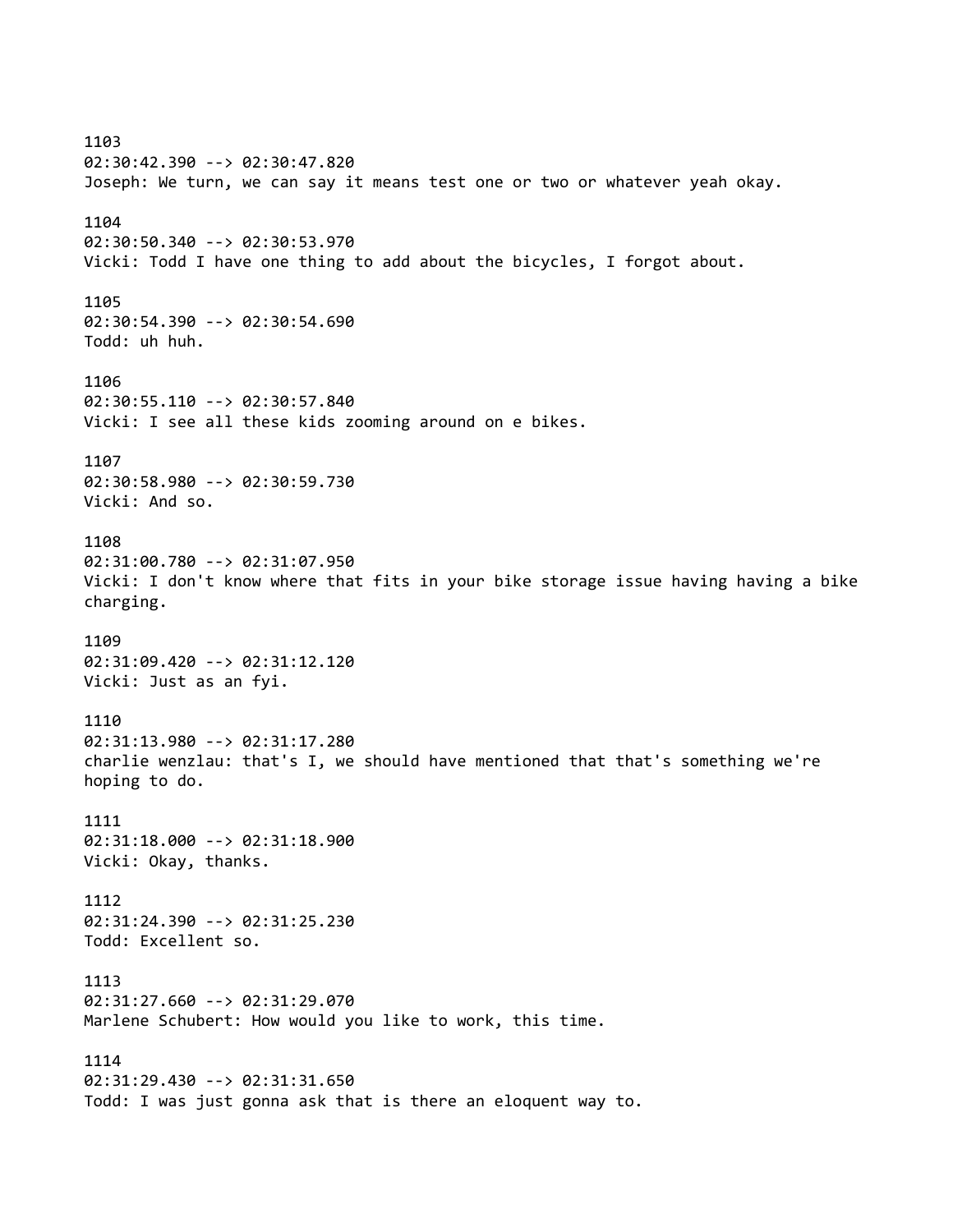1103 02:30:42.390 --> 02:30:47.820 Joseph: We turn, we can say it means test one or two or whatever yeah okay. 1104 02:30:50.340 --> 02:30:53.970 Vicki: Todd I have one thing to add about the bicycles, I forgot about. 1105 02:30:54.390 --> 02:30:54.690 Todd: uh huh. 1106 02:30:55.110 --> 02:30:57.840 Vicki: I see all these kids zooming around on e bikes. 1107 02:30:58.980 --> 02:30:59.730 Vicki: And so. 1108 02:31:00.780 --> 02:31:07.950 Vicki: I don't know where that fits in your bike storage issue having having a bike charging. 1109 02:31:09.420 --> 02:31:12.120 Vicki: Just as an fyi. 1110 02:31:13.980 --> 02:31:17.280 charlie wenzlau: that's I, we should have mentioned that that's something we're hoping to do. 1111 02:31:18.000 --> 02:31:18.900 Vicki: Okay, thanks. 1112 02:31:24.390 --> 02:31:25.230 Todd: Excellent so. 1113 02:31:27.660 --> 02:31:29.070 Marlene Schubert: How would you like to work, this time. 1114 02:31:29.430 --> 02:31:31.650 Todd: I was just gonna ask that is there an eloquent way to.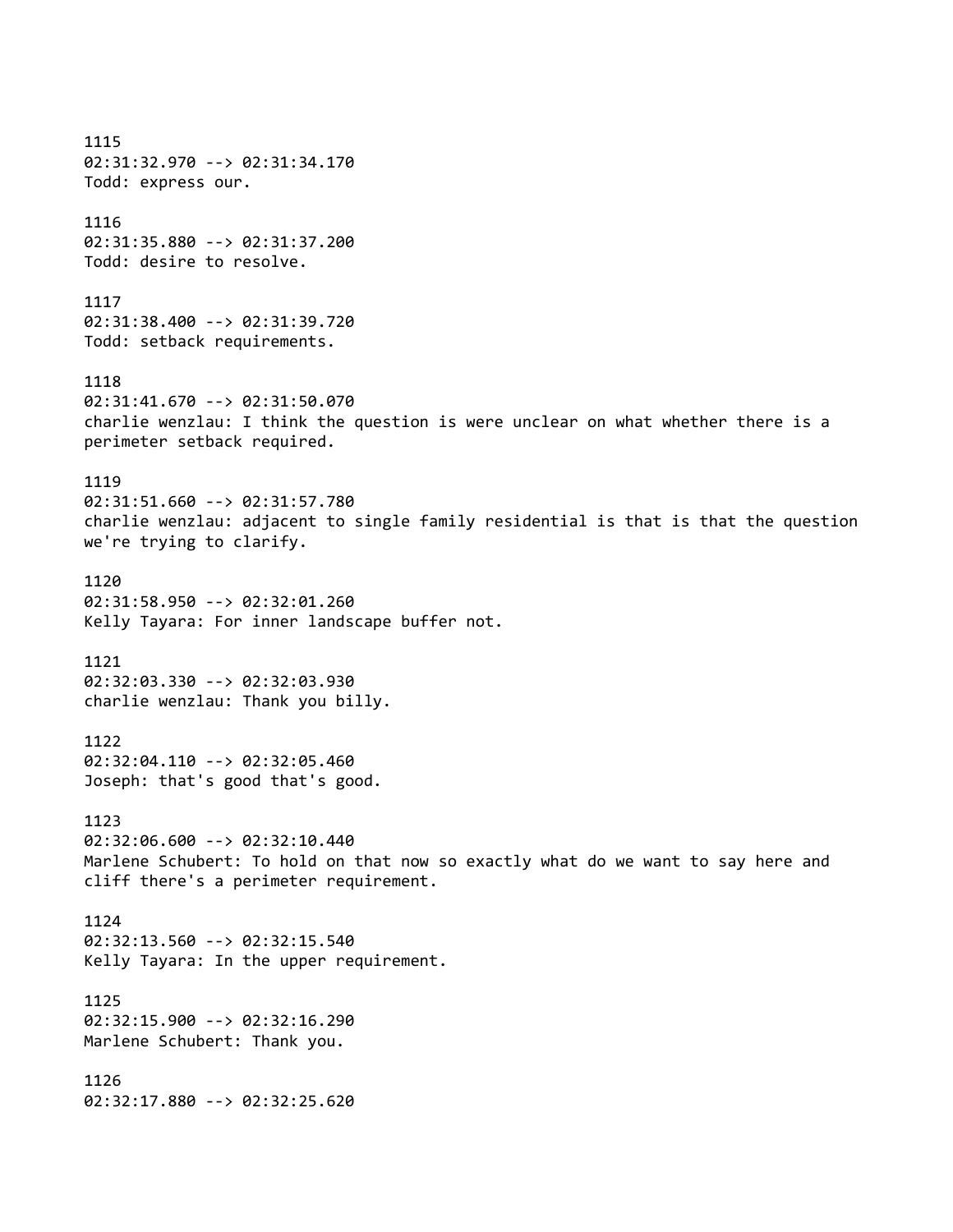1115 02:31:32.970 --> 02:31:34.170 Todd: express our. 1116 02:31:35.880 --> 02:31:37.200 Todd: desire to resolve. 1117 02:31:38.400 --> 02:31:39.720 Todd: setback requirements. 1118 02:31:41.670 --> 02:31:50.070 charlie wenzlau: I think the question is were unclear on what whether there is a perimeter setback required. 1119 02:31:51.660 --> 02:31:57.780 charlie wenzlau: adjacent to single family residential is that is that the question we're trying to clarify. 1120 02:31:58.950 --> 02:32:01.260 Kelly Tayara: For inner landscape buffer not. 1121 02:32:03.330 --> 02:32:03.930 charlie wenzlau: Thank you billy. 1122 02:32:04.110 --> 02:32:05.460 Joseph: that's good that's good. 1123 02:32:06.600 --> 02:32:10.440 Marlene Schubert: To hold on that now so exactly what do we want to say here and cliff there's a perimeter requirement. 1124 02:32:13.560 --> 02:32:15.540 Kelly Tayara: In the upper requirement. 1125 02:32:15.900 --> 02:32:16.290 Marlene Schubert: Thank you. 1126 02:32:17.880 --> 02:32:25.620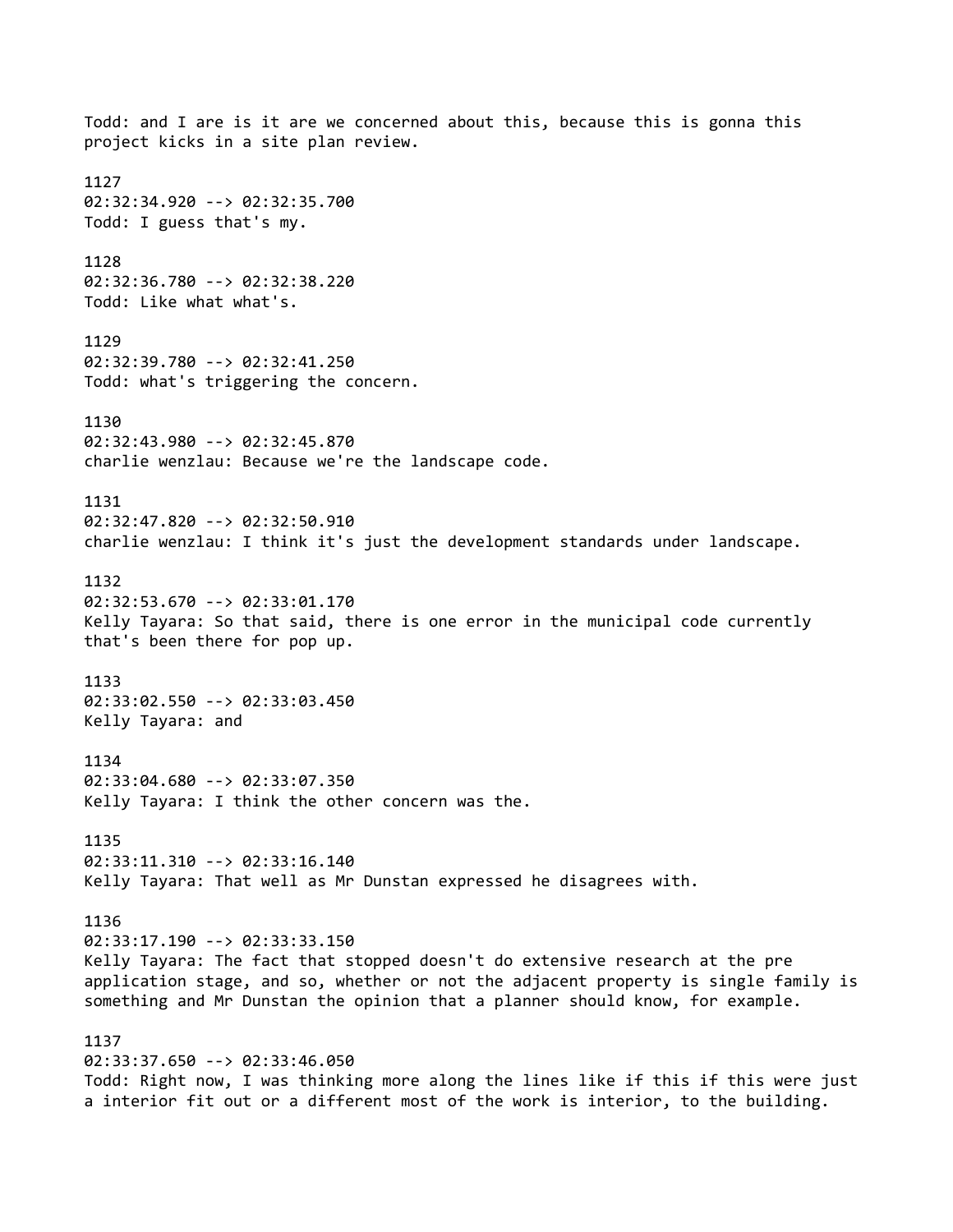Todd: and I are is it are we concerned about this, because this is gonna this project kicks in a site plan review. 1127 02:32:34.920 --> 02:32:35.700 Todd: I guess that's my. 1128 02:32:36.780 --> 02:32:38.220 Todd: Like what what's. 1129 02:32:39.780 --> 02:32:41.250 Todd: what's triggering the concern. 1130 02:32:43.980 --> 02:32:45.870 charlie wenzlau: Because we're the landscape code. 1131 02:32:47.820 --> 02:32:50.910 charlie wenzlau: I think it's just the development standards under landscape. 1132 02:32:53.670 --> 02:33:01.170 Kelly Tayara: So that said, there is one error in the municipal code currently that's been there for pop up. 1133 02:33:02.550 --> 02:33:03.450 Kelly Tayara: and 1134 02:33:04.680 --> 02:33:07.350 Kelly Tayara: I think the other concern was the. 1135 02:33:11.310 --> 02:33:16.140 Kelly Tayara: That well as Mr Dunstan expressed he disagrees with. 1136 02:33:17.190 --> 02:33:33.150 Kelly Tayara: The fact that stopped doesn't do extensive research at the pre application stage, and so, whether or not the adjacent property is single family is something and Mr Dunstan the opinion that a planner should know, for example. 1137 02:33:37.650 --> 02:33:46.050 Todd: Right now, I was thinking more along the lines like if this if this were just a interior fit out or a different most of the work is interior, to the building.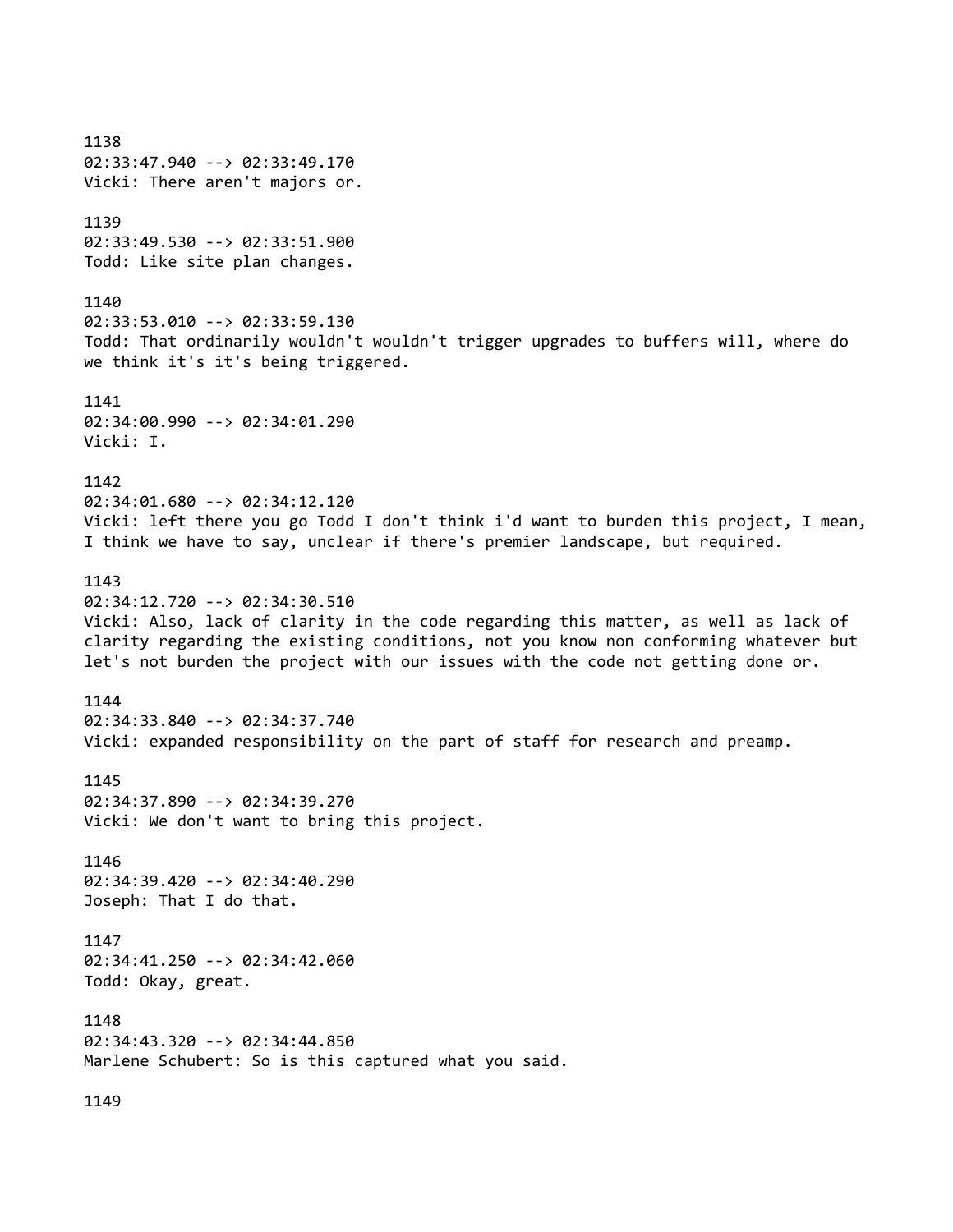1138 02:33:47.940 --> 02:33:49.170 Vicki: There aren't majors or. 1139 02:33:49.530 --> 02:33:51.900 Todd: Like site plan changes. 1140 02:33:53.010 --> 02:33:59.130 Todd: That ordinarily wouldn't wouldn't trigger upgrades to buffers will, where do we think it's it's being triggered. 1141 02:34:00.990 --> 02:34:01.290 Vicki: I. 1142 02:34:01.680 --> 02:34:12.120 Vicki: left there you go Todd I don't think i'd want to burden this project, I mean, I think we have to say, unclear if there's premier landscape, but required. 1143 02:34:12.720 --> 02:34:30.510 Vicki: Also, lack of clarity in the code regarding this matter, as well as lack of clarity regarding the existing conditions, not you know non conforming whatever but let's not burden the project with our issues with the code not getting done or. 1144 02:34:33.840 --> 02:34:37.740 Vicki: expanded responsibility on the part of staff for research and preamp. 1145 02:34:37.890 --> 02:34:39.270 Vicki: We don't want to bring this project. 1146 02:34:39.420 --> 02:34:40.290 Joseph: That I do that. 1147 02:34:41.250 --> 02:34:42.060 Todd: Okay, great. 1148 02:34:43.320 --> 02:34:44.850 Marlene Schubert: So is this captured what you said. 1149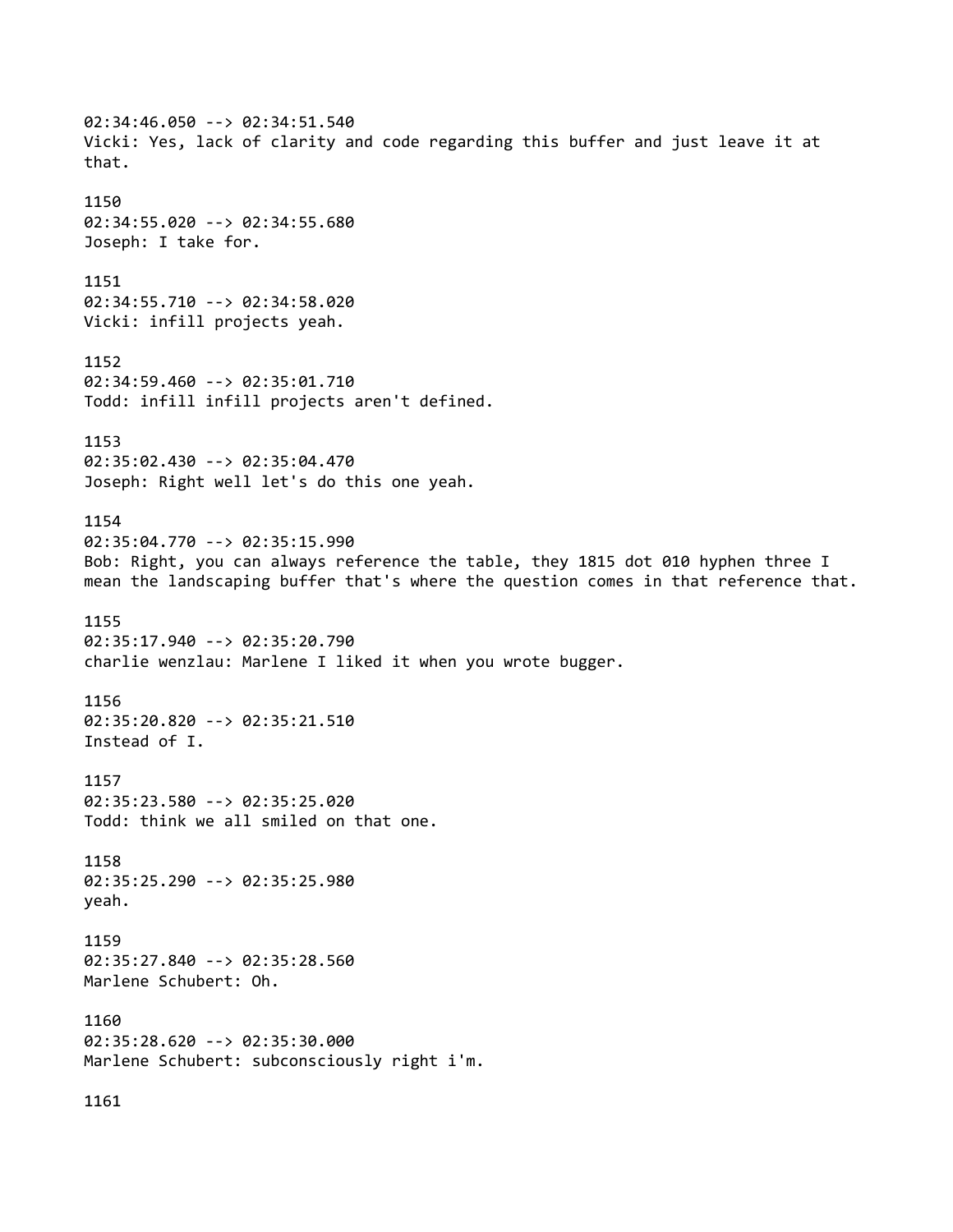02:34:46.050 --> 02:34:51.540 Vicki: Yes, lack of clarity and code regarding this buffer and just leave it at that. 1150 02:34:55.020 --> 02:34:55.680 Joseph: I take for. 1151 02:34:55.710 --> 02:34:58.020 Vicki: infill projects yeah. 1152 02:34:59.460 --> 02:35:01.710 Todd: infill infill projects aren't defined. 1153 02:35:02.430 --> 02:35:04.470 Joseph: Right well let's do this one yeah. 1154 02:35:04.770 --> 02:35:15.990 Bob: Right, you can always reference the table, they 1815 dot 010 hyphen three I mean the landscaping buffer that's where the question comes in that reference that. 1155 02:35:17.940 --> 02:35:20.790 charlie wenzlau: Marlene I liked it when you wrote bugger. 1156 02:35:20.820 --> 02:35:21.510 Instead of I. 1157 02:35:23.580 --> 02:35:25.020 Todd: think we all smiled on that one. 1158 02:35:25.290 --> 02:35:25.980 yeah. 1159 02:35:27.840 --> 02:35:28.560 Marlene Schubert: Oh. 1160 02:35:28.620 --> 02:35:30.000 Marlene Schubert: subconsciously right i'm. 1161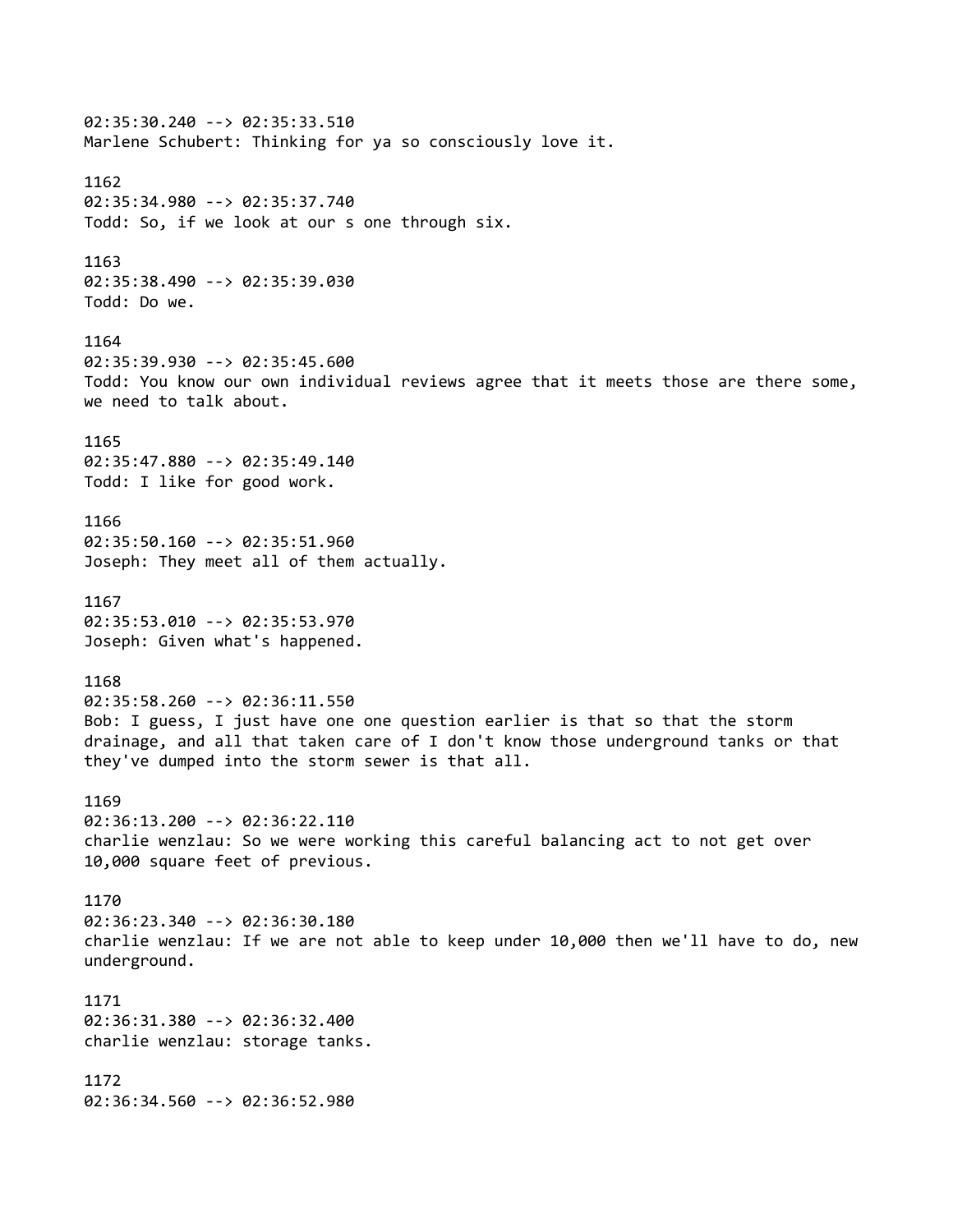02:35:30.240 --> 02:35:33.510 Marlene Schubert: Thinking for ya so consciously love it. 1162 02:35:34.980 --> 02:35:37.740 Todd: So, if we look at our s one through six. 1163 02:35:38.490 --> 02:35:39.030 Todd: Do we. 1164 02:35:39.930 --> 02:35:45.600 Todd: You know our own individual reviews agree that it meets those are there some, we need to talk about. 1165 02:35:47.880 --> 02:35:49.140 Todd: I like for good work. 1166 02:35:50.160 --> 02:35:51.960 Joseph: They meet all of them actually. 1167 02:35:53.010 --> 02:35:53.970 Joseph: Given what's happened. 1168 02:35:58.260 --> 02:36:11.550 Bob: I guess, I just have one one question earlier is that so that the storm drainage, and all that taken care of I don't know those underground tanks or that they've dumped into the storm sewer is that all. 1169 02:36:13.200 --> 02:36:22.110 charlie wenzlau: So we were working this careful balancing act to not get over 10,000 square feet of previous. 1170 02:36:23.340 --> 02:36:30.180 charlie wenzlau: If we are not able to keep under 10,000 then we'll have to do, new underground. 1171 02:36:31.380 --> 02:36:32.400 charlie wenzlau: storage tanks. 1172 02:36:34.560 --> 02:36:52.980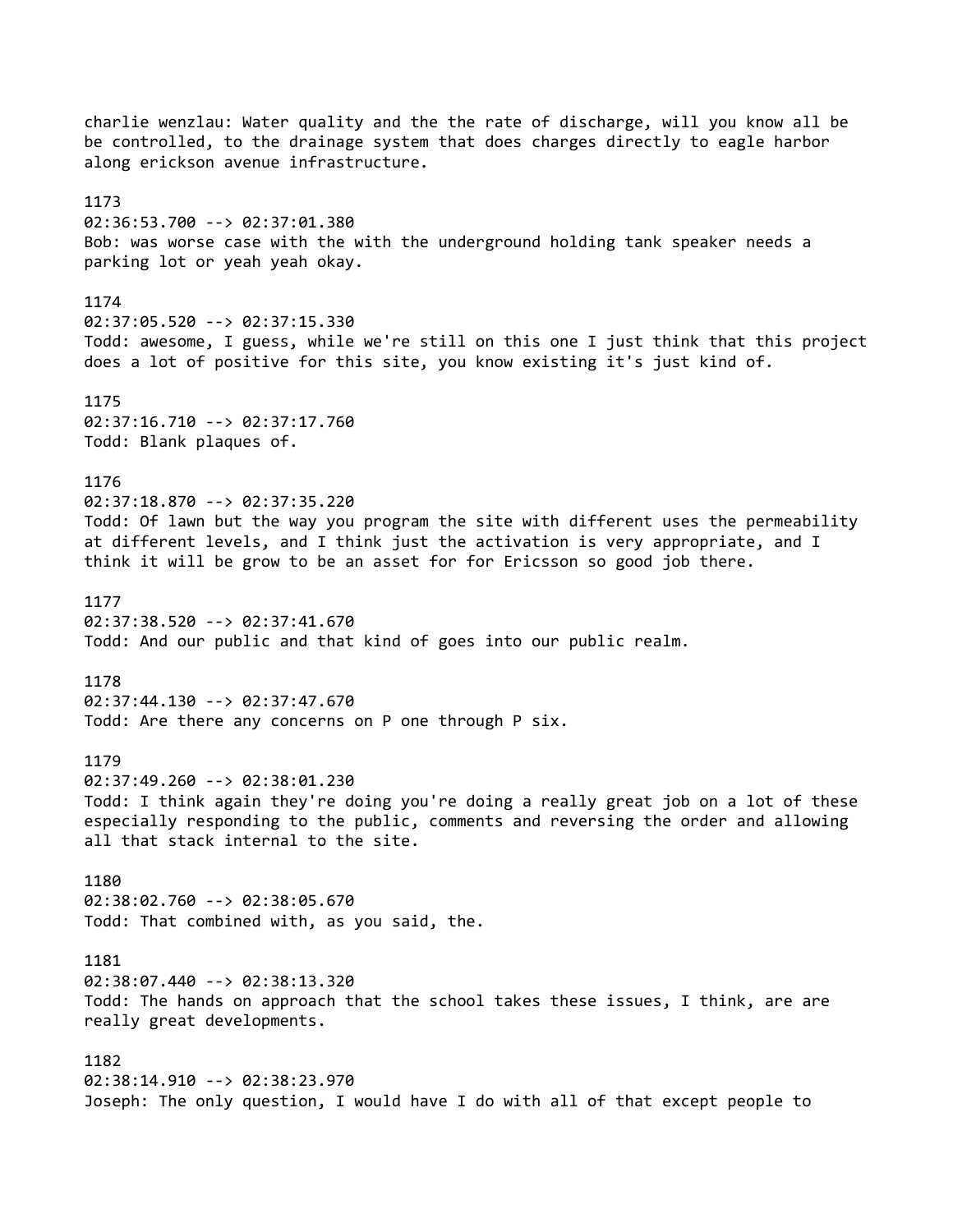charlie wenzlau: Water quality and the the rate of discharge, will you know all be be controlled, to the drainage system that does charges directly to eagle harbor along erickson avenue infrastructure. 1173 02:36:53.700 --> 02:37:01.380 Bob: was worse case with the with the underground holding tank speaker needs a parking lot or yeah yeah okay. 1174 02:37:05.520 --> 02:37:15.330 Todd: awesome, I guess, while we're still on this one I just think that this project does a lot of positive for this site, you know existing it's just kind of. 1175 02:37:16.710 --> 02:37:17.760 Todd: Blank plaques of. 1176 02:37:18.870 --> 02:37:35.220 Todd: Of lawn but the way you program the site with different uses the permeability at different levels, and I think just the activation is very appropriate, and I think it will be grow to be an asset for for Ericsson so good job there. 1177 02:37:38.520 --> 02:37:41.670 Todd: And our public and that kind of goes into our public realm. 1178 02:37:44.130 --> 02:37:47.670 Todd: Are there any concerns on P one through P six. 1179 02:37:49.260 --> 02:38:01.230 Todd: I think again they're doing you're doing a really great job on a lot of these especially responding to the public, comments and reversing the order and allowing all that stack internal to the site. 1180 02:38:02.760 --> 02:38:05.670 Todd: That combined with, as you said, the. 1181 02:38:07.440 --> 02:38:13.320 Todd: The hands on approach that the school takes these issues, I think, are are really great developments. 1182 02:38:14.910 --> 02:38:23.970 Joseph: The only question, I would have I do with all of that except people to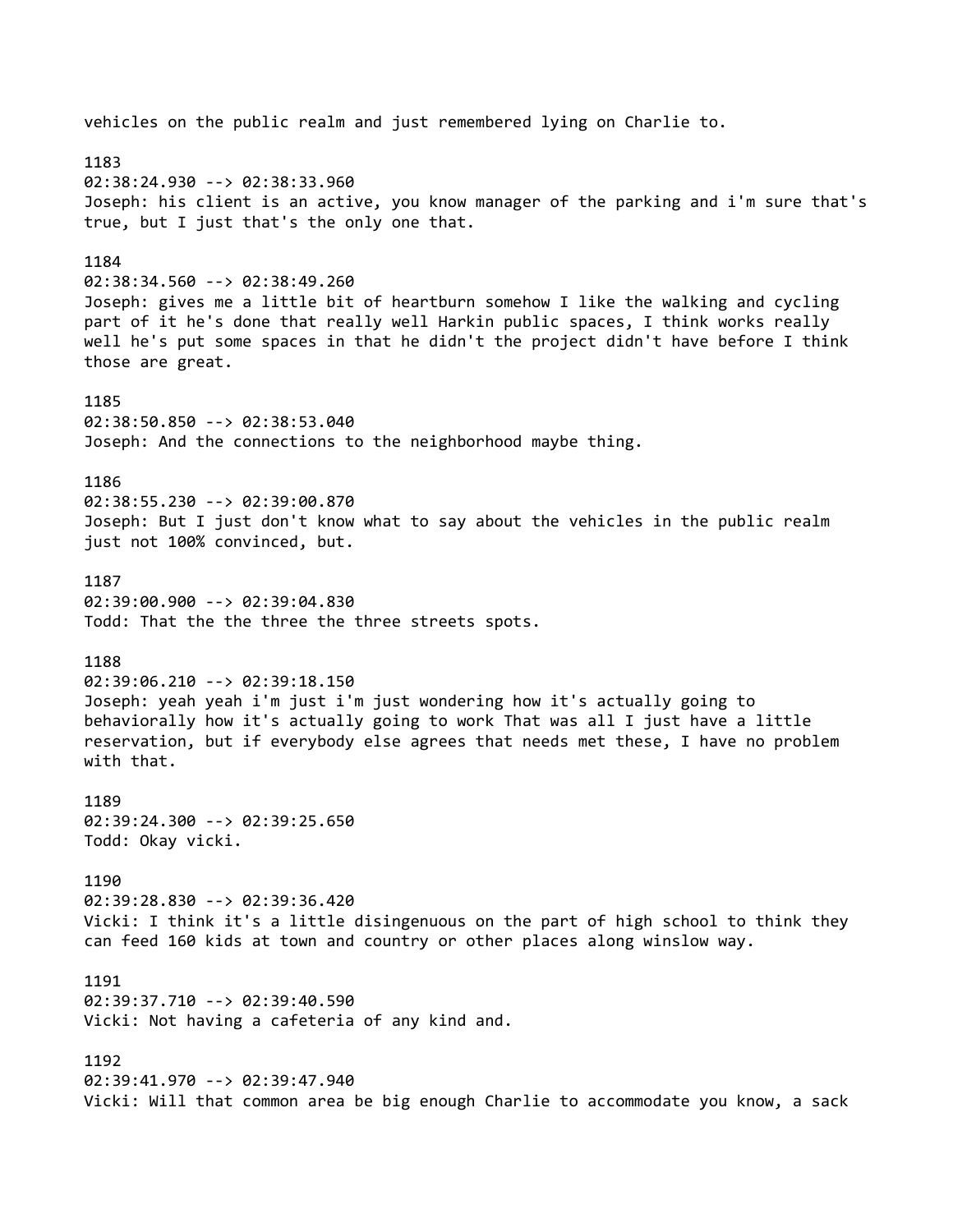vehicles on the public realm and just remembered lying on Charlie to. 1183 02:38:24.930 --> 02:38:33.960 Joseph: his client is an active, you know manager of the parking and i'm sure that's true, but I just that's the only one that. 1184 02:38:34.560 --> 02:38:49.260 Joseph: gives me a little bit of heartburn somehow I like the walking and cycling part of it he's done that really well Harkin public spaces, I think works really well he's put some spaces in that he didn't the project didn't have before I think those are great. 1185 02:38:50.850 --> 02:38:53.040 Joseph: And the connections to the neighborhood maybe thing. 1186 02:38:55.230 --> 02:39:00.870 Joseph: But I just don't know what to say about the vehicles in the public realm just not 100% convinced, but. 1187 02:39:00.900 --> 02:39:04.830 Todd: That the the three the three streets spots. 1188 02:39:06.210 --> 02:39:18.150 Joseph: yeah yeah i'm just i'm just wondering how it's actually going to behaviorally how it's actually going to work That was all I just have a little reservation, but if everybody else agrees that needs met these, I have no problem with that. 1189 02:39:24.300 --> 02:39:25.650 Todd: Okay vicki. 1190 02:39:28.830 --> 02:39:36.420 Vicki: I think it's a little disingenuous on the part of high school to think they can feed 160 kids at town and country or other places along winslow way. 1191 02:39:37.710 --> 02:39:40.590 Vicki: Not having a cafeteria of any kind and. 1192 02:39:41.970 --> 02:39:47.940 Vicki: Will that common area be big enough Charlie to accommodate you know, a sack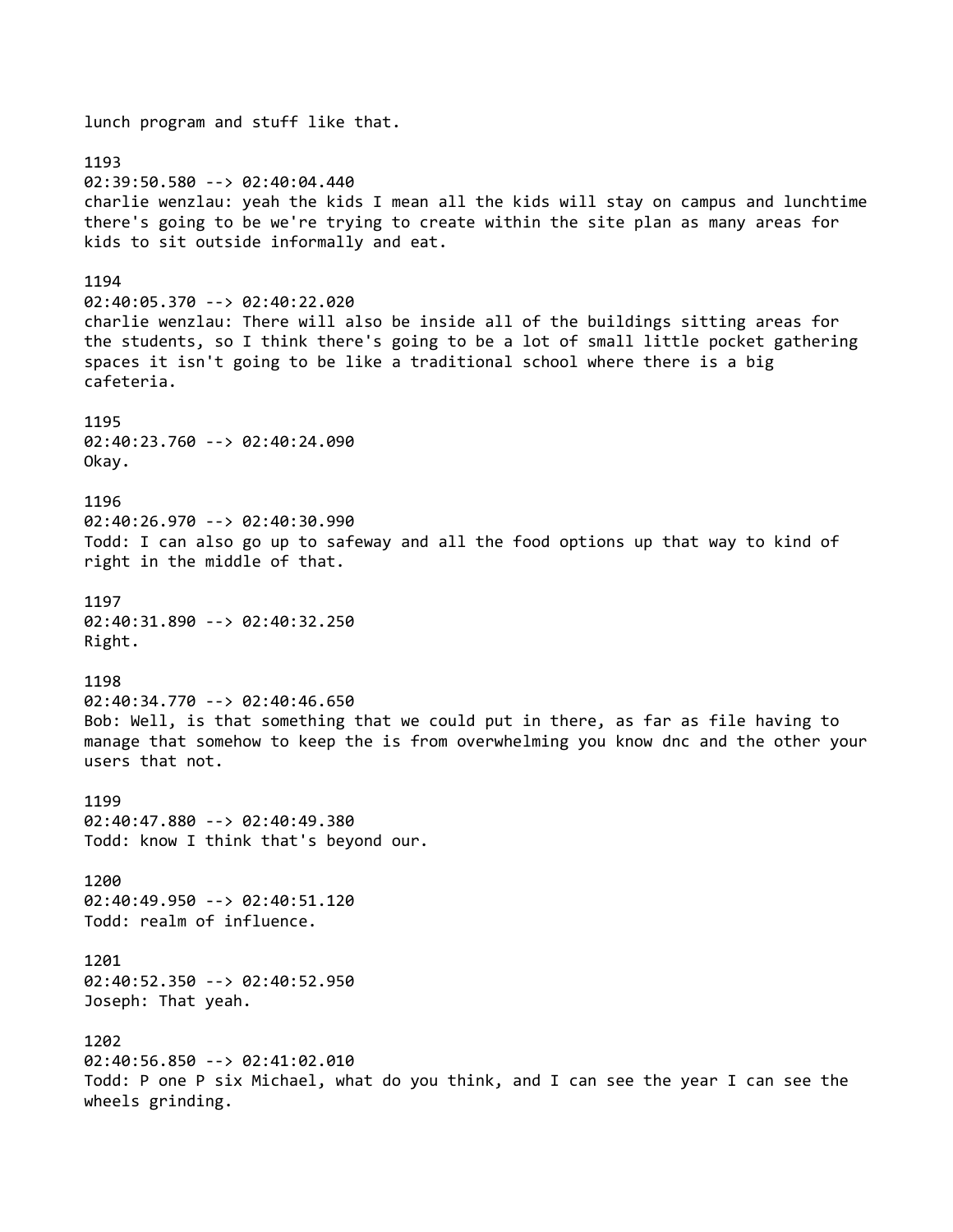lunch program and stuff like that. 1193 02:39:50.580 --> 02:40:04.440 charlie wenzlau: yeah the kids I mean all the kids will stay on campus and lunchtime there's going to be we're trying to create within the site plan as many areas for kids to sit outside informally and eat. 1194 02:40:05.370 --> 02:40:22.020 charlie wenzlau: There will also be inside all of the buildings sitting areas for the students, so I think there's going to be a lot of small little pocket gathering spaces it isn't going to be like a traditional school where there is a big cafeteria. 1195 02:40:23.760 --> 02:40:24.090 Okay. 1196 02:40:26.970 --> 02:40:30.990 Todd: I can also go up to safeway and all the food options up that way to kind of right in the middle of that. 1197 02:40:31.890 --> 02:40:32.250 Right. 1198 02:40:34.770 --> 02:40:46.650 Bob: Well, is that something that we could put in there, as far as file having to manage that somehow to keep the is from overwhelming you know dnc and the other your users that not. 1199 02:40:47.880 --> 02:40:49.380 Todd: know I think that's beyond our. 1200 02:40:49.950 --> 02:40:51.120 Todd: realm of influence. 1201 02:40:52.350 --> 02:40:52.950 Joseph: That yeah. 1202 02:40:56.850 --> 02:41:02.010 Todd: P one P six Michael, what do you think, and I can see the year I can see the wheels grinding.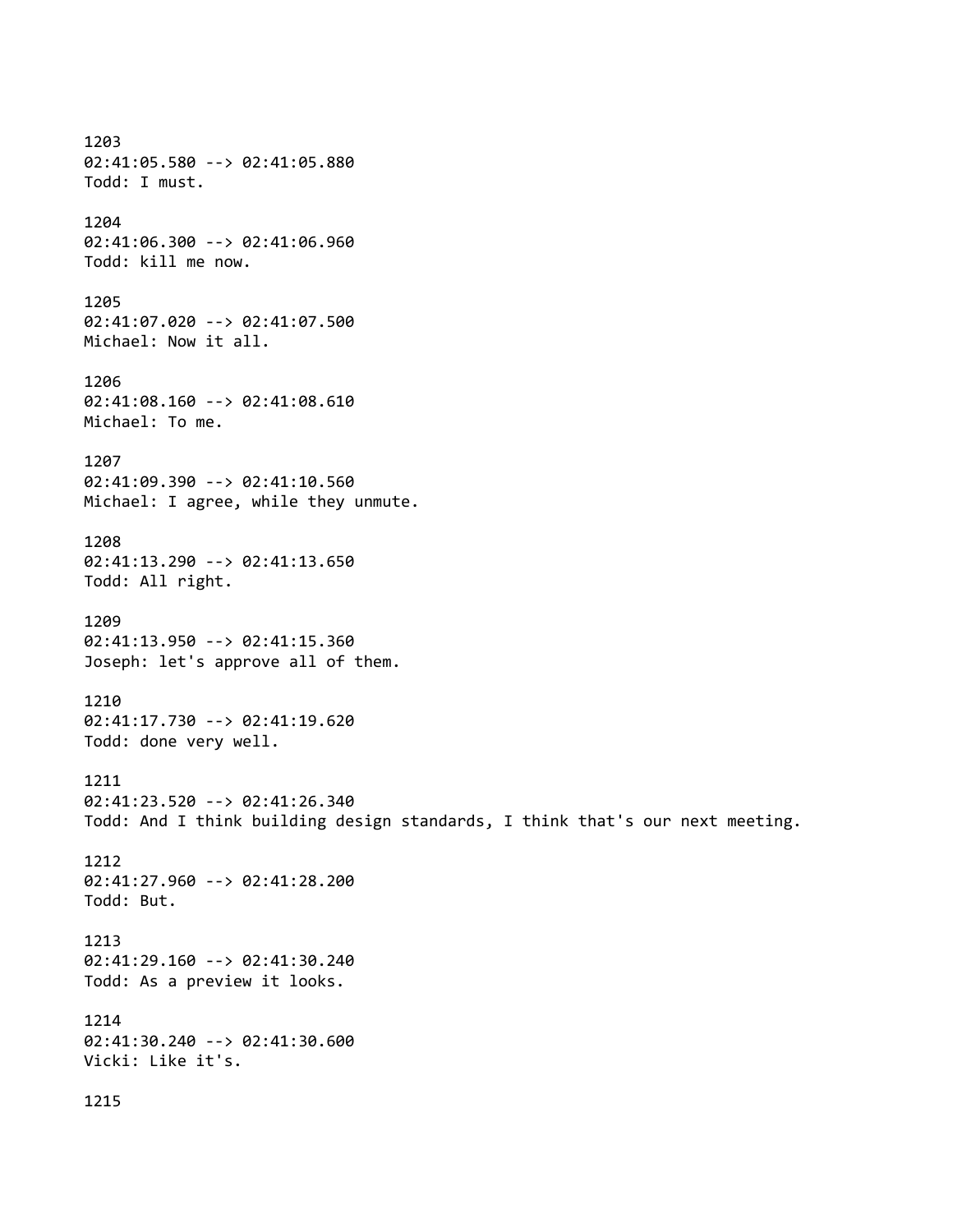1203 02:41:05.580 --> 02:41:05.880 Todd: I must. 1204 02:41:06.300 --> 02:41:06.960 Todd: kill me now. 1205 02:41:07.020 --> 02:41:07.500 Michael: Now it all. 1206 02:41:08.160 --> 02:41:08.610 Michael: To me. 1207 02:41:09.390 --> 02:41:10.560 Michael: I agree, while they unmute. 1208 02:41:13.290 --> 02:41:13.650 Todd: All right. 1209 02:41:13.950 --> 02:41:15.360 Joseph: let's approve all of them. 1210 02:41:17.730 --> 02:41:19.620 Todd: done very well. 1211 02:41:23.520 --> 02:41:26.340 Todd: And I think building design standards, I think that's our next meeting. 1212 02:41:27.960 --> 02:41:28.200 Todd: But. 1213 02:41:29.160 --> 02:41:30.240 Todd: As a preview it looks. 1214 02:41:30.240 --> 02:41:30.600 Vicki: Like it's. 1215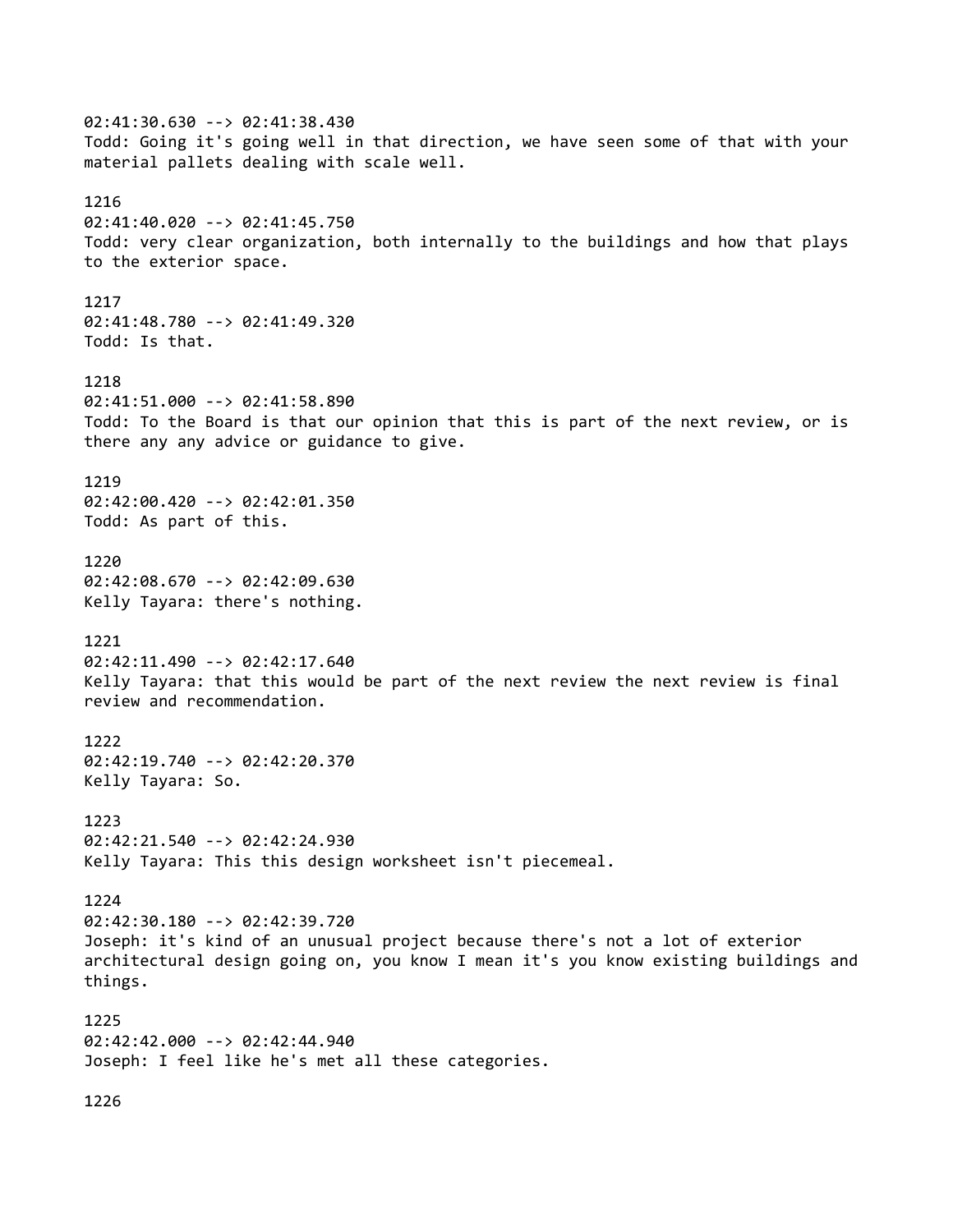02:41:30.630 --> 02:41:38.430 Todd: Going it's going well in that direction, we have seen some of that with your material pallets dealing with scale well. 1216 02:41:40.020 --> 02:41:45.750 Todd: very clear organization, both internally to the buildings and how that plays to the exterior space. 1217 02:41:48.780 --> 02:41:49.320 Todd: Is that. 1218 02:41:51.000 --> 02:41:58.890 Todd: To the Board is that our opinion that this is part of the next review, or is there any any advice or guidance to give. 1219 02:42:00.420 --> 02:42:01.350 Todd: As part of this. 1220 02:42:08.670 --> 02:42:09.630 Kelly Tayara: there's nothing. 1221 02:42:11.490 --> 02:42:17.640 Kelly Tayara: that this would be part of the next review the next review is final review and recommendation. 1222 02:42:19.740 --> 02:42:20.370 Kelly Tayara: So. 1223 02:42:21.540 --> 02:42:24.930 Kelly Tayara: This this design worksheet isn't piecemeal. 1224 02:42:30.180 --> 02:42:39.720 Joseph: it's kind of an unusual project because there's not a lot of exterior architectural design going on, you know I mean it's you know existing buildings and things. 1225 02:42:42.000 --> 02:42:44.940 Joseph: I feel like he's met all these categories.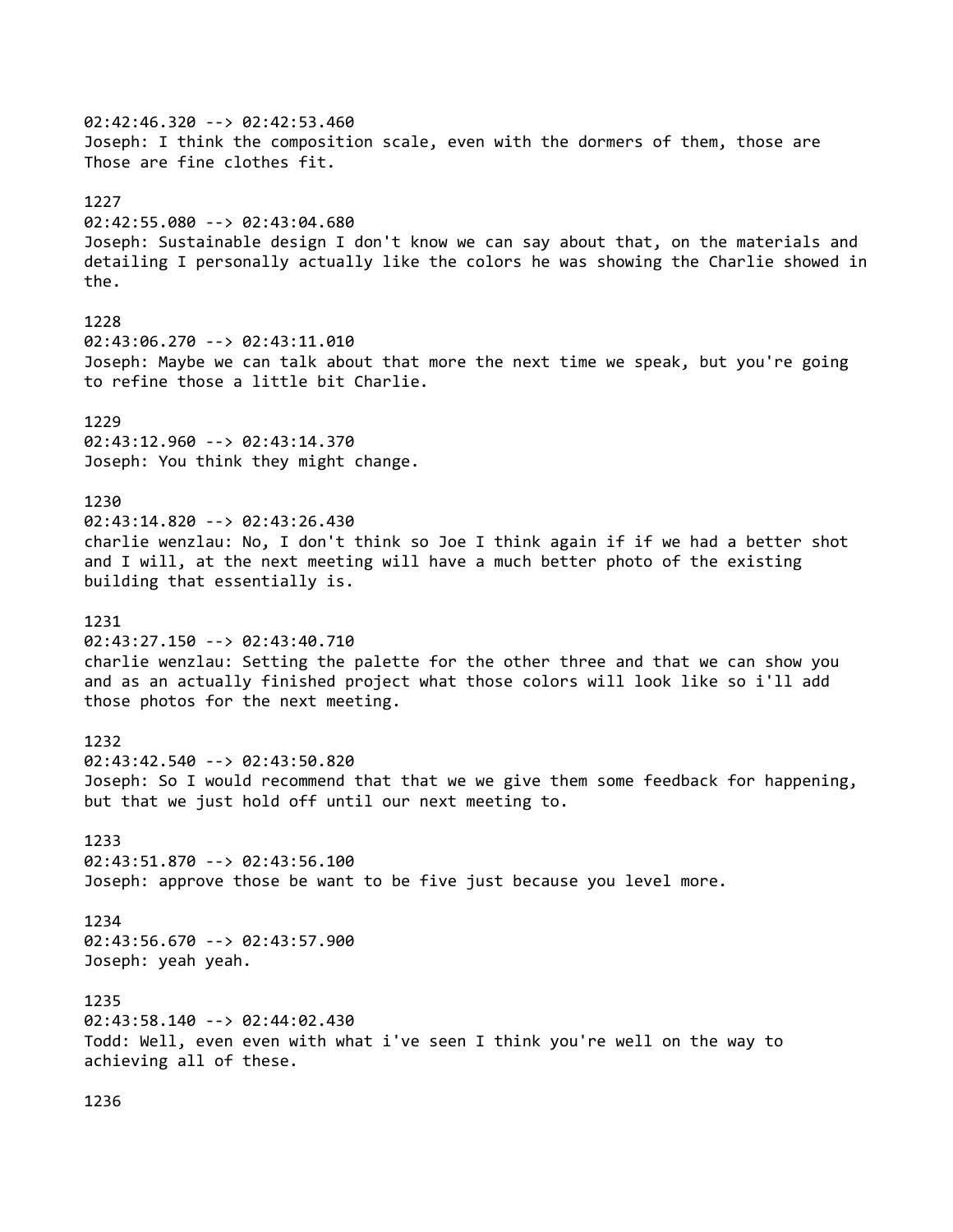02:42:46.320 --> 02:42:53.460 Joseph: I think the composition scale, even with the dormers of them, those are Those are fine clothes fit. 1227 02:42:55.080 --> 02:43:04.680 Joseph: Sustainable design I don't know we can say about that, on the materials and detailing I personally actually like the colors he was showing the Charlie showed in the. 1228 02:43:06.270 --> 02:43:11.010 Joseph: Maybe we can talk about that more the next time we speak, but you're going to refine those a little bit Charlie. 1229 02:43:12.960 --> 02:43:14.370 Joseph: You think they might change. 1230 02:43:14.820 --> 02:43:26.430 charlie wenzlau: No, I don't think so Joe I think again if if we had a better shot and I will, at the next meeting will have a much better photo of the existing building that essentially is. 1231 02:43:27.150 --> 02:43:40.710 charlie wenzlau: Setting the palette for the other three and that we can show you and as an actually finished project what those colors will look like so i'll add those photos for the next meeting. 1232 02:43:42.540 --> 02:43:50.820 Joseph: So I would recommend that that we we give them some feedback for happening, but that we just hold off until our next meeting to. 1233 02:43:51.870 --> 02:43:56.100 Joseph: approve those be want to be five just because you level more. 1234 02:43:56.670 --> 02:43:57.900 Joseph: yeah yeah. 1235 02:43:58.140 --> 02:44:02.430 Todd: Well, even even with what i've seen I think you're well on the way to achieving all of these.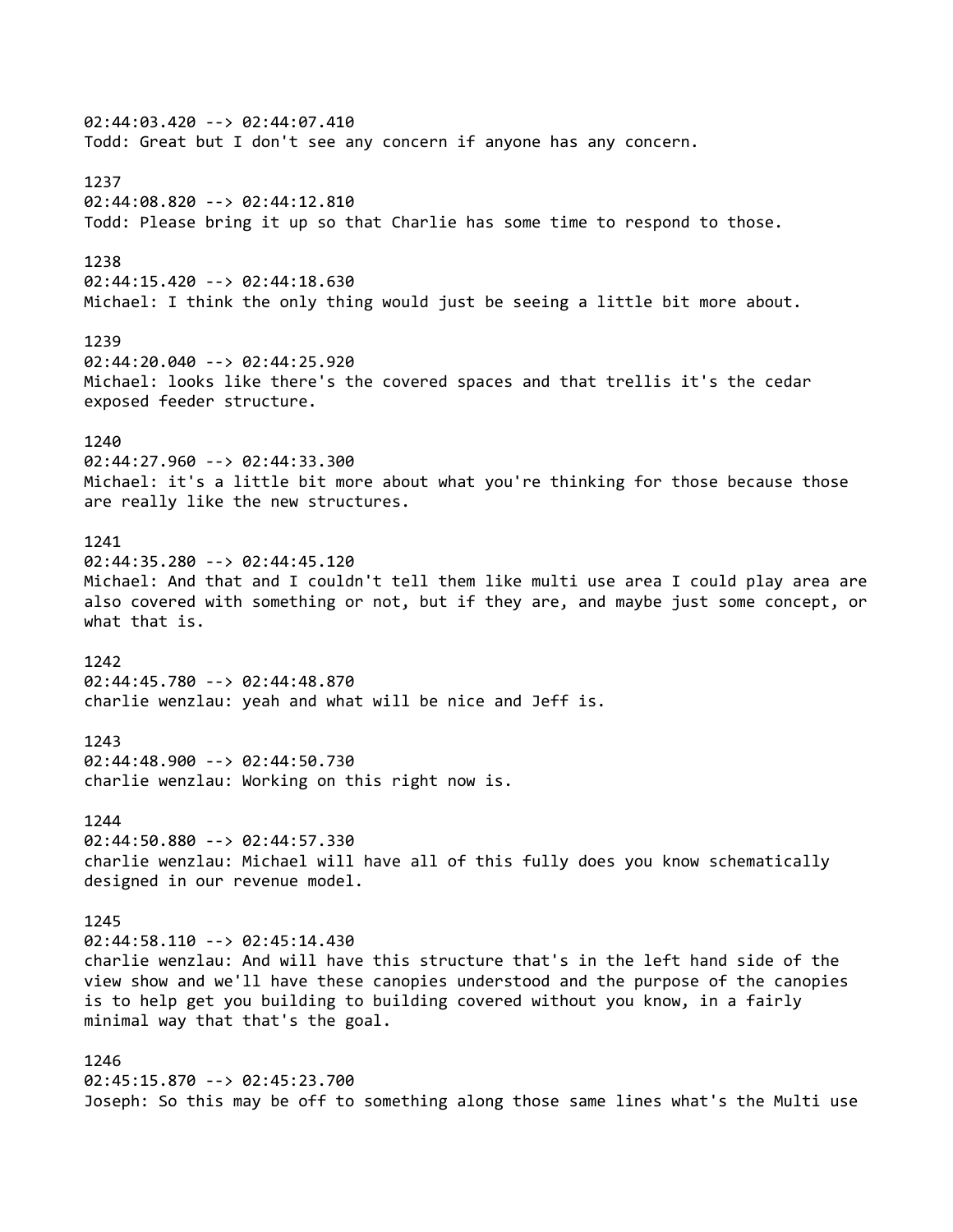02:44:03.420 --> 02:44:07.410 Todd: Great but I don't see any concern if anyone has any concern. 1237 02:44:08.820 --> 02:44:12.810 Todd: Please bring it up so that Charlie has some time to respond to those. 1238 02:44:15.420 --> 02:44:18.630 Michael: I think the only thing would just be seeing a little bit more about. 1239 02:44:20.040 --> 02:44:25.920 Michael: looks like there's the covered spaces and that trellis it's the cedar exposed feeder structure.  $1240$ 02:44:27.960 --> 02:44:33.300 Michael: it's a little bit more about what you're thinking for those because those are really like the new structures. 1241 02:44:35.280 --> 02:44:45.120 Michael: And that and I couldn't tell them like multi use area I could play area are also covered with something or not, but if they are, and maybe just some concept, or what that is. 1242 02:44:45.780 --> 02:44:48.870 charlie wenzlau: yeah and what will be nice and Jeff is. 1243 02:44:48.900 --> 02:44:50.730 charlie wenzlau: Working on this right now is. 1244 02:44:50.880 --> 02:44:57.330 charlie wenzlau: Michael will have all of this fully does you know schematically designed in our revenue model. 1245 02:44:58.110 --> 02:45:14.430 charlie wenzlau: And will have this structure that's in the left hand side of the view show and we'll have these canopies understood and the purpose of the canopies is to help get you building to building covered without you know, in a fairly minimal way that that's the goal. 1246 02:45:15.870 --> 02:45:23.700 Joseph: So this may be off to something along those same lines what's the Multi use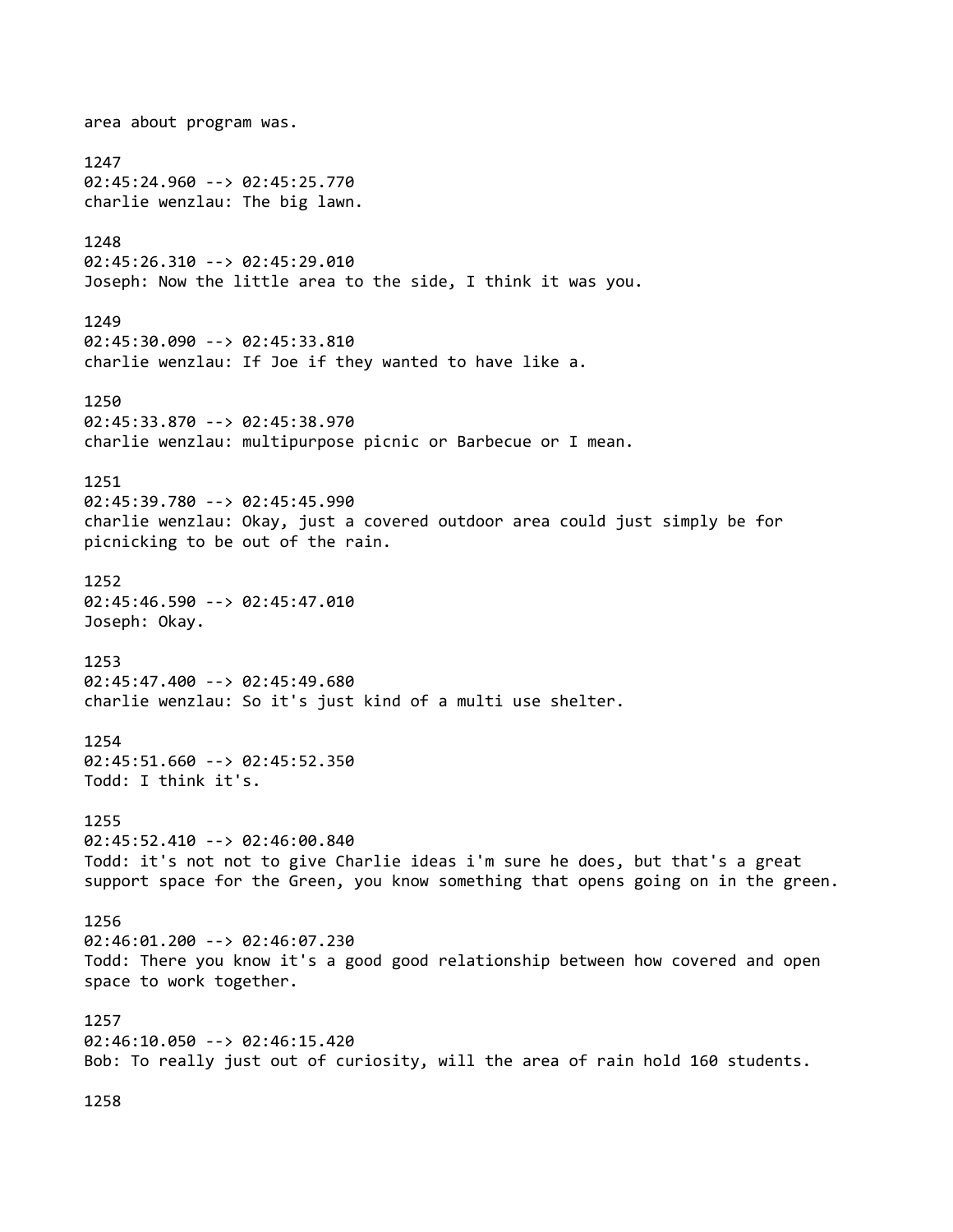area about program was. 1247 02:45:24.960 --> 02:45:25.770 charlie wenzlau: The big lawn. 1248 02:45:26.310 --> 02:45:29.010 Joseph: Now the little area to the side, I think it was you. 1249 02:45:30.090 --> 02:45:33.810 charlie wenzlau: If Joe if they wanted to have like a. 1250 02:45:33.870 --> 02:45:38.970 charlie wenzlau: multipurpose picnic or Barbecue or I mean. 1251 02:45:39.780 --> 02:45:45.990 charlie wenzlau: Okay, just a covered outdoor area could just simply be for picnicking to be out of the rain. 1252 02:45:46.590 --> 02:45:47.010 Joseph: Okay. 1253 02:45:47.400 --> 02:45:49.680 charlie wenzlau: So it's just kind of a multi use shelter. 1254 02:45:51.660 --> 02:45:52.350 Todd: I think it's. 1255 02:45:52.410 --> 02:46:00.840 Todd: it's not not to give Charlie ideas i'm sure he does, but that's a great support space for the Green, you know something that opens going on in the green. 1256 02:46:01.200 --> 02:46:07.230 Todd: There you know it's a good good relationship between how covered and open space to work together. 1257 02:46:10.050 --> 02:46:15.420 Bob: To really just out of curiosity, will the area of rain hold 160 students.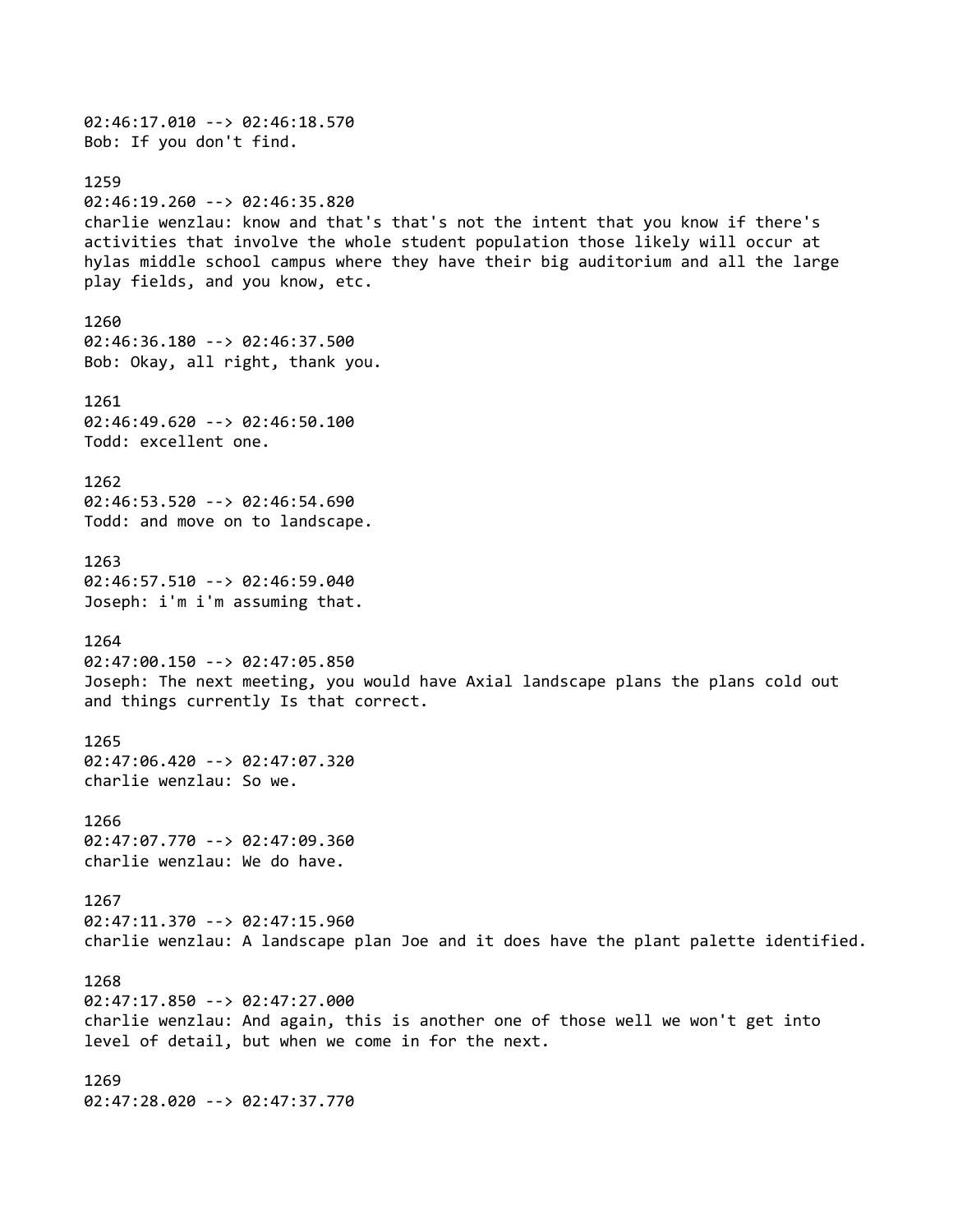02:46:17.010 --> 02:46:18.570 Bob: If you don't find. 1259 02:46:19.260 --> 02:46:35.820 charlie wenzlau: know and that's that's not the intent that you know if there's activities that involve the whole student population those likely will occur at hylas middle school campus where they have their big auditorium and all the large play fields, and you know, etc. 1260 02:46:36.180 --> 02:46:37.500 Bob: Okay, all right, thank you. 1261 02:46:49.620 --> 02:46:50.100 Todd: excellent one. 1262 02:46:53.520 --> 02:46:54.690 Todd: and move on to landscape. 1263 02:46:57.510 --> 02:46:59.040 Joseph: i'm i'm assuming that. 1264 02:47:00.150 --> 02:47:05.850 Joseph: The next meeting, you would have Axial landscape plans the plans cold out and things currently Is that correct. 1265 02:47:06.420 --> 02:47:07.320 charlie wenzlau: So we. 1266 02:47:07.770 --> 02:47:09.360 charlie wenzlau: We do have. 1267 02:47:11.370 --> 02:47:15.960 charlie wenzlau: A landscape plan Joe and it does have the plant palette identified. 1268 02:47:17.850 --> 02:47:27.000 charlie wenzlau: And again, this is another one of those well we won't get into level of detail, but when we come in for the next. 1269 02:47:28.020 --> 02:47:37.770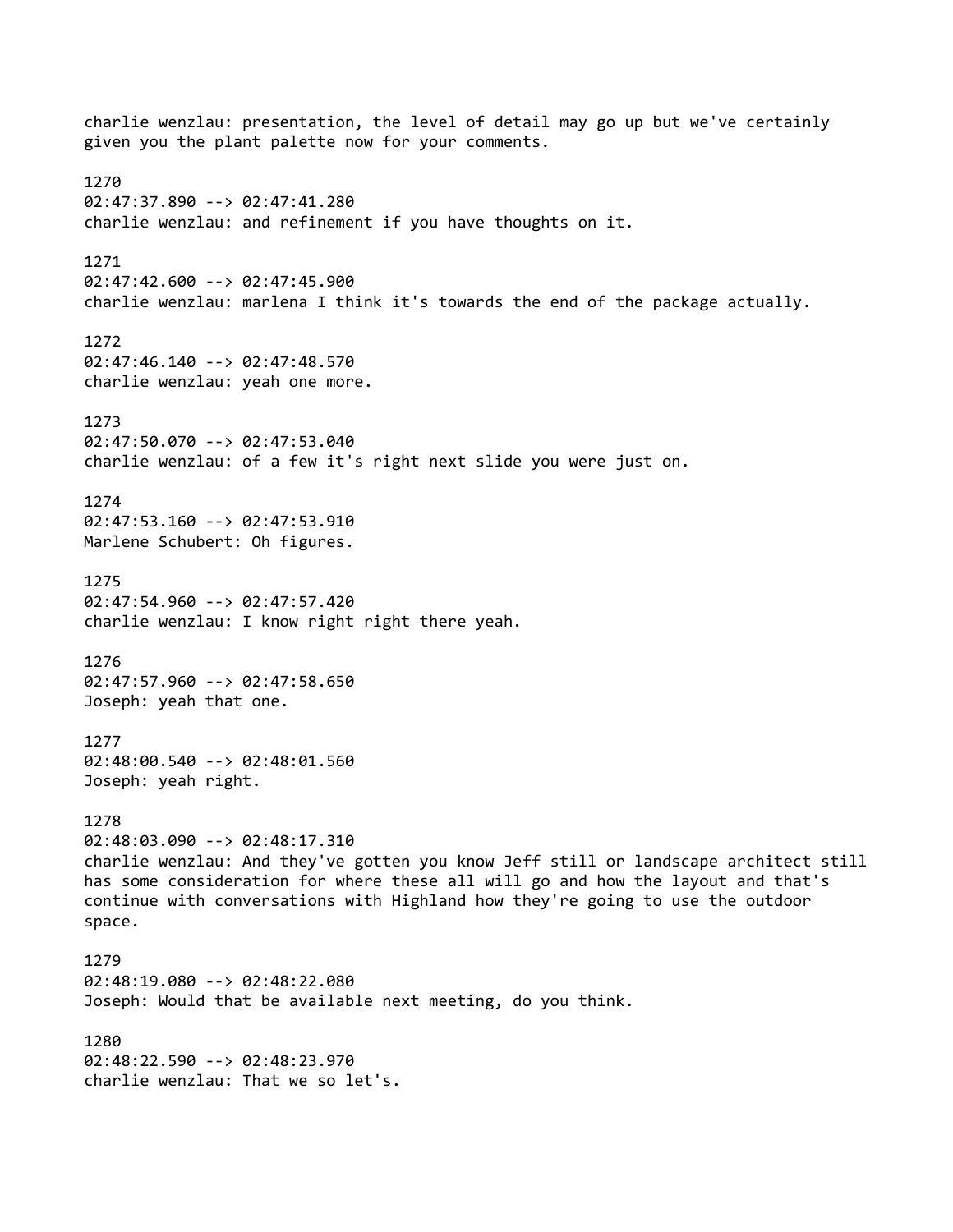charlie wenzlau: presentation, the level of detail may go up but we've certainly given you the plant palette now for your comments. 1270 02:47:37.890 --> 02:47:41.280 charlie wenzlau: and refinement if you have thoughts on it. 1271 02:47:42.600 --> 02:47:45.900 charlie wenzlau: marlena I think it's towards the end of the package actually. 1272 02:47:46.140 --> 02:47:48.570 charlie wenzlau: yeah one more. 1273 02:47:50.070 --> 02:47:53.040 charlie wenzlau: of a few it's right next slide you were just on. 1274 02:47:53.160 --> 02:47:53.910 Marlene Schubert: Oh figures. 1275 02:47:54.960 --> 02:47:57.420 charlie wenzlau: I know right right there yeah. 1276 02:47:57.960 --> 02:47:58.650 Joseph: yeah that one. 1277 02:48:00.540 --> 02:48:01.560 Joseph: yeah right. 1278 02:48:03.090 --> 02:48:17.310 charlie wenzlau: And they've gotten you know Jeff still or landscape architect still has some consideration for where these all will go and how the layout and that's continue with conversations with Highland how they're going to use the outdoor space. 1279 02:48:19.080 --> 02:48:22.080 Joseph: Would that be available next meeting, do you think. 1280 02:48:22.590 --> 02:48:23.970 charlie wenzlau: That we so let's.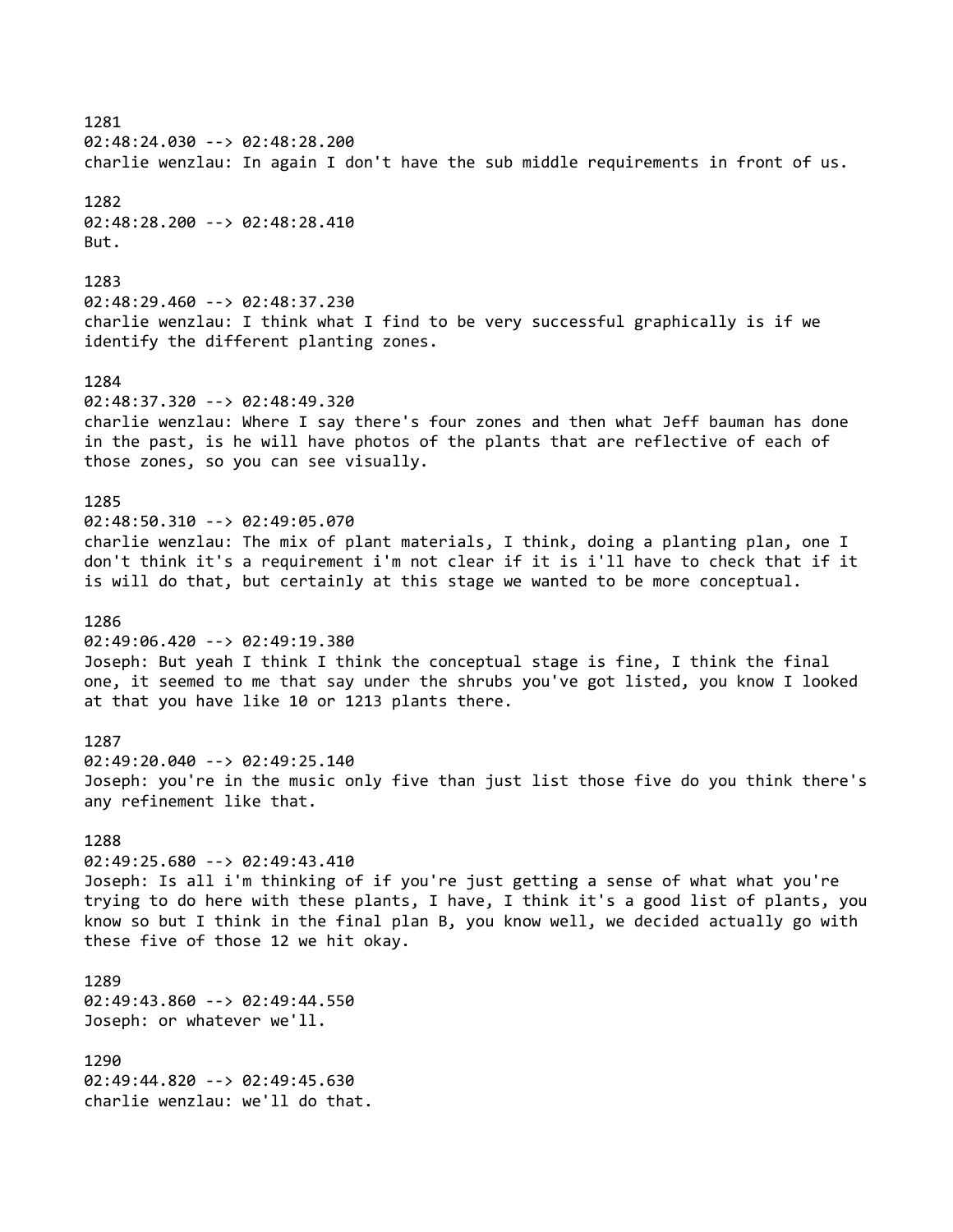1281 02:48:24.030 --> 02:48:28.200 charlie wenzlau: In again I don't have the sub middle requirements in front of us. 1282 02:48:28.200 --> 02:48:28.410 But. 1283 02:48:29.460 --> 02:48:37.230 charlie wenzlau: I think what I find to be very successful graphically is if we identify the different planting zones. 1284 02:48:37.320 --> 02:48:49.320 charlie wenzlau: Where I say there's four zones and then what Jeff bauman has done in the past, is he will have photos of the plants that are reflective of each of those zones, so you can see visually. 1285 02:48:50.310 --> 02:49:05.070 charlie wenzlau: The mix of plant materials, I think, doing a planting plan, one I don't think it's a requirement i'm not clear if it is i'll have to check that if it is will do that, but certainly at this stage we wanted to be more conceptual. 1286 02:49:06.420 --> 02:49:19.380 Joseph: But yeah I think I think the conceptual stage is fine, I think the final one, it seemed to me that say under the shrubs you've got listed, you know I looked at that you have like 10 or 1213 plants there. 1287 02:49:20.040 --> 02:49:25.140 Joseph: you're in the music only five than just list those five do you think there's any refinement like that. 1288 02:49:25.680 --> 02:49:43.410 Joseph: Is all i'm thinking of if you're just getting a sense of what what you're trying to do here with these plants, I have, I think it's a good list of plants, you know so but I think in the final plan B, you know well, we decided actually go with these five of those 12 we hit okay. 1289 02:49:43.860 --> 02:49:44.550 Joseph: or whatever we'll. 1290 02:49:44.820 --> 02:49:45.630 charlie wenzlau: we'll do that.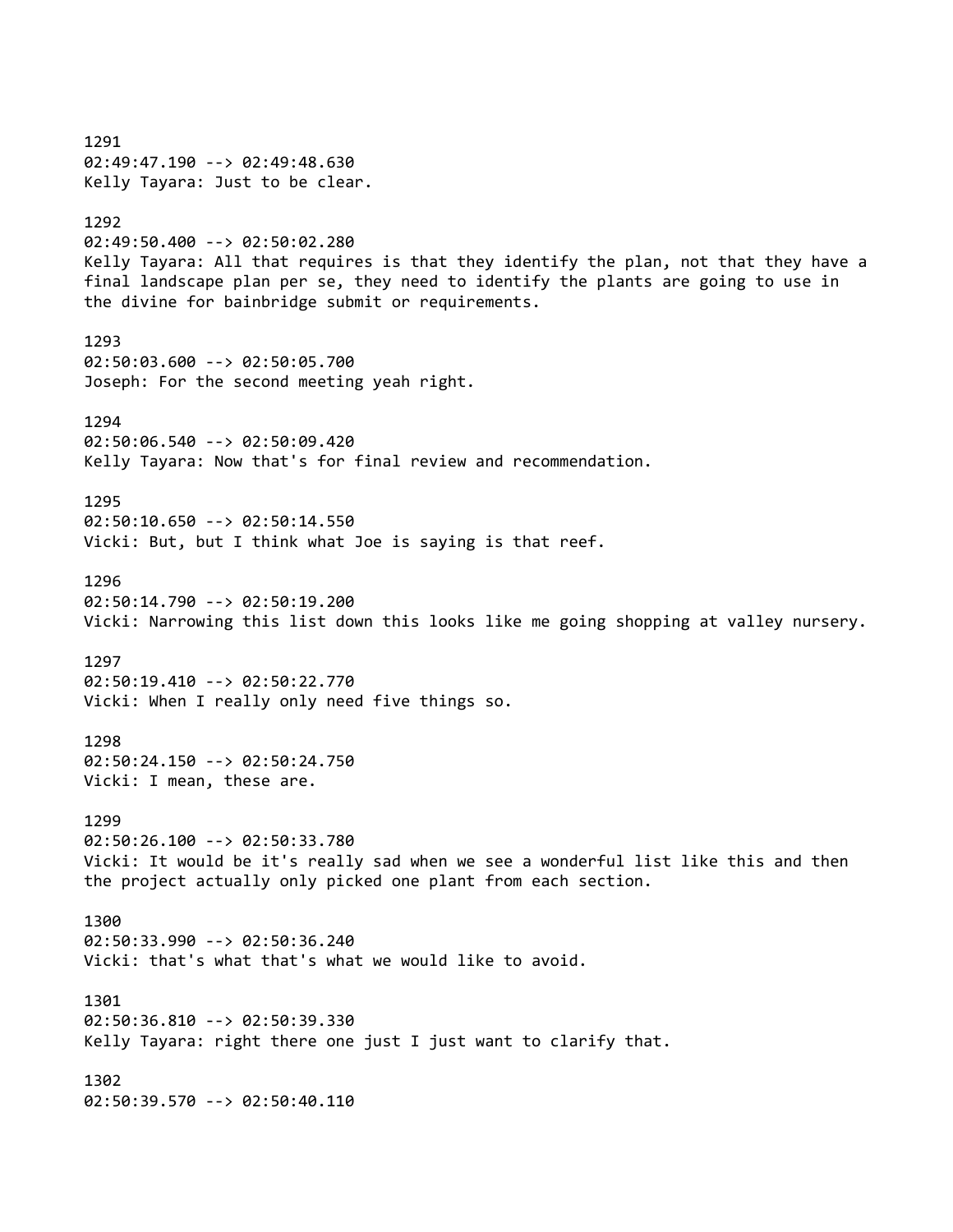1291 02:49:47.190 --> 02:49:48.630 Kelly Tayara: Just to be clear. 1292 02:49:50.400 --> 02:50:02.280 Kelly Tayara: All that requires is that they identify the plan, not that they have a final landscape plan per se, they need to identify the plants are going to use in the divine for bainbridge submit or requirements. 1293 02:50:03.600 --> 02:50:05.700 Joseph: For the second meeting yeah right. 1294 02:50:06.540 --> 02:50:09.420 Kelly Tayara: Now that's for final review and recommendation. 1295 02:50:10.650 --> 02:50:14.550 Vicki: But, but I think what Joe is saying is that reef. 1296 02:50:14.790 --> 02:50:19.200 Vicki: Narrowing this list down this looks like me going shopping at valley nursery. 1297 02:50:19.410 --> 02:50:22.770 Vicki: When I really only need five things so. 1298 02:50:24.150 --> 02:50:24.750 Vicki: I mean, these are. 1299 02:50:26.100 --> 02:50:33.780 Vicki: It would be it's really sad when we see a wonderful list like this and then the project actually only picked one plant from each section. 1300 02:50:33.990 --> 02:50:36.240 Vicki: that's what that's what we would like to avoid. 1301 02:50:36.810 --> 02:50:39.330 Kelly Tayara: right there one just I just want to clarify that. 1302 02:50:39.570 --> 02:50:40.110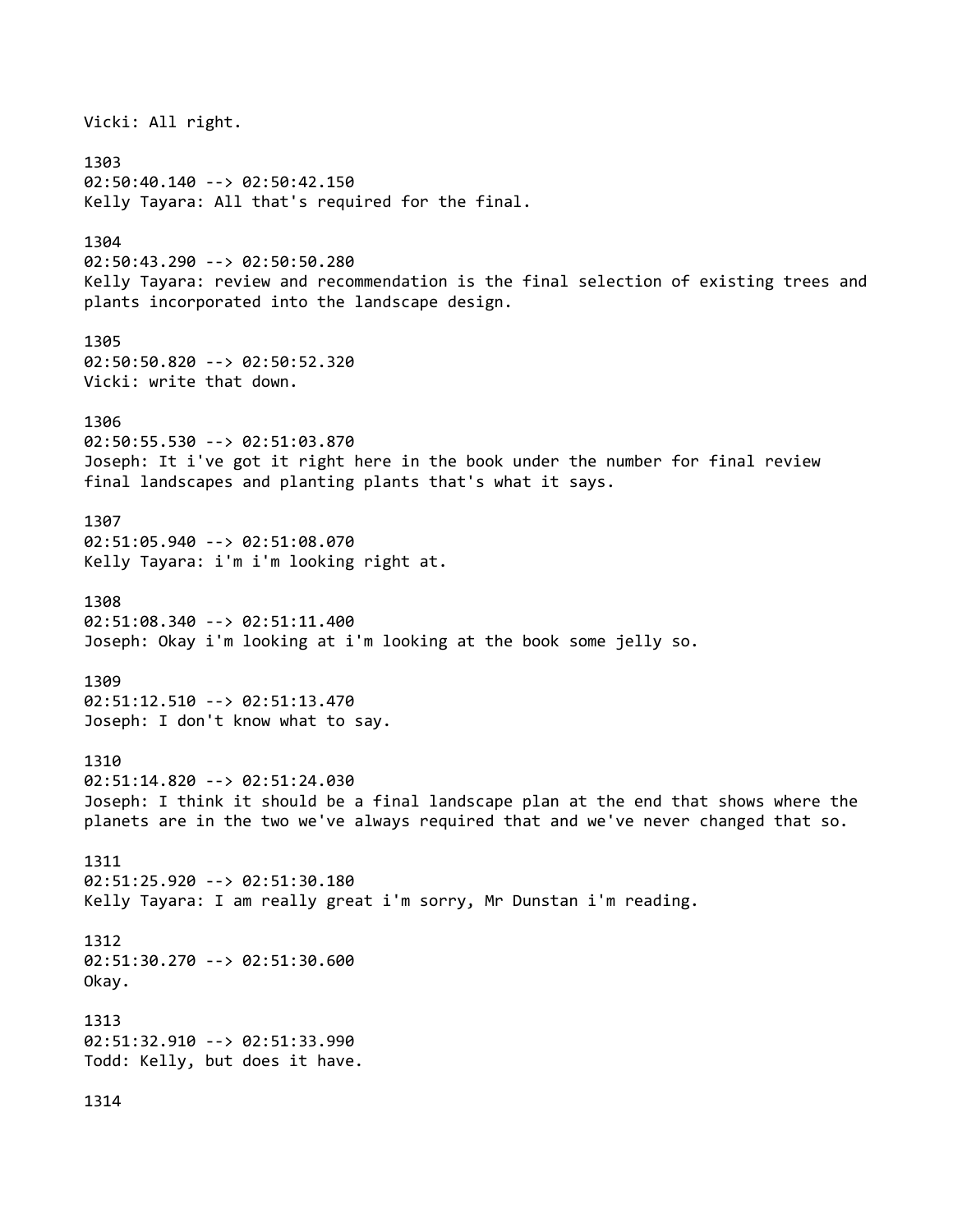Vicki: All right. 1303 02:50:40.140 --> 02:50:42.150 Kelly Tayara: All that's required for the final. 1304 02:50:43.290 --> 02:50:50.280 Kelly Tayara: review and recommendation is the final selection of existing trees and plants incorporated into the landscape design. 1305 02:50:50.820 --> 02:50:52.320 Vicki: write that down. 1306 02:50:55.530 --> 02:51:03.870 Joseph: It i've got it right here in the book under the number for final review final landscapes and planting plants that's what it says. 1307 02:51:05.940 --> 02:51:08.070 Kelly Tayara: i'm i'm looking right at. 1308 02:51:08.340 --> 02:51:11.400 Joseph: Okay i'm looking at i'm looking at the book some jelly so. 1309 02:51:12.510 --> 02:51:13.470 Joseph: I don't know what to say. 1310 02:51:14.820 --> 02:51:24.030 Joseph: I think it should be a final landscape plan at the end that shows where the planets are in the two we've always required that and we've never changed that so. 1311 02:51:25.920 --> 02:51:30.180 Kelly Tayara: I am really great i'm sorry, Mr Dunstan i'm reading. 1312 02:51:30.270 --> 02:51:30.600 Okay. 1313 02:51:32.910 --> 02:51:33.990 Todd: Kelly, but does it have. 1314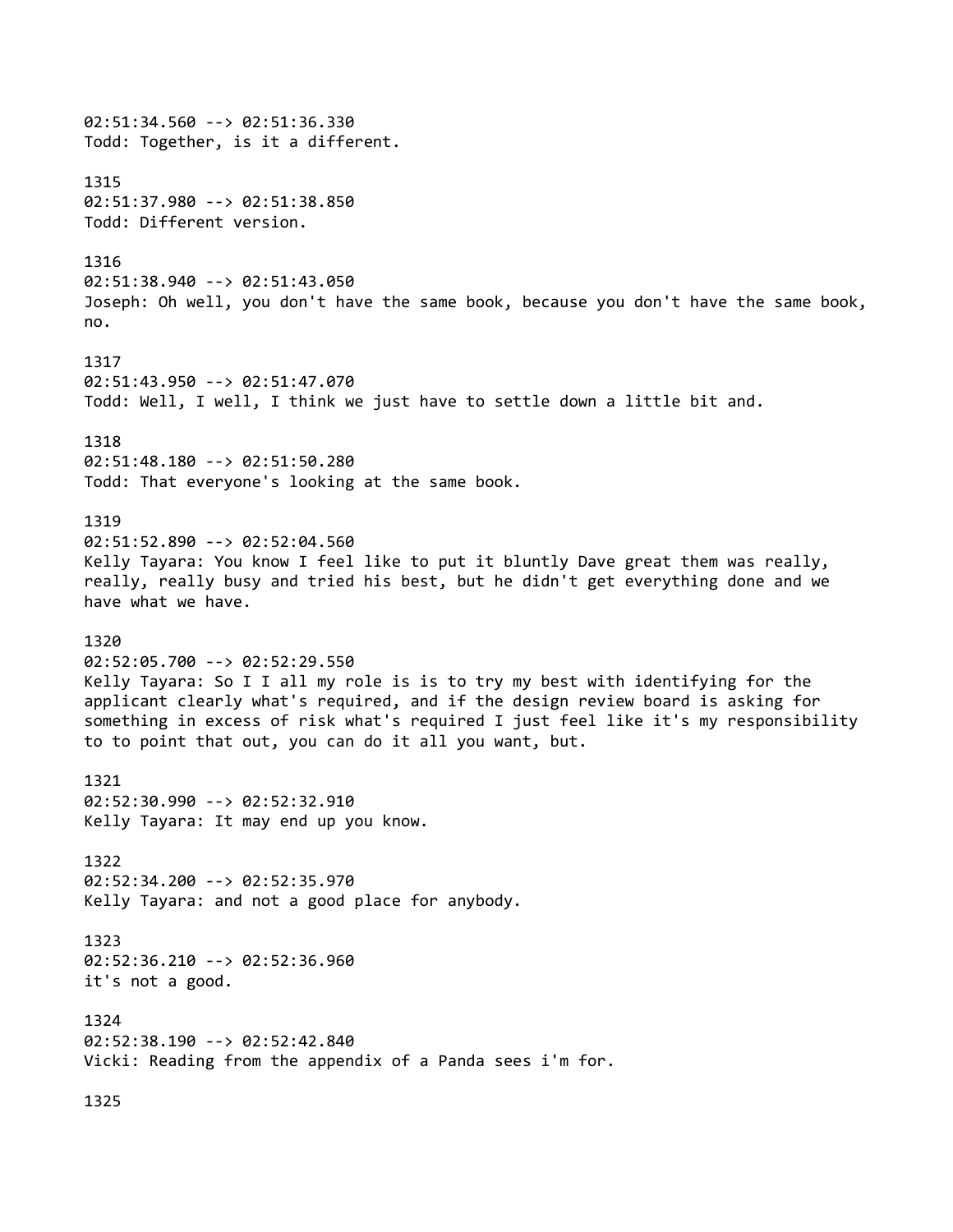02:51:34.560 --> 02:51:36.330 Todd: Together, is it a different. 1315 02:51:37.980 --> 02:51:38.850 Todd: Different version. 1316 02:51:38.940 --> 02:51:43.050 Joseph: Oh well, you don't have the same book, because you don't have the same book, no. 1317 02:51:43.950 --> 02:51:47.070 Todd: Well, I well, I think we just have to settle down a little bit and. 1318 02:51:48.180 --> 02:51:50.280 Todd: That everyone's looking at the same book. 1319 02:51:52.890 --> 02:52:04.560 Kelly Tayara: You know I feel like to put it bluntly Dave great them was really, really, really busy and tried his best, but he didn't get everything done and we have what we have. 1320 02:52:05.700 --> 02:52:29.550 Kelly Tayara: So I I all my role is is to try my best with identifying for the applicant clearly what's required, and if the design review board is asking for something in excess of risk what's required I just feel like it's my responsibility to to point that out, you can do it all you want, but. 1321 02:52:30.990 --> 02:52:32.910 Kelly Tayara: It may end up you know. 1322 02:52:34.200 --> 02:52:35.970 Kelly Tayara: and not a good place for anybody. 1323 02:52:36.210 --> 02:52:36.960 it's not a good. 1324 02:52:38.190 --> 02:52:42.840 Vicki: Reading from the appendix of a Panda sees i'm for. 1325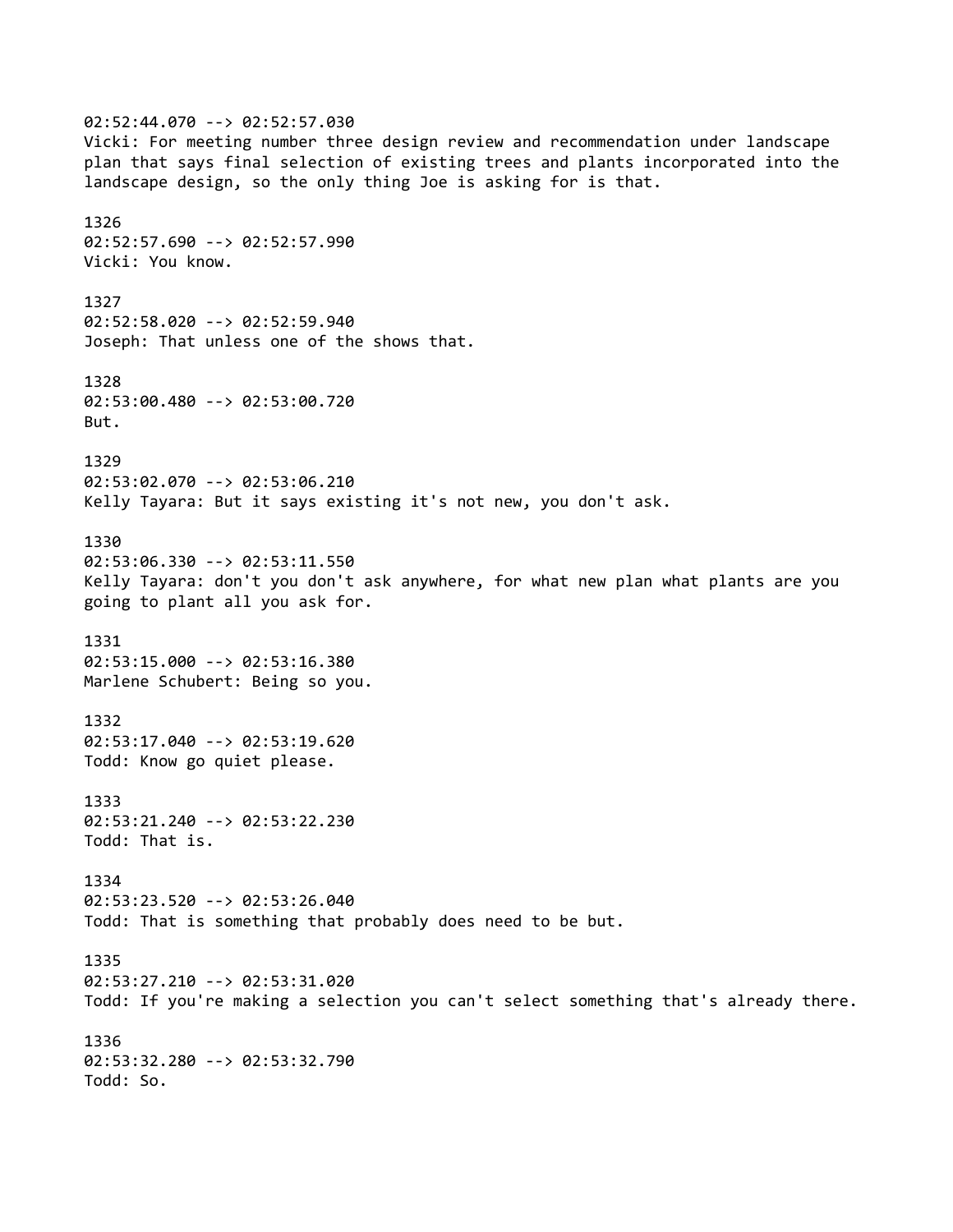02:52:44.070 --> 02:52:57.030 Vicki: For meeting number three design review and recommendation under landscape plan that says final selection of existing trees and plants incorporated into the landscape design, so the only thing Joe is asking for is that. 1326 02:52:57.690 --> 02:52:57.990 Vicki: You know. 1327 02:52:58.020 --> 02:52:59.940 Joseph: That unless one of the shows that. 1328 02:53:00.480 --> 02:53:00.720 But. 1329 02:53:02.070 --> 02:53:06.210 Kelly Tayara: But it says existing it's not new, you don't ask. 1330 02:53:06.330 --> 02:53:11.550 Kelly Tayara: don't you don't ask anywhere, for what new plan what plants are you going to plant all you ask for. 1331 02:53:15.000 --> 02:53:16.380 Marlene Schubert: Being so you. 1332 02:53:17.040 --> 02:53:19.620 Todd: Know go quiet please. 1333 02:53:21.240 --> 02:53:22.230 Todd: That is. 1334 02:53:23.520 --> 02:53:26.040 Todd: That is something that probably does need to be but. 1335 02:53:27.210 --> 02:53:31.020 Todd: If you're making a selection you can't select something that's already there. 1336 02:53:32.280 --> 02:53:32.790 Todd: So.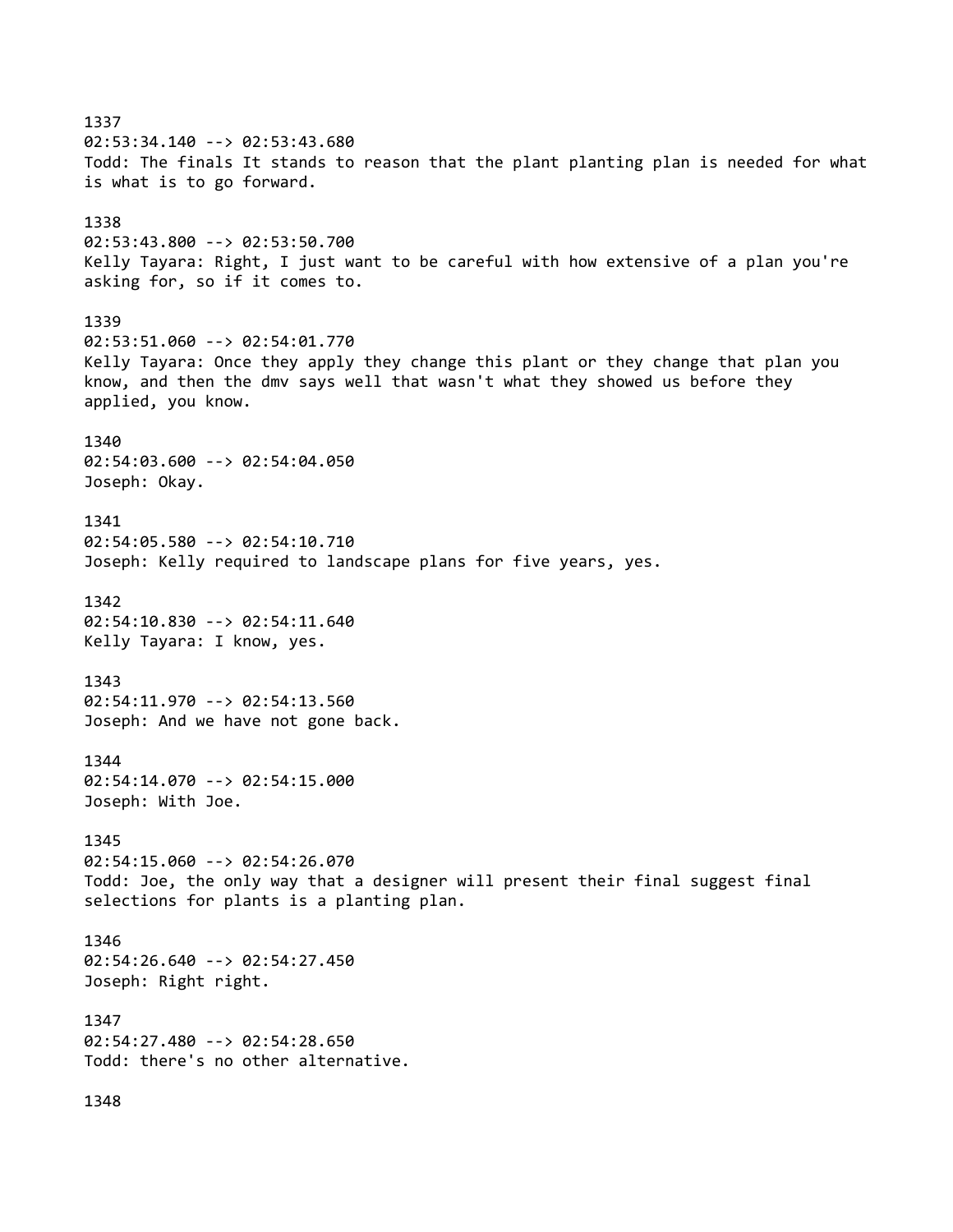1337 02:53:34.140 --> 02:53:43.680 Todd: The finals It stands to reason that the plant planting plan is needed for what is what is to go forward. 1338 02:53:43.800 --> 02:53:50.700 Kelly Tayara: Right, I just want to be careful with how extensive of a plan you're asking for, so if it comes to. 1339 02:53:51.060 --> 02:54:01.770 Kelly Tayara: Once they apply they change this plant or they change that plan you know, and then the dmv says well that wasn't what they showed us before they applied, you know. 1340 02:54:03.600 --> 02:54:04.050 Joseph: Okay. 1341 02:54:05.580 --> 02:54:10.710 Joseph: Kelly required to landscape plans for five years, yes. 1342 02:54:10.830 --> 02:54:11.640 Kelly Tayara: I know, yes. 1343 02:54:11.970 --> 02:54:13.560 Joseph: And we have not gone back. 1344 02:54:14.070 --> 02:54:15.000 Joseph: With Joe. 1345 02:54:15.060 --> 02:54:26.070 Todd: Joe, the only way that a designer will present their final suggest final selections for plants is a planting plan. 1346 02:54:26.640 --> 02:54:27.450 Joseph: Right right. 1347 02:54:27.480 --> 02:54:28.650 Todd: there's no other alternative. 1348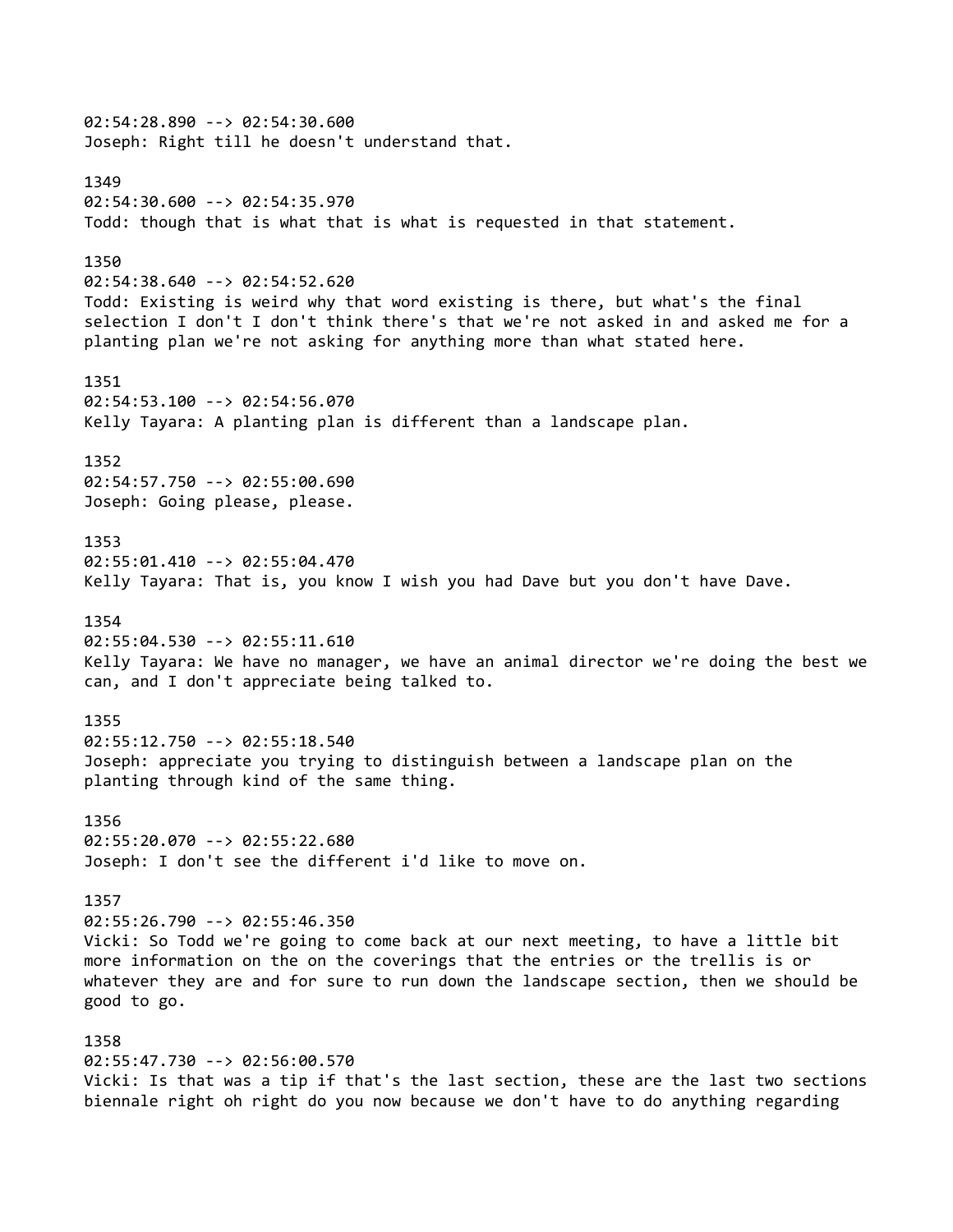02:54:28.890 --> 02:54:30.600 Joseph: Right till he doesn't understand that. 1349 02:54:30.600 --> 02:54:35.970 Todd: though that is what that is what is requested in that statement. 1350 02:54:38.640 --> 02:54:52.620 Todd: Existing is weird why that word existing is there, but what's the final selection I don't I don't think there's that we're not asked in and asked me for a planting plan we're not asking for anything more than what stated here. 1351 02:54:53.100 --> 02:54:56.070 Kelly Tayara: A planting plan is different than a landscape plan. 1352 02:54:57.750 --> 02:55:00.690 Joseph: Going please, please. 1353 02:55:01.410 --> 02:55:04.470 Kelly Tayara: That is, you know I wish you had Dave but you don't have Dave. 1354 02:55:04.530 --> 02:55:11.610 Kelly Tayara: We have no manager, we have an animal director we're doing the best we can, and I don't appreciate being talked to. 1355 02:55:12.750 --> 02:55:18.540 Joseph: appreciate you trying to distinguish between a landscape plan on the planting through kind of the same thing. 1356 02:55:20.070 --> 02:55:22.680 Joseph: I don't see the different i'd like to move on. 1357 02:55:26.790 --> 02:55:46.350 Vicki: So Todd we're going to come back at our next meeting, to have a little bit more information on the on the coverings that the entries or the trellis is or whatever they are and for sure to run down the landscape section, then we should be good to go. 1358 02:55:47.730 --> 02:56:00.570 Vicki: Is that was a tip if that's the last section, these are the last two sections biennale right oh right do you now because we don't have to do anything regarding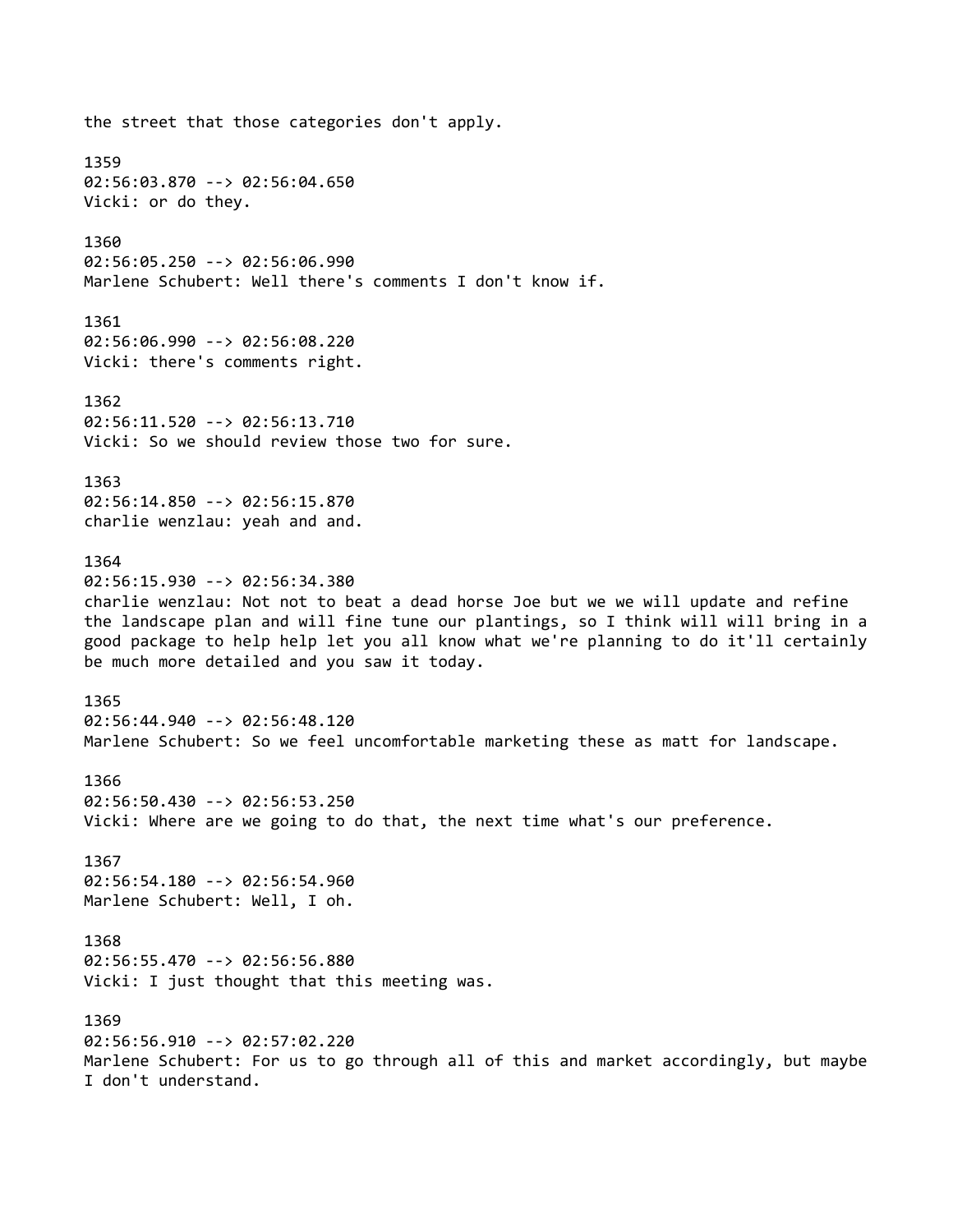the street that those categories don't apply. 1359 02:56:03.870 --> 02:56:04.650 Vicki: or do they. 1360 02:56:05.250 --> 02:56:06.990 Marlene Schubert: Well there's comments I don't know if. 1361 02:56:06.990 --> 02:56:08.220 Vicki: there's comments right. 1362 02:56:11.520 --> 02:56:13.710 Vicki: So we should review those two for sure. 1363 02:56:14.850 --> 02:56:15.870 charlie wenzlau: yeah and and. 1364 02:56:15.930 --> 02:56:34.380 charlie wenzlau: Not not to beat a dead horse Joe but we we will update and refine the landscape plan and will fine tune our plantings, so I think will will bring in a good package to help help let you all know what we're planning to do it'll certainly be much more detailed and you saw it today. 1365 02:56:44.940 --> 02:56:48.120 Marlene Schubert: So we feel uncomfortable marketing these as matt for landscape. 1366 02:56:50.430 --> 02:56:53.250 Vicki: Where are we going to do that, the next time what's our preference. 1367 02:56:54.180 --> 02:56:54.960 Marlene Schubert: Well, I oh. 1368 02:56:55.470 --> 02:56:56.880 Vicki: I just thought that this meeting was. 1369 02:56:56.910 --> 02:57:02.220 Marlene Schubert: For us to go through all of this and market accordingly, but maybe I don't understand.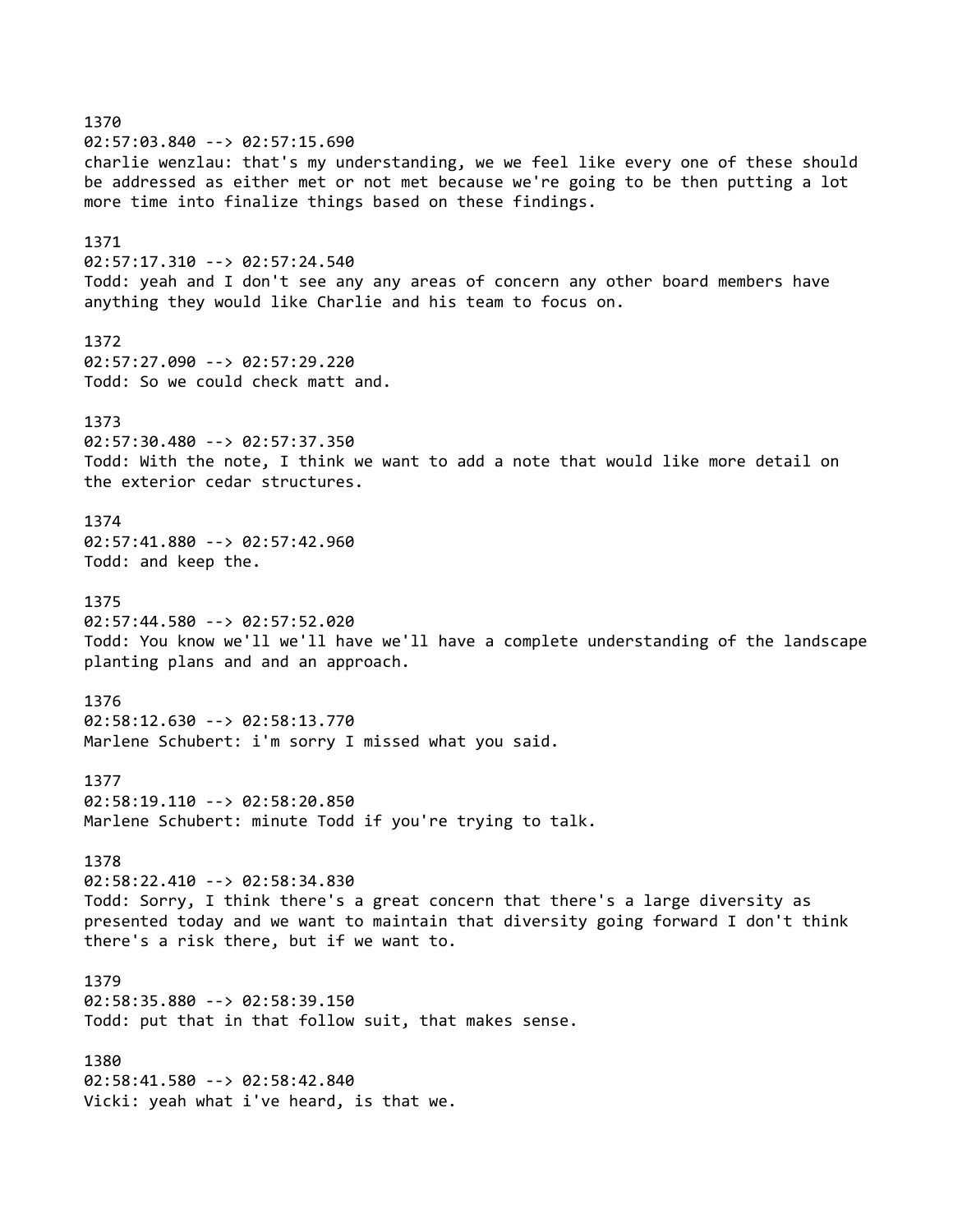1370 02:57:03.840 --> 02:57:15.690 charlie wenzlau: that's my understanding, we we feel like every one of these should be addressed as either met or not met because we're going to be then putting a lot more time into finalize things based on these findings. 1371 02:57:17.310 --> 02:57:24.540 Todd: yeah and I don't see any any areas of concern any other board members have anything they would like Charlie and his team to focus on. 1372 02:57:27.090 --> 02:57:29.220 Todd: So we could check matt and. 1373 02:57:30.480 --> 02:57:37.350 Todd: With the note, I think we want to add a note that would like more detail on the exterior cedar structures. 1374 02:57:41.880 --> 02:57:42.960 Todd: and keep the. 1375 02:57:44.580 --> 02:57:52.020 Todd: You know we'll we'll have we'll have a complete understanding of the landscape planting plans and and an approach. 1376 02:58:12.630 --> 02:58:13.770 Marlene Schubert: i'm sorry I missed what you said. 1377 02:58:19.110 --> 02:58:20.850 Marlene Schubert: minute Todd if you're trying to talk. 1378 02:58:22.410 --> 02:58:34.830 Todd: Sorry, I think there's a great concern that there's a large diversity as presented today and we want to maintain that diversity going forward I don't think there's a risk there, but if we want to. 1379 02:58:35.880 --> 02:58:39.150 Todd: put that in that follow suit, that makes sense. 1380 02:58:41.580 --> 02:58:42.840 Vicki: yeah what i've heard, is that we.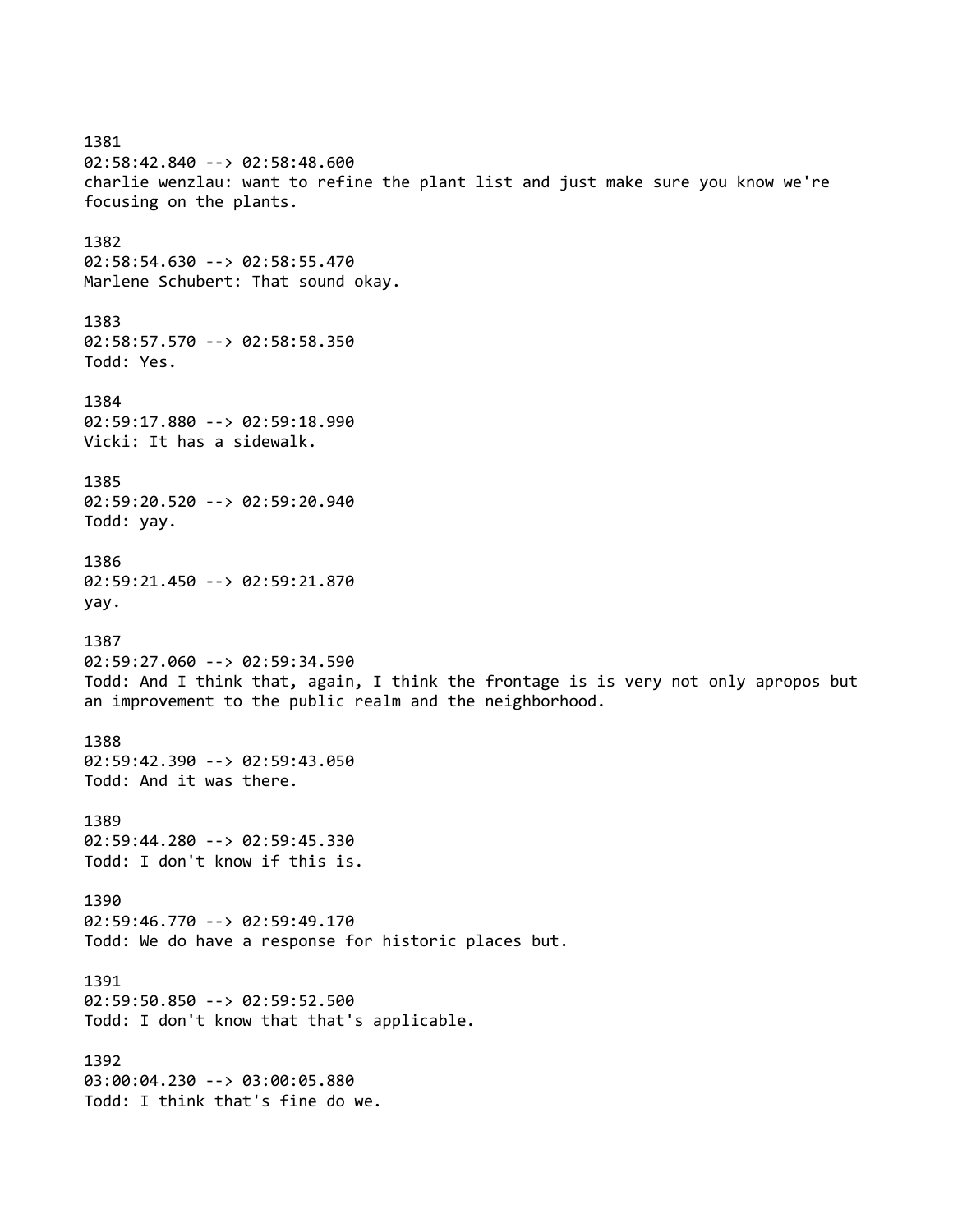1381 02:58:42.840 --> 02:58:48.600 charlie wenzlau: want to refine the plant list and just make sure you know we're focusing on the plants. 1382 02:58:54.630 --> 02:58:55.470 Marlene Schubert: That sound okay. 1383 02:58:57.570 --> 02:58:58.350 Todd: Yes. 1384 02:59:17.880 --> 02:59:18.990 Vicki: It has a sidewalk. 1385 02:59:20.520 --> 02:59:20.940 Todd: yay. 1386 02:59:21.450 --> 02:59:21.870 yay. 1387 02:59:27.060 --> 02:59:34.590 Todd: And I think that, again, I think the frontage is is very not only apropos but an improvement to the public realm and the neighborhood. 1388 02:59:42.390 --> 02:59:43.050 Todd: And it was there. 1389 02:59:44.280 --> 02:59:45.330 Todd: I don't know if this is. 1390 02:59:46.770 --> 02:59:49.170 Todd: We do have a response for historic places but. 1391 02:59:50.850 --> 02:59:52.500 Todd: I don't know that that's applicable. 1392 03:00:04.230 --> 03:00:05.880 Todd: I think that's fine do we.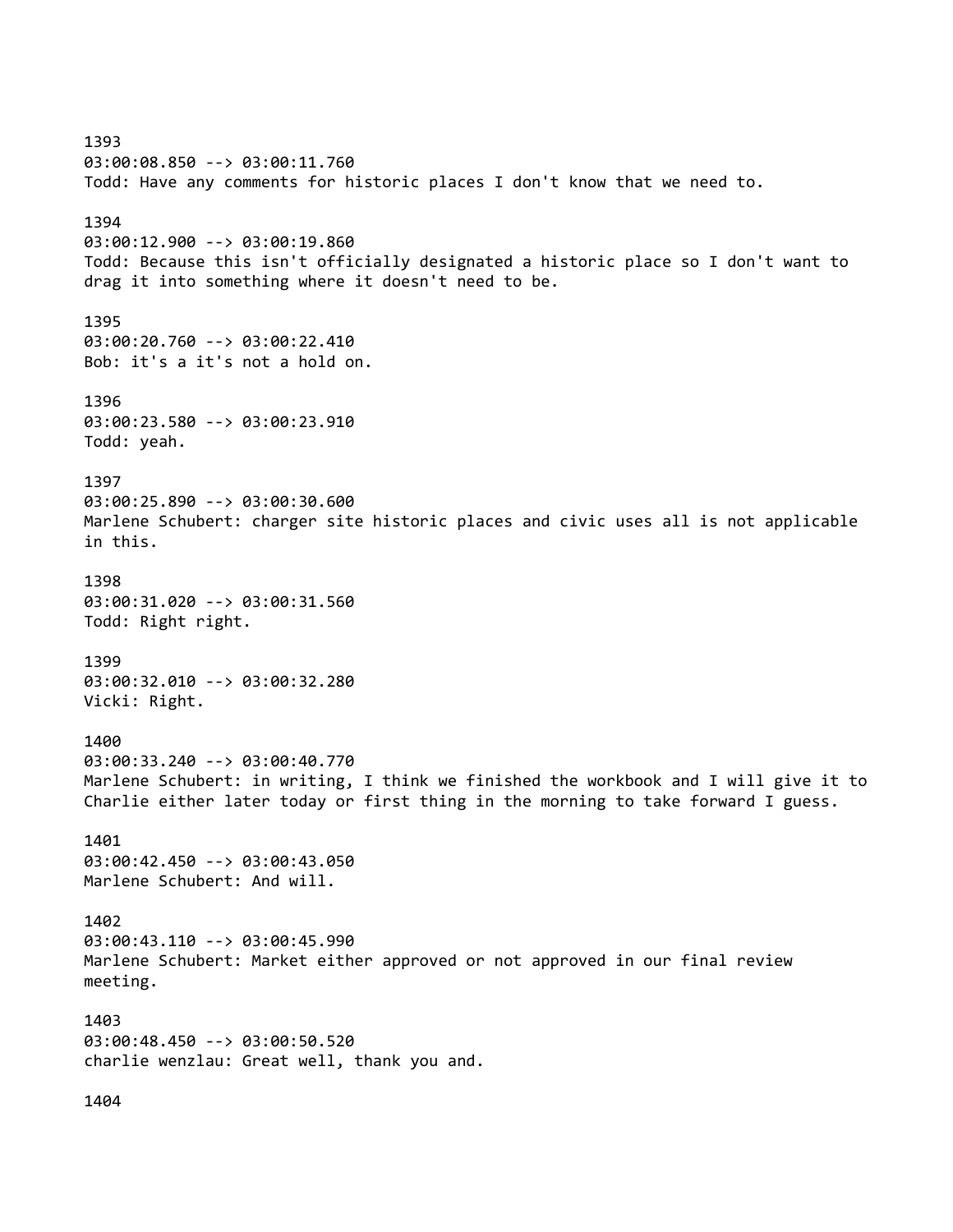1393 03:00:08.850 --> 03:00:11.760 Todd: Have any comments for historic places I don't know that we need to. 1394 03:00:12.900 --> 03:00:19.860 Todd: Because this isn't officially designated a historic place so I don't want to drag it into something where it doesn't need to be. 1395 03:00:20.760 --> 03:00:22.410 Bob: it's a it's not a hold on. 1396 03:00:23.580 --> 03:00:23.910 Todd: yeah. 1397 03:00:25.890 --> 03:00:30.600 Marlene Schubert: charger site historic places and civic uses all is not applicable in this. 1398 03:00:31.020 --> 03:00:31.560 Todd: Right right. 1399 03:00:32.010 --> 03:00:32.280 Vicki: Right. 1400 03:00:33.240 --> 03:00:40.770 Marlene Schubert: in writing, I think we finished the workbook and I will give it to Charlie either later today or first thing in the morning to take forward I guess. 1401 03:00:42.450 --> 03:00:43.050 Marlene Schubert: And will. 1402 03:00:43.110 --> 03:00:45.990 Marlene Schubert: Market either approved or not approved in our final review meeting. 1403 03:00:48.450 --> 03:00:50.520 charlie wenzlau: Great well, thank you and.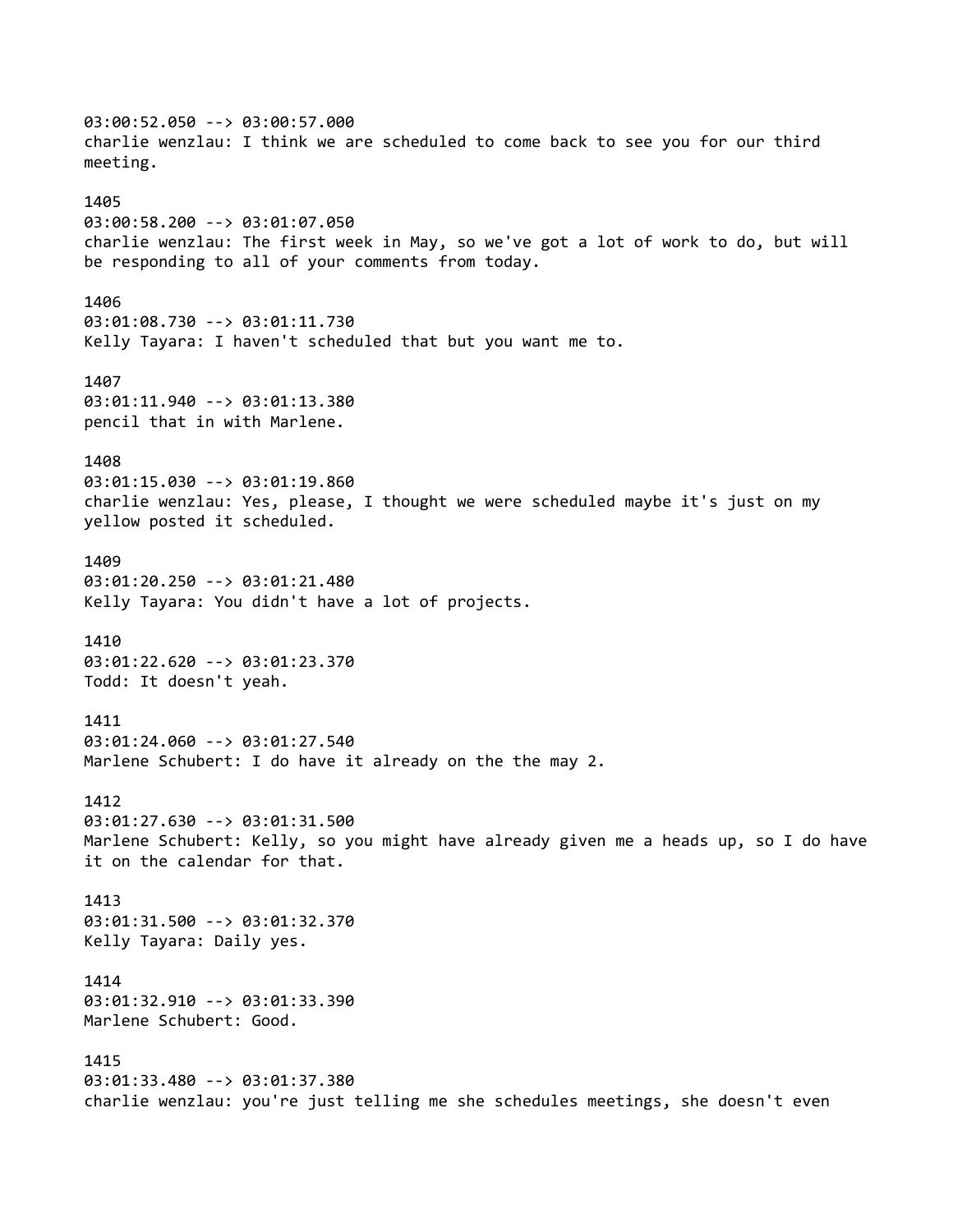03:00:52.050 --> 03:00:57.000 charlie wenzlau: I think we are scheduled to come back to see you for our third meeting. 1405 03:00:58.200 --> 03:01:07.050 charlie wenzlau: The first week in May, so we've got a lot of work to do, but will be responding to all of your comments from today. 1406 03:01:08.730 --> 03:01:11.730 Kelly Tayara: I haven't scheduled that but you want me to. 1407 03:01:11.940 --> 03:01:13.380 pencil that in with Marlene. 1408 03:01:15.030 --> 03:01:19.860 charlie wenzlau: Yes, please, I thought we were scheduled maybe it's just on my yellow posted it scheduled. 1409 03:01:20.250 --> 03:01:21.480 Kelly Tayara: You didn't have a lot of projects. 1410 03:01:22.620 --> 03:01:23.370 Todd: It doesn't yeah. 1411 03:01:24.060 --> 03:01:27.540 Marlene Schubert: I do have it already on the the may 2. 1412 03:01:27.630 --> 03:01:31.500 Marlene Schubert: Kelly, so you might have already given me a heads up, so I do have it on the calendar for that. 1413 03:01:31.500 --> 03:01:32.370 Kelly Tayara: Daily yes. 1414 03:01:32.910 --> 03:01:33.390 Marlene Schubert: Good. 1415 03:01:33.480 --> 03:01:37.380 charlie wenzlau: you're just telling me she schedules meetings, she doesn't even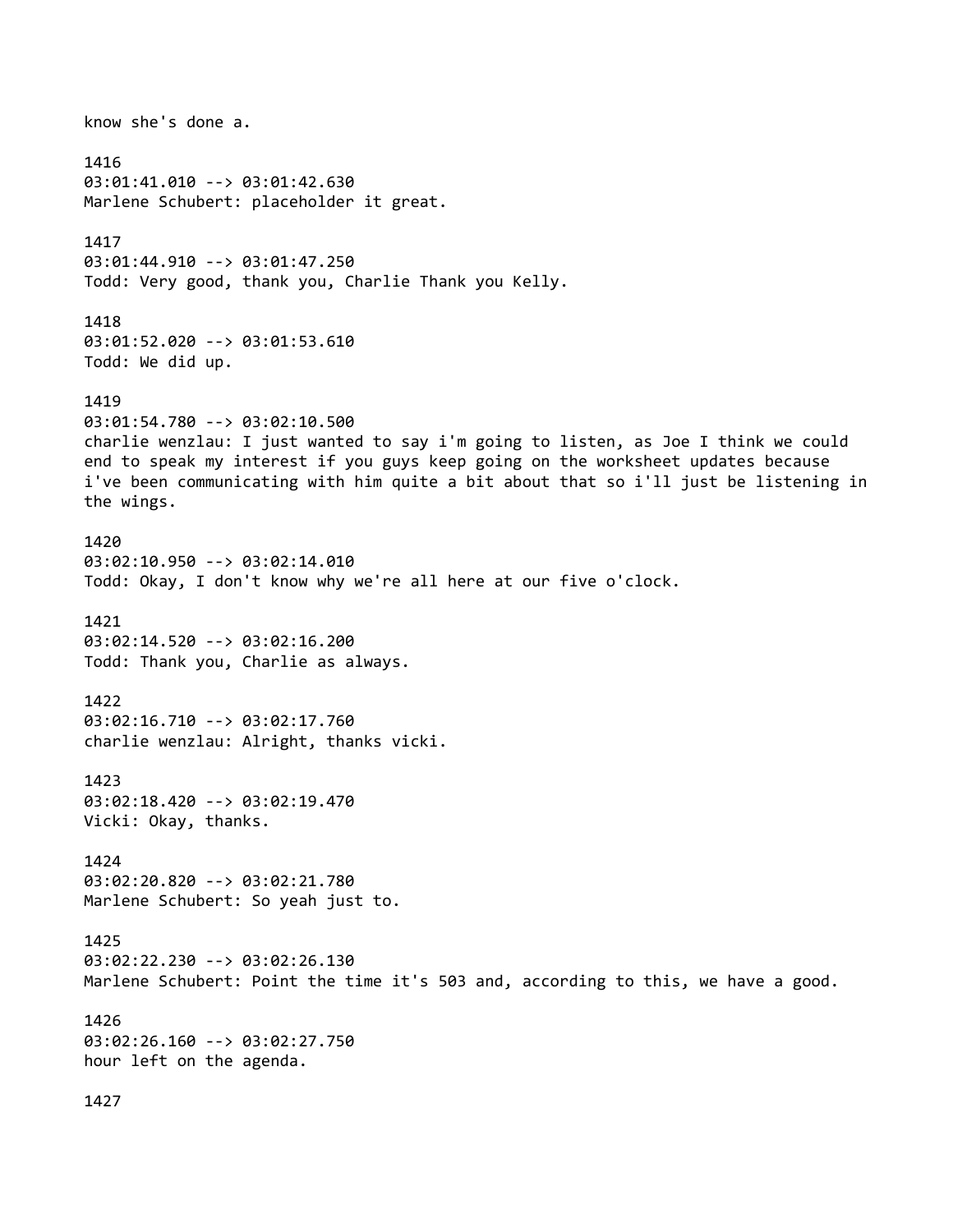know she's done a. 1416 03:01:41.010 --> 03:01:42.630 Marlene Schubert: placeholder it great. 1417 03:01:44.910 --> 03:01:47.250 Todd: Very good, thank you, Charlie Thank you Kelly. 1418 03:01:52.020 --> 03:01:53.610 Todd: We did up. 1419 03:01:54.780 --> 03:02:10.500 charlie wenzlau: I just wanted to say i'm going to listen, as Joe I think we could end to speak my interest if you guys keep going on the worksheet updates because i've been communicating with him quite a bit about that so i'll just be listening in the wings. 1420 03:02:10.950 --> 03:02:14.010 Todd: Okay, I don't know why we're all here at our five o'clock. 1421 03:02:14.520 --> 03:02:16.200 Todd: Thank you, Charlie as always. 1422 03:02:16.710 --> 03:02:17.760 charlie wenzlau: Alright, thanks vicki. 1423 03:02:18.420 --> 03:02:19.470 Vicki: Okay, thanks. 1424 03:02:20.820 --> 03:02:21.780 Marlene Schubert: So yeah just to. 1425 03:02:22.230 --> 03:02:26.130 Marlene Schubert: Point the time it's 503 and, according to this, we have a good. 1426 03:02:26.160 --> 03:02:27.750 hour left on the agenda.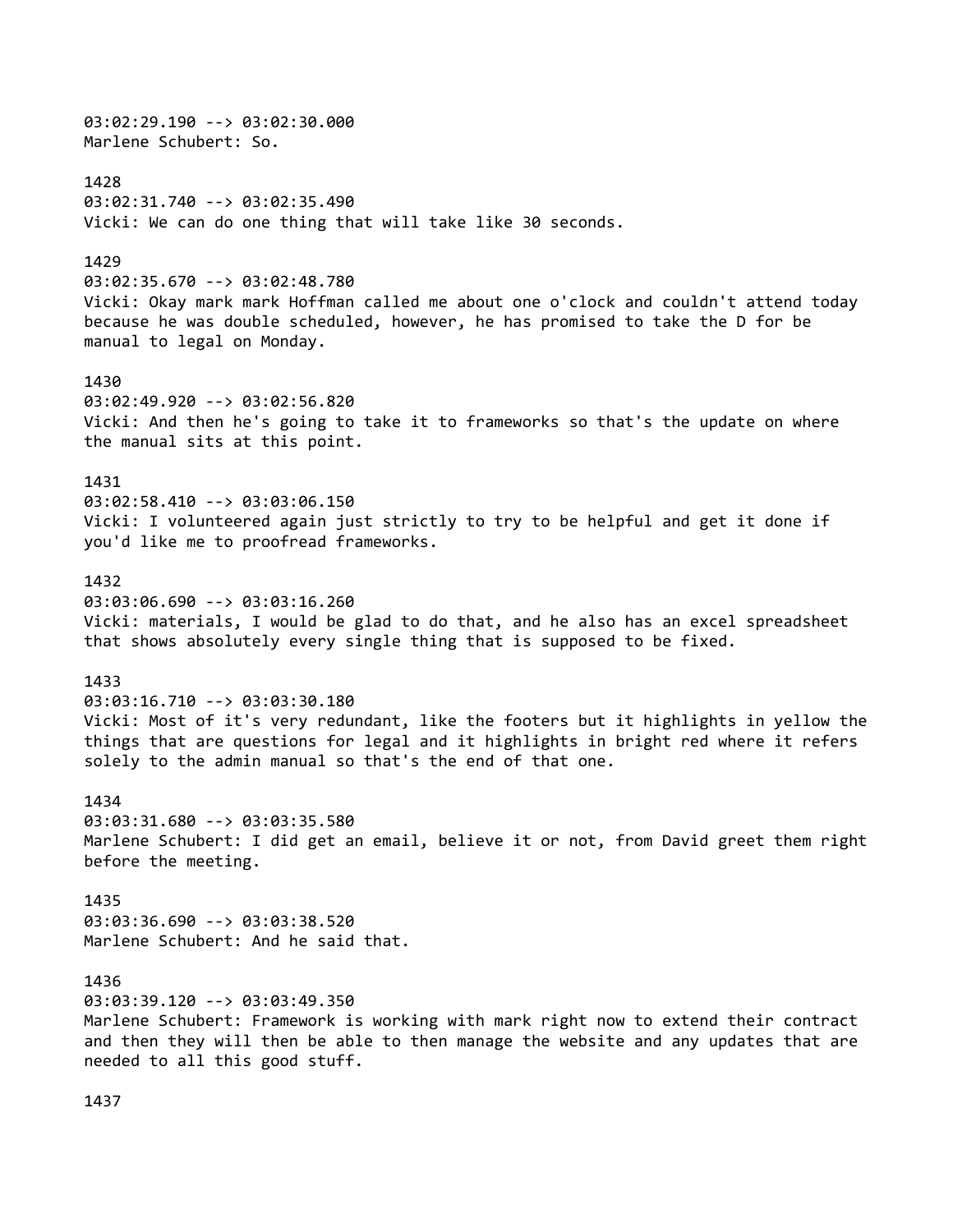03:02:29.190 --> 03:02:30.000 Marlene Schubert: So. 1428 03:02:31.740 --> 03:02:35.490 Vicki: We can do one thing that will take like 30 seconds. 1429 03:02:35.670 --> 03:02:48.780 Vicki: Okay mark mark Hoffman called me about one o'clock and couldn't attend today because he was double scheduled, however, he has promised to take the D for be manual to legal on Monday. 1430 03:02:49.920 --> 03:02:56.820 Vicki: And then he's going to take it to frameworks so that's the update on where the manual sits at this point. 1431 03:02:58.410 --> 03:03:06.150 Vicki: I volunteered again just strictly to try to be helpful and get it done if you'd like me to proofread frameworks. 1432 03:03:06.690 --> 03:03:16.260 Vicki: materials, I would be glad to do that, and he also has an excel spreadsheet that shows absolutely every single thing that is supposed to be fixed. 1433 03:03:16.710 --> 03:03:30.180 Vicki: Most of it's very redundant, like the footers but it highlights in yellow the things that are questions for legal and it highlights in bright red where it refers solely to the admin manual so that's the end of that one. 1434 03:03:31.680 --> 03:03:35.580 Marlene Schubert: I did get an email, believe it or not, from David greet them right before the meeting. 1435 03:03:36.690 --> 03:03:38.520 Marlene Schubert: And he said that. 1436 03:03:39.120 --> 03:03:49.350 Marlene Schubert: Framework is working with mark right now to extend their contract and then they will then be able to then manage the website and any updates that are needed to all this good stuff.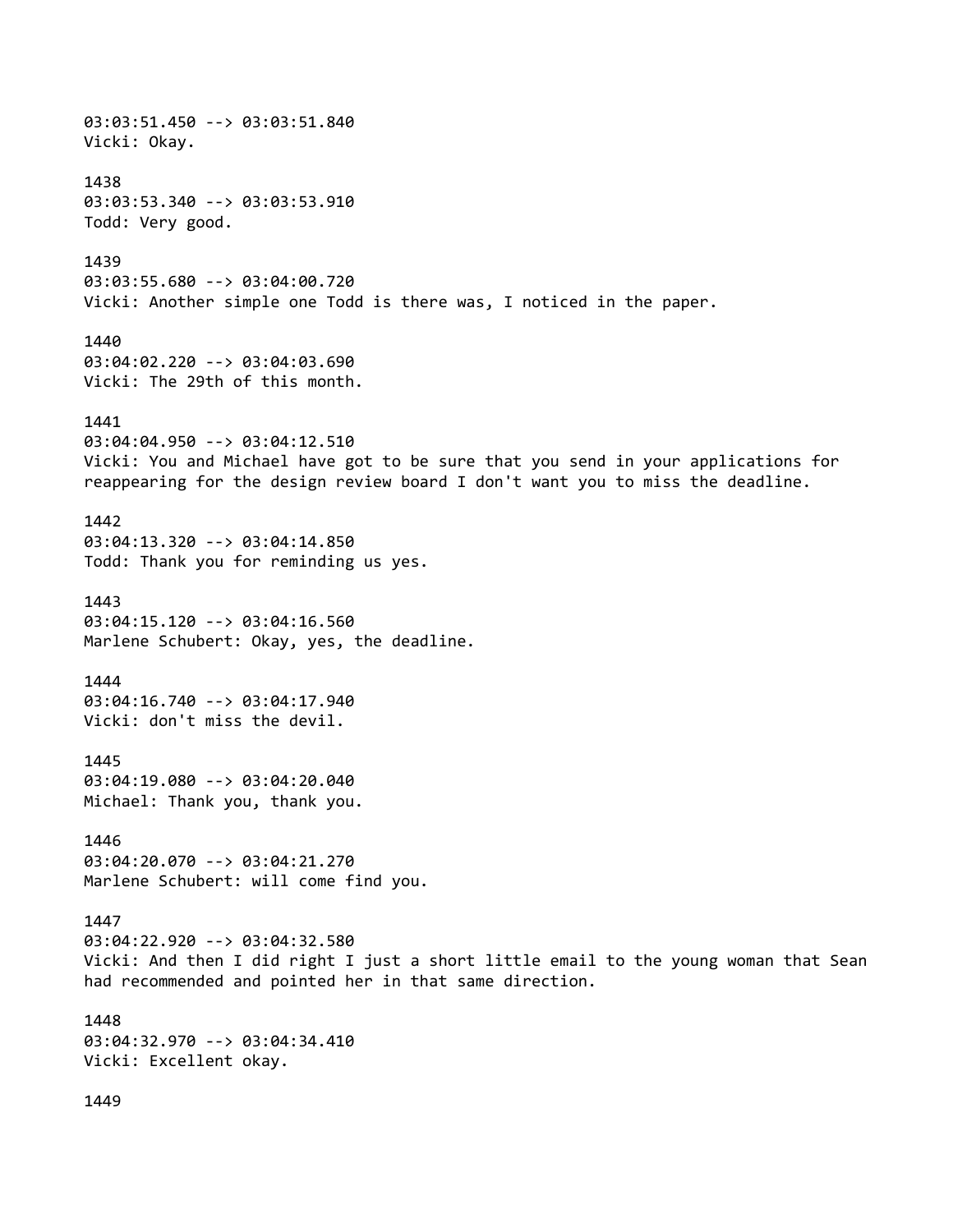03:03:51.450 --> 03:03:51.840 Vicki: Okay. 1438 03:03:53.340 --> 03:03:53.910 Todd: Very good. 1439 03:03:55.680 --> 03:04:00.720 Vicki: Another simple one Todd is there was, I noticed in the paper. 1440 03:04:02.220 --> 03:04:03.690 Vicki: The 29th of this month. 1441 03:04:04.950 --> 03:04:12.510 Vicki: You and Michael have got to be sure that you send in your applications for reappearing for the design review board I don't want you to miss the deadline. 1442 03:04:13.320 --> 03:04:14.850 Todd: Thank you for reminding us yes. 1443 03:04:15.120 --> 03:04:16.560 Marlene Schubert: Okay, yes, the deadline. 1444 03:04:16.740 --> 03:04:17.940 Vicki: don't miss the devil. 1445 03:04:19.080 --> 03:04:20.040 Michael: Thank you, thank you. 1446 03:04:20.070 --> 03:04:21.270 Marlene Schubert: will come find you. 1447 03:04:22.920 --> 03:04:32.580 Vicki: And then I did right I just a short little email to the young woman that Sean had recommended and pointed her in that same direction. 1448 03:04:32.970 --> 03:04:34.410 Vicki: Excellent okay.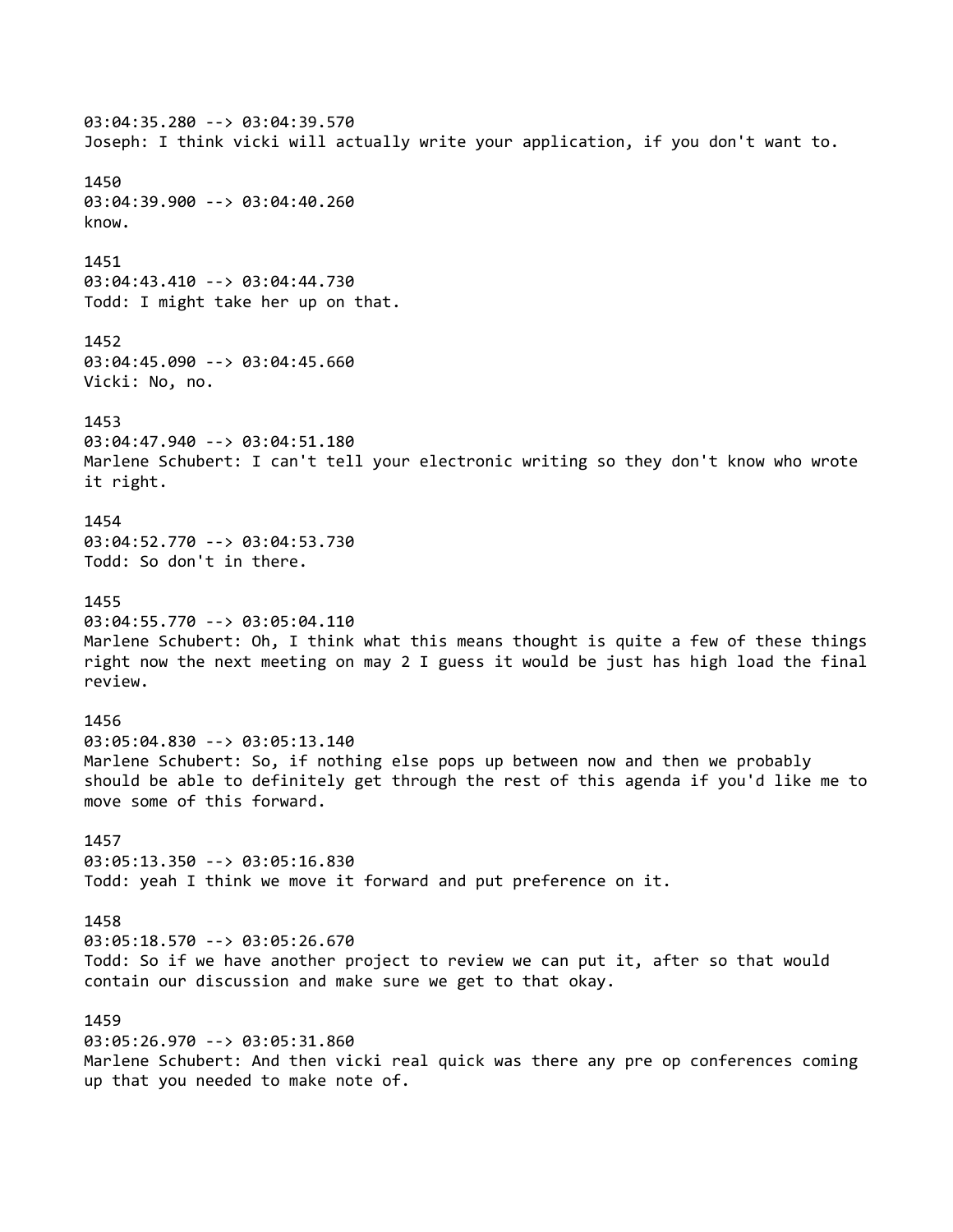03:04:35.280 --> 03:04:39.570 Joseph: I think vicki will actually write your application, if you don't want to. 1450 03:04:39.900 --> 03:04:40.260 know. 1451 03:04:43.410 --> 03:04:44.730 Todd: I might take her up on that. 1452 03:04:45.090 --> 03:04:45.660 Vicki: No, no. 1453 03:04:47.940 --> 03:04:51.180 Marlene Schubert: I can't tell your electronic writing so they don't know who wrote it right. 1454 03:04:52.770 --> 03:04:53.730 Todd: So don't in there. 1455 03:04:55.770 --> 03:05:04.110 Marlene Schubert: Oh, I think what this means thought is quite a few of these things right now the next meeting on may 2 I guess it would be just has high load the final review. 1456 03:05:04.830 --> 03:05:13.140 Marlene Schubert: So, if nothing else pops up between now and then we probably should be able to definitely get through the rest of this agenda if you'd like me to move some of this forward. 1457 03:05:13.350 --> 03:05:16.830 Todd: yeah I think we move it forward and put preference on it. 1458 03:05:18.570 --> 03:05:26.670 Todd: So if we have another project to review we can put it, after so that would contain our discussion and make sure we get to that okay. 1459 03:05:26.970 --> 03:05:31.860 Marlene Schubert: And then vicki real quick was there any pre op conferences coming up that you needed to make note of.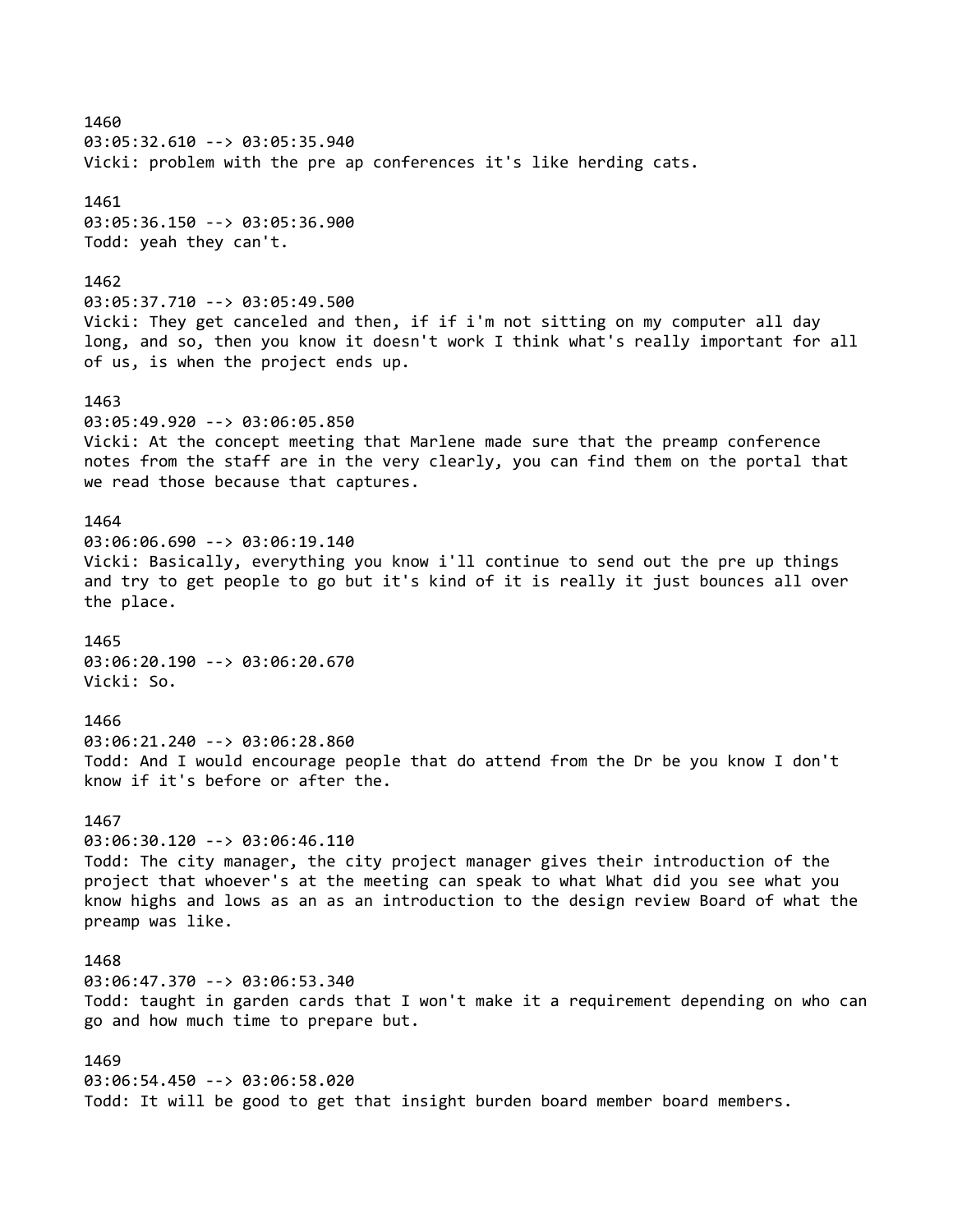1460 03:05:32.610 --> 03:05:35.940 Vicki: problem with the pre ap conferences it's like herding cats. 1461 03:05:36.150 --> 03:05:36.900 Todd: yeah they can't. 1462 03:05:37.710 --> 03:05:49.500 Vicki: They get canceled and then, if if i'm not sitting on my computer all day long, and so, then you know it doesn't work I think what's really important for all of us, is when the project ends up. 1463 03:05:49.920 --> 03:06:05.850 Vicki: At the concept meeting that Marlene made sure that the preamp conference notes from the staff are in the very clearly, you can find them on the portal that we read those because that captures. 1464 03:06:06.690 --> 03:06:19.140 Vicki: Basically, everything you know i'll continue to send out the pre up things and try to get people to go but it's kind of it is really it just bounces all over the place. 1465 03:06:20.190 --> 03:06:20.670 Vicki: So. 1466 03:06:21.240 --> 03:06:28.860 Todd: And I would encourage people that do attend from the Dr be you know I don't know if it's before or after the. 1467 03:06:30.120 --> 03:06:46.110 Todd: The city manager, the city project manager gives their introduction of the project that whoever's at the meeting can speak to what What did you see what you know highs and lows as an as an introduction to the design review Board of what the preamp was like. 1468 03:06:47.370 --> 03:06:53.340 Todd: taught in garden cards that I won't make it a requirement depending on who can go and how much time to prepare but. 1469 03:06:54.450 --> 03:06:58.020 Todd: It will be good to get that insight burden board member board members.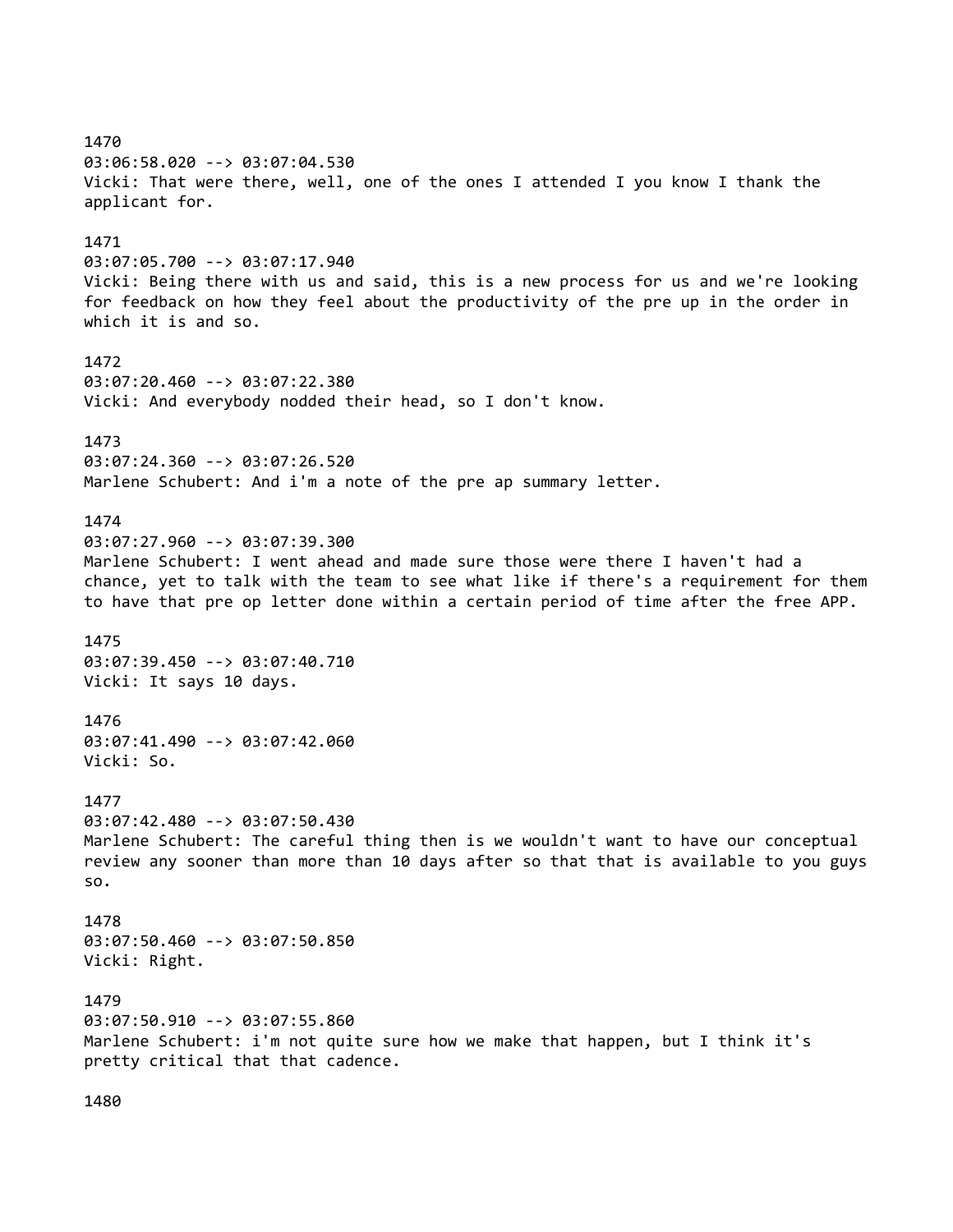1470 03:06:58.020 --> 03:07:04.530 Vicki: That were there, well, one of the ones I attended I you know I thank the applicant for. 1471 03:07:05.700 --> 03:07:17.940 Vicki: Being there with us and said, this is a new process for us and we're looking for feedback on how they feel about the productivity of the pre up in the order in which it is and so. 1472 03:07:20.460 --> 03:07:22.380 Vicki: And everybody nodded their head, so I don't know. 1473 03:07:24.360 --> 03:07:26.520 Marlene Schubert: And i'm a note of the pre ap summary letter. 1474 03:07:27.960 --> 03:07:39.300 Marlene Schubert: I went ahead and made sure those were there I haven't had a chance, yet to talk with the team to see what like if there's a requirement for them to have that pre op letter done within a certain period of time after the free APP. 1475 03:07:39.450 --> 03:07:40.710 Vicki: It says 10 days. 1476 03:07:41.490 --> 03:07:42.060 Vicki: So. 1477 03:07:42.480 --> 03:07:50.430 Marlene Schubert: The careful thing then is we wouldn't want to have our conceptual review any sooner than more than 10 days after so that that is available to you guys so. 1478 03:07:50.460 --> 03:07:50.850 Vicki: Right. 1479 03:07:50.910 --> 03:07:55.860 Marlene Schubert: i'm not quite sure how we make that happen, but I think it's pretty critical that that cadence.

1480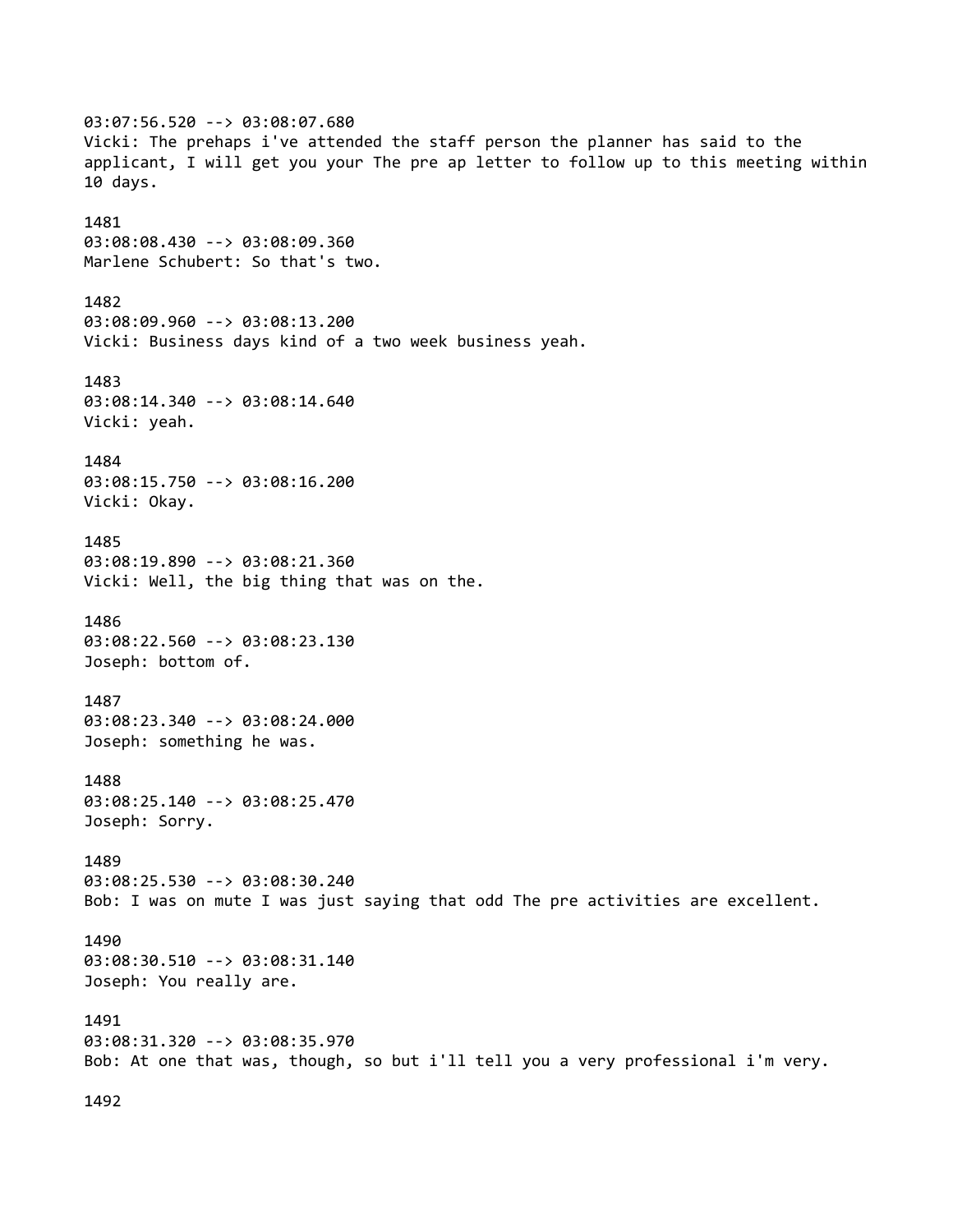03:07:56.520 --> 03:08:07.680 Vicki: The prehaps i've attended the staff person the planner has said to the applicant, I will get you your The pre ap letter to follow up to this meeting within 10 days. 1481 03:08:08.430 --> 03:08:09.360 Marlene Schubert: So that's two. 1482 03:08:09.960 --> 03:08:13.200 Vicki: Business days kind of a two week business yeah. 1483 03:08:14.340 --> 03:08:14.640 Vicki: yeah. 1484 03:08:15.750 --> 03:08:16.200 Vicki: Okay. 1485 03:08:19.890 --> 03:08:21.360 Vicki: Well, the big thing that was on the. 1486 03:08:22.560 --> 03:08:23.130 Joseph: bottom of. 1487 03:08:23.340 --> 03:08:24.000 Joseph: something he was. 1488 03:08:25.140 --> 03:08:25.470 Joseph: Sorry. 1489 03:08:25.530 --> 03:08:30.240 Bob: I was on mute I was just saying that odd The pre activities are excellent. 1490 03:08:30.510 --> 03:08:31.140 Joseph: You really are. 1491 03:08:31.320 --> 03:08:35.970 Bob: At one that was, though, so but i'll tell you a very professional i'm very.

1492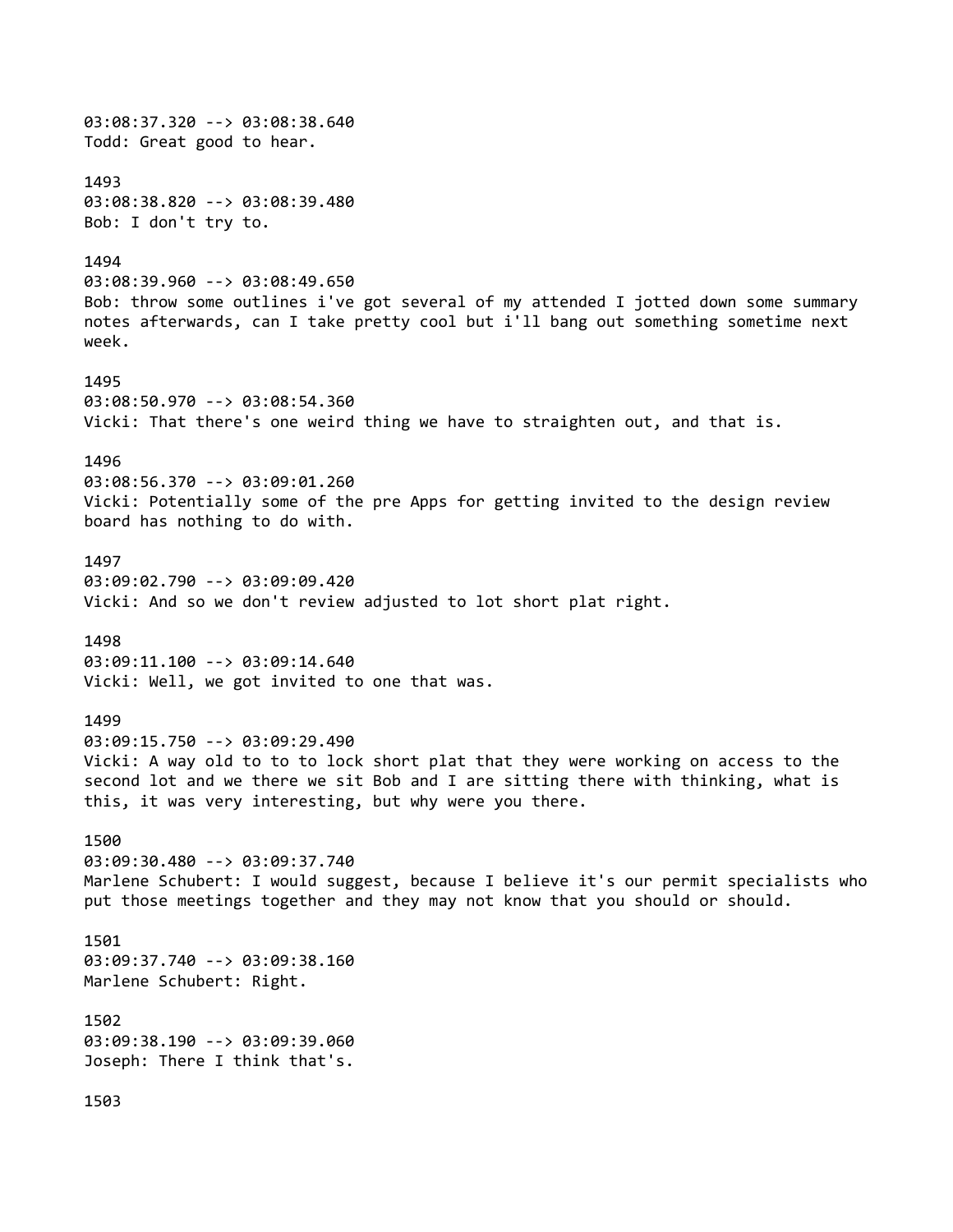03:08:37.320 --> 03:08:38.640 Todd: Great good to hear. 1493 03:08:38.820 --> 03:08:39.480 Bob: I don't try to. 1494 03:08:39.960 --> 03:08:49.650 Bob: throw some outlines i've got several of my attended I jotted down some summary notes afterwards, can I take pretty cool but i'll bang out something sometime next week. 1495 03:08:50.970 --> 03:08:54.360 Vicki: That there's one weird thing we have to straighten out, and that is. 1496 03:08:56.370 --> 03:09:01.260 Vicki: Potentially some of the pre Apps for getting invited to the design review board has nothing to do with. 1497 03:09:02.790 --> 03:09:09.420 Vicki: And so we don't review adjusted to lot short plat right. 1498 03:09:11.100 --> 03:09:14.640 Vicki: Well, we got invited to one that was. 1499 03:09:15.750 --> 03:09:29.490 Vicki: A way old to to to lock short plat that they were working on access to the second lot and we there we sit Bob and I are sitting there with thinking, what is this, it was very interesting, but why were you there. 1500 03:09:30.480 --> 03:09:37.740 Marlene Schubert: I would suggest, because I believe it's our permit specialists who put those meetings together and they may not know that you should or should. 1501 03:09:37.740 --> 03:09:38.160 Marlene Schubert: Right. 1502 03:09:38.190 --> 03:09:39.060 Joseph: There I think that's. 1503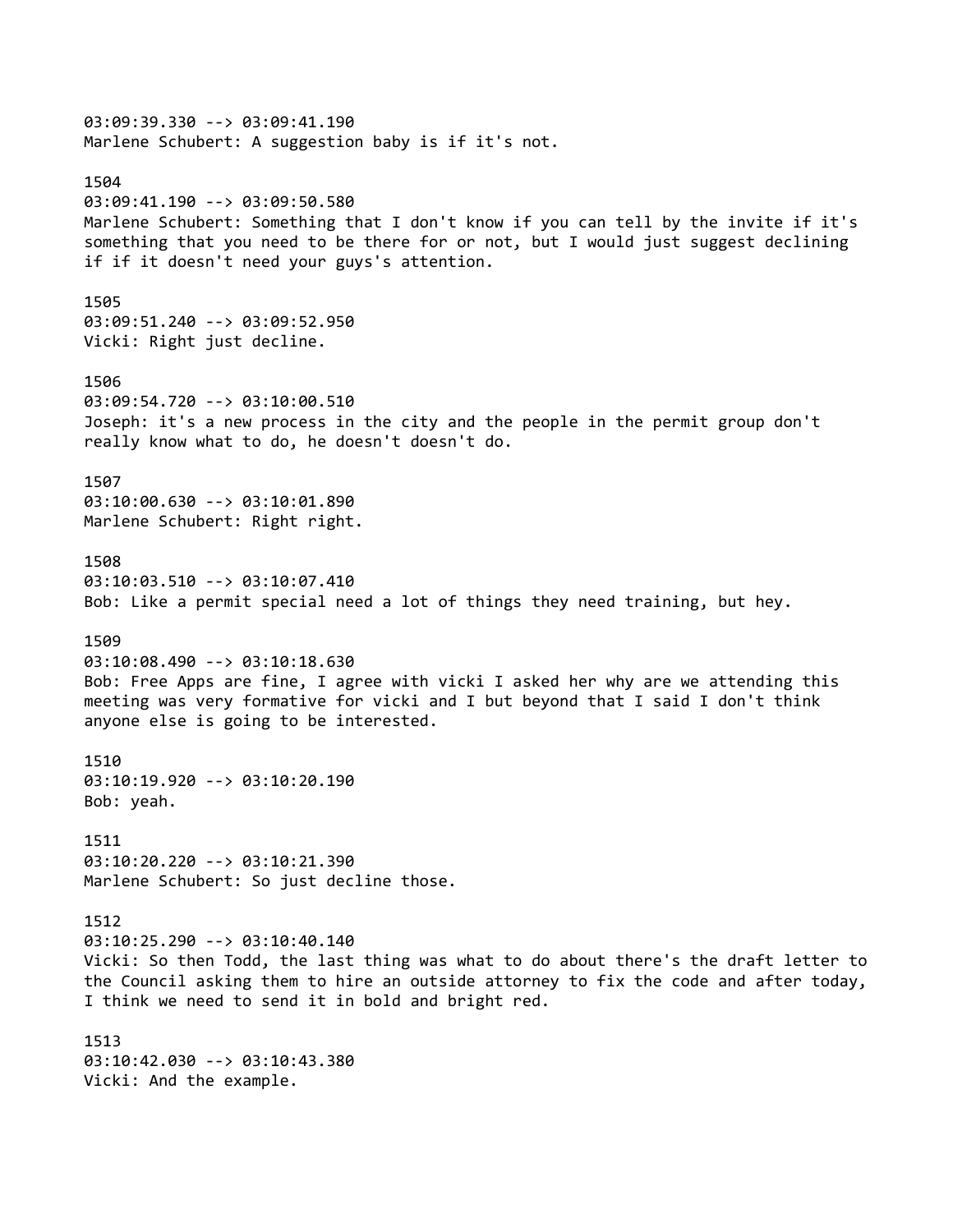03:09:39.330 --> 03:09:41.190 Marlene Schubert: A suggestion baby is if it's not. 1504 03:09:41.190 --> 03:09:50.580 Marlene Schubert: Something that I don't know if you can tell by the invite if it's something that you need to be there for or not, but I would just suggest declining if if it doesn't need your guys's attention. 1505 03:09:51.240 --> 03:09:52.950 Vicki: Right just decline. 1506 03:09:54.720 --> 03:10:00.510 Joseph: it's a new process in the city and the people in the permit group don't really know what to do, he doesn't doesn't do. 1507 03:10:00.630 --> 03:10:01.890 Marlene Schubert: Right right. 1508 03:10:03.510 --> 03:10:07.410 Bob: Like a permit special need a lot of things they need training, but hey. 1509 03:10:08.490 --> 03:10:18.630 Bob: Free Apps are fine, I agree with vicki I asked her why are we attending this meeting was very formative for vicki and I but beyond that I said I don't think anyone else is going to be interested. 1510 03:10:19.920 --> 03:10:20.190 Bob: yeah. 1511 03:10:20.220 --> 03:10:21.390 Marlene Schubert: So just decline those. 1512 03:10:25.290 --> 03:10:40.140 Vicki: So then Todd, the last thing was what to do about there's the draft letter to the Council asking them to hire an outside attorney to fix the code and after today, I think we need to send it in bold and bright red. 1513 03:10:42.030 --> 03:10:43.380 Vicki: And the example.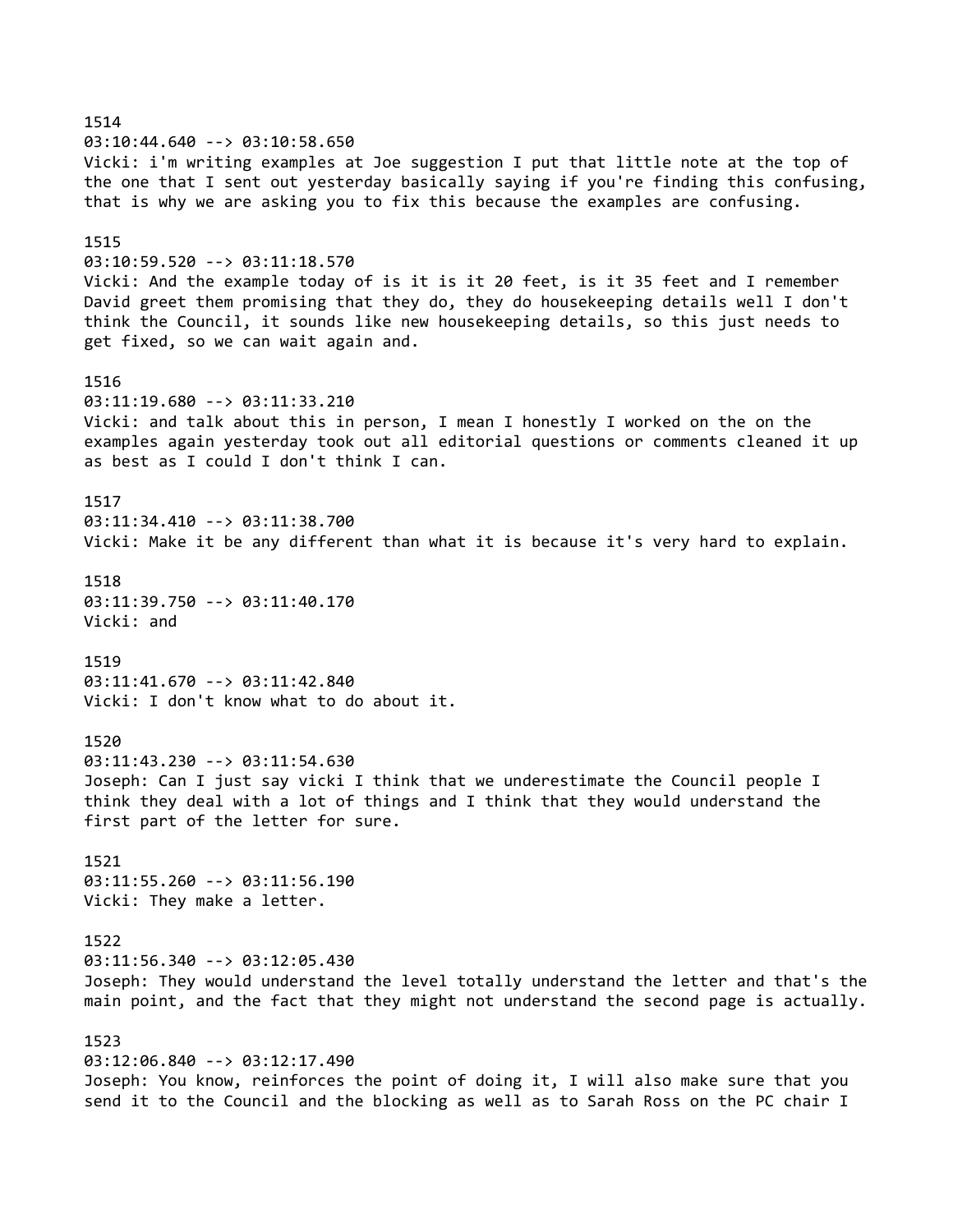1514 03:10:44.640 --> 03:10:58.650 Vicki: i'm writing examples at Joe suggestion I put that little note at the top of the one that I sent out yesterday basically saying if you're finding this confusing, that is why we are asking you to fix this because the examples are confusing. 1515 03:10:59.520 --> 03:11:18.570 Vicki: And the example today of is it is it 20 feet, is it 35 feet and I remember David greet them promising that they do, they do housekeeping details well I don't think the Council, it sounds like new housekeeping details, so this just needs to get fixed, so we can wait again and. 1516 03:11:19.680 --> 03:11:33.210 Vicki: and talk about this in person, I mean I honestly I worked on the on the examples again yesterday took out all editorial questions or comments cleaned it up as best as I could I don't think I can. 1517 03:11:34.410 --> 03:11:38.700 Vicki: Make it be any different than what it is because it's very hard to explain. 1518 03:11:39.750 --> 03:11:40.170 Vicki: and 1519 03:11:41.670 --> 03:11:42.840 Vicki: I don't know what to do about it. 1520 03:11:43.230 --> 03:11:54.630 Joseph: Can I just say vicki I think that we underestimate the Council people I think they deal with a lot of things and I think that they would understand the first part of the letter for sure. 1521 03:11:55.260 --> 03:11:56.190 Vicki: They make a letter. 1522 03:11:56.340 --> 03:12:05.430 Joseph: They would understand the level totally understand the letter and that's the main point, and the fact that they might not understand the second page is actually. 1523 03:12:06.840 --> 03:12:17.490 Joseph: You know, reinforces the point of doing it, I will also make sure that you send it to the Council and the blocking as well as to Sarah Ross on the PC chair I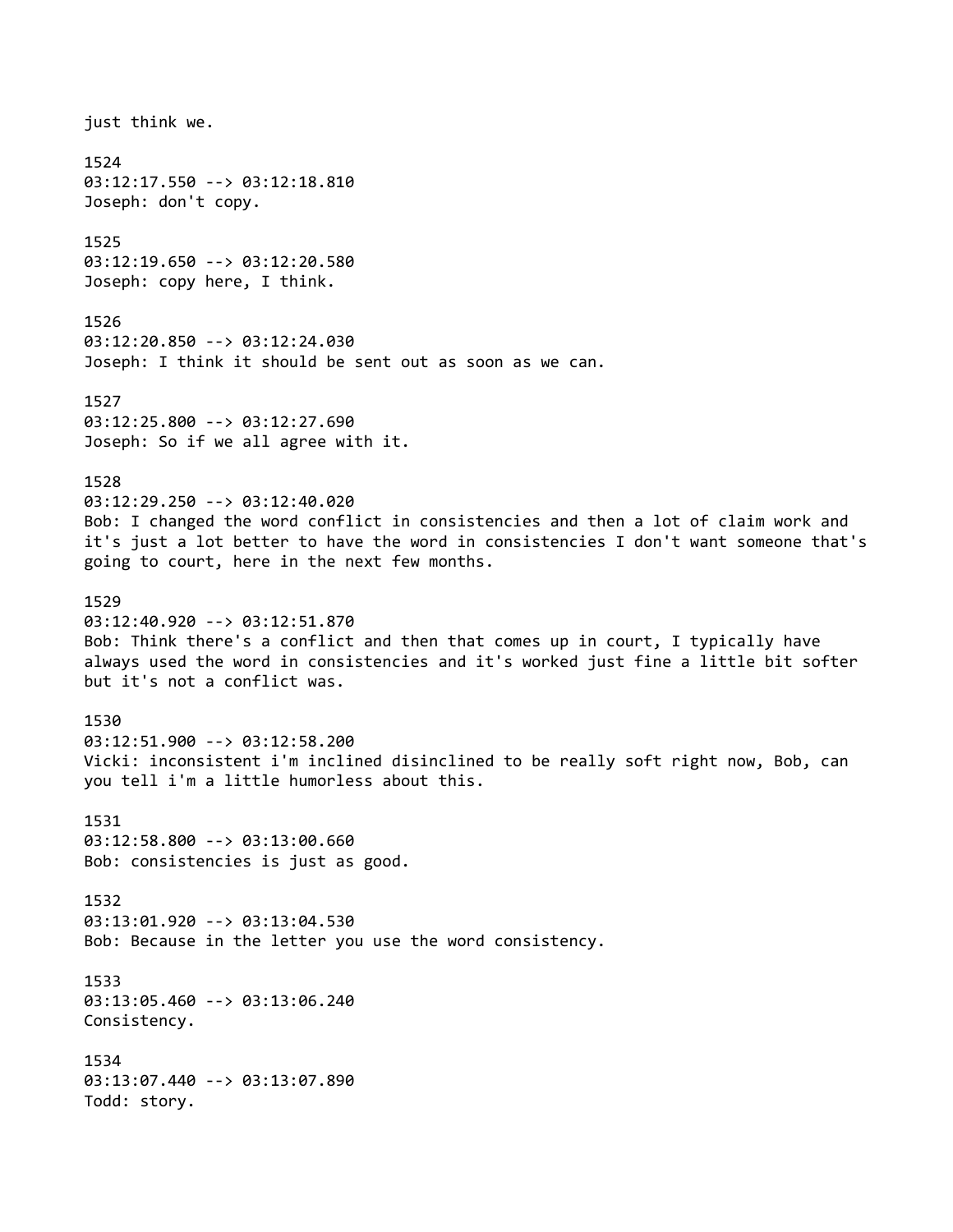just think we. 1524 03:12:17.550 --> 03:12:18.810 Joseph: don't copy. 1525 03:12:19.650 --> 03:12:20.580 Joseph: copy here, I think. 1526 03:12:20.850 --> 03:12:24.030 Joseph: I think it should be sent out as soon as we can. 1527 03:12:25.800 --> 03:12:27.690 Joseph: So if we all agree with it. 1528 03:12:29.250 --> 03:12:40.020 Bob: I changed the word conflict in consistencies and then a lot of claim work and it's just a lot better to have the word in consistencies I don't want someone that's going to court, here in the next few months. 1529 03:12:40.920 --> 03:12:51.870 Bob: Think there's a conflict and then that comes up in court, I typically have always used the word in consistencies and it's worked just fine a little bit softer but it's not a conflict was. 1530 03:12:51.900 --> 03:12:58.200 Vicki: inconsistent i'm inclined disinclined to be really soft right now, Bob, can you tell i'm a little humorless about this. 1531 03:12:58.800 --> 03:13:00.660 Bob: consistencies is just as good. 1532 03:13:01.920 --> 03:13:04.530 Bob: Because in the letter you use the word consistency. 1533 03:13:05.460 --> 03:13:06.240 Consistency. 1534 03:13:07.440 --> 03:13:07.890 Todd: story.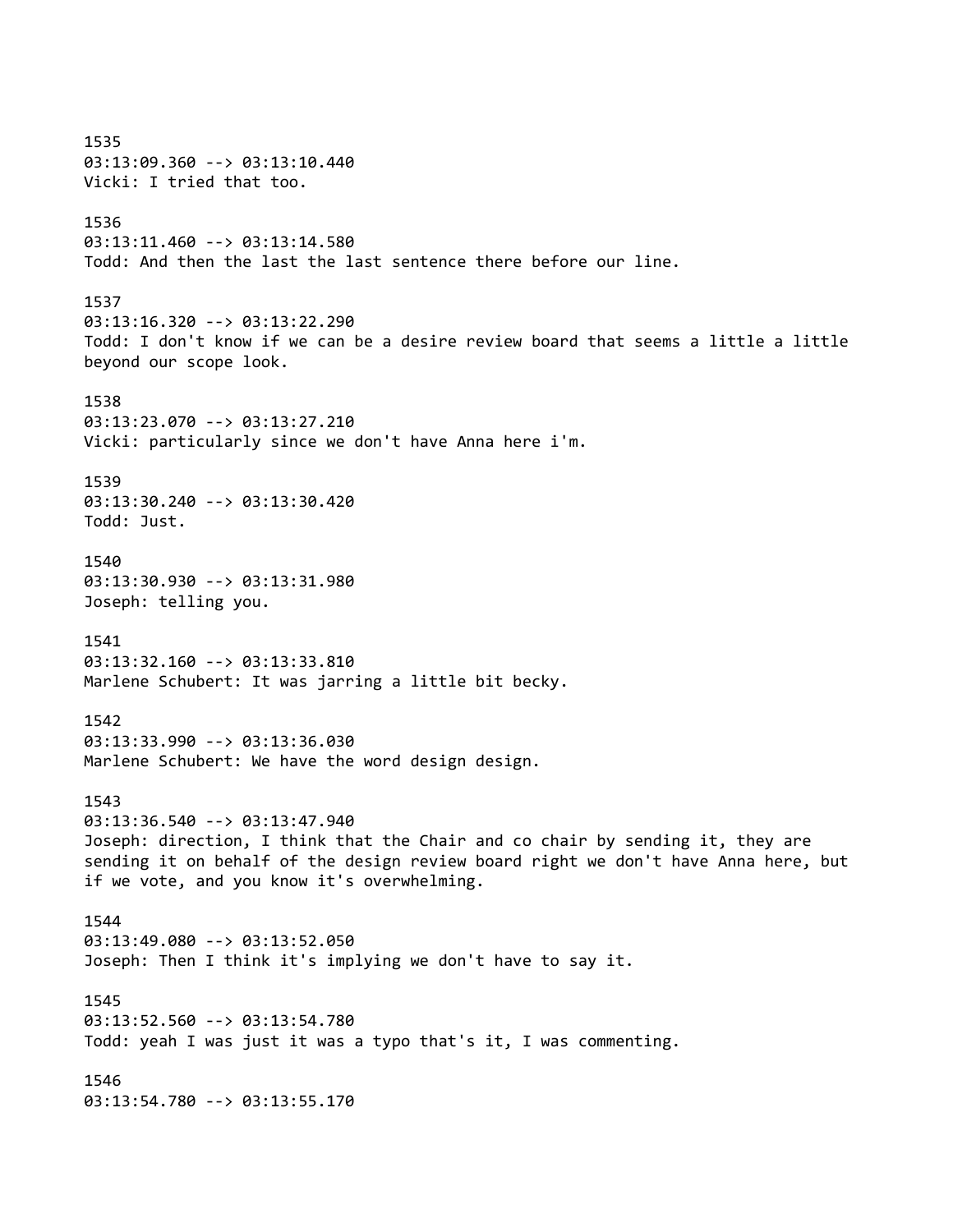1535 03:13:09.360 --> 03:13:10.440 Vicki: I tried that too. 1536 03:13:11.460 --> 03:13:14.580 Todd: And then the last the last sentence there before our line. 1537 03:13:16.320 --> 03:13:22.290 Todd: I don't know if we can be a desire review board that seems a little a little beyond our scope look. 1538 03:13:23.070 --> 03:13:27.210 Vicki: particularly since we don't have Anna here i'm. 1539 03:13:30.240 --> 03:13:30.420 Todd: Just. 1540 03:13:30.930 --> 03:13:31.980 Joseph: telling you. 1541 03:13:32.160 --> 03:13:33.810 Marlene Schubert: It was jarring a little bit becky. 1542 03:13:33.990 --> 03:13:36.030 Marlene Schubert: We have the word design design. 1543 03:13:36.540 --> 03:13:47.940 Joseph: direction, I think that the Chair and co chair by sending it, they are sending it on behalf of the design review board right we don't have Anna here, but if we vote, and you know it's overwhelming. 1544 03:13:49.080 --> 03:13:52.050 Joseph: Then I think it's implying we don't have to say it. 1545 03:13:52.560 --> 03:13:54.780 Todd: yeah I was just it was a typo that's it, I was commenting. 1546 03:13:54.780 --> 03:13:55.170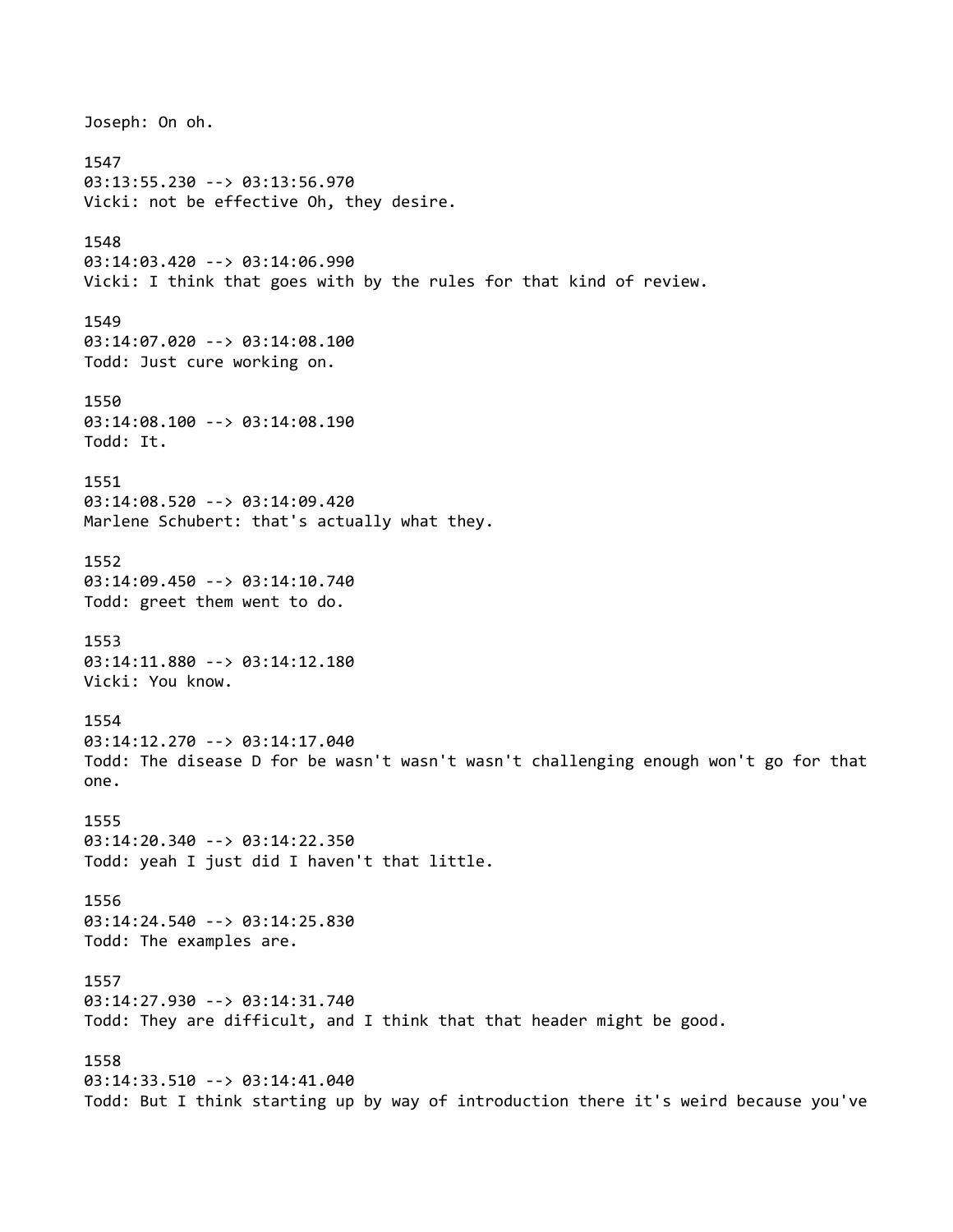Joseph: On oh. 1547 03:13:55.230 --> 03:13:56.970 Vicki: not be effective Oh, they desire. 1548 03:14:03.420 --> 03:14:06.990 Vicki: I think that goes with by the rules for that kind of review. 1549 03:14:07.020 --> 03:14:08.100 Todd: Just cure working on. 1550 03:14:08.100 --> 03:14:08.190 Todd: It. 1551 03:14:08.520 --> 03:14:09.420 Marlene Schubert: that's actually what they. 1552 03:14:09.450 --> 03:14:10.740 Todd: greet them went to do. 1553 03:14:11.880 --> 03:14:12.180 Vicki: You know. 1554 03:14:12.270 --> 03:14:17.040 Todd: The disease D for be wasn't wasn't wasn't challenging enough won't go for that one. 1555 03:14:20.340 --> 03:14:22.350 Todd: yeah I just did I haven't that little. 1556 03:14:24.540 --> 03:14:25.830 Todd: The examples are. 1557 03:14:27.930 --> 03:14:31.740 Todd: They are difficult, and I think that that header might be good. 1558 03:14:33.510 --> 03:14:41.040 Todd: But I think starting up by way of introduction there it's weird because you've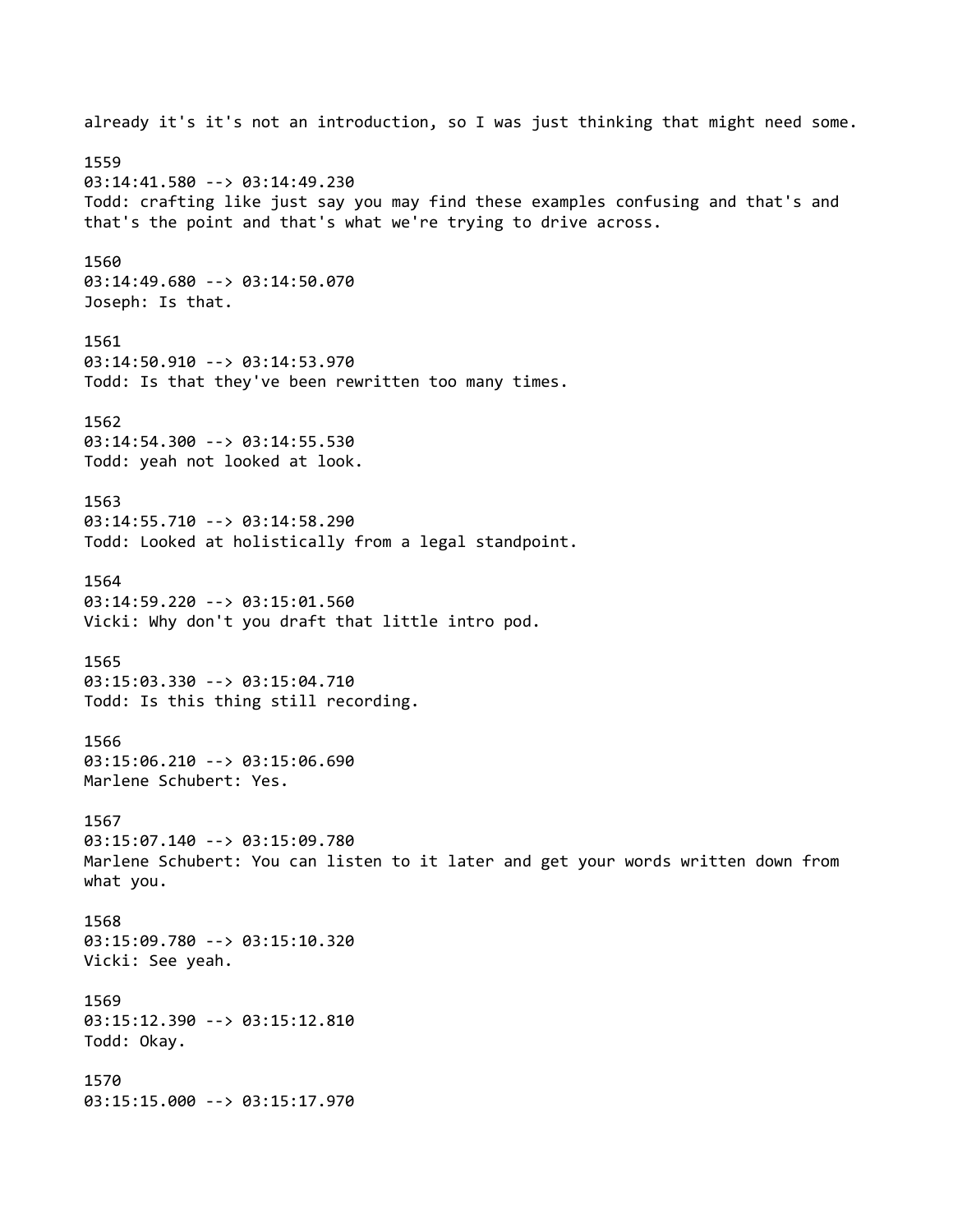already it's it's not an introduction, so I was just thinking that might need some. 1559 03:14:41.580 --> 03:14:49.230 Todd: crafting like just say you may find these examples confusing and that's and that's the point and that's what we're trying to drive across. 1560 03:14:49.680 --> 03:14:50.070 Joseph: Is that. 1561 03:14:50.910 --> 03:14:53.970 Todd: Is that they've been rewritten too many times. 1562 03:14:54.300 --> 03:14:55.530 Todd: yeah not looked at look. 1563 03:14:55.710 --> 03:14:58.290 Todd: Looked at holistically from a legal standpoint. 1564 03:14:59.220 --> 03:15:01.560 Vicki: Why don't you draft that little intro pod. 1565 03:15:03.330 --> 03:15:04.710 Todd: Is this thing still recording. 1566 03:15:06.210 --> 03:15:06.690 Marlene Schubert: Yes. 1567 03:15:07.140 --> 03:15:09.780 Marlene Schubert: You can listen to it later and get your words written down from what you. 1568 03:15:09.780 --> 03:15:10.320 Vicki: See yeah. 1569 03:15:12.390 --> 03:15:12.810 Todd: Okay. 1570 03:15:15.000 --> 03:15:17.970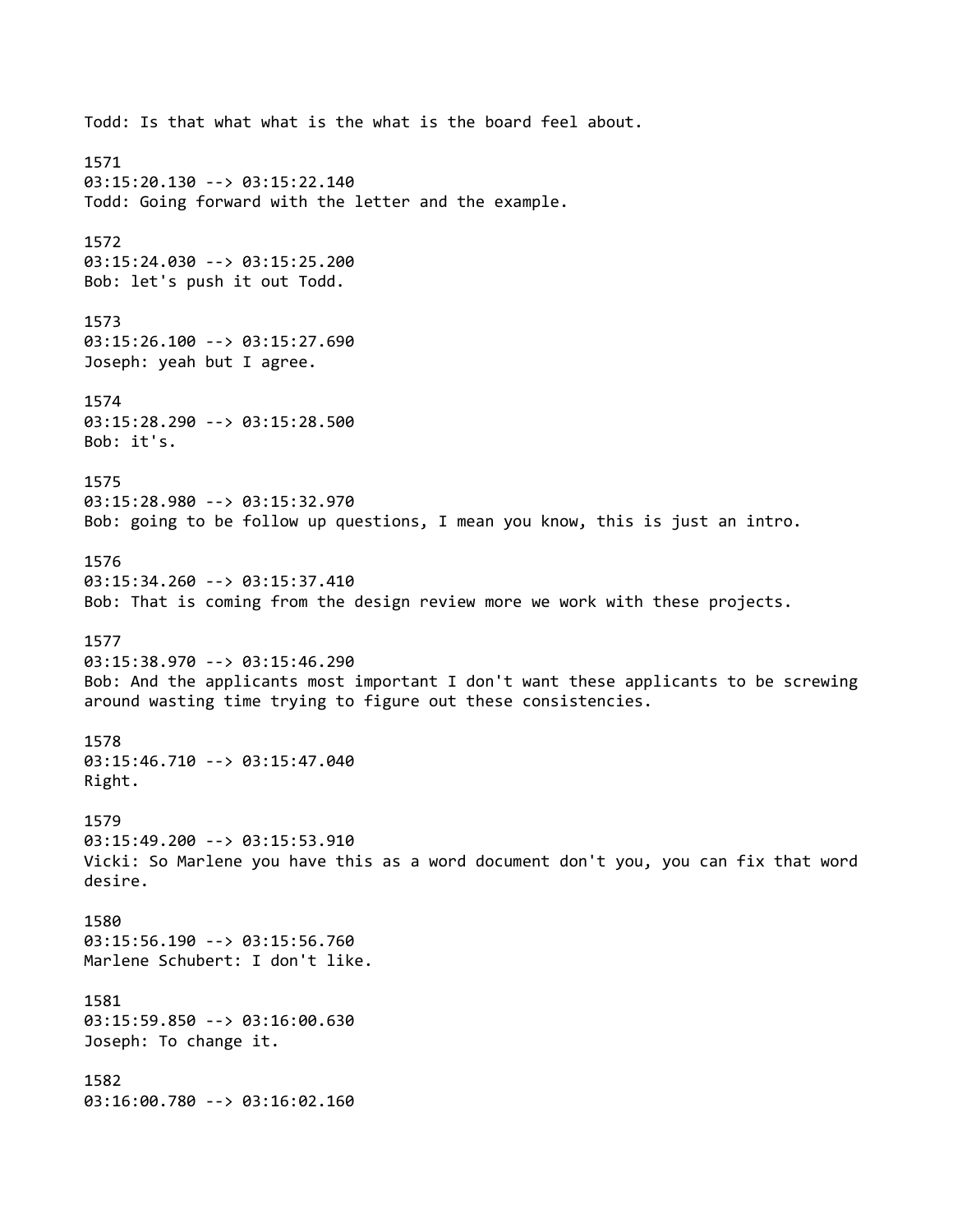Todd: Is that what what is the what is the board feel about. 1571 03:15:20.130 --> 03:15:22.140 Todd: Going forward with the letter and the example. 1572 03:15:24.030 --> 03:15:25.200 Bob: let's push it out Todd. 1573 03:15:26.100 --> 03:15:27.690 Joseph: yeah but I agree. 1574 03:15:28.290 --> 03:15:28.500 Bob: it's. 1575 03:15:28.980 --> 03:15:32.970 Bob: going to be follow up questions, I mean you know, this is just an intro. 1576 03:15:34.260 --> 03:15:37.410 Bob: That is coming from the design review more we work with these projects. 1577 03:15:38.970 --> 03:15:46.290 Bob: And the applicants most important I don't want these applicants to be screwing around wasting time trying to figure out these consistencies. 1578 03:15:46.710 --> 03:15:47.040 Right. 1579 03:15:49.200 --> 03:15:53.910 Vicki: So Marlene you have this as a word document don't you, you can fix that word desire. 1580 03:15:56.190 --> 03:15:56.760 Marlene Schubert: I don't like. 1581 03:15:59.850 --> 03:16:00.630 Joseph: To change it. 1582 03:16:00.780 --> 03:16:02.160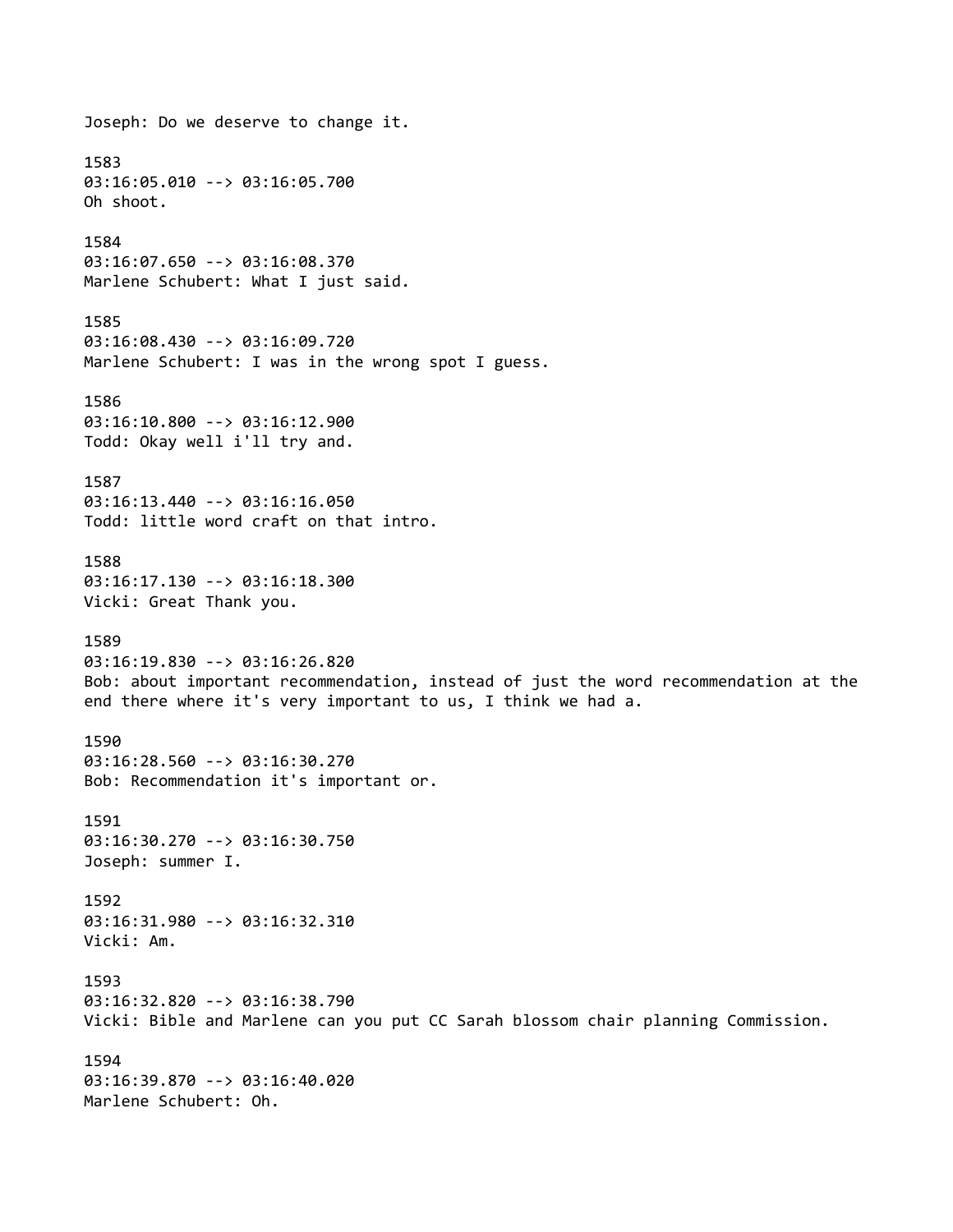Joseph: Do we deserve to change it. 1583 03:16:05.010 --> 03:16:05.700 Oh shoot. 1584 03:16:07.650 --> 03:16:08.370 Marlene Schubert: What I just said. 1585 03:16:08.430 --> 03:16:09.720 Marlene Schubert: I was in the wrong spot I guess. 1586 03:16:10.800 --> 03:16:12.900 Todd: Okay well i'll try and. 1587 03:16:13.440 --> 03:16:16.050 Todd: little word craft on that intro. 1588 03:16:17.130 --> 03:16:18.300 Vicki: Great Thank you. 1589 03:16:19.830 --> 03:16:26.820 Bob: about important recommendation, instead of just the word recommendation at the end there where it's very important to us, I think we had a. 1590 03:16:28.560 --> 03:16:30.270 Bob: Recommendation it's important or. 1591 03:16:30.270 --> 03:16:30.750 Joseph: summer I. 1592 03:16:31.980 --> 03:16:32.310 Vicki: Am. 1593 03:16:32.820 --> 03:16:38.790 Vicki: Bible and Marlene can you put CC Sarah blossom chair planning Commission. 1594 03:16:39.870 --> 03:16:40.020 Marlene Schubert: Oh.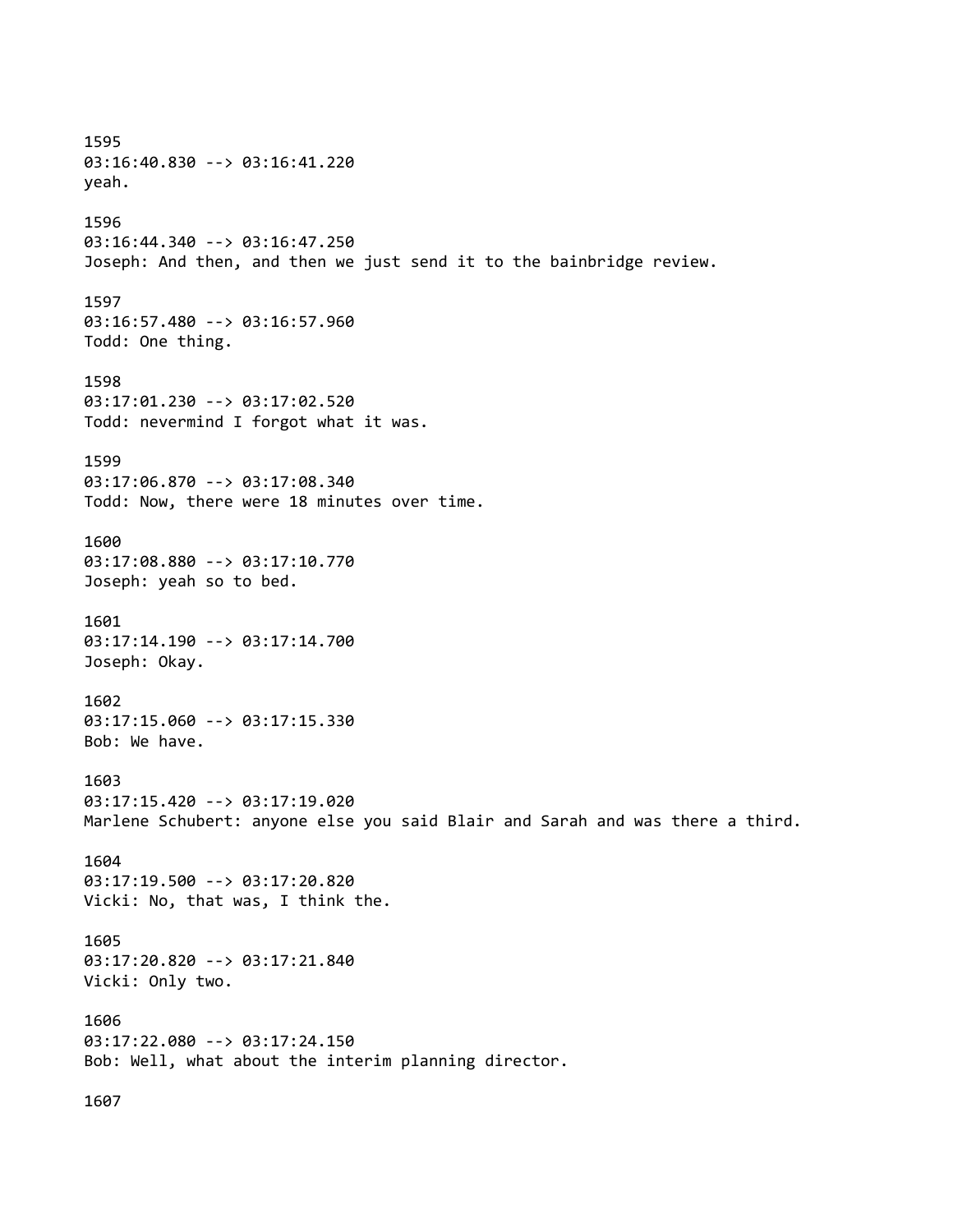1595 03:16:40.830 --> 03:16:41.220 yeah. 1596 03:16:44.340 --> 03:16:47.250 Joseph: And then, and then we just send it to the bainbridge review. 1597 03:16:57.480 --> 03:16:57.960 Todd: One thing. 1598 03:17:01.230 --> 03:17:02.520 Todd: nevermind I forgot what it was. 1599 03:17:06.870 --> 03:17:08.340 Todd: Now, there were 18 minutes over time. 1600 03:17:08.880 --> 03:17:10.770 Joseph: yeah so to bed. 1601 03:17:14.190 --> 03:17:14.700 Joseph: Okay. 1602 03:17:15.060 --> 03:17:15.330 Bob: We have. 1603 03:17:15.420 --> 03:17:19.020 Marlene Schubert: anyone else you said Blair and Sarah and was there a third. 1604 03:17:19.500 --> 03:17:20.820 Vicki: No, that was, I think the. 1605 03:17:20.820 --> 03:17:21.840 Vicki: Only two. 1606 03:17:22.080 --> 03:17:24.150 Bob: Well, what about the interim planning director. 1607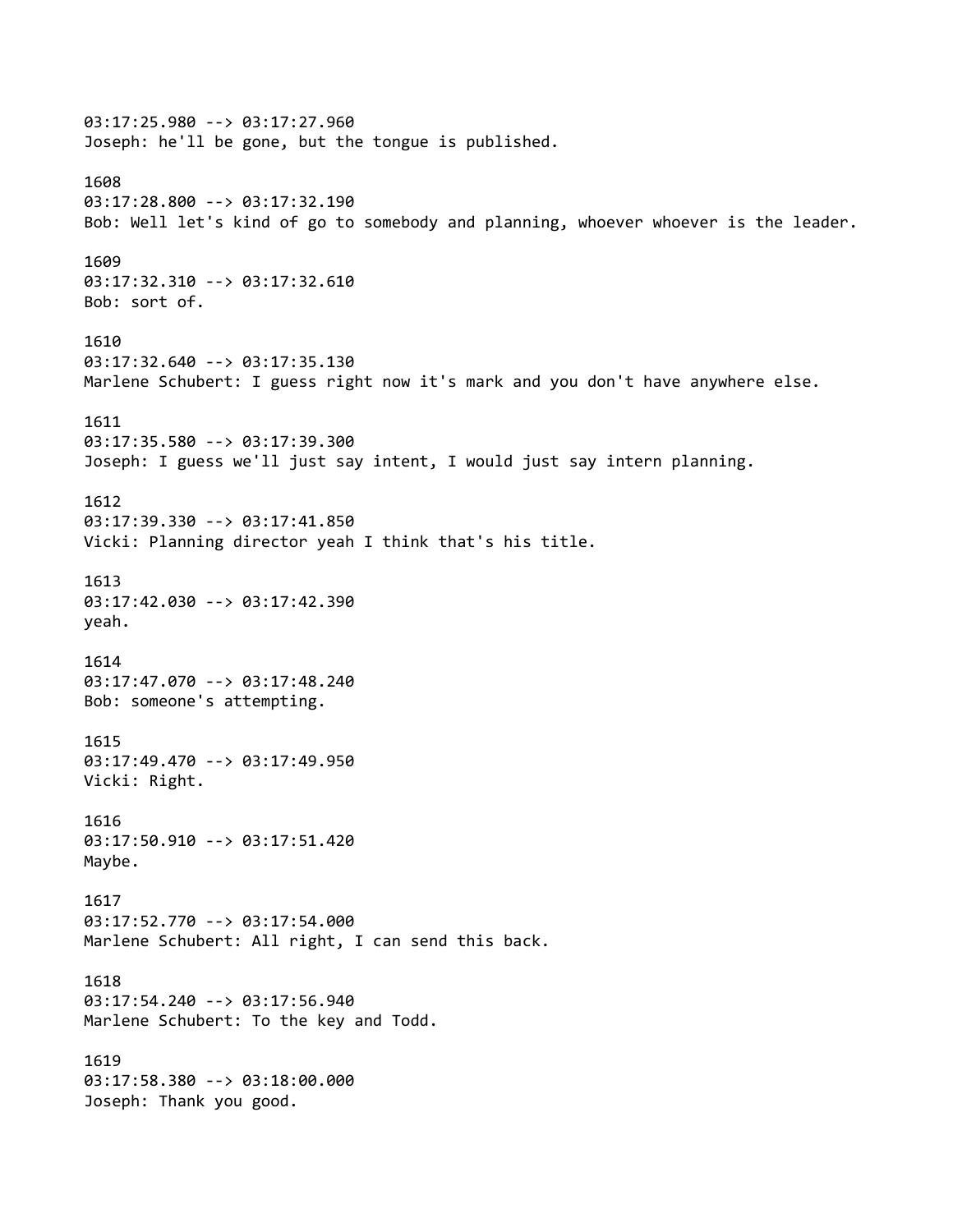03:17:25.980 --> 03:17:27.960 Joseph: he'll be gone, but the tongue is published. 1608 03:17:28.800 --> 03:17:32.190 Bob: Well let's kind of go to somebody and planning, whoever whoever is the leader. 1609 03:17:32.310 --> 03:17:32.610 Bob: sort of. 1610 03:17:32.640 --> 03:17:35.130 Marlene Schubert: I guess right now it's mark and you don't have anywhere else. 1611 03:17:35.580 --> 03:17:39.300 Joseph: I guess we'll just say intent, I would just say intern planning. 1612 03:17:39.330 --> 03:17:41.850 Vicki: Planning director yeah I think that's his title. 1613 03:17:42.030 --> 03:17:42.390 yeah. 1614 03:17:47.070 --> 03:17:48.240 Bob: someone's attempting. 1615 03:17:49.470 --> 03:17:49.950 Vicki: Right. 1616 03:17:50.910 --> 03:17:51.420 Maybe. 1617 03:17:52.770 --> 03:17:54.000 Marlene Schubert: All right, I can send this back. 1618 03:17:54.240 --> 03:17:56.940 Marlene Schubert: To the key and Todd. 1619 03:17:58.380 --> 03:18:00.000 Joseph: Thank you good.